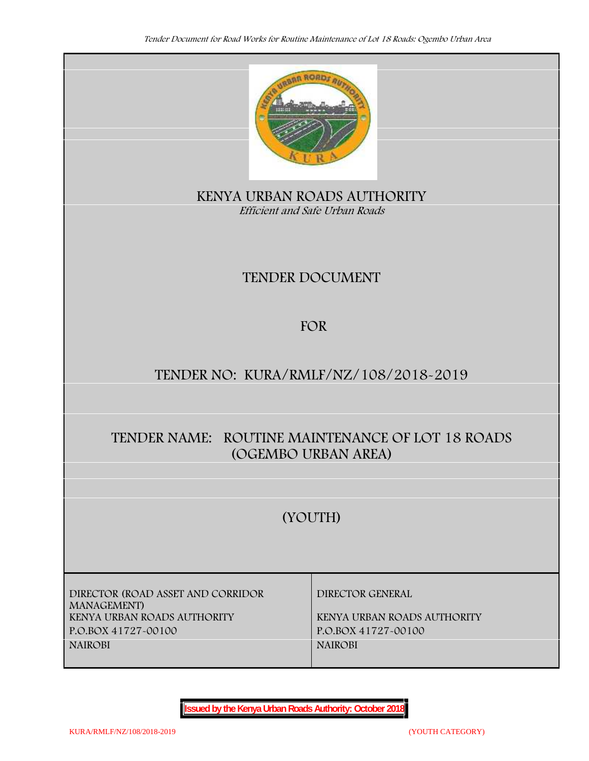

**KENYA URBAN ROADS AUTHORITY** *Efficient and Safe Urban Roads*

# **TENDER DOCUMENT**

# **FOR**

# **TENDER NO: KURA/RMLF/NZ/108/2018-2019**

# **TENDER NAME: ROUTINE MAINTENANCE OF LOT 18 ROADS (OGEMBO URBAN AREA)**

# **(YOUTH)**

**DIRECTOR (ROAD ASSET AND CORRIDOR MANAGEMENT) KENYA URBAN ROADS AUTHORITY KENYA URBAN ROADS AUTHORITY P.O.BOX 41727-00100 P.O.BOX 41727-00100 NAIROBI NAIROBI**

**DIRECTOR GENERAL**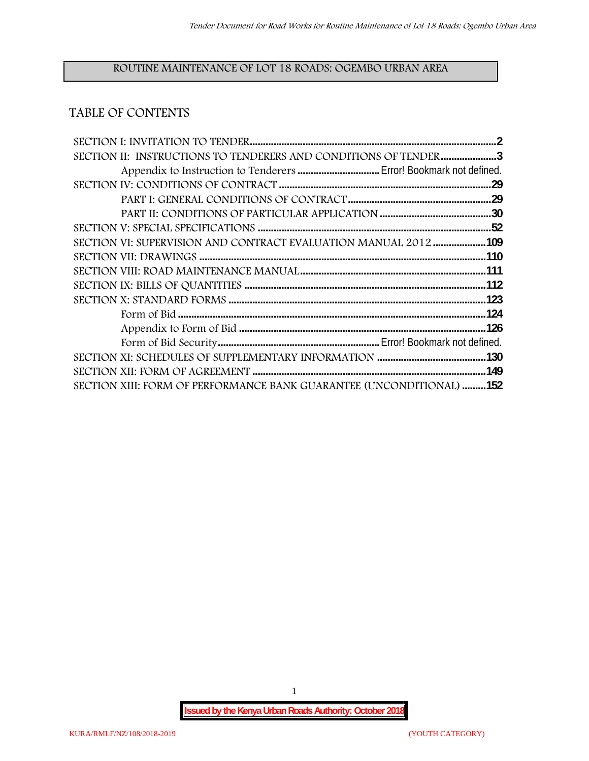# **ROUTINE MAINTENANCE OF LOT 18 ROADS: OGEMBO URBAN AREA**

## **TABLE OF CONTENTS**

| SECTION II: INSTRUCTIONS TO TENDERERS AND CONDITIONS OF TENDER 3            |  |
|-----------------------------------------------------------------------------|--|
|                                                                             |  |
|                                                                             |  |
|                                                                             |  |
|                                                                             |  |
|                                                                             |  |
| SECTION VI: SUPERVISION AND CONTRACT EVALUATION MANUAL 2012109              |  |
|                                                                             |  |
|                                                                             |  |
|                                                                             |  |
|                                                                             |  |
|                                                                             |  |
|                                                                             |  |
|                                                                             |  |
|                                                                             |  |
|                                                                             |  |
| <b>SECTION XIII: FORM OF PERFORMANCE BANK GUARANTEE (UNCONDITIONAL) 152</b> |  |

1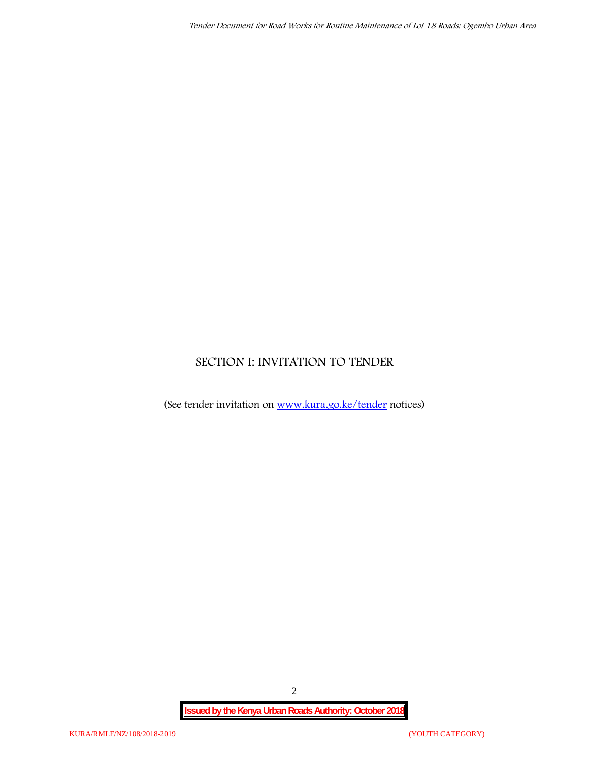## **SECTION I: INVITATION TO TENDER**

(See tender invitation on www.kura.go.ke/tender notices)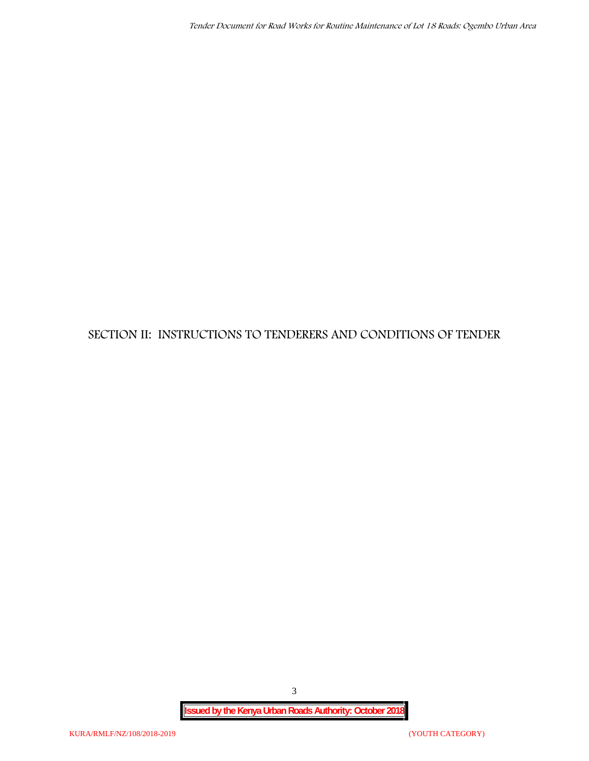# **SECTION II: INSTRUCTIONS TO TENDERERS AND CONDITIONS OF TENDER**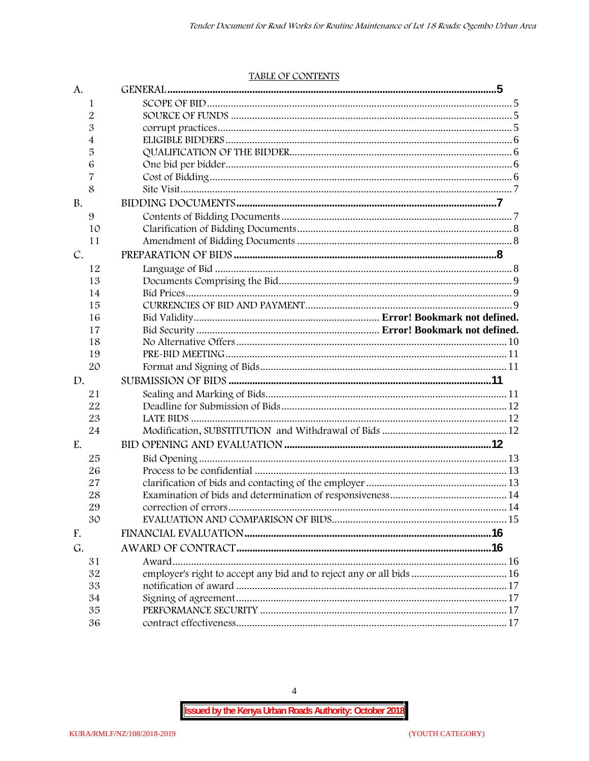#### TABLE OF CONTENTS

| A.        |                                                                      |  |
|-----------|----------------------------------------------------------------------|--|
| 1         |                                                                      |  |
| 2         |                                                                      |  |
| 3         |                                                                      |  |
| 4         |                                                                      |  |
| 5         |                                                                      |  |
| 6         |                                                                      |  |
| 7         |                                                                      |  |
| 8         |                                                                      |  |
| <b>B.</b> |                                                                      |  |
| 9         |                                                                      |  |
| 10        |                                                                      |  |
| 11        |                                                                      |  |
| C.        |                                                                      |  |
| 12        |                                                                      |  |
| 13        |                                                                      |  |
| 14        |                                                                      |  |
| 15        |                                                                      |  |
| 16        |                                                                      |  |
| 17        |                                                                      |  |
| 18        |                                                                      |  |
| 19        |                                                                      |  |
| 20        |                                                                      |  |
| D.        |                                                                      |  |
| 21        |                                                                      |  |
| 22        |                                                                      |  |
| 23        |                                                                      |  |
| 24        |                                                                      |  |
| E.        |                                                                      |  |
| 25        |                                                                      |  |
| 26        |                                                                      |  |
| 27        |                                                                      |  |
| 28        |                                                                      |  |
| 29        |                                                                      |  |
| 30        |                                                                      |  |
| F.        |                                                                      |  |
| G.        |                                                                      |  |
| 31        |                                                                      |  |
| 32        | employer's right to accept any bid and to reject any or all bids  16 |  |
| 33        |                                                                      |  |
| 34        |                                                                      |  |
| 35        |                                                                      |  |
| 36        |                                                                      |  |

 $\overline{4}$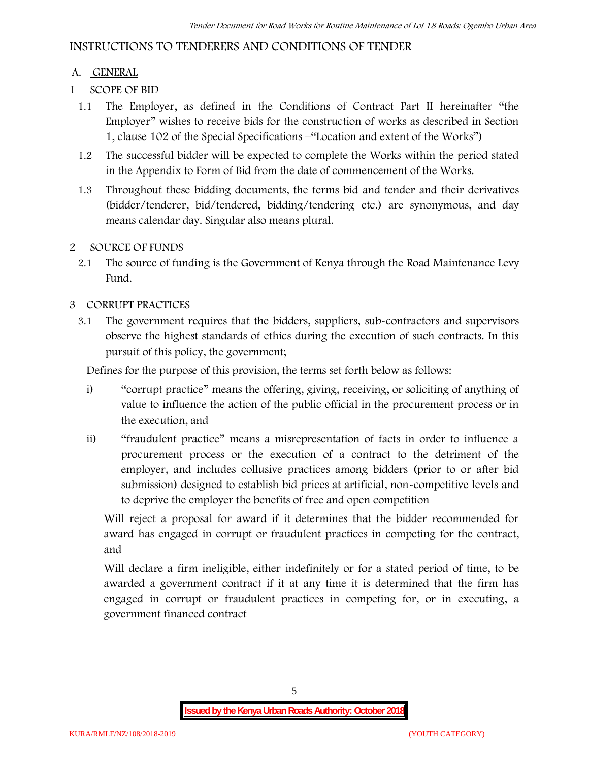## **INSTRUCTIONS TO TENDERERS AND CONDITIONS OF TENDER**

## **A. GENERAL**

- **1 SCOPE OF BID**
	- 1.1 The Employer, as defined in the Conditions of Contract Part II hereinafter "the Employer" wishes to receive bids for the construction of works as described in Section 1, clause 102 of the Special Specifications –"Location and extent of the Works")
	- 1.2 The successful bidder will be expected to complete the Works within the period stated in the Appendix to Form of Bid from the date of commencement of the Works.
	- 1.3 Throughout these bidding documents, the terms bid and tender and their derivatives (bidder/tenderer, bid/tendered, bidding/tendering etc.) are synonymous, and day means calendar day. Singular also means plural.

### **2 SOURCE OF FUNDS**

2.1 The source of funding is the Government of Kenya through the Road Maintenance Levy Fund.

### **3 CORRUPT PRACTICES**

3.1 The government requires that the bidders, suppliers, sub-contractors and supervisors observe the highest standards of ethics during the execution of such contracts. In this pursuit of this policy, the government;

Defines for the purpose of this provision, the terms set forth below as follows:

- i) "corrupt practice" means the offering, giving, receiving, or soliciting of anything of value to influence the action of the public official in the procurement process or in the execution, and
- ii) "fraudulent practice" means a misrepresentation of facts in order to influence a procurement process or the execution of a contract to the detriment of the employer, and includes collusive practices among bidders (prior to or after bid submission) designed to establish bid prices at artificial, non-competitive levels and to deprive the employer the benefits of free and open competition

Will reject a proposal for award if it determines that the bidder recommended for award has engaged in corrupt or fraudulent practices in competing for the contract, and

Will declare a firm ineligible, either indefinitely or for a stated period of time, to be awarded a government contract if it at any time it is determined that the firm has engaged in corrupt or fraudulent practices in competing for, or in executing, a government financed contract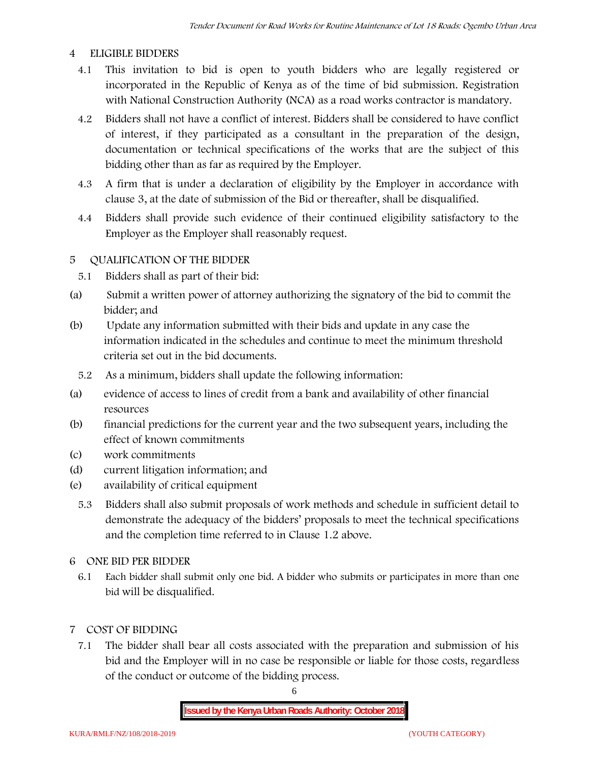### **4 ELIGIBLE BIDDERS**

- 4.1 This invitation to bid is open to youth bidders who are legally registered or incorporated in the Republic of Kenya as of the time of bid submission. Registration with National Construction Authority (NCA) as a road works contractor is mandatory.
- 4.2 Bidders shall not have a conflict of interest. Bidders shall be considered to have conflict of interest, if they participated as a consultant in the preparation of the design, documentation or technical specifications of the works that are the subject of this bidding other than as far as required by the Employer.
- 4.3 A firm that is under a declaration of eligibility by the Employer in accordance with clause 3, at the date of submission of the Bid or thereafter, shall be disqualified.
- 4.4 Bidders shall provide such evidence of their continued eligibility satisfactory to the Employer as the Employer shall reasonably request.

## **5 QUALIFICATION OF THE BIDDER**

- 5.1 Bidders shall as part of their bid:
- (a) Submit a written power of attorney authorizing the signatory of the bid to commit the bidder; and
- (b) Update any information submitted with their bids and update in any case the information indicated in the schedules and continue to meet the minimum threshold criteria set out in the bid documents.
	- 5.2 As a minimum, bidders shall update the following information:
- (a) evidence of access to lines of credit from a bank and availability of other financial resources
- (b) financial predictions for the current year and the two subsequent years, including the effect of known commitments
- (c) work commitments
- (d) current litigation information; and
- (e) availability of critical equipment
	- 5.3 Bidders shall also submit proposals of work methods and schedule in sufficient detail to demonstrate the adequacy of the bidders' proposals to meet the technical specifications and the completion time referred to in Clause 1.2 above.
- **6 ONE BID PER BIDDER**
	- 6.1 Each bidder shall submit only one bid. A bidder who submits or participates in more than one bid will be disqualified.
- **7 COST OF BIDDING**
	- 7.1 The bidder shall bear all costs associated with the preparation and submission of his bid and the Employer will in no case be responsible or liable for those costs, regardless of the conduct or outcome of the bidding process.

6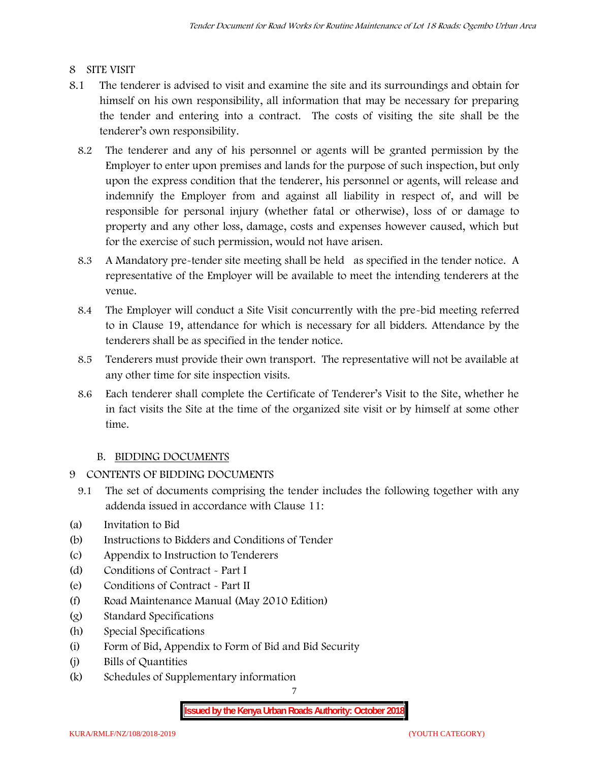## **8 SITE VISIT**

- 8.1 The tenderer is advised to visit and examine the site and its surroundings and obtain for himself on his own responsibility, all information that may be necessary for preparing the tender and entering into a contract. The costs of visiting the site shall be the tenderer's own responsibility.
	- 8.2 The tenderer and any of his personnel or agents will be granted permission by the Employer to enter upon premises and lands for the purpose of such inspection, but only upon the express condition that the tenderer, his personnel or agents, will release and indemnify the Employer from and against all liability in respect of, and will be responsible for personal injury (whether fatal or otherwise), loss of or damage to property and any other loss, damage, costs and expenses however caused, which but for the exercise of such permission, would not have arisen.
	- 8.3 A Mandatory pre-tender site meeting shall be held as specified in the tender notice. A representative of the Employer will be available to meet the intending tenderers at the venue.
	- 8.4 The Employer will conduct a Site Visit concurrently with the pre-bid meeting referred to in Clause 19, attendance for which is necessary for all bidders. Attendance by the tenderers shall be as specified in the tender notice.
	- 8.5 Tenderers must provide their own transport. The representative will not be available at any other time for site inspection visits.
	- 8.6 Each tenderer shall complete the Certificate of Tenderer's Visit to the Site, whether he in fact visits the Site at the time of the organized site visit or by himself at some other time.

## **B. BIDDING DOCUMENTS**

- **9 CONTENTS OF BIDDING DOCUMENTS**
	- 9.1 The set of documents comprising the tender includes the following together with any addenda issued in accordance with Clause 11:
- (a) Invitation to Bid
- (b) Instructions to Bidders and Conditions of Tender
- (c) Appendix to Instruction to Tenderers
- (d) Conditions of Contract Part I
- (e) Conditions of Contract Part II
- (f) Road Maintenance Manual (May 2010 Edition)
- (g) Standard Specifications
- (h) Special Specifications
- (i) Form of Bid, Appendix to Form of Bid and Bid Security
- (j) Bills of Quantities
- (k) Schedules of Supplementary information

7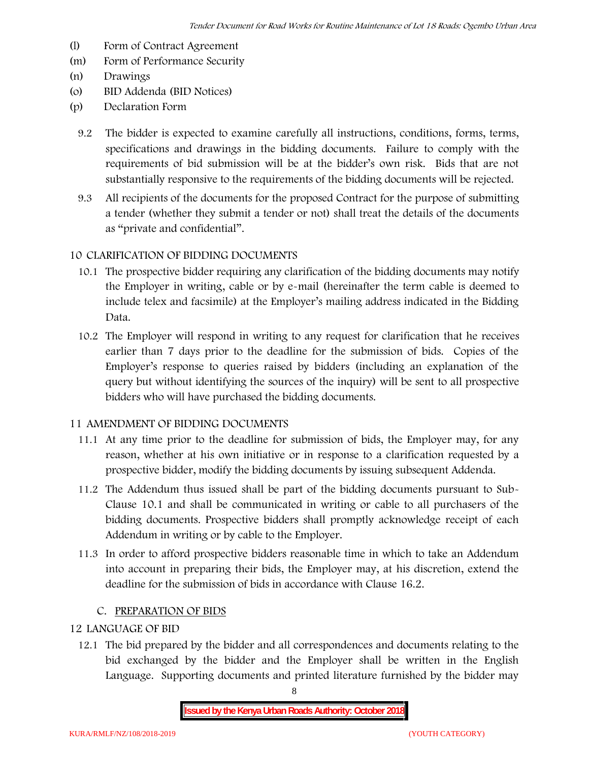- (l) Form of Contract Agreement
- (m) Form of Performance Security
- (n) Drawings
- (o) BID Addenda (BID Notices)
- (p) Declaration Form
	- 9.2 The bidder is expected to examine carefully all instructions, conditions, forms, terms, specifications and drawings in the bidding documents. Failure to comply with the requirements of bid submission will be at the bidder's own risk. Bids that are not substantially responsive to the requirements of the bidding documents will be rejected.
	- 9.3 All recipients of the documents for the proposed Contract for the purpose of submitting a tender (whether they submit a tender or not) shall treat the details of the documents as "private and confidential".

### **10 CLARIFICATION OF BIDDING DOCUMENTS**

- 10.1 The prospective bidder requiring any clarification of the bidding documents may notify the Employer in writing, cable or by e-mail (hereinafter the term cable is deemed to include telex and facsimile) at the Employer's mailing address indicated in the Bidding Data.
- 10.2 The Employer will respond in writing to any request for clarification that he receives earlier than 7 days prior to the deadline for the submission of bids. Copies of the Employer's response to queries raised by bidders (including an explanation of the query but without identifying the sources of the inquiry) will be sent to all prospective bidders who will have purchased the bidding documents.

#### **11 AMENDMENT OF BIDDING DOCUMENTS**

- 11.1 At any time prior to the deadline for submission of bids, the Employer may, for any reason, whether at his own initiative or in response to a clarification requested by a prospective bidder, modify the bidding documents by issuing subsequent Addenda.
- 11.2 The Addendum thus issued shall be part of the bidding documents pursuant to Sub- Clause 10.1 and shall be communicated in writing or cable to all purchasers of the bidding documents. Prospective bidders shall promptly acknowledge receipt of each Addendum in writing or by cable to the Employer.
- 11.3 In order to afford prospective bidders reasonable time in which to take an Addendum into account in preparing their bids, the Employer may, at his discretion, extend the deadline for the submission of bids in accordance with Clause 16.2.

#### **C. PREPARATION OF BIDS**

## **12 LANGUAGE OF BID**

12.1 The bid prepared by the bidder and all correspondences and documents relating to the bid exchanged by the bidder and the Employer shall be written in the English Language. Supporting documents and printed literature furnished by the bidder may

8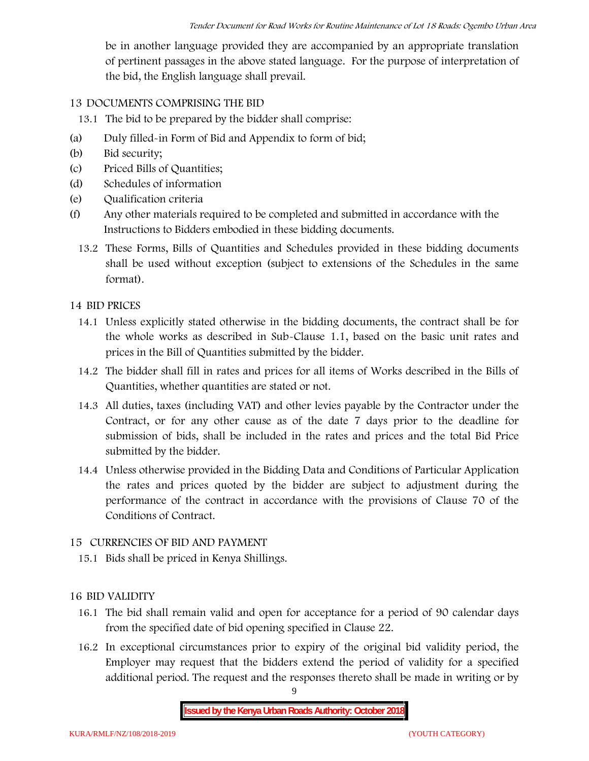be in another language provided they are accompanied by an appropriate translation of pertinent passages in the above stated language. For the purpose of interpretation of the bid, the English language shall prevail.

## **13 DOCUMENTS COMPRISING THE BID**

13.1 The bid to be prepared by the bidder shall comprise:

- (a) Duly filled-in Form of Bid and Appendix to form of bid;
- (b) Bid security;
- (c) Priced Bills of Quantities;
- (d) Schedules of information
- (e) Qualification criteria
- (f) Any other materials required to be completed and submitted in accordance with the Instructions to Bidders embodied in these bidding documents.
	- 13.2 These Forms, Bills of Quantities and Schedules provided in these bidding documents shall be used without exception (subject to extensions of the Schedules in the same format).

### **14 BID PRICES**

- 14.1 Unless explicitly stated otherwise in the bidding documents, the contract shall be for the whole works as described in Sub-Clause 1.1, based on the basic unit rates and prices in the Bill of Quantities submitted by the bidder.
- 14.2 The bidder shall fill in rates and prices for all items of Works described in the Bills of Quantities, whether quantities are stated or not.
- 14.3 All duties, taxes (including VAT) and other levies payable by the Contractor under the Contract, or for any other cause as of the date 7 days prior to the deadline for submission of bids, shall be included in the rates and prices and the total Bid Price submitted by the bidder.
- 14.4 Unless otherwise provided in the Bidding Data and Conditions of Particular Application the rates and prices quoted by the bidder are subject to adjustment during the performance of the contract in accordance with the provisions of Clause 70 of the Conditions of Contract.

#### **15 CURRENCIES OF BID AND PAYMENT**

15.1 Bids shall be priced in Kenya Shillings.

## **16 BID VALIDITY**

- 16.1 The bid shall remain valid and open for acceptance for a period of 90 calendar days from the specified date of bid opening specified in Clause 22.
- 16.2 In exceptional circumstances prior to expiry of the original bid validity period, the Employer may request that the bidders extend the period of validity for a specified additional period. The request and the responses thereto shall be made in writing or by

9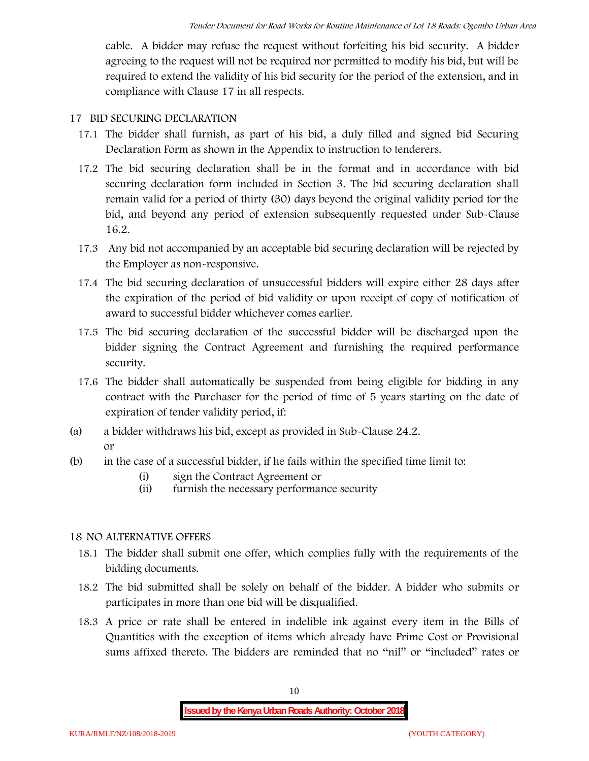cable. A bidder may refuse the request without forfeiting his bid security. A bidder agreeing to the request will not be required nor permitted to modify his bid, but will be required to extend the validity of his bid security for the period of the extension, and in compliance with Clause 17 in all respects.

#### **17 BID SECURING DECLARATION**

- 17.1 The bidder shall furnish, as part of his bid, a duly filled and signed bid Securing Declaration Form as shown in the Appendix to instruction to tenderers.
- 17.2 The bid securing declaration shall be in the format and in accordance with bid securing declaration form included in Section 3. The bid securing declaration shall remain valid for a period of thirty (30) days beyond the original validity period for the bid, and beyond any period of extension subsequently requested under Sub-Clause 16.2.
- 17.3 Any bid not accompanied by an acceptable bid securing declaration will be rejected by the Employer as non-responsive.
- 17.4 The bid securing declaration of unsuccessful bidders will expire either 28 days after the expiration of the period of bid validity or upon receipt of copy of notification of award to successful bidder whichever comes earlier.
- 17.5 The bid securing declaration of the successful bidder will be discharged upon the bidder signing the Contract Agreement and furnishing the required performance security.
- 17.6 The bidder shall automatically be suspended from being eligible for bidding in any contract with the Purchaser for the period of time of 5 years starting on the date of expiration of tender validity period, if:
- (a) a bidder withdraws his bid, except as provided in Sub-Clause 24.2. or
- (b) in the case of a successful bidder, if he fails within the specified time limit to:
	- (i) sign the Contract Agreement or
	- (ii) furnish the necessary performance security

#### **18 NO ALTERNATIVE OFFERS**

- 18.1 The bidder shall submit one offer, which complies fully with the requirements of the bidding documents.
- 18.2 The bid submitted shall be solely on behalf of the bidder. A bidder who submits or participates in more than one bid will be disqualified.
- 18.3 A price or rate shall be entered in indelible ink against every item in the Bills of Quantities with the exception of items which already have Prime Cost or Provisional sums affixed thereto. The bidders are reminded that no "nil" or "included" rates or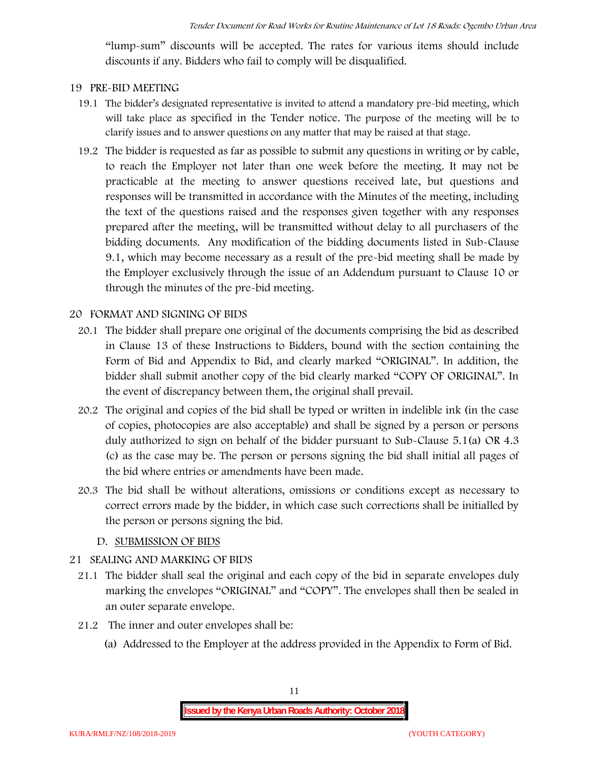"lump-sum" discounts will be accepted. The rates for various items should include discounts if any. Bidders who fail to comply will be disqualified.

#### **19 PRE-BID MEETING**

- 19.1 The bidder's designated representative is invited to attend a mandatory pre-bid meeting, which will take place as specified in the Tender notice. The purpose of the meeting will be to clarify issues and to answer questions on any matter that may be raised at that stage.
- 19.2 The bidder is requested as far as possible to submit any questions in writing or by cable, to reach the Employer not later than one week before the meeting. It may not be practicable at the meeting to answer questions received late, but questions and responses will be transmitted in accordance with the Minutes of the meeting, including the text of the questions raised and the responses given together with any responses prepared after the meeting, will be transmitted without delay to all purchasers of the bidding documents. Any modification of the bidding documents listed in Sub-Clause 9.1, which may become necessary as a result of the pre-bid meeting shall be made by the Employer exclusively through the issue of an Addendum pursuant to Clause 10 or through the minutes of the pre-bid meeting.

#### **20 FORMAT AND SIGNING OF BIDS**

- 20.1 The bidder shall prepare one original of the documents comprising the bid as described in Clause 13 of these Instructions to Bidders, bound with the section containing the Form of Bid and Appendix to Bid, and clearly marked "ORIGINAL". In addition, the bidder shall submit another copy of the bid clearly marked "COPY OF ORIGINAL". In the event of discrepancy between them, the original shall prevail.
- 20.2 The original and copies of the bid shall be typed or written in indelible ink (in the case of copies, photocopies are also acceptable) and shall be signed by a person or persons duly authorized to sign on behalf of the bidder pursuant to Sub-Clause 5.1(a) OR 4.3 (c) as the case may be. The person or persons signing the bid shall initial all pages of the bid where entries or amendments have been made.
- 20.3 The bid shall be without alterations, omissions or conditions except as necessary to correct errors made by the bidder, in which case such corrections shall be initialled by the person or persons signing the bid.

#### **D. SUBMISSION OF BIDS**

#### **21 SEALING AND MARKING OF BIDS**

- 21.1 The bidder shall seal the original and each copy of the bid in separate envelopes duly marking the envelopes "ORIGINAL" and "COPY". The envelopes shall then be sealed in an outer separate envelope.
- 21.2 The inner and outer envelopes shall be:
	- (a) Addressed to the Employer at the address provided in the Appendix to Form of Bid.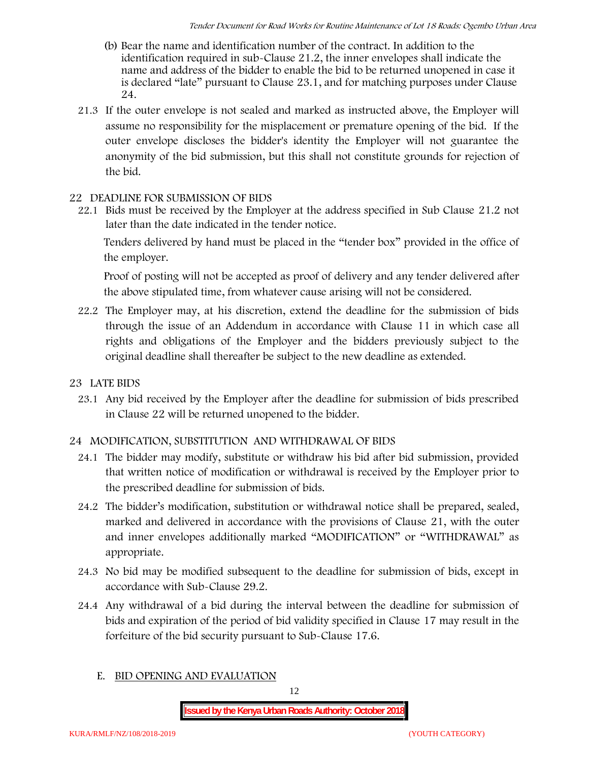- (b) Bear the name and identification number of the contract. In addition to the identification required in sub-Clause 21.2, the inner envelopes shall indicate the name and address of the bidder to enable the bid to be returned unopened in case it is declared "late" pursuant to Clause 23.1, and for matching purposes under Clause 24.
- 21.3 If the outer envelope is not sealed and marked as instructed above, the Employer will assume no responsibility for the misplacement or premature opening of the bid. If the outer envelope discloses the bidder's identity the Employer will not guarantee the anonymity of the bid submission, but this shall not constitute grounds for rejection of the bid.

## **22 DEADLINE FOR SUBMISSION OF BIDS**

22.1 Bids must be received by the Employer at the address specified in Sub Clause 21.2 not later than **the date indicated in the tender notice.**

Tenders delivered by hand must be placed in the "tender box" provided in the office of the employer.

Proof of posting will not be accepted as proof of delivery and any tender delivered after the above stipulated time, from whatever cause arising will not be considered.

- 22.2 The Employer may, at his discretion, extend the deadline for the submission of bids through the issue of an Addendum in accordance with Clause 11 in which case all rights and obligations of the Employer and the bidders previously subject to the original deadline shall thereafter be subject to the new deadline as extended.
- **23 LATE BIDS**
	- 23.1 Any bid received by the Employer after the deadline for submission of bids prescribed in Clause 22 will be returned unopened to the bidder.

## **24 MODIFICATION, SUBSTITUTION AND WITHDRAWAL OF BIDS**

- 24.1 The bidder may modify, substitute or withdraw his bid after bid submission, provided that written notice of modification or withdrawal is received by the Employer prior to the prescribed deadline for submission of bids.
- 24.2 The bidder's modification, substitution or withdrawal notice shall be prepared, sealed, marked and delivered in accordance with the provisions of Clause 21, with the outer and inner envelopes additionally marked "MODIFICATION" or "WITHDRAWAL" as appropriate.
- 24.3 No bid may be modified subsequent to the deadline for submission of bids, except in accordance with Sub-Clause 29.2.
- 24.4 Any withdrawal of a bid during the interval between the deadline for submission of bids and expiration of the period of bid validity specified in Clause 17 may result in the forfeiture of the bid security pursuant to Sub-Clause 17.6.
	- **E. BID OPENING AND EVALUATION**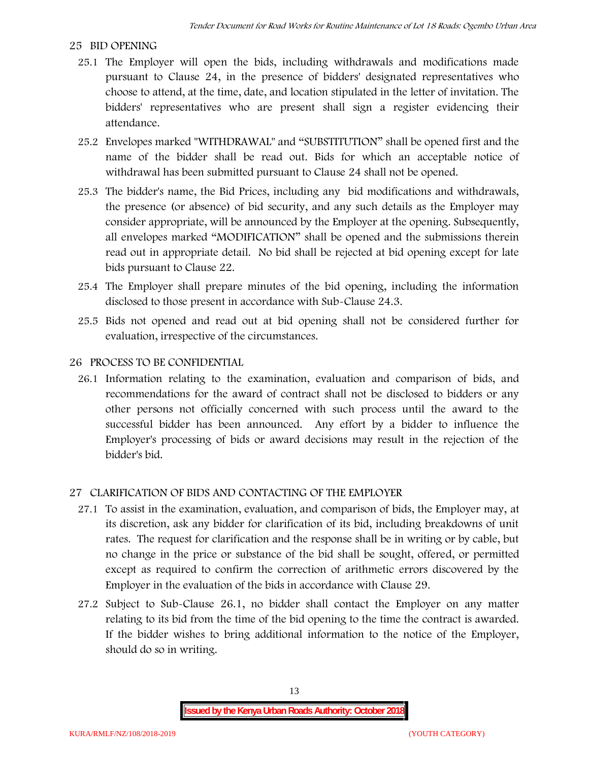## **25 BID OPENING**

- 25.1 The Employer will open the bids, including withdrawals and modifications made pursuant to Clause 24, in the presence of bidders' designated representatives who choose to attend, at the time, date, and location stipulated in the letter of invitation. The bidders' representatives who are present shall sign a register evidencing their attendance.
- 25.2 Envelopes marked "WITHDRAWAL" and "SUBSTITUTION" shall be opened first and the name of the bidder shall be read out. Bids for which an acceptable notice of withdrawal has been submitted pursuant to Clause 24 shall not be opened.
- 25.3 The bidder's name, the Bid Prices, including any bid modifications and withdrawals, the presence (or absence) of bid security, and any such details as the Employer may consider appropriate, will be announced by the Employer at the opening. Subsequently, all envelopes marked "MODIFICATION" shall be opened and the submissions therein read out in appropriate detail. No bid shall be rejected at bid opening except for late bids pursuant to Clause 22.
- 25.4 The Employer shall prepare minutes of the bid opening, including the information disclosed to those present in accordance with Sub-Clause 24.3.
- 25.5 Bids not opened and read out at bid opening shall not be considered further for evaluation, irrespective of the circumstances.

### **26 PROCESS TO BE CONFIDENTIAL**

26.1 Information relating to the examination, evaluation and comparison of bids, and recommendations for the award of contract shall not be disclosed to bidders or any other persons not officially concerned with such process until the award to the successful bidder has been announced. Any effort by a bidder to influence the Employer's processing of bids or award decisions may result in the rejection of the bidder's bid.

## **27 CLARIFICATION OF BIDS AND CONTACTING OF THE EMPLOYER**

- 27.1 To assist in the examination, evaluation, and comparison of bids, the Employer may, at its discretion, ask any bidder for clarification of its bid, including breakdowns of unit rates. The request for clarification and the response shall be in writing or by cable, but no change in the price or substance of the bid shall be sought, offered, or permitted except as required to confirm the correction of arithmetic errors discovered by the Employer in the evaluation of the bids in accordance with Clause 29.
- 27.2 Subject to Sub-Clause 26.1, no bidder shall contact the Employer on any matter relating to its bid from the time of the bid opening to the time the contract is awarded. If the bidder wishes to bring additional information to the notice of the Employer, should do so in writing.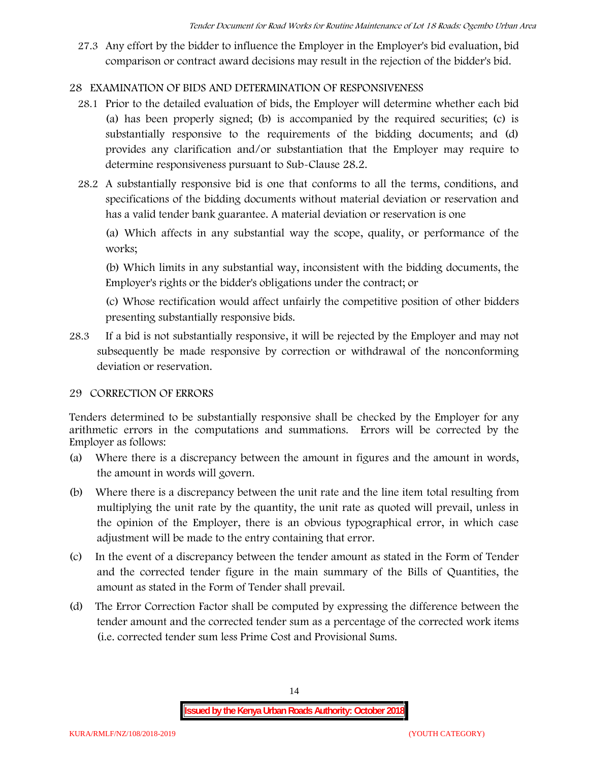27.3 Any effort by the bidder to influence the Employer in the Employer's bid evaluation, bid comparison or contract award decisions may result in the rejection of the bidder's bid.

## **28 EXAMINATION OF BIDS AND DETERMINATION OF RESPONSIVENESS**

- 28.1 Prior to the detailed evaluation of bids, the Employer will determine whether each bid (a) has been properly signed; (b) is accompanied by the required securities; (c) is substantially responsive to the requirements of the bidding documents; and (d) provides any clarification and/or substantiation that the Employer may require to determine responsiveness pursuant to Sub-Clause 28.2.
- 28.2 A substantially responsive bid is one that conforms to all the terms, conditions, and specifications of the bidding documents without material deviation or reservation and has a valid tender bank guarantee. A material deviation or reservation is one

(a) Which affects in any substantial way the scope, quality, or performance of the works;

(b) Which limits in any substantial way, inconsistent with the bidding documents, the Employer's rights or the bidder's obligations under the contract; or

(c) Whose rectification would affect unfairly the competitive position of other bidders presenting substantially responsive bids.

28.3 If a bid is not substantially responsive, it will be rejected by the Employer and may not subsequently be made responsive by correction or withdrawal of the nonconforming deviation or reservation.

## **29 CORRECTION OF ERRORS**

Tenders determined to be substantially responsive shall be checked by the Employer for any arithmetic errors in the computations and summations. Errors will be corrected by the Employer as follows:

- (a) Where there is a discrepancy between the amount in figures and the amount in words, the amount in words will govern.
- (b) Where there is a discrepancy between the unit rate and the line item total resulting from multiplying the unit rate by the quantity, the unit rate as quoted will prevail, unless in the opinion of the Employer, there is an obvious typographical error, in which case adjustment will be made to the entry containing that error.
- (c) In the event of a discrepancy between the tender amount as stated in the Form of Tender and the corrected tender figure in the main summary of the Bills of Quantities, the amount as stated in the Form of Tender shall prevail.
- (d) The Error Correction Factor shall be computed by expressing the difference between the tender amount and the corrected tender sum as a percentage of the corrected work items (i.e. corrected tender sum less Prime Cost and Provisional Sums.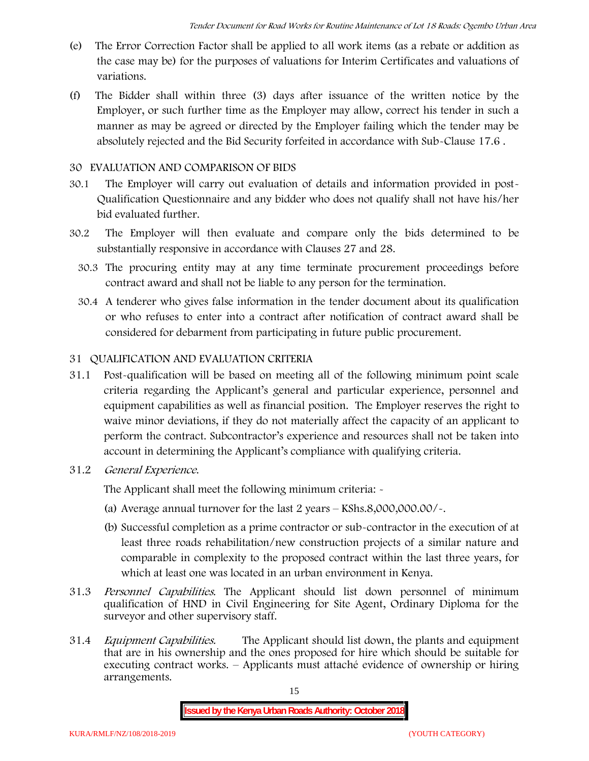- (e) The Error Correction Factor shall be applied to all work items (as a rebate or addition as the case may be) for the purposes of valuations for Interim Certificates and valuations of variations.
- (f) The Bidder shall within three (3) days after issuance of the written notice by the Employer, or such further time as the Employer may allow, correct his tender in such a manner as may be agreed or directed by the Employer failing which the tender may be absolutely rejected and the Bid Security forfeited in accordance with Sub-Clause 17.6 .

### **30 EVALUATION AND COMPARISON OF BIDS**

- 30.1 The Employer will carry out evaluation of details and information provided in post- Qualification Questionnaire and any bidder who does not qualify shall not have his/her bid evaluated further.
- 30.2 The Employer will then evaluate and compare only the bids determined to be substantially responsive in accordance with Clauses 27 and 28.
	- 30.3 The procuring entity may at any time terminate procurement proceedings before contract award and shall not be liable to any person for the termination.
	- 30.4 A tenderer who gives false information in the tender document about its qualification or who refuses to enter into a contract after notification of contract award shall be considered for debarment from participating in future public procurement.

## **31 QUALIFICATION AND EVALUATION CRITERIA**

- 31.1 Post-qualification will be based on meeting all of the following minimum point scale criteria regarding the Applicant's general and particular experience, personnel and equipment capabilities as well as financial position. The Employer reserves the right to waive minor deviations, if they do not materially affect the capacity of an applicant to perform the contract. Subcontractor's experience and resources shall not be taken into account in determining the Applicant's compliance with qualifying criteria.
- **31.2** *General Experience***.**

The Applicant shall meet the following minimum criteria: -

- (a) Average annual turnover for the last 2 years **KShs.8,000,000.00/-.**
- (b) Successful completion as a prime contractor or sub-contractor in the execution of at least three roads rehabilitation/new construction projects of a similar nature and comparable in complexity to the proposed contract within the last three years, for which at least one was located in an urban environment in Kenya.
- 31.3 *Personnel Capabilities***.** The Applicant should list down personnel of minimum qualification of HND in Civil Engineering for Site Agent, Ordinary Diploma for the surveyor and other supervisory staff.
- 31.4 *Equipment Capabilities.* The Applicant should list down, the plants and equipment that are in his ownership and the ones proposed for hire which should be suitable for executing contract works. – Applicants must attaché evidence of ownership or hiring arrangements.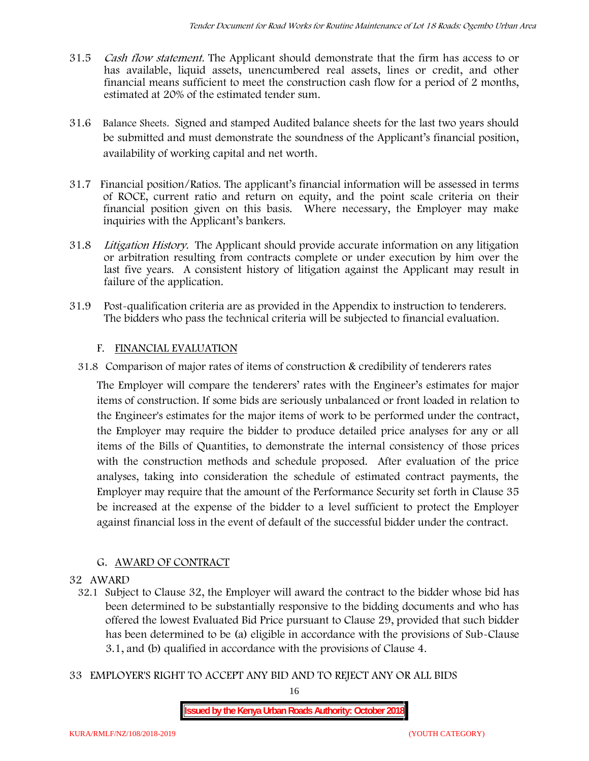- 31.5 *Cash flow statement.* The Applicant should demonstrate that the firm has access to or has available, liquid assets, unencumbered real assets, lines or credit, and other financial means sufficient to meet the construction cash flow for a period of 2 months, estimated at 20% of the estimated tender sum.
- 31.6 **Balance Sheets***.* Signed and stamped Audited balance sheets for the last two years should be submitted and must demonstrate the soundness of the Applicant's financial position, availability of working capital and net worth.
- 31.7 **Financial position/Ratios.** The applicant's financial information will be assessed in terms of ROCE, current ratio and return on equity, and the point scale criteria on their financial position given on this basis. Where necessary, the Employer may make inquiries with the Applicant's bankers.
- 31.8 *Litigation History.* The Applicant should provide accurate information on any litigation or arbitration resulting from contracts complete or under execution by him over the last five years. A consistent history of litigation against the Applicant may result in failure of the application.
- 31.9 Post-qualification criteria are as provided in the Appendix to instruction to tenderers. The bidders who pass the technical criteria will be subjected to financial evaluation.

### **F. FINANCIAL EVALUATION**

31.8 Comparison of major rates of items of construction & credibility of tenderers rates

The Employer will compare the tenderers' rates with the Engineer's estimates for major items of construction. If some bids are seriously unbalanced or front loaded in relation to the Engineer's estimates for the major items of work to be performed under the contract, the Employer may require the bidder to produce detailed price analyses for any or all items of the Bills of Quantities, to demonstrate the internal consistency of those prices with the construction methods and schedule proposed. After evaluation of the price analyses, taking into consideration the schedule of estimated contract payments, the Employer may require that the amount of the Performance Security set forth in Clause 35 be increased at the expense of the bidder to a level sufficient to protect the Employer against financial loss in the event of default of the successful bidder under the contract.

## **G. AWARD OF CONTRACT**

#### **32 AWARD**

- 32.1 Subject to Clause 32, the Employer will award the contract to the bidder whose bid has been determined to be substantially responsive to the bidding documents and who has offered the lowest Evaluated Bid Price pursuant to Clause 29, provided that such bidder has been determined to be (a) eligible in accordance with the provisions of Sub-Clause 3.1, and (b) qualified in accordance with the provisions of Clause 4.
- **33 EMPLOYER'S RIGHT TO ACCEPT ANY BID AND TO REJECT ANY OR ALL BIDS**

16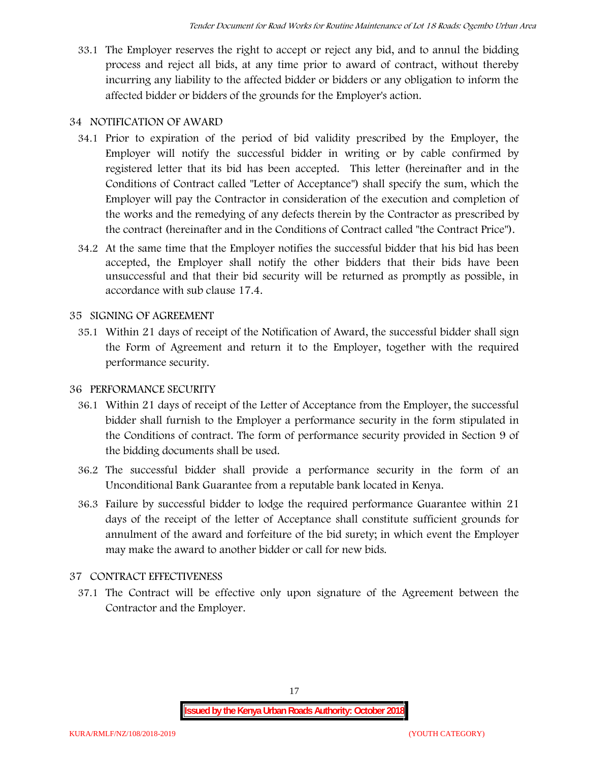33.1 The Employer reserves the right to accept or reject any bid, and to annul the bidding process and reject all bids, at any time prior to award of contract, without thereby incurring any liability to the affected bidder or bidders or any obligation to inform the affected bidder or bidders of the grounds for the Employer's action.

## **34 NOTIFICATION OF AWARD**

- 34.1 Prior to expiration of the period of bid validity prescribed by the Employer, the Employer will notify the successful bidder in writing or by cable confirmed by registered letter that its bid has been accepted. This letter (hereinafter and in the Conditions of Contract called "Letter of Acceptance") shall specify the sum, which the Employer will pay the Contractor in consideration of the execution and completion of the works and the remedying of any defects therein by the Contractor as prescribed by the contract (hereinafter and in the Conditions of Contract called "the Contract Price").
- 34.2 At the same time that the Employer notifies the successful bidder that his bid has been accepted, the Employer shall notify the other bidders that their bids have been unsuccessful and that their bid security will be returned as promptly as possible, in accordance with sub clause 17.4.

## **35 SIGNING OF AGREEMENT**

35.1 Within 21 days of receipt of the Notification of Award, the successful bidder shall sign the Form of Agreement and return it to the Employer, together with the required performance security.

## **36 PERFORMANCE SECURITY**

- 36.1 Within 21 days of receipt of the Letter of Acceptance from the Employer, the successful bidder shall furnish to the Employer a performance security in the form stipulated in the Conditions of contract. The form of performance security provided in Section 9 of the bidding documents shall be used.
- 36.2 The successful bidder shall provide a performance security in the form of an Unconditional Bank Guarantee from a reputable bank located in Kenya.
- 36.3 Failure by successful bidder to lodge the required performance Guarantee within 21 days of the receipt of the letter of Acceptance shall constitute sufficient grounds for annulment of the award and forfeiture of the bid surety; in which event the Employer may make the award to another bidder or call for new bids.

## **37 CONTRACT EFFECTIVENESS**

37.1 The Contract will be effective only upon signature of the Agreement between the Contractor and the Employer.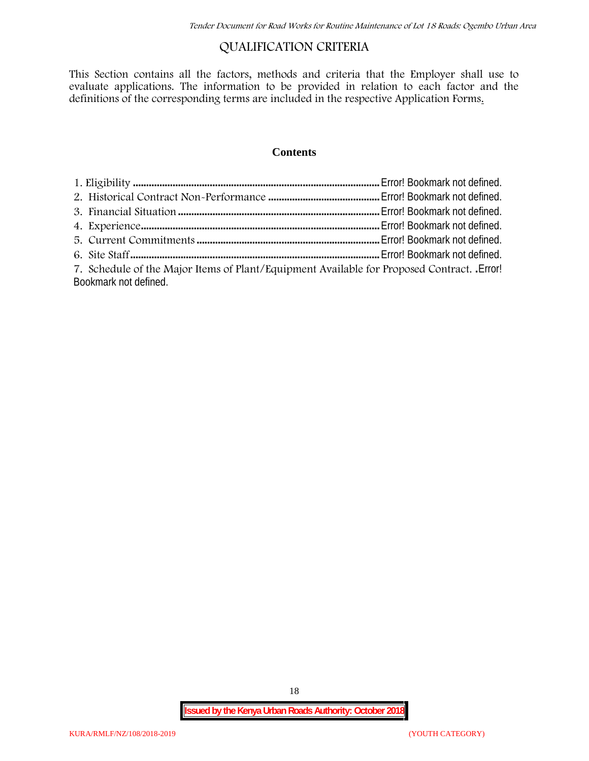## **QUALIFICATION CRITERIA**

This Section contains all the factors, methods and criteria that the Employer shall use to evaluate applications. The information to be provided in relation to each factor and the definitions of the corresponding terms are included in the respective Application Forms.

#### **Contents**

| 7. Schedule of the Major Items of Plant/Equipment Available for Proposed Contract. Error! |  |
|-------------------------------------------------------------------------------------------|--|
| Bookmark not defined.                                                                     |  |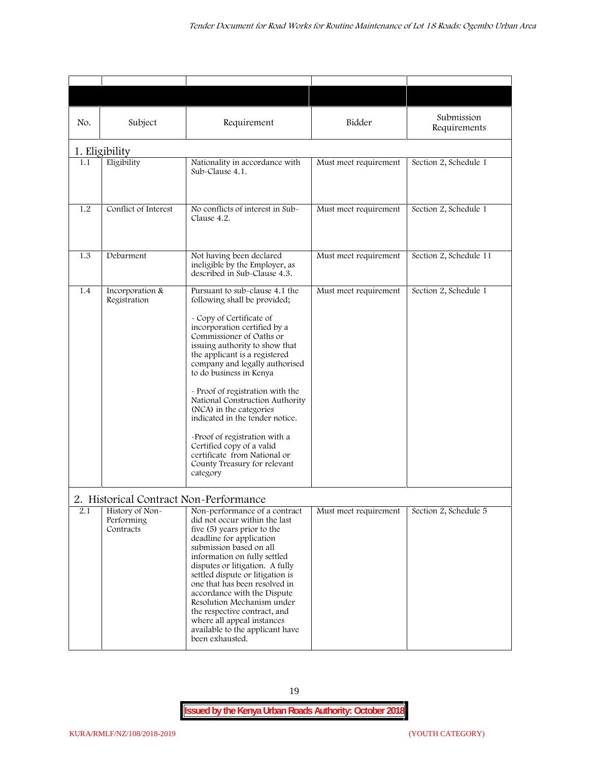| No. | Subject                                                                              | Requirement                                                                                                                                                                                                                                                                                                                                                                                                                                                                                                                                                           | Bidder                | Submission<br>Requirements |
|-----|--------------------------------------------------------------------------------------|-----------------------------------------------------------------------------------------------------------------------------------------------------------------------------------------------------------------------------------------------------------------------------------------------------------------------------------------------------------------------------------------------------------------------------------------------------------------------------------------------------------------------------------------------------------------------|-----------------------|----------------------------|
|     | 1. Eligibility                                                                       |                                                                                                                                                                                                                                                                                                                                                                                                                                                                                                                                                                       |                       |                            |
| 1.1 | Eligibility                                                                          | Nationality in accordance with<br>Sub-Clause 4.1.                                                                                                                                                                                                                                                                                                                                                                                                                                                                                                                     | Must meet requirement | Section 2, Schedule 1      |
| 1.2 | Conflict of Interest                                                                 | No conflicts of interest in Sub-<br>Clause 4.2.                                                                                                                                                                                                                                                                                                                                                                                                                                                                                                                       | Must meet requirement | Section 2, Schedule 1      |
| 1.3 | Debarment                                                                            | Not having been declared<br>ineligible by the Employer, as<br>described in Sub-Clause 4.3.                                                                                                                                                                                                                                                                                                                                                                                                                                                                            | Must meet requirement | Section 2, Schedule 11     |
| 1.4 | Incorporation &<br>Registration                                                      | Pursuant to sub-clause 4.1 the<br>following shall be provided;<br>- Copy of Certificate of<br>incorporation certified by a<br>Commissioner of Oaths or<br>issuing authority to show that<br>the applicant is a registered<br>company and legally authorised<br>to do business in Kenya<br>- Proof of registration with the<br>National Construction Authority<br>(NCA) in the categories<br>indicated in the tender notice.<br>-Proof of registration with a<br>Certified copy of a valid<br>certificate from National or<br>County Treasury for relevant<br>category | Must meet requirement | Section 2, Schedule 1      |
| 2.1 | 2. Historical Contract Non-Performance<br>History of Non-<br>Performing<br>Contracts | Non-performance of a contract<br>did not occur within the last<br>five (5) years prior to the<br>deadline for application<br>submission based on all<br>information on fully settled<br>disputes or litigation. A fully<br>settled dispute or litigation is<br>one that has been resolved in<br>accordance with the Dispute<br>Resolution Mechanism under<br>the respective contract, and<br>where all appeal instances<br>available to the applicant have<br>been exhausted.                                                                                         | Must meet requirement | Section 2, Schedule 5      |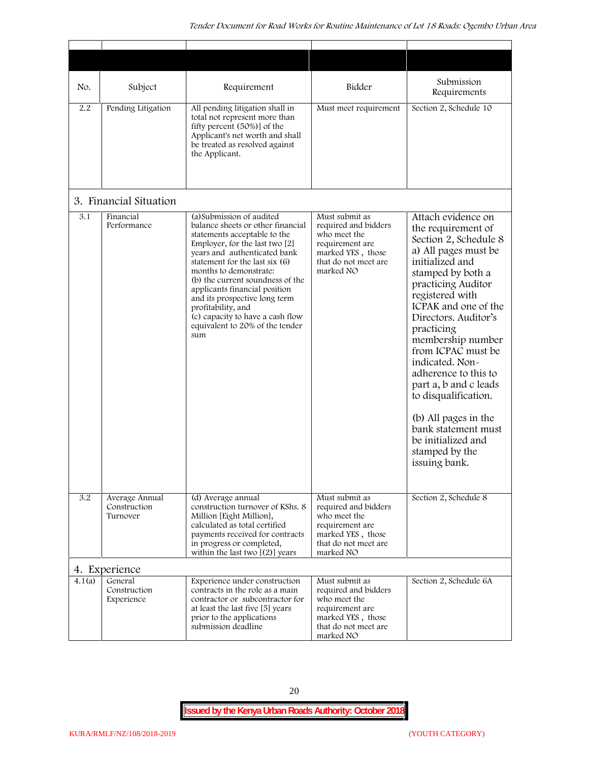| No.    | Subject                                    | Requirement                                                                                                                                                                                                                                                                                                                                                                                                                            | Bidder                                                                                                                              | Submission<br>Requirements                                                                                                                                                                                                                                                                                                                                                                                                                                                              |
|--------|--------------------------------------------|----------------------------------------------------------------------------------------------------------------------------------------------------------------------------------------------------------------------------------------------------------------------------------------------------------------------------------------------------------------------------------------------------------------------------------------|-------------------------------------------------------------------------------------------------------------------------------------|-----------------------------------------------------------------------------------------------------------------------------------------------------------------------------------------------------------------------------------------------------------------------------------------------------------------------------------------------------------------------------------------------------------------------------------------------------------------------------------------|
| 2.2    | Pending Litigation                         | All pending litigation shall in<br>total not represent more than<br>fifty percent (50%)] of the<br>Applicant's net worth and shall<br>be treated as resolved against<br>the Applicant.                                                                                                                                                                                                                                                 | Must meet requirement                                                                                                               | Section 2, Schedule 10                                                                                                                                                                                                                                                                                                                                                                                                                                                                  |
|        | 3. Financial Situation                     |                                                                                                                                                                                                                                                                                                                                                                                                                                        |                                                                                                                                     |                                                                                                                                                                                                                                                                                                                                                                                                                                                                                         |
| 3.1    | Financial<br>Performance                   | (a) Submission of audited<br>balance sheets or other financial<br>statements acceptable to the<br>Employer, for the last two [2]<br>years and authenticated bank<br>statement for the last six (6)<br>months to demonstrate:<br>(b) the current soundness of the<br>applicants financial position<br>and its prospective long term<br>profitability, and<br>(c) capacity to have a cash flow<br>equivalent to 20% of the tender<br>sum | Must submit as<br>required and bidders<br>who meet the<br>requirement are<br>marked YES, those<br>that do not meet are<br>marked NO | Attach evidence on<br>the requirement of<br>Section 2, Schedule 8<br>a) All pages must be<br>initialized and<br>stamped by both a<br>practicing Auditor<br>registered with<br>ICPAK and one of the<br>Directors. Auditor's<br>practicing<br>membership number<br>from ICPAC must be<br>indicated. Non-<br>adherence to this to<br>part a, b and c leads<br>to disqualification.<br>(b) All pages in the<br>bank statement must<br>be initialized and<br>stamped by the<br>issuing bank. |
| 3.2    | Average Annual<br>Construction<br>Turnover | (d) Average annual<br>construction turnover of KShs. 8<br>Million [Eight Million],<br>calculated as total certified<br>payments received for contracts<br>in progress or completed,<br>within the last two $[(2)]$ years                                                                                                                                                                                                               | Must submit as<br>required and bidders<br>who meet the<br>requirement are<br>marked YES, those<br>that do not meet are<br>marked NO | Section 2, Schedule 8                                                                                                                                                                                                                                                                                                                                                                                                                                                                   |
|        | 4. Experience                              |                                                                                                                                                                                                                                                                                                                                                                                                                                        |                                                                                                                                     |                                                                                                                                                                                                                                                                                                                                                                                                                                                                                         |
| 4.1(a) | General<br>Construction<br>Experience      | Experience under construction<br>contracts in the role as a main<br>contractor or subcontractor for<br>at least the last five [5] years<br>prior to the applications<br>submission deadline                                                                                                                                                                                                                                            | Must submit as<br>required and bidders<br>who meet the<br>requirement are<br>marked YES, those<br>that do not meet are<br>marked NO | Section 2, Schedule 6A                                                                                                                                                                                                                                                                                                                                                                                                                                                                  |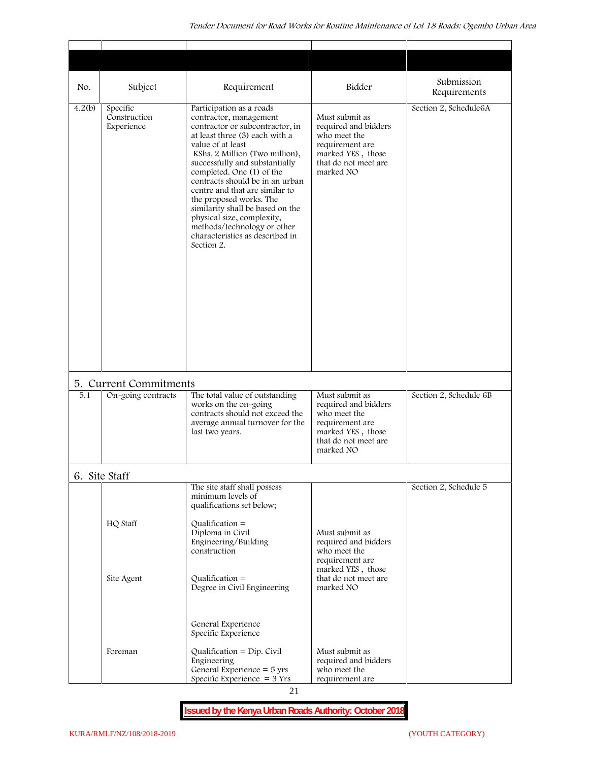$\overline{\phantom{a}}$ 

 $\overline{\phantom{a}}$ 

 $\overline{\phantom{a}}$ 

| No.    | Subject                                | Requirement                                                                                                                                                                                                                                                                                                                                                                                                                                                                                     | Bidder                                                                                                                              | Submission<br>Requirements |
|--------|----------------------------------------|-------------------------------------------------------------------------------------------------------------------------------------------------------------------------------------------------------------------------------------------------------------------------------------------------------------------------------------------------------------------------------------------------------------------------------------------------------------------------------------------------|-------------------------------------------------------------------------------------------------------------------------------------|----------------------------|
| 4.2(b) | Specific<br>Construction<br>Experience | Participation as a roads<br>contractor, management<br>contractor or subcontractor, in<br>at least three (3) each with a<br>value of at least<br>KShs. 2 Million (Two million),<br>successfully and substantially<br>completed. One (1) of the<br>contracts should be in an urban<br>centre and that are similar to<br>the proposed works. The<br>similarity shall be based on the<br>physical size, complexity,<br>methods/technology or other<br>characteristics as described in<br>Section 2. | Must submit as<br>required and bidders<br>who meet the<br>requirement are<br>marked YES, those<br>that do not meet are<br>marked NO | Section 2, Schedule6A      |
|        | 5. Current Commitments                 |                                                                                                                                                                                                                                                                                                                                                                                                                                                                                                 |                                                                                                                                     |                            |
| 5.1    | On-going contracts                     | The total value of outstanding<br>works on the on-going<br>contracts should not exceed the<br>average annual turnover for the<br>last two years.                                                                                                                                                                                                                                                                                                                                                | Must submit as<br>required and bidders<br>who meet the<br>requirement are<br>marked YES, those<br>that do not meet are<br>marked NO | Section 2, Schedule 6B     |
|        | 6. Site Staff                          |                                                                                                                                                                                                                                                                                                                                                                                                                                                                                                 |                                                                                                                                     |                            |
|        | HQ Staff                               | The site staff shall possess<br>minimum levels of<br>qualifications set below;<br>$Qualification =$<br>Diploma in Civil<br>Engineering/Building<br>construction                                                                                                                                                                                                                                                                                                                                 | Must submit as<br>required and bidders<br>who meet the<br>requirement are                                                           | Section 2, Schedule 5      |
|        | Site Agent                             | Qualification $=$<br>Degree in Civil Engineering                                                                                                                                                                                                                                                                                                                                                                                                                                                | marked YES, those<br>that do not meet are<br>marked NO                                                                              |                            |
|        | Foreman                                | General Experience<br>Specific Experience<br>Qualification = $Dip$ . Civil<br>Engineering<br>General Experience $=$ 5 yrs<br>Specific Experience $=$ 3 Yrs                                                                                                                                                                                                                                                                                                                                      | Must submit as<br>required and bidders<br>who meet the<br>requirement are                                                           |                            |

**Issued by the Kenya Urban Roads Authority: October 2018**

 $\mathsf{r}$ 

┱

 $\top$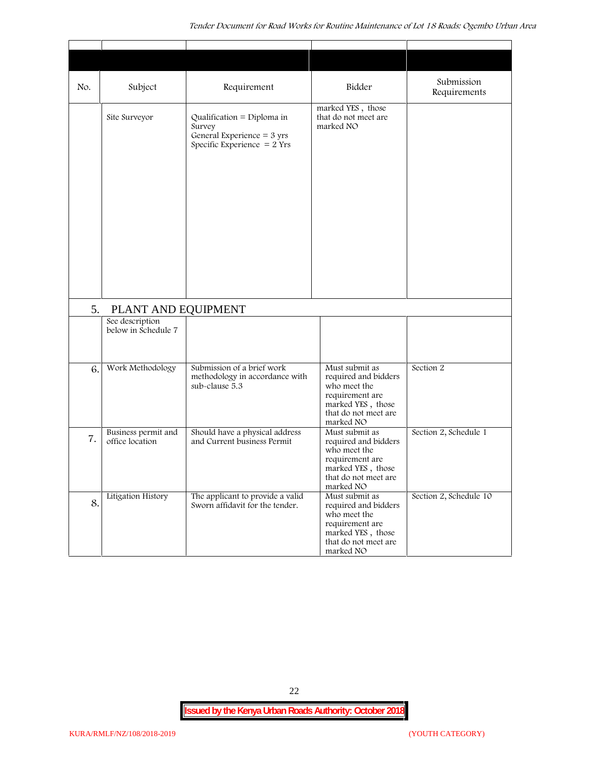| No. | Subject                                | Requirement                                                                                                   | Bidder                                                                                                                              | Submission<br>Requirements |
|-----|----------------------------------------|---------------------------------------------------------------------------------------------------------------|-------------------------------------------------------------------------------------------------------------------------------------|----------------------------|
|     | Site Surveyor                          | Qualification = Diploma in<br>Survey<br>General Experience = $3 \text{ yrs}$<br>Specific Experience $= 2$ Yrs | marked YES, those<br>that do not meet are<br>marked NO                                                                              |                            |
| 5.  | PLANT AND EQUIPMENT                    |                                                                                                               |                                                                                                                                     |                            |
|     | See description<br>below in Schedule 7 |                                                                                                               |                                                                                                                                     |                            |
| 6.  | Work Methodology                       | Submission of a brief work<br>methodology in accordance with<br>sub-clause 5.3                                | Must submit as<br>required and bidders<br>who meet the<br>requirement are<br>marked YES, those<br>that do not meet are<br>marked NO | Section 2                  |
| 7.  | Business permit and<br>office location | Should have a physical address<br>and Current business Permit                                                 | Must submit as<br>required and bidders<br>who meet the<br>requirement are<br>marked YES, those<br>that do not meet are<br>marked NO | Section 2, Schedule 1      |
| 8.  | Litigation History                     | The applicant to provide a valid<br>Sworn affidavit for the tender.                                           | Must submit as<br>required and bidders<br>who meet the<br>requirement are<br>marked YES, those<br>that do not meet are<br>marked NO | Section 2, Schedule 10     |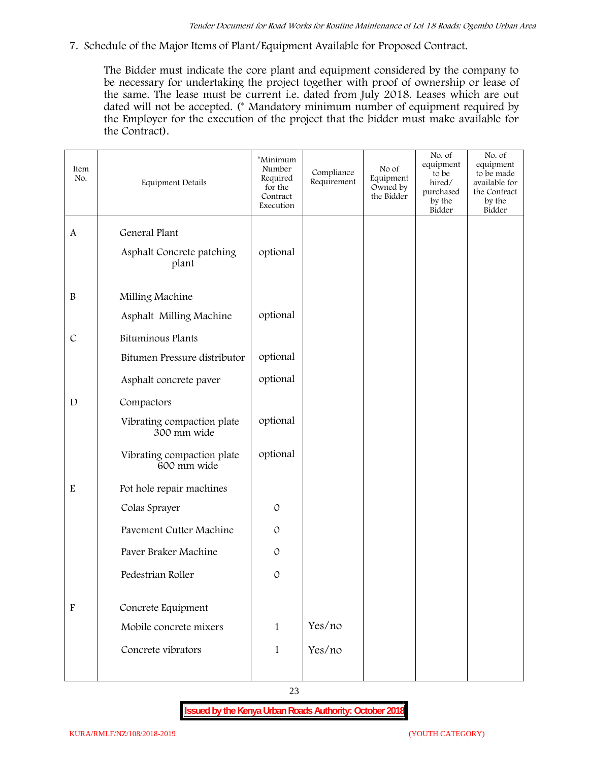**7. Schedule of the Major Items of Plant/Equipment Available for Proposed Contract.**

The Bidder must indicate the core plant and equipment considered by the company to be necessary for undertaking the project together with proof of ownership or lease of the same. The lease must be current i.e. dated from July 2018. Leases which are out dated will not be accepted. (\* Mandatory minimum number of equipment required by the Employer for the execution of the project that the bidder must make available for the Contract).

| Item<br>No.               | Equipment Details                         | *Minimum<br>Number<br>Required<br>for the<br>Contract<br>Execution | Compliance<br>Requirement | No of<br>Equipment<br>Owned by<br>the Bidder | No. of<br>equipment<br>to be<br>hired/<br>purchased<br>by the<br>Bidder | No. of<br>equipment<br>to be made<br>available for<br>the Contract<br>by the<br>Bidder |
|---------------------------|-------------------------------------------|--------------------------------------------------------------------|---------------------------|----------------------------------------------|-------------------------------------------------------------------------|----------------------------------------------------------------------------------------|
| A                         | General Plant                             |                                                                    |                           |                                              |                                                                         |                                                                                        |
|                           | Asphalt Concrete patching<br>plant        | optional                                                           |                           |                                              |                                                                         |                                                                                        |
| $\, {\bf B}$              | Milling Machine                           |                                                                    |                           |                                              |                                                                         |                                                                                        |
|                           | Asphalt Milling Machine                   | optional                                                           |                           |                                              |                                                                         |                                                                                        |
| $\cal C$                  | Bituminous Plants                         |                                                                    |                           |                                              |                                                                         |                                                                                        |
|                           | Bitumen Pressure distributor              | optional                                                           |                           |                                              |                                                                         |                                                                                        |
|                           | Asphalt concrete paver                    | optional                                                           |                           |                                              |                                                                         |                                                                                        |
| $\mathbf D$               | Compactors                                |                                                                    |                           |                                              |                                                                         |                                                                                        |
|                           | Vibrating compaction plate<br>300 mm wide | optional                                                           |                           |                                              |                                                                         |                                                                                        |
|                           | Vibrating compaction plate<br>600 mm wide | optional                                                           |                           |                                              |                                                                         |                                                                                        |
| ${\bf E}$                 | Pot hole repair machines                  |                                                                    |                           |                                              |                                                                         |                                                                                        |
|                           | Colas Sprayer                             | $\mathcal{O}$                                                      |                           |                                              |                                                                         |                                                                                        |
|                           | Pavement Cutter Machine                   | $\mathcal{O}$                                                      |                           |                                              |                                                                         |                                                                                        |
|                           | Paver Braker Machine                      | $\mathcal{O}$                                                      |                           |                                              |                                                                         |                                                                                        |
|                           | Pedestrian Roller                         | $\mathcal{O}$                                                      |                           |                                              |                                                                         |                                                                                        |
|                           |                                           |                                                                    |                           |                                              |                                                                         |                                                                                        |
| $\boldsymbol{\mathrm{F}}$ | Concrete Equipment                        |                                                                    |                           |                                              |                                                                         |                                                                                        |
|                           | Mobile concrete mixers                    | $\mathbf{1}$                                                       | Yes/no                    |                                              |                                                                         |                                                                                        |
|                           | Concrete vibrators                        | $\mathbf{1}$                                                       | Yes/no                    |                                              |                                                                         |                                                                                        |
|                           |                                           |                                                                    |                           |                                              |                                                                         |                                                                                        |

23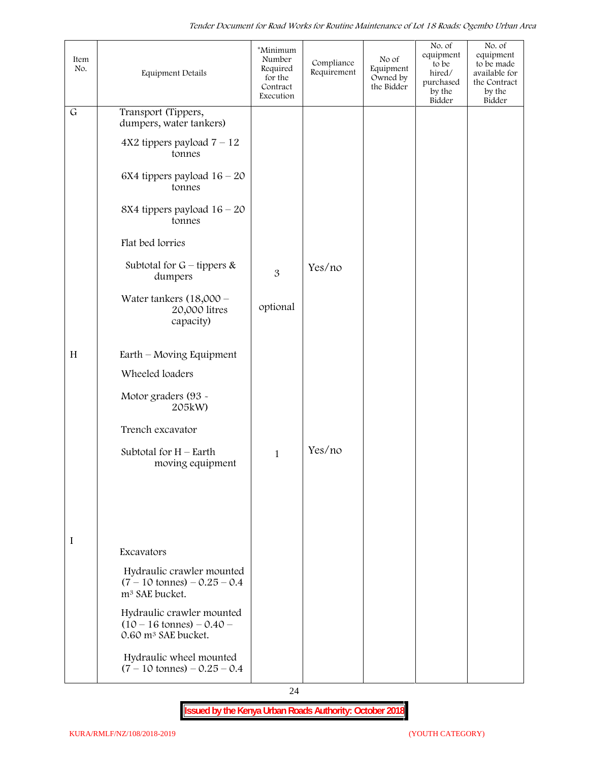| Item<br>No. | Equipment Details                                                                                 | *Minimum<br>Number<br>Required<br>for the<br>Contract<br>Execution | Compliance<br>Requirement | No of<br>Equipment<br>Owned by<br>the Bidder | No. of<br>equipment<br>to be<br>hired/<br>purchased<br>by the<br>Bidder | No. of<br>equipment<br>to be made<br>available for<br>the Contract<br>by the<br>Bidder |  |
|-------------|---------------------------------------------------------------------------------------------------|--------------------------------------------------------------------|---------------------------|----------------------------------------------|-------------------------------------------------------------------------|----------------------------------------------------------------------------------------|--|
| $\mathsf G$ | Transport (Tippers,<br>dumpers, water tankers)                                                    |                                                                    |                           |                                              |                                                                         |                                                                                        |  |
|             | $4X2$ tippers payload $7 - 12$<br>tonnes                                                          |                                                                    |                           |                                              |                                                                         |                                                                                        |  |
|             | 6X4 tippers payload $16 - 20$<br>tonnes                                                           |                                                                    |                           |                                              |                                                                         |                                                                                        |  |
|             | 8X4 tippers payload $16 - 20$<br>tonnes                                                           |                                                                    |                           |                                              |                                                                         |                                                                                        |  |
|             | Flat bed lorries                                                                                  |                                                                    |                           |                                              |                                                                         |                                                                                        |  |
|             | Subtotal for $G$ – tippers &<br>dumpers                                                           | 3                                                                  | Yes/no                    |                                              |                                                                         |                                                                                        |  |
|             | Water tankers $(18,000 -$<br>20,000 litres<br>capacity)                                           | optional                                                           |                           |                                              |                                                                         |                                                                                        |  |
| H           | Earth – Moving Equipment                                                                          |                                                                    |                           |                                              |                                                                         |                                                                                        |  |
|             | Wheeled loaders                                                                                   |                                                                    |                           |                                              |                                                                         |                                                                                        |  |
|             | Motor graders (93 -<br>205kW)                                                                     |                                                                    |                           |                                              |                                                                         |                                                                                        |  |
|             | Trench excavator                                                                                  |                                                                    |                           |                                              |                                                                         |                                                                                        |  |
|             | Subtotal for $H$ – Earth<br>moving equipment                                                      | $\mathbf{1}$                                                       | Yes/no                    |                                              |                                                                         |                                                                                        |  |
|             |                                                                                                   |                                                                    |                           |                                              |                                                                         |                                                                                        |  |
|             |                                                                                                   |                                                                    |                           |                                              |                                                                         |                                                                                        |  |
| I           | Excavators                                                                                        |                                                                    |                           |                                              |                                                                         |                                                                                        |  |
|             | Hydraulic crawler mounted<br>$(7 - 10 \text{ tonnes}) - 0.25 - 0.4$<br>m <sup>3</sup> SAE bucket. |                                                                    |                           |                                              |                                                                         |                                                                                        |  |
|             | Hydraulic crawler mounted<br>$(10 - 16 \text{ tonnes}) - 0.40$<br>0.60 m <sup>3</sup> SAE bucket. |                                                                    |                           |                                              |                                                                         |                                                                                        |  |
|             | Hydraulic wheel mounted<br>$(7 - 10 \text{ tonnes}) - 0.25 - 0.4$                                 |                                                                    |                           |                                              |                                                                         |                                                                                        |  |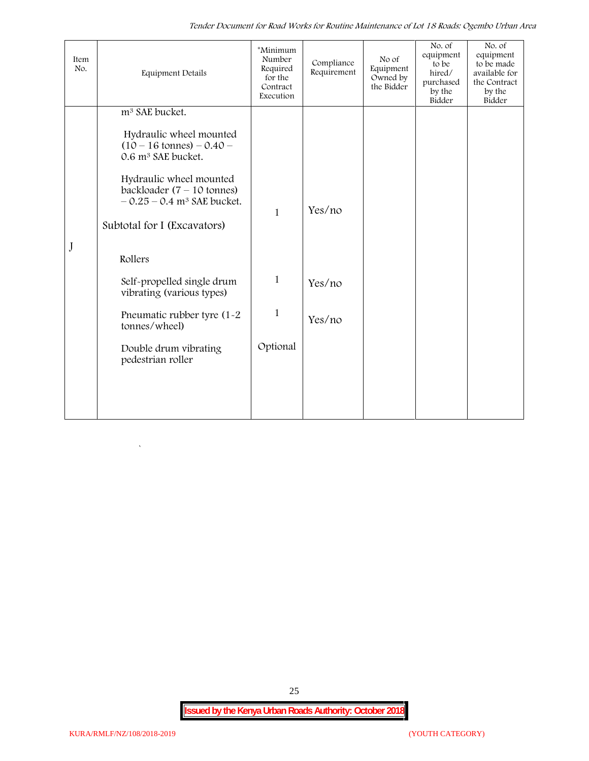*Tender Document for Road Works for Routine Maintenance of Lot 18 Roads: Ogembo Urban Area*

| Item<br>No. | <b>Equipment Details</b>                                                                            | *Minimum<br>Number<br>Required<br>for the<br>Contract<br>Execution | Compliance<br>Requirement | No of<br>Equipment<br>Owned by<br>the Bidder | No. of<br>equipment<br>to be<br>hired/<br>purchased<br>by the<br>Bidder | No. of<br>equipment<br>to be made<br>available for<br>the Contract<br>by the<br>Bidder |
|-------------|-----------------------------------------------------------------------------------------------------|--------------------------------------------------------------------|---------------------------|----------------------------------------------|-------------------------------------------------------------------------|----------------------------------------------------------------------------------------|
|             | m <sup>3</sup> SAE bucket.                                                                          |                                                                    |                           |                                              |                                                                         |                                                                                        |
|             | Hydraulic wheel mounted<br>$(10 - 16 \text{ tonnes}) - 0.40 -$<br>0.6 m <sup>3</sup> SAE bucket.    |                                                                    |                           |                                              |                                                                         |                                                                                        |
|             | Hydraulic wheel mounted<br>backloader $(7 - 10$ tonnes)<br>$-0.25 - 0.4$ m <sup>3</sup> SAE bucket. | $\mathbf{1}$                                                       | Yes/no                    |                                              |                                                                         |                                                                                        |
|             | Subtotal for I (Excavators)                                                                         |                                                                    |                           |                                              |                                                                         |                                                                                        |
| J           | Rollers                                                                                             |                                                                    |                           |                                              |                                                                         |                                                                                        |
|             | Self-propelled single drum<br>vibrating (various types)                                             | $\mathbf{1}$                                                       | Yes/no                    |                                              |                                                                         |                                                                                        |
|             | Pneumatic rubber tyre (1-2<br>tonnes/wheel)                                                         | $\mathbf{1}$                                                       | Yes/no                    |                                              |                                                                         |                                                                                        |
|             | Double drum vibrating<br>pedestrian roller                                                          | Optional                                                           |                           |                                              |                                                                         |                                                                                        |
|             |                                                                                                     |                                                                    |                           |                                              |                                                                         |                                                                                        |
|             |                                                                                                     |                                                                    |                           |                                              |                                                                         |                                                                                        |
|             |                                                                                                     |                                                                    |                           |                                              |                                                                         |                                                                                        |

25

 $\overline{\phantom{a}}$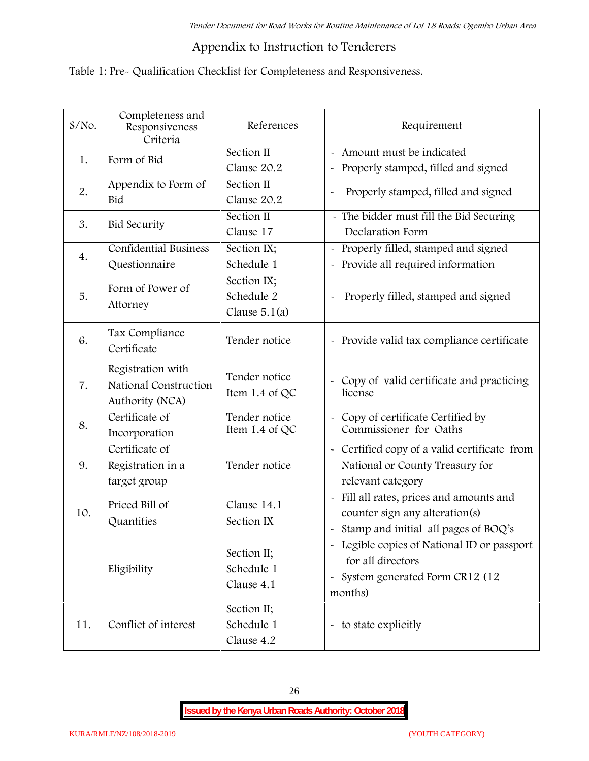# **Appendix to Instruction to Tenderers**

# **Table 1: Pre- Qualification Checklist for Completeness and Responsiveness.**

| $S/N$ o. | Completeness and<br>Responsiveness<br>Criteria                | References                                   | Requirement                                                                                                                                |
|----------|---------------------------------------------------------------|----------------------------------------------|--------------------------------------------------------------------------------------------------------------------------------------------|
| 1.       | Form of Bid                                                   | Section II<br>Clause 20.2                    | Amount must be indicated<br>Properly stamped, filled and signed<br>$\tilde{\phantom{a}}$                                                   |
| 2.       | Appendix to Form of<br>Bid                                    | Section II<br>Clause 20.2                    | Properly stamped, filled and signed                                                                                                        |
| 3.       | <b>Bid Security</b>                                           | Section II<br>Clause 17                      | - The bidder must fill the Bid Securing<br>Declaration Form                                                                                |
| 4.       | <b>Confidential Business</b><br>Questionnaire                 | Section IX;<br>Schedule 1                    | Properly filled, stamped and signed<br>$\tilde{\phantom{a}}$<br>Provide all required information<br>$\tilde{\phantom{a}}$                  |
| 5.       | Form of Power of<br>Attorney                                  | Section IX;<br>Schedule 2<br>Clause $5.1(a)$ | Properly filled, stamped and signed                                                                                                        |
| 6.       | Tax Compliance<br>Certificate                                 | Tender notice                                | - Provide valid tax compliance certificate                                                                                                 |
| 7.       | Registration with<br>National Construction<br>Authority (NCA) | Tender notice<br>Item 1.4 of QC              | - Copy of valid certificate and practicing<br>license                                                                                      |
| 8.       | Certificate of<br>Incorporation                               | Tender notice<br>Item 1.4 of QC              | Copy of certificate Certified by<br>Commissioner for Oaths                                                                                 |
| 9.       | Certificate of<br>Registration in a<br>target group           | Tender notice                                | - Certified copy of a valid certificate from<br>National or County Treasury for<br>relevant category                                       |
| 10.      | Priced Bill of<br>Quantities                                  | Clause 14.1<br>Section IX                    | Fill all rates, prices and amounts and<br>$\tilde{\phantom{a}}$<br>counter sign any alteration(s)<br>Stamp and initial all pages of BOQ's  |
|          | Eligibility                                                   | Section II;<br>Schedule 1<br>Clause 4.1      | - Legible copies of National ID or passport<br>for all directors<br>System generated Form CR12 (12<br>$\widetilde{\phantom{m}}$<br>months) |
| 11.      | Conflict of interest                                          | Section II;<br>Schedule 1<br>Clause 4.2      | - to state explicitly                                                                                                                      |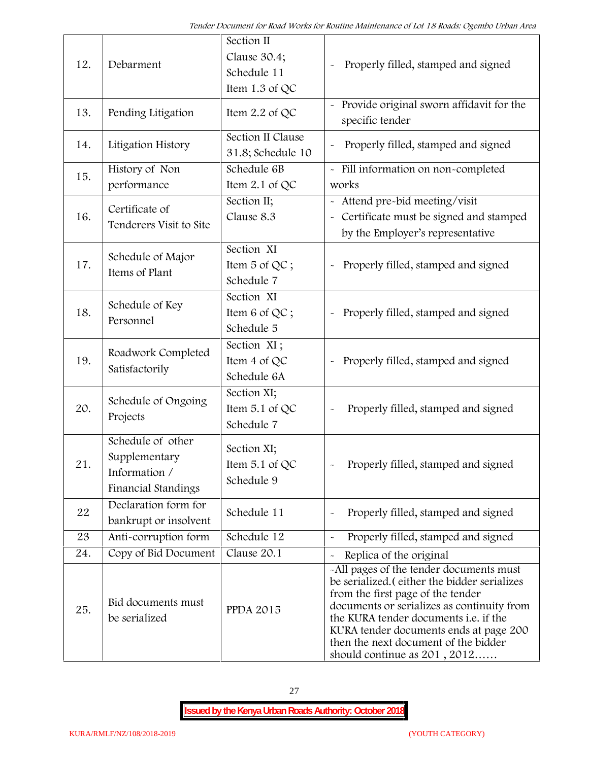| 12. | Debarment                                                                  | Section II<br>Clause 30.4;<br>Schedule 11<br>Item 1.3 of QC | Properly filled, stamped and signed                                                                                                                                                                                                                                                                                                            |
|-----|----------------------------------------------------------------------------|-------------------------------------------------------------|------------------------------------------------------------------------------------------------------------------------------------------------------------------------------------------------------------------------------------------------------------------------------------------------------------------------------------------------|
| 13. | Pending Litigation                                                         | Item $2.2$ of QC                                            | Provide original sworn affidavit for the<br>specific tender                                                                                                                                                                                                                                                                                    |
| 14. | Litigation History                                                         | Section II Clause<br>31.8; Schedule 10                      | Properly filled, stamped and signed                                                                                                                                                                                                                                                                                                            |
| 15. | History of Non<br>performance                                              | Schedule 6B<br>Item $2.1$ of QC                             | - Fill information on non-completed<br>works                                                                                                                                                                                                                                                                                                   |
| 16. | Certificate of<br>Tenderers Visit to Site                                  | Section II;<br>Clause 8.3                                   | - Attend pre-bid meeting/visit<br>- Certificate must be signed and stamped<br>by the Employer's representative                                                                                                                                                                                                                                 |
| 17. | Schedule of Major<br>Items of Plant                                        | Section XI<br>Item 5 of QC;<br>Schedule 7                   | Properly filled, stamped and signed                                                                                                                                                                                                                                                                                                            |
| 18. | Schedule of Key<br>Personnel                                               | Section XI<br>Item 6 of QC;<br>Schedule 5                   | Properly filled, stamped and signed                                                                                                                                                                                                                                                                                                            |
| 19. | Roadwork Completed<br>Satisfactorily                                       | Section XI;<br>Item 4 of QC<br>Schedule 6A                  | Properly filled, stamped and signed<br>$\tilde{\phantom{a}}$                                                                                                                                                                                                                                                                                   |
| 20. | Schedule of Ongoing<br>Projects                                            | Section XI;<br>Item 5.1 of QC<br>Schedule 7                 | Properly filled, stamped and signed                                                                                                                                                                                                                                                                                                            |
| 21  | Schedule of other<br>Supplementary<br>Information /<br>Financial Standings | Section XI;<br>Item $5.1$ of QC<br>Schedule 9               | Properly filled, stamped and signed                                                                                                                                                                                                                                                                                                            |
| 22  | Declaration form for<br>bankrupt or insolvent                              | Schedule 11                                                 | Properly filled, stamped and signed                                                                                                                                                                                                                                                                                                            |
| 23  | Anti-corruption form                                                       | Schedule 12                                                 | Properly filled, stamped and signed                                                                                                                                                                                                                                                                                                            |
| 24. | Copy of Bid Document                                                       | Clause 20.1                                                 | Replica of the original                                                                                                                                                                                                                                                                                                                        |
| 25. | Bid documents must<br>be serialized                                        | <b>PPDA 2015</b>                                            | -All pages of the tender documents must<br>be serialized. (either the bidder serializes<br>from the first page of the tender<br>documents or serializes as continuity from<br>the KURA tender documents <i>i.e.</i> if the<br>KURA tender documents ends at page 200<br>then the next document of the bidder<br>should continue as $201, 2012$ |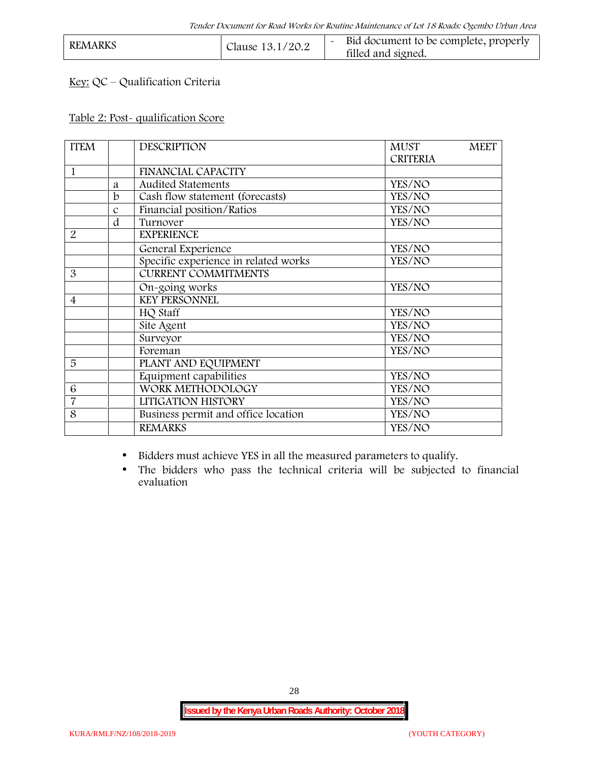| <b>REMARKS</b><br>Clause 13.1/20.2 | Bid document to be complete, properly<br>filled and signed. |  |
|------------------------------------|-------------------------------------------------------------|--|
|------------------------------------|-------------------------------------------------------------|--|

## **Key:** QC – Qualification Criteria

#### **Table 2: Post- qualification Score**

| <b>ITEM</b>              |               | <b>DESCRIPTION</b>                   | <b>MUST</b><br><b>MEET</b> |
|--------------------------|---------------|--------------------------------------|----------------------------|
|                          |               |                                      | <b>CRITERIA</b>            |
| 1                        |               | <b>FINANCIAL CAPACITY</b>            |                            |
|                          | a             | Audited Statements                   | YES/NO                     |
|                          | b             | Cash flow statement (forecasts)      | YES/NO                     |
|                          | $\mathcal{C}$ | Financial position/Ratios            | YES/NO                     |
|                          | d             | Turnover                             | YES/NO                     |
| $\overline{2}$           |               | <b>EXPERIENCE</b>                    |                            |
|                          |               | General Experience                   | YES/NO                     |
|                          |               | Specific experience in related works | YES/NO                     |
| 3                        |               | <b>CURRENT COMMITMENTS</b>           |                            |
|                          |               | On-going works                       | YES/NO                     |
| $\overline{\mathcal{A}}$ |               | <b>KEY PERSONNEL</b>                 |                            |
|                          |               | HQ Staff                             | YES/NO                     |
|                          |               | Site Agent                           | YES/NO                     |
|                          |               | Surveyor                             | YES/NO                     |
|                          |               | Foreman                              | YES/NO                     |
| 5                        |               | PLANT AND EQUIPMENT                  |                            |
|                          |               | Equipment capabilities               | YES/NO                     |
| 6                        |               | WORK METHODOLOGY                     | YES/NO                     |
| $\overline{7}$           |               | LITIGATION HISTORY                   | YES/NO                     |
| 8                        |               | Business permit and office location  | YES/NO                     |
|                          |               | <b>REMARKS</b>                       | YES/NO                     |
|                          |               |                                      |                            |

Bidders must achieve YES in all the measured parameters to qualify.

 The bidders who pass the technical criteria will be subjected to financial evaluation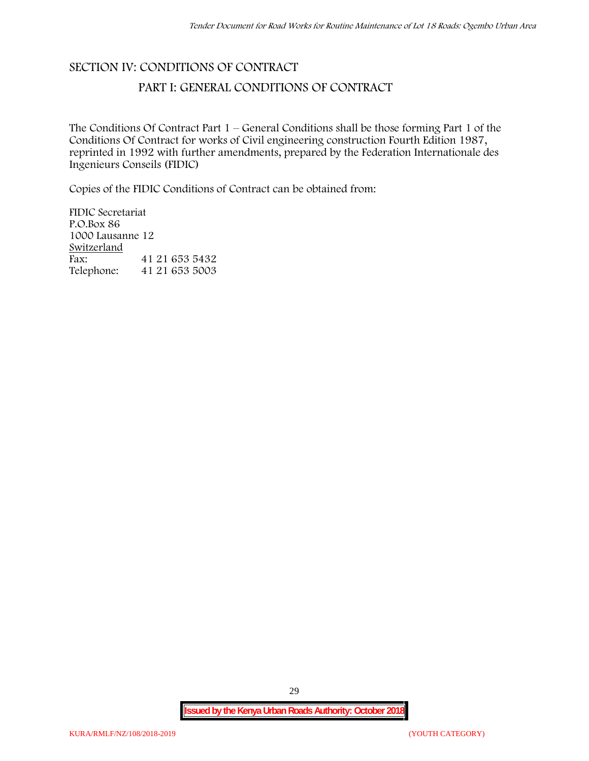# **SECTION IV: CONDITIONS OF CONTRACT**

## **PART I: GENERAL CONDITIONS OF CONTRACT**

The Conditions Of Contract Part 1 – General Conditions shall be those forming Part 1 of the Conditions Of Contract for works of Civil engineering construction Fourth Edition 1987, reprinted in 1992 with further amendments, prepared by the Federation Internationale des Ingenieurs Conseils (FIDIC)

Copies of the FIDIC Conditions of Contract can be obtained from:

FIDIC Secretariat P.O.Box 86 1000 Lausanne 12 **Switzerland** Fax: 41 21 653 5432<br>Telephone: 41 21 653 5003 Telephone: 41 21 653 5003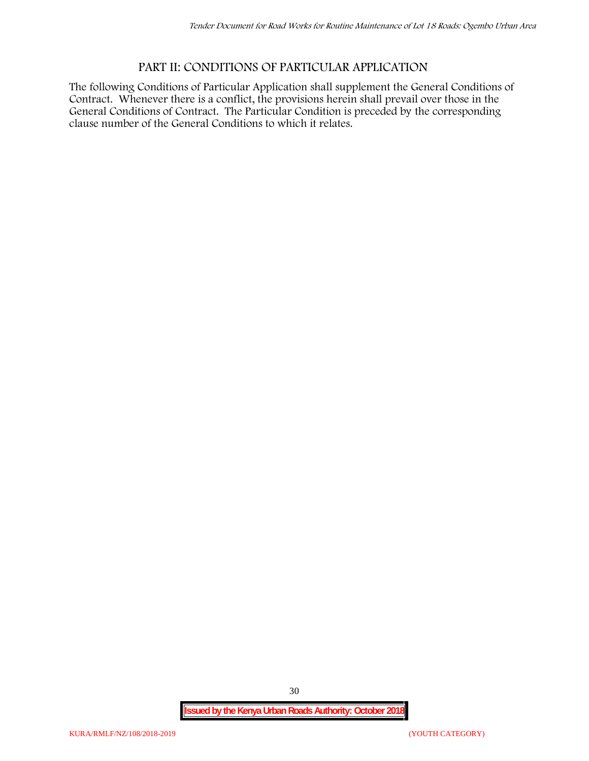## **PART II: CONDITIONS OF PARTICULAR APPLICATION**

The following Conditions of Particular Application shall supplement the General Conditions of Contract. Whenever there is a conflict, the provisions herein shall prevail over those in the General Conditions of Contract. The Particular Condition is preceded by the corresponding clause number of the General Conditions to which it relates.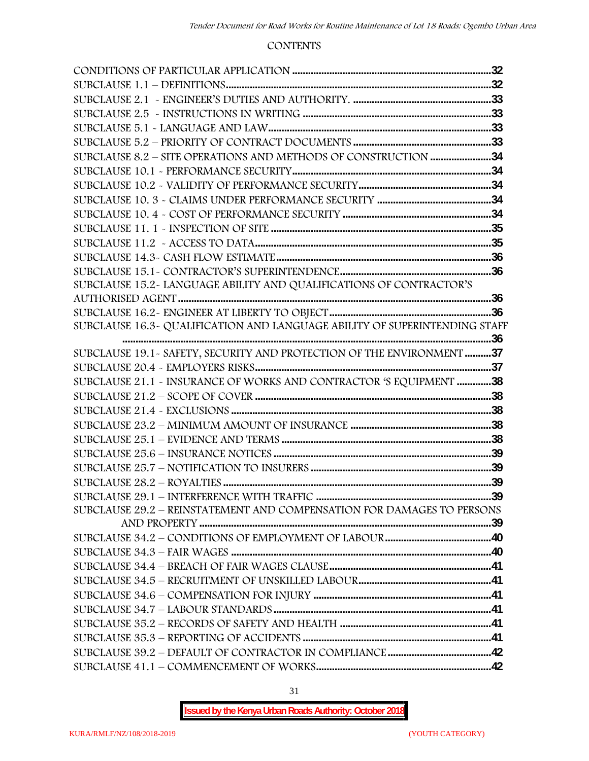#### **CONTENTS**

| SUBCLAUSE 15.2-LANGUAGE ABILITY AND QUALIFICATIONS OF CONTRACTOR'S         |  |
|----------------------------------------------------------------------------|--|
|                                                                            |  |
|                                                                            |  |
| SUBCLAUSE 16.3~ QUALIFICATION AND LANGUAGE ABILITY OF SUPERINTENDING STAFF |  |
|                                                                            |  |
| SUBCLAUSE 19.1 - SAFETY, SECURITY AND PROTECTION OF THE ENVIRONMENT 37     |  |
|                                                                            |  |
| SUBCLAUSE 21.1 - INSURANCE OF WORKS AND CONTRACTOR 'S EQUIPMENT 38         |  |
|                                                                            |  |
|                                                                            |  |
|                                                                            |  |
|                                                                            |  |
|                                                                            |  |
|                                                                            |  |
|                                                                            |  |
|                                                                            |  |
| SUBCLAUSE 29.2 - REINSTATEMENT AND COMPENSATION FOR DAMAGES TO PERSONS     |  |
|                                                                            |  |
|                                                                            |  |
|                                                                            |  |
|                                                                            |  |
|                                                                            |  |
|                                                                            |  |
|                                                                            |  |
|                                                                            |  |
|                                                                            |  |
|                                                                            |  |
|                                                                            |  |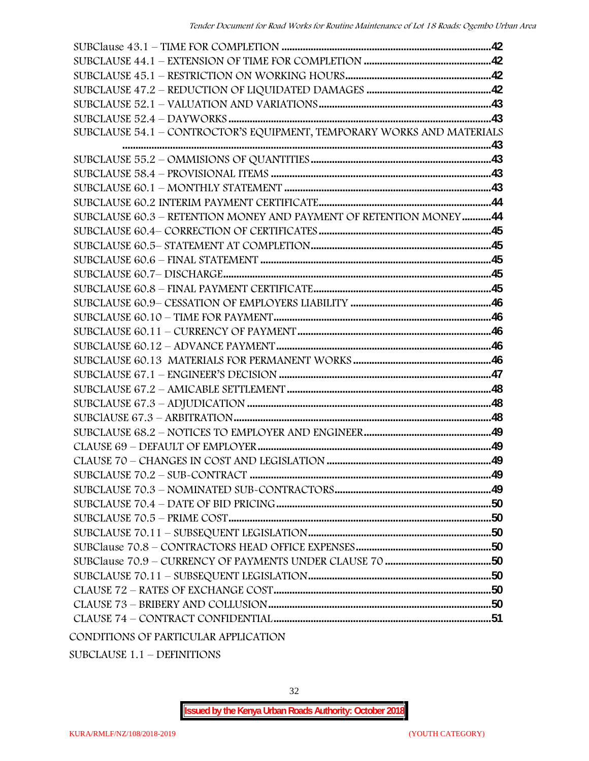| SUBCLAUSE 54.1 - CONTROCTOR'S EQUIPMENT, TEMPORARY WORKS AND MATERIALS |  |
|------------------------------------------------------------------------|--|
|                                                                        |  |
|                                                                        |  |
|                                                                        |  |
|                                                                        |  |
|                                                                        |  |
| SUBCLAUSE 60.3 - RETENTION MONEY AND PAYMENT OF RETENTION MONEY44      |  |
|                                                                        |  |
|                                                                        |  |
|                                                                        |  |
|                                                                        |  |
|                                                                        |  |
|                                                                        |  |
|                                                                        |  |
|                                                                        |  |
|                                                                        |  |
|                                                                        |  |
|                                                                        |  |
|                                                                        |  |
|                                                                        |  |
|                                                                        |  |
|                                                                        |  |
|                                                                        |  |
|                                                                        |  |
|                                                                        |  |
|                                                                        |  |
|                                                                        |  |
|                                                                        |  |
|                                                                        |  |
|                                                                        |  |
|                                                                        |  |
|                                                                        |  |
|                                                                        |  |
|                                                                        |  |
|                                                                        |  |

SUBCLAUSE 1.1 – DEFINITIONS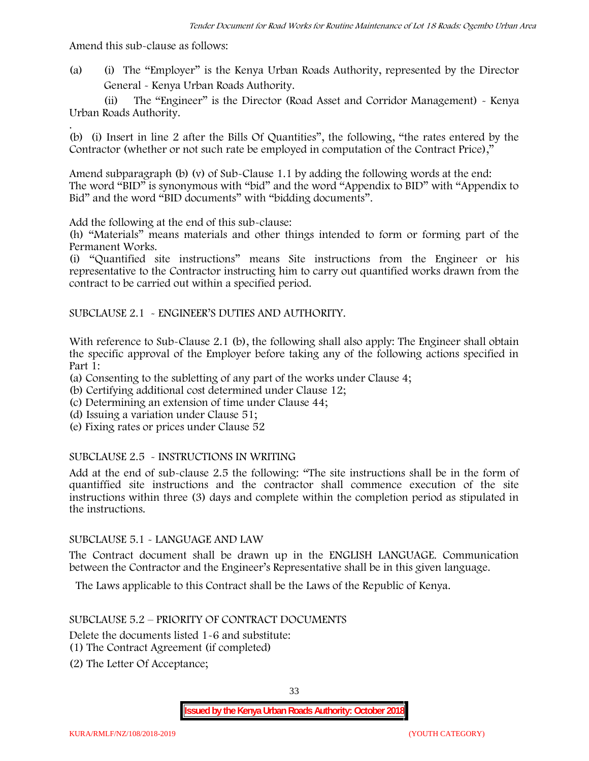Amend this sub-clause as follows:

(a) (i) The "Employer" is the Kenya Urban Roads Authority, represented by the Director General - Kenya Urban Roads Authority.

(ii) The "Engineer" is the Director (Road Asset and Corridor Management) - Kenya Urban Roads Authority.

.(b) (i) Insert in line 2 after the Bills Of Quantities", the following, "the rates entered by the Contractor (whether or not such rate be employed in computation of the Contract Price),"

Amend subparagraph (b) (v) of Sub-Clause 1.1 by adding the following words at the end: The word "BID" is synonymous with "bid" and the word "Appendix to BID" with "Appendix to Bid" and the word "BID documents" with "bidding documents".

Add the following at the end of this sub-clause:

(h) "Materials" means materials and other things intended to form or forming part of the Permanent Works.

(i) "Quantified site instructions" means Site instructions from the Engineer or his representative to the Contractor instructing him to carry out quantified works drawn from the contract to be carried out within a specified period.

SUBCLAUSE 2.1 - ENGINEER'S DUTIES AND AUTHORITY.

With reference to Sub-Clause 2.1 (b), the following shall also apply: The Engineer shall obtain the specific approval of the Employer before taking any of the following actions specified in Part 1:

(a) Consenting to the subletting of any part of the works under Clause 4;

- (b) Certifying additional cost determined under Clause 12;
- (c) Determining an extension of time under Clause 44;
- (d) Issuing a variation under Clause 51;
- (e) Fixing rates or prices under Clause 52

#### SUBCLAUSE 2.5 - INSTRUCTIONS IN WRITING

Add at the end of sub-clause 2.5 the following: "The site instructions shall be in the form of quantiffied site instructions and the contractor shall commence execution of the site instructions within three (3) days and complete within the completion period as stipulated in the instructions.

#### SUBCLAUSE 5.1 - LANGUAGE AND LAW

The Contract document shall be drawn up in the ENGLISH LANGUAGE. Communication between the Contractor and the Engineer's Representative shall be in this given language.

The Laws applicable to this Contract shall be the Laws of the Republic of Kenya.

#### SUBCLAUSE 5.2 – PRIORITY OF CONTRACT DOCUMENTS

Delete the documents listed 1-6 and substitute:

- (1) The Contract Agreement (if completed)
- (2) The Letter Of Acceptance;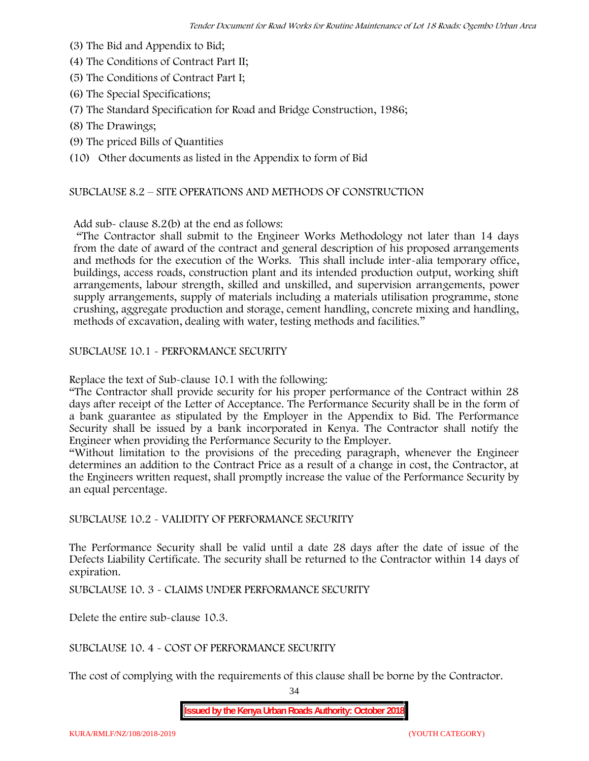- (3) The Bid and Appendix to Bid;
- (4) The Conditions of Contract Part II;
- (5) The Conditions of Contract Part I;
- (6) The Special Specifications;
- (7) The Standard Specification for Road and Bridge Construction, 1986;
- (8) The Drawings;
- (9) The priced Bills of Quantities

(10) Other documents as listed in the Appendix to form of Bid

#### SUBCLAUSE 8.2 – SITE OPERATIONS AND METHODS OF CONSTRUCTION

Add sub- clause 8.2(b) at the end as follows:

"The Contractor shall submit to the Engineer Works Methodology not later than 14 days from the date of award of the contract and general description of his proposed arrangements and methods for the execution of the Works. This shall include inter-alia temporary office, buildings, access roads, construction plant and its intended production output, working shift arrangements, labour strength, skilled and unskilled, and supervision arrangements, power supply arrangements, supply of materials including a materials utilisation programme, stone crushing, aggregate production and storage, cement handling, concrete mixing and handling, methods of excavation, dealing with water, testing methods and facilities."

SUBCLAUSE 10.1 - PERFORMANCE SECURITY

Replace the text of Sub-clause 10.1 with the following:

"The Contractor shall provide security for his proper performance of the Contract within 28 days after receipt of the Letter of Acceptance. The Performance Security shall be in the form of a bank guarantee as stipulated by the Employer in the Appendix to Bid. The Performance Security shall be issued by a bank incorporated in Kenya. The Contractor shall notify the Engineer when providing the Performance Security to the Employer.

"Without limitation to the provisions of the preceding paragraph, whenever the Engineer determines an addition to the Contract Price as a result of a change in cost, the Contractor, at the Engineers written request, shall promptly increase the value of the Performance Security by an equal percentage.

SUBCLAUSE 10.2 - VALIDITY OF PERFORMANCE SECURITY

The Performance Security shall be valid until a date 28 days after the date of issue of the Defects Liability Certificate. The security shall be returned to the Contractor within 14 days of expiration.

SUBCLAUSE 10. 3 - CLAIMS UNDER PERFORMANCE SECURITY

Delete the entire sub-clause 10.3.

SUBCLAUSE 10. 4 - COST OF PERFORMANCE SECURITY

The cost of complying with the requirements of this clause shall be borne by the Contractor.

34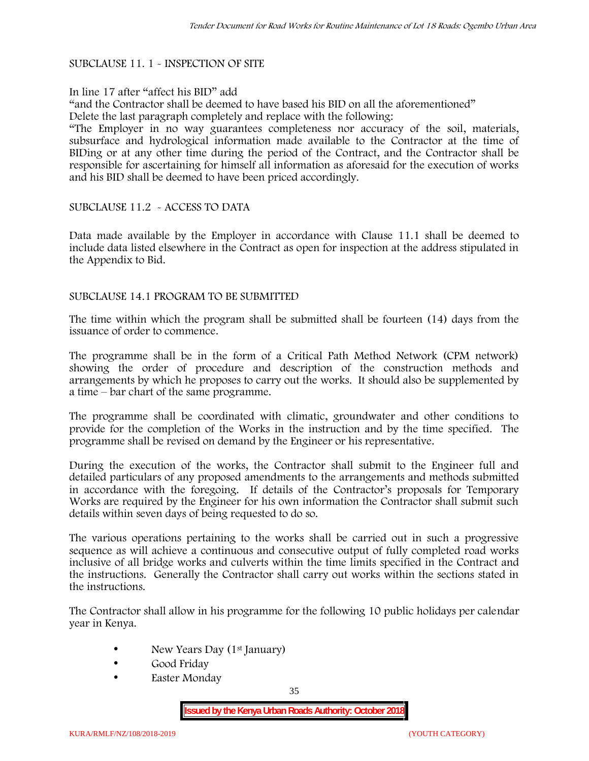#### SUBCLAUSE 11. 1 - INSPECTION OF SITE

#### In line 17 after "affect his BID" add

"and the Contractor shall be deemed to have based his BID on all the aforementioned" Delete the last paragraph completely and replace with the following:

"The Employer in no way guarantees completeness nor accuracy of the soil, materials, subsurface and hydrological information made available to the Contractor at the time of BIDing or at any other time during the period of the Contract, and the Contractor shall be responsible for ascertaining for himself all information as aforesaid for the execution of works and his BID shall be deemed to have been priced accordingly.

#### SUBCLAUSE 11.2 - ACCESS TO DATA

Data made available by the Employer in accordance with Clause 11.1 shall be deemed to include data listed elsewhere in the Contract as open for inspection at the address stipulated in the Appendix to Bid.

#### SUBCLAUSE 14.1 PROGRAM TO BE SUBMITTED

The time within which the program shall be submitted shall be fourteen (14) days from the issuance of order to commence**.**

The programme shall be in the form of a Critical Path Method Network (CPM network) showing the order of procedure and description of the construction methods and arrangements by which he proposes to carry out the works. It should also be supplemented by a time – bar chart of the same programme.

The programme shall be coordinated with climatic, groundwater and other conditions to provide for the completion of the Works in the instruction and by the time specified. The programme shall be revised on demand by the Engineer or his representative.

During the execution of the works, the Contractor shall submit to the Engineer full and detailed particulars of any proposed amendments to the arrangements and methods submitted in accordance with the foregoing. If details of the Contractor's proposals for Temporary Works are required by the Engineer for his own information the Contractor shall submit such details within seven days of being requested to do so.

The various operations pertaining to the works shall be carried out in such a progressive sequence as will achieve a continuous and consecutive output of fully completed road works inclusive of all bridge works and culverts within the time limits specified in the Contract and the instructions. Generally the Contractor shall carry out works within the sections stated in the instructions.

The Contractor shall allow in his programme for the following 10 public holidays per calendar year in Kenya.

- New Years Day (1<sup>st</sup> January)
- Good Friday
- Easter Monday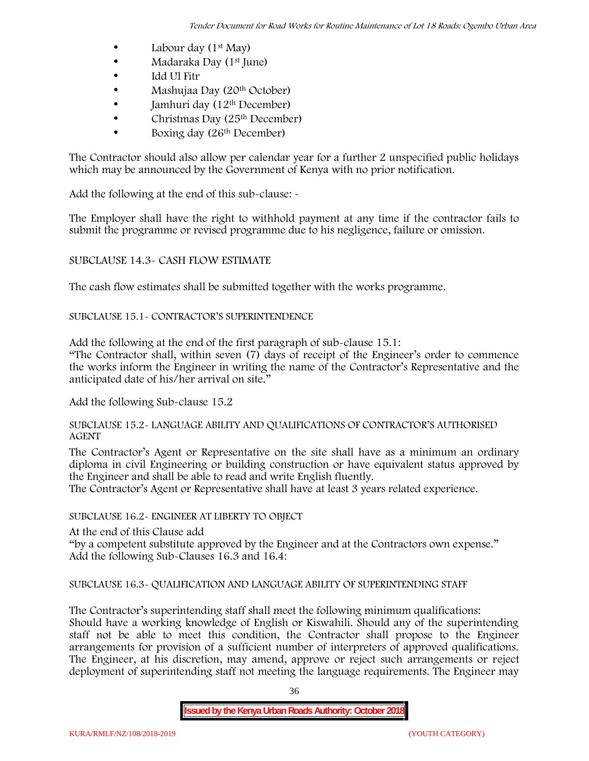- Labour day  $(1<sup>st</sup>$  May)
- Madaraka Day (1<sup>st</sup> June)
- Idd Ul Fitr
- Mashujaa Day (20<sup>th</sup> October)
- $\bullet$  Jamhuri day (12<sup>th</sup> December)
- $\bullet$  Christmas Day (25<sup>th</sup> December)
- Boxing day (26th December)

The Contractor should also allow per calendar year for a further 2 unspecified public holidays which may be announced by the Government of Kenya with no prior notification.

Add the following at the end of this sub-clause: -

The Employer shall have the right to withhold payment at any time if the contractor fails to submit the programme or revised programme due to his negligence, failure or omission.

# SUBCLAUSE 14.3- CASH FLOW ESTIMATE

The cash flow estimates shall be submitted together with the works programme.

# SUBCLAUSE 15.1- CONTRACTOR'S SUPERINTENDENCE

Add the following at the end of the first paragraph of sub-clause 15.1:

"The Contractor shall, within seven (7) days of receipt of the Engineer's order to commence the works inform the Engineer in writing the name of the Contractor's Representative and the anticipated date of his/her arrival on site."

Add the following Sub-clause 15.2

#### SUBCLAUSE 15.2- LANGUAGE ABILITY AND QUALIFICATIONS OF CONTRACTOR'S AUTHORISED AGENT

The Contractor's Agent or Representative on the site shall have as a minimum an ordinary diploma in civil Engineering or building construction or have equivalent status approved by the Engineer and shall be able to read and write English fluently.

The Contractor's Agent or Representative shall have at least 3 years related experience.

## SUBCLAUSE 16.2- ENGINEER AT LIBERTY TO OBJECT

At the end of this Clause add

"by a competent substitute approved by the Engineer and at the Contractors own expense." Add the following Sub-Clauses 16.3 and 16.4:

# SUBCLAUSE 16.3- QUALIFICATION AND LANGUAGE ABILITY OF SUPERINTENDING STAFF

The Contractor's superintending staff shall meet the following minimum qualifications: Should have a working knowledge of English or Kiswahili. Should any of the superintending staff not be able to meet this condition, the Contractor shall propose to the Engineer arrangements for provision of a sufficient number of interpreters of approved qualifications. The Engineer, at his discretion, may amend, approve or reject such arrangements or reject deployment of superintending staff not meeting the language requirements. The Engineer may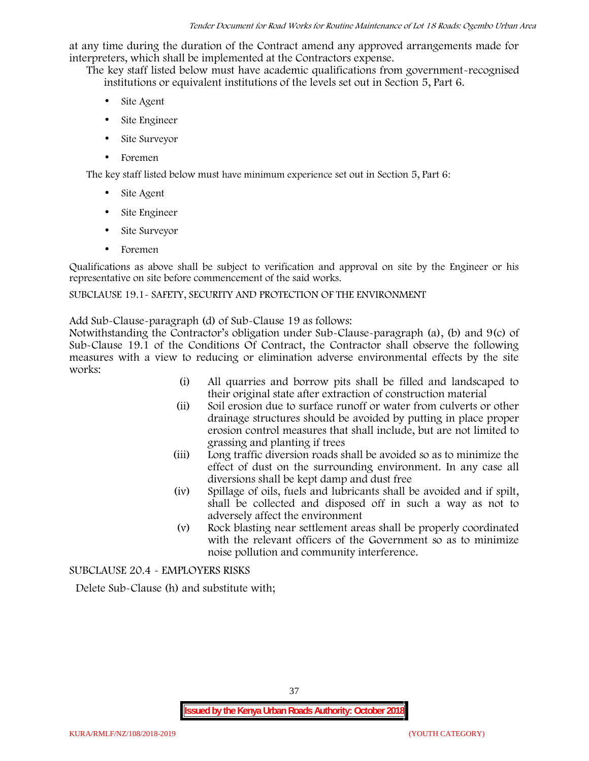at any time during the duration of the Contract amend any approved arrangements made for interpreters, which shall be implemented at the Contractors expense.

The key staff listed below must have academic qualifications from government-recognised institutions or equivalent institutions of the levels set out in Section 5, Part 6.

- Site Agent
- Site Engineer
- Site Surveyor
- Foremen

The key staff listed below must have minimum experience set out in Section 5, Part 6:

- Site Agent
- Site Engineer
- Site Surveyor
- Foremen

Qualifications as above shall be subject to verification and approval on site by the Engineer or his representative on site before commencement of the said works.

## SUBCLAUSE 19.1- SAFETY, SECURITY AND PROTECTION OF THE ENVIRONMENT

Add Sub-Clause-paragraph (d) of Sub-Clause 19 as follows:

Notwithstanding the Contractor's obligation under Sub-Clause-paragraph (a), (b) and 9(c) of Sub-Clause 19.1 of the Conditions Of Contract, the Contractor shall observe the following measures with a view to reducing or elimination adverse environmental effects by the site works:

- (i) All quarries and borrow pits shall be filled and landscaped to their original state after extraction of construction material
- (ii) Soil erosion due to surface runoff or water from culverts or other drainage structures should be avoided by putting in place proper erosion control measures that shall include, but are not limited to grassing and planting if trees
- (iii) Long traffic diversion roads shall be avoided so as to minimize the effect of dust on the surrounding environment. In any case all diversions shall be kept damp and dust free
- (iv) Spillage of oils, fuels and lubricants shall be avoided and if spilt, shall be collected and disposed off in such a way as not to adversely affect the environment
- (v) Rock blasting near settlement areas shall be properly coordinated with the relevant officers of the Government so as to minimize noise pollution and community interference.

SUBCLAUSE 20.4 - EMPLOYERS RISKS

Delete Sub-Clause (h) and substitute with;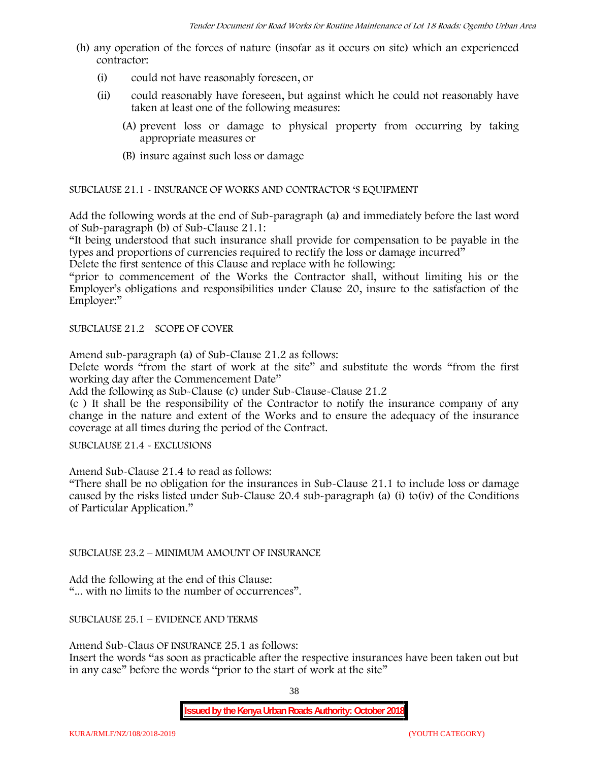- (h) any operation of the forces of nature (insofar as it occurs on site) which an experienced contractor:
	- (i) could not have reasonably foreseen, or
	- (ii) could reasonably have foreseen, but against which he could not reasonably have taken at least one of the following measures:
		- (A) prevent loss or damage to physical property from occurring by taking appropriate measures or
		- (B) insure against such loss or damage

SUBCLAUSE 21.1 - INSURANCE OF WORKS AND CONTRACTOR 'S EQUIPMENT

Add the following words at the end of Sub-paragraph (a) and immediately before the last word of Sub-paragraph (b) of Sub-Clause 21.1:

"It being understood that such insurance shall provide for compensation to be payable in the types and proportions of currencies required to rectify the loss or damage incurred"

Delete the first sentence of this Clause and replace with he following:

"prior to commencement of the Works the Contractor shall, without limiting his or the Employer's obligations and responsibilities under Clause 20, insure to the satisfaction of the Employer:"

SUBCLAUSE 21.2 – SCOPE OF COVER

Amend sub-paragraph (a) of Sub-Clause 21.2 as follows:

Delete words "from the start of work at the site" and substitute the words "from the first working day after the Commencement Date"

Add the following as Sub-Clause (c) under Sub-Clause-Clause 21.2

(c ) It shall be the responsibility of the Contractor to notify the insurance company of any change in the nature and extent of the Works and to ensure the adequacy of the insurance coverage at all times during the period of the Contract.

SUBCLAUSE 21.4 - EXCLUSIONS

Amend Sub-Clause 21.4 to read as follows:

"There shall be no obligation for the insurances in Sub-Clause 21.1 to include loss or damage caused by the risks listed under Sub-Clause 20.4 sub-paragraph (a) (i) to(iv) of the Conditions of Particular Application."

SUBCLAUSE 23.2 – MINIMUM AMOUNT OF INSURANCE

Add the following at the end of this Clause: "... with no limits to the number of occurrences".

SUBCLAUSE 25.1 – EVIDENCE AND TERMS

Amend Sub-Claus OF INSURANCE 25.1 as follows:

Insert the words "as soon as practicable after the respective insurances have been taken out but in any case" before the words "prior to the start of work at the site"

38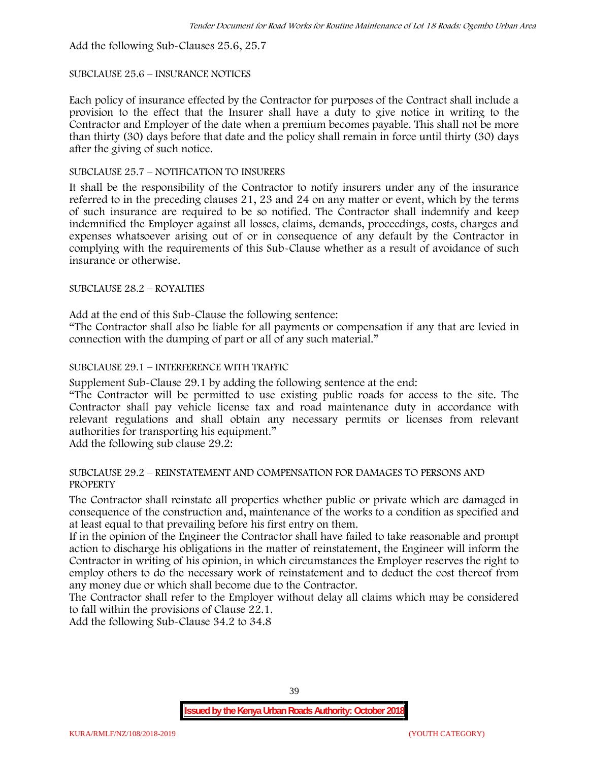Add the following Sub-Clauses 25.6, 25.7

## SUBCLAUSE 25.6 – INSURANCE NOTICES

Each policy of insurance effected by the Contractor for purposes of the Contract shall include a provision to the effect that the Insurer shall have a duty to give notice in writing to the Contractor and Employer of the date when a premium becomes payable. This shall not be more than thirty (30) days before that date and the policy shall remain in force until thirty (30) days after the giving of such notice.

# SUBCLAUSE 25.7 – NOTIFICATION TO INSURERS

It shall be the responsibility of the Contractor to notify insurers under any of the insurance referred to in the preceding clauses 21, 23 and 24 on any matter or event, which by the terms of such insurance are required to be so notified. The Contractor shall indemnify and keep indemnified the Employer against all losses, claims, demands, proceedings, costs, charges and expenses whatsoever arising out of or in consequence of any default by the Contractor in complying with the requirements of this Sub-Clause whether as a result of avoidance of such insurance or otherwise.

# SUBCLAUSE 28.2 – ROYALTIES

Add at the end of this Sub-Clause the following sentence:

"The Contractor shall also be liable for all payments or compensation if any that are levied in connection with the dumping of part or all of any such material."

# SUBCLAUSE 29.1 – INTERFERENCE WITH TRAFFIC

Supplement Sub-Clause 29.1 by adding the following sentence at the end:

"The Contractor will be permitted to use existing public roads for access to the site. The Contractor shall pay vehicle license tax and road maintenance duty in accordance with relevant regulations and shall obtain any necessary permits or licenses from relevant authorities for transporting his equipment."

Add the following sub clause 29.2:

#### SUBCLAUSE 29.2 – REINSTATEMENT AND COMPENSATION FOR DAMAGES TO PERSONS AND PROPERTY

The Contractor shall reinstate all properties whether public or private which are damaged in consequence of the construction and, maintenance of the works to a condition as specified and at least equal to that prevailing before his first entry on them.

If in the opinion of the Engineer the Contractor shall have failed to take reasonable and prompt action to discharge his obligations in the matter of reinstatement, the Engineer will inform the Contractor in writing of his opinion, in which circumstances the Employer reserves the right to employ others to do the necessary work of reinstatement and to deduct the cost thereof from any money due or which shall become due to the Contractor.

The Contractor shall refer to the Employer without delay all claims which may be considered to fall within the provisions of Clause 22.1.

Add the following Sub-Clause 34.2 to 34.8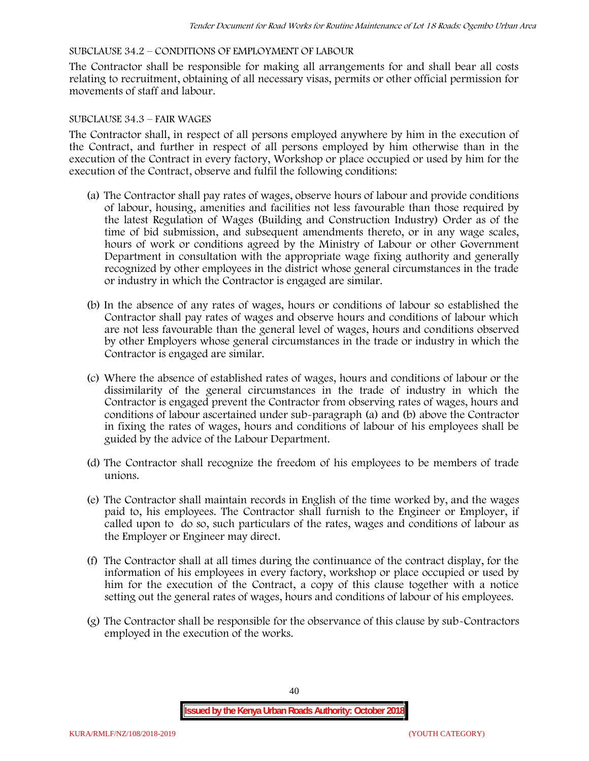## SUBCLAUSE 34.2 – CONDITIONS OF EMPLOYMENT OF LABOUR

The Contractor shall be responsible for making all arrangements for and shall bear all costs relating to recruitment, obtaining of all necessary visas, permits or other official permission for movements of staff and labour.

#### SUBCLAUSE 34.3 – FAIR WAGES

The Contractor shall, in respect of all persons employed anywhere by him in the execution of the Contract, and further in respect of all persons employed by him otherwise than in the execution of the Contract in every factory, Workshop or place occupied or used by him for the execution of the Contract, observe and fulfil the following conditions:

- (a) The Contractor shall pay rates of wages, observe hours of labour and provide conditions of labour, housing, amenities and facilities not less favourable than those required by the latest Regulation of Wages (Building and Construction Industry) Order as of the time of bid submission, and subsequent amendments thereto, or in any wage scales, hours of work or conditions agreed by the Ministry of Labour or other Government Department in consultation with the appropriate wage fixing authority and generally recognized by other employees in the district whose general circumstances in the trade or industry in which the Contractor is engaged are similar.
- (b) In the absence of any rates of wages, hours or conditions of labour so established the Contractor shall pay rates of wages and observe hours and conditions of labour which are not less favourable than the general level of wages, hours and conditions observed by other Employers whose general circumstances in the trade or industry in which the Contractor is engaged are similar.
- (c) Where the absence of established rates of wages, hours and conditions of labour or the dissimilarity of the general circumstances in the trade of industry in which the Contractor is engaged prevent the Contractor from observing rates of wages, hours and conditions of labour ascertained under sub-paragraph (a) and (b) above the Contractor in fixing the rates of wages, hours and conditions of labour of his employees shall be guided by the advice of the Labour Department.
- (d) The Contractor shall recognize the freedom of his employees to be members of trade unions.
- (e) The Contractor shall maintain records in English of the time worked by, and the wages paid to, his employees. The Contractor shall furnish to the Engineer or Employer, if called upon to do so, such particulars of the rates, wages and conditions of labour as the Employer or Engineer may direct.
- (f) The Contractor shall at all times during the continuance of the contract display, for the information of his employees in every factory, workshop or place occupied or used by him for the execution of the Contract, a copy of this clause together with a notice setting out the general rates of wages, hours and conditions of labour of his employees.
- (g) The Contractor shall be responsible for the observance of this clause by sub-Contractors employed in the execution of the works.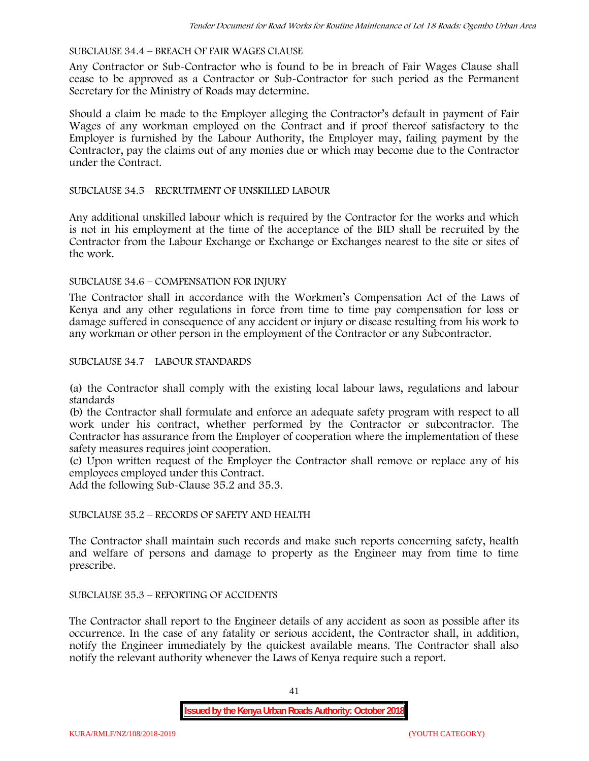#### SUBCLAUSE 34.4 – BREACH OF FAIR WAGES CLAUSE

Any Contractor or Sub-Contractor who is found to be in breach of Fair Wages Clause shall cease to be approved as a Contractor or Sub-Contractor for such period as the Permanent Secretary for the Ministry of Roads may determine.

Should a claim be made to the Employer alleging the Contractor's default in payment of Fair Wages of any workman employed on the Contract and if proof thereof satisfactory to the Employer is furnished by the Labour Authority, the Employer may, failing payment by the Contractor, pay the claims out of any monies due or which may become due to the Contractor under the Contract.

#### SUBCLAUSE 34.5 – RECRUITMENT OF UNSKILLED LABOUR

Any additional unskilled labour which is required by the Contractor for the works and which is not in his employment at the time of the acceptance of the BID shall be recruited by the Contractor from the Labour Exchange or Exchange or Exchanges nearest to the site or sites of the work.

#### SUBCLAUSE 34.6 – COMPENSATION FOR INJURY

The Contractor shall in accordance with the Workmen's Compensation Act of the Laws of Kenya and any other regulations in force from time to time pay compensation for loss or damage suffered in consequence of any accident or injury or disease resulting from his work to any workman or other person in the employment of the Contractor or any Subcontractor.

#### SUBCLAUSE 34.7 – LABOUR STANDARDS

(a) the Contractor shall comply with the existing local labour laws, regulations and labour standards

(b) the Contractor shall formulate and enforce an adequate safety program with respect to all work under his contract, whether performed by the Contractor or subcontractor. The Contractor has assurance from the Employer of cooperation where the implementation of these safety measures requires joint cooperation.

(c) Upon written request of the Employer the Contractor shall remove or replace any of his employees employed under this Contract.

Add the following Sub-Clause 35.2 and 35.3.

# SUBCLAUSE 35.2 – RECORDS OF SAFETY AND HEALTH

The Contractor shall maintain such records and make such reports concerning safety, health and welfare of persons and damage to property as the Engineer may from time to time prescribe.

## SUBCLAUSE 35.3 – REPORTING OF ACCIDENTS

The Contractor shall report to the Engineer details of any accident as soon as possible after its occurrence. In the case of any fatality or serious accident, the Contractor shall, in addition, notify the Engineer immediately by the quickest available means. The Contractor shall also notify the relevant authority whenever the Laws of Kenya require such a report.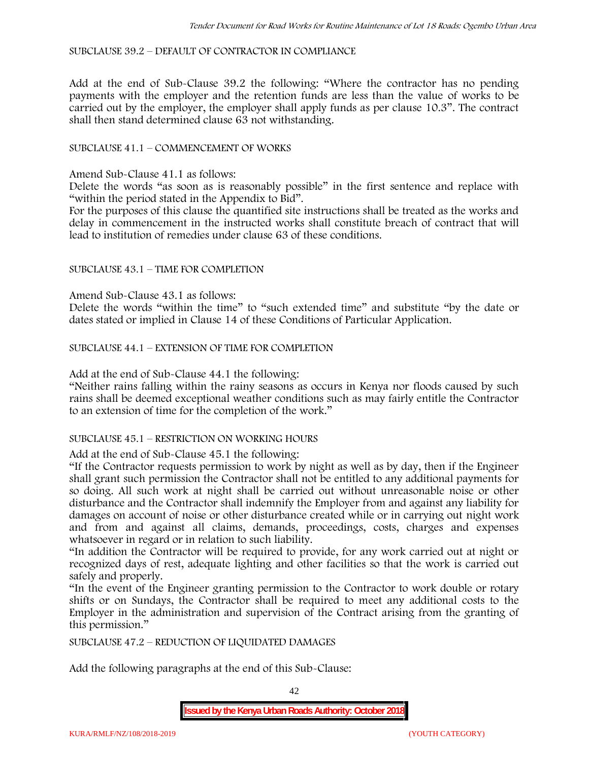SUBCLAUSE 39.2 – DEFAULT OF CONTRACTOR IN COMPLIANCE

Add at the end of Sub-Clause 39.2 the following: "Where the contractor has no pending payments with the employer and the retention funds are less than the value of works to be carried out by the employer, the employer shall apply funds as per clause 10.3". The contract shall then stand determined clause 63 not withstanding.

## SUBCLAUSE 41.1 – COMMENCEMENT OF WORKS

Amend Sub-Clause 41.1 as follows:

Delete the words "as soon as is reasonably possible" in the first sentence and replace with "within the period stated in the Appendix to Bid".

For the purposes of this clause the quantified site instructions shall be treated as the works and delay in commencement in the instructed works shall constitute breach of contract that will lead to institution of remedies under clause 63 of these conditions.

#### SUBCLAUSE 43.1 – TIME FOR COMPLETION

Amend Sub-Clause 43.1 as follows:

Delete the words "within the time" to "such extended time" and substitute "by the date or dates stated or implied in Clause 14 of these Conditions of Particular Application.

SUBCLAUSE 44.1 – EXTENSION OF TIME FOR COMPLETION

Add at the end of Sub-Clause 44.1 the following:

"Neither rains falling within the rainy seasons as occurs in Kenya nor floods caused by such rains shall be deemed exceptional weather conditions such as may fairly entitle the Contractor to an extension of time for the completion of the work."

#### SUBCLAUSE 45.1 – RESTRICTION ON WORKING HOURS

Add at the end of Sub-Clause 45.1 the following:

"If the Contractor requests permission to work by night as well as by day, then if the Engineer shall grant such permission the Contractor shall not be entitled to any additional payments for so doing. All such work at night shall be carried out without unreasonable noise or other disturbance and the Contractor shall indemnify the Employer from and against any liability for damages on account of noise or other disturbance created while or in carrying out night work and from and against all claims, demands, proceedings, costs, charges and expenses whatsoever in regard or in relation to such liability.

"In addition the Contractor will be required to provide, for any work carried out at night or recognized days of rest, adequate lighting and other facilities so that the work is carried out safely and properly.

"In the event of the Engineer granting permission to the Contractor to work double or rotary shifts or on Sundays, the Contractor shall be required to meet any additional costs to the Employer in the administration and supervision of the Contract arising from the granting of this permission."

SUBCLAUSE 47.2 – REDUCTION OF LIQUIDATED DAMAGES

Add the following paragraphs at the end of this Sub-Clause:

42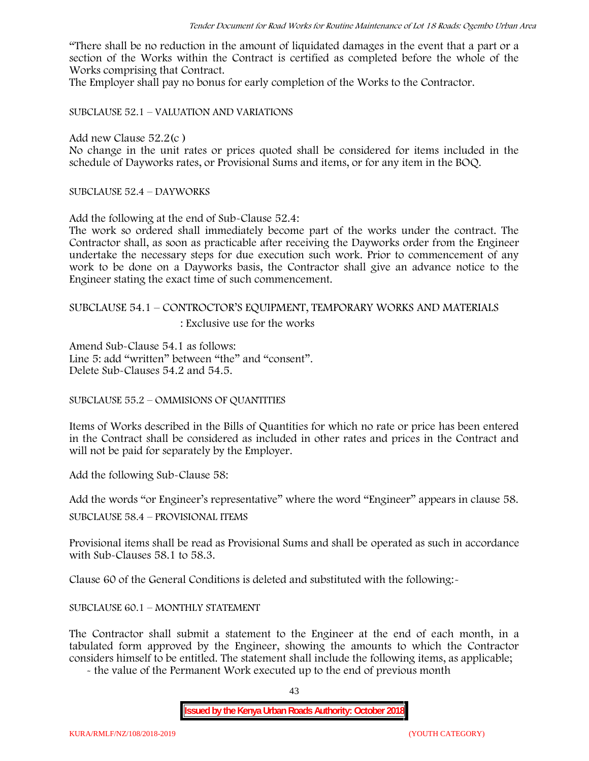"There shall be no reduction in the amount of liquidated damages in the event that a part or a section of the Works within the Contract is certified as completed before the whole of the Works comprising that Contract.

The Employer shall pay no bonus for early completion of the Works to the Contractor.

SUBCLAUSE 52.1 – VALUATION AND VARIATIONS

Add new Clause 52.2(c )

No change in the unit rates or prices quoted shall be considered for items included in the schedule of Dayworks rates, or Provisional Sums and items, or for any item in the BOQ.

SUBCLAUSE 52.4 – DAYWORKS

Add the following at the end of Sub-Clause 52.4:

The work so ordered shall immediately become part of the works under the contract. The Contractor shall, as soon as practicable after receiving the Dayworks order from the Engineer undertake the necessary steps for due execution such work. Prior to commencement of any work to be done on a Dayworks basis, the Contractor shall give an advance notice to the Engineer stating the exact time of such commencement.

# SUBCLAUSE 54.1 – CONTROCTOR'S EQUIPMENT, TEMPORARY WORKS AND MATERIALS

: Exclusive use for the works

Amend Sub-Clause 54.1 as follows: Line 5: add "written" between "the" and "consent". Delete Sub-Clauses 54.2 and 54.5.

SUBCLAUSE 55.2 – OMMISIONS OF QUANTITIES

Items of Works described in the Bills of Quantities for which no rate or price has been entered in the Contract shall be considered as included in other rates and prices in the Contract and will not be paid for separately by the Employer.

Add the following Sub-Clause 58:

Add the words "or Engineer's representative" where the word "Engineer" appears in clause 58.

SUBCLAUSE 58.4 – PROVISIONAL ITEMS

Provisional items shall be read as Provisional Sums and shall be operated as such in accordance with Sub-Clauses 58.1 to 58.3.

Clause 60 of the General Conditions is deleted and substituted with the following:-

#### SUBCLAUSE 60.1 – MONTHLY STATEMENT

The Contractor shall submit a statement to the Engineer at the end of each month, in a tabulated form approved by the Engineer, showing the amounts to which the Contractor considers himself to be entitled. The statement shall include the following items, as applicable;

- the value of the Permanent Work executed up to the end of previous month

43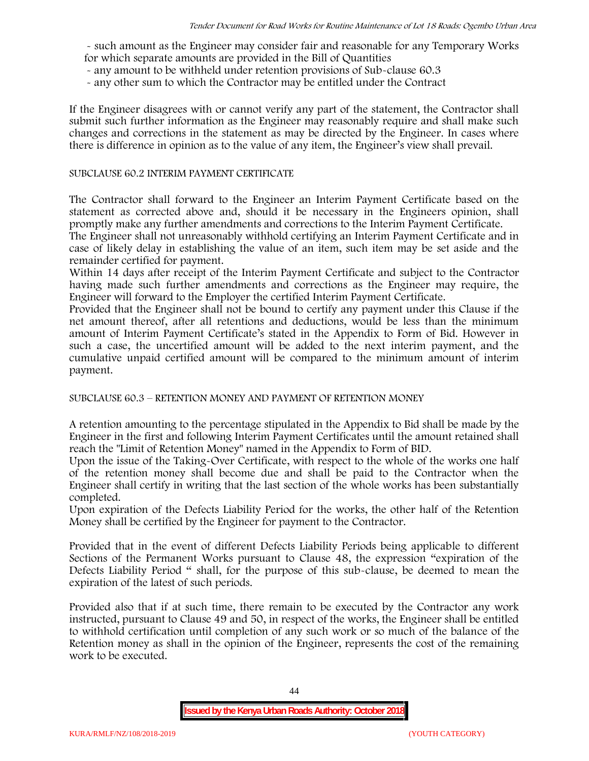- such amount as the Engineer may consider fair and reasonable for any Temporary Works for which separate amounts are provided in the Bill of Quantities

- any amount to be withheld under retention provisions of Sub-clause 60.3
- any other sum to which the Contractor may be entitled under the Contract

If the Engineer disagrees with or cannot verify any part of the statement, the Contractor shall submit such further information as the Engineer may reasonably require and shall make such changes and corrections in the statement as may be directed by the Engineer. In cases where there is difference in opinion as to the value of any item, the Engineer's view shall prevail.

#### SUBCLAUSE 60.2 INTERIM PAYMENT CERTIFICATE

The Contractor shall forward to the Engineer an Interim Payment Certificate based on the statement as corrected above and, should it be necessary in the Engineers opinion, shall promptly make any further amendments and corrections to the Interim Payment Certificate.

The Engineer shall not unreasonably withhold certifying an Interim Payment Certificate and in case of likely delay in establishing the value of an item, such item may be set aside and the remainder certified for payment.

Within 14 days after receipt of the Interim Payment Certificate and subject to the Contractor having made such further amendments and corrections as the Engineer may require, the Engineer will forward to the Employer the certified Interim Payment Certificate.

Provided that the Engineer shall not be bound to certify any payment under this Clause if the net amount thereof, after all retentions and deductions, would be less than the minimum amount of Interim Payment Certificate's stated in the Appendix to Form of Bid. However in such a case, the uncertified amount will be added to the next interim payment, and the cumulative unpaid certified amount will be compared to the minimum amount of interim payment.

SUBCLAUSE 60.3 – RETENTION MONEY AND PAYMENT OF RETENTION MONEY

A retention amounting to the percentage stipulated in the Appendix to Bid shall be made by the Engineer in the first and following Interim Payment Certificates until the amount retained shall reach the "Limit of Retention Money" named in the Appendix to Form of BID.

Upon the issue of the Taking-Over Certificate, with respect to the whole of the works one half of the retention money shall become due and shall be paid to the Contractor when the Engineer shall certify in writing that the last section of the whole works has been substantially completed.

Upon expiration of the Defects Liability Period for the works, the other half of the Retention Money shall be certified by the Engineer for payment to the Contractor.

Provided that in the event of different Defects Liability Periods being applicable to different Sections of the Permanent Works pursuant to Clause 48, the expression "expiration of the Defects Liability Period " shall, for the purpose of this sub-clause, be deemed to mean the expiration of the latest of such periods.

Provided also that if at such time, there remain to be executed by the Contractor any work instructed, pursuant to Clause 49 and 50, in respect of the works, the Engineer shall be entitled to withhold certification until completion of any such work or so much of the balance of the Retention money as shall in the opinion of the Engineer, represents the cost of the remaining work to be executed.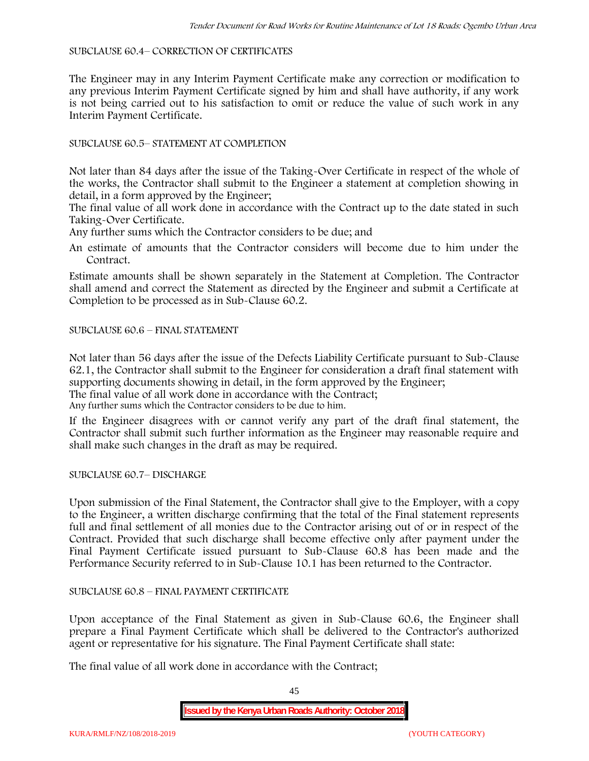#### SUBCLAUSE 60.4– CORRECTION OF CERTIFICATES

The Engineer may in any Interim Payment Certificate make any correction or modification to any previous Interim Payment Certificate signed by him and shall have authority, if any work is not being carried out to his satisfaction to omit or reduce the value of such work in any Interim Payment Certificate.

# SUBCLAUSE 60.5– STATEMENT AT COMPLETION

Not later than 84 days after the issue of the Taking-Over Certificate in respect of the whole of the works, the Contractor shall submit to the Engineer a statement at completion showing in detail, in a form approved by the Engineer;

The final value of all work done in accordance with the Contract up to the date stated in such Taking-Over Certificate.

Any further sums which the Contractor considers to be due; and

An estimate of amounts that the Contractor considers will become due to him under the Contract.

Estimate amounts shall be shown separately in the Statement at Completion. The Contractor shall amend and correct the Statement as directed by the Engineer and submit a Certificate at Completion to be processed as in Sub-Clause 60.2.

## SUBCLAUSE 60.6 – FINAL STATEMENT

Not later than 56 days after the issue of the Defects Liability Certificate pursuant to Sub-Clause 62.1, the Contractor shall submit to the Engineer for consideration a draft final statement with supporting documents showing in detail, in the form approved by the Engineer; The final value of all work done in accordance with the Contract;

Any further sums which the Contractor considers to be due to him.

If the Engineer disagrees with or cannot verify any part of the draft final statement, the Contractor shall submit such further information as the Engineer may reasonable require and shall make such changes in the draft as may be required.

SUBCLAUSE 60.7– DISCHARGE

Upon submission of the Final Statement, the Contractor shall give to the Employer, with a copy to the Engineer, a written discharge confirming that the total of the Final statement represents full and final settlement of all monies due to the Contractor arising out of or in respect of the Contract. Provided that such discharge shall become effective only after payment under the Final Payment Certificate issued pursuant to Sub-Clause 60.8 has been made and the Performance Security referred to in Sub-Clause 10.1 has been returned to the Contractor.

## SUBCLAUSE 60.8 – FINAL PAYMENT CERTIFICATE

Upon acceptance of the Final Statement as given in Sub-Clause 60.6, the Engineer shall prepare a Final Payment Certificate which shall be delivered to the Contractor's authorized agent or representative for his signature. The Final Payment Certificate shall state:

The final value of all work done in accordance with the Contract;

45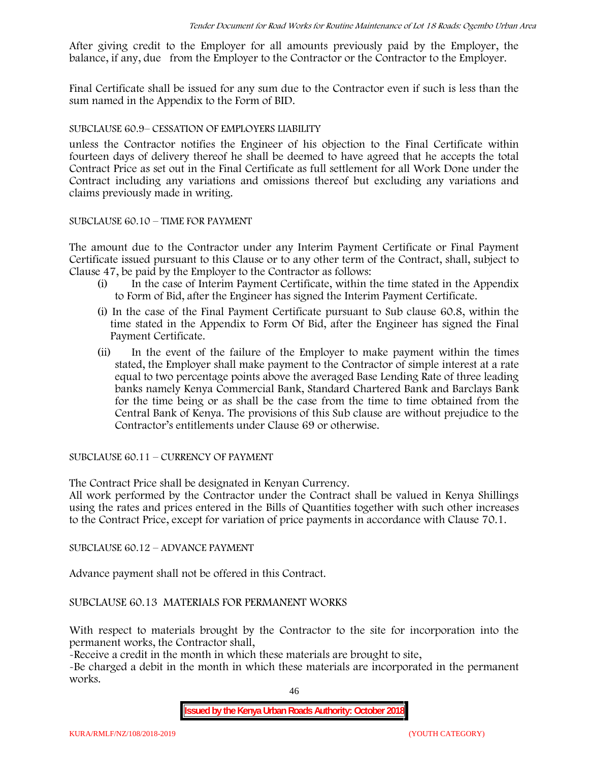After giving credit to the Employer for all amounts previously paid by the Employer, the balance, if any, due from the Employer to the Contractor or the Contractor to the Employer.

Final Certificate shall be issued for any sum due to the Contractor even if such is less than the sum named in the Appendix to the Form of BID.

#### SUBCLAUSE 60.9– CESSATION OF EMPLOYERS LIABILITY

unless the Contractor notifies the Engineer of his objection to the Final Certificate within fourteen days of delivery thereof he shall be deemed to have agreed that he accepts the total Contract Price as set out in the Final Certificate as full settlement for all Work Done under the Contract including any variations and omissions thereof but excluding any variations and claims previously made in writing.

#### SUBCLAUSE 60.10 – TIME FOR PAYMENT

The amount due to the Contractor under any Interim Payment Certificate or Final Payment Certificate issued pursuant to this Clause or to any other term of the Contract, shall, subject to Clause 47, be paid by the Employer to the Contractor as follows:

- (i) In the case of Interim Payment Certificate, within the time stated in the Appendix to Form of Bid, after the Engineer has signed the Interim Payment Certificate.
- (i) In the case of the Final Payment Certificate pursuant to Sub clause 60.8, within the time stated in the Appendix to Form Of Bid, after the Engineer has signed the Final Payment Certificate.
- (ii) In the event of the failure of the Employer to make payment within the times stated, the Employer shall make payment to the Contractor of simple interest at a rate equal to two percentage points above the averaged Base Lending Rate of three leading banks namely Kenya Commercial Bank, Standard Chartered Bank and Barclays Bank for the time being or as shall be the case from the time to time obtained from the Central Bank of Kenya. The provisions of this Sub clause are without prejudice to the Contractor's entitlements under Clause 69 or otherwise.

SUBCLAUSE 60.11 – CURRENCY OF PAYMENT

The Contract Price shall be designated in Kenyan Currency.

All work performed by the Contractor under the Contract shall be valued in Kenya Shillings using the rates and prices entered in the Bills of Quantities together with such other increases to the Contract Price, except for variation of price payments in accordance with Clause 70.1.

SUBCLAUSE 60.12 – ADVANCE PAYMENT

Advance payment shall not be offered in this Contract.

SUBCLAUSE 60.13 MATERIALS FOR PERMANENT WORKS

With respect to materials brought by the Contractor to the site for incorporation into the permanent works, the Contractor shall,

-Receive a credit in the month in which these materials are brought to site,

-Be charged a debit in the month in which these materials are incorporated in the permanent works.

46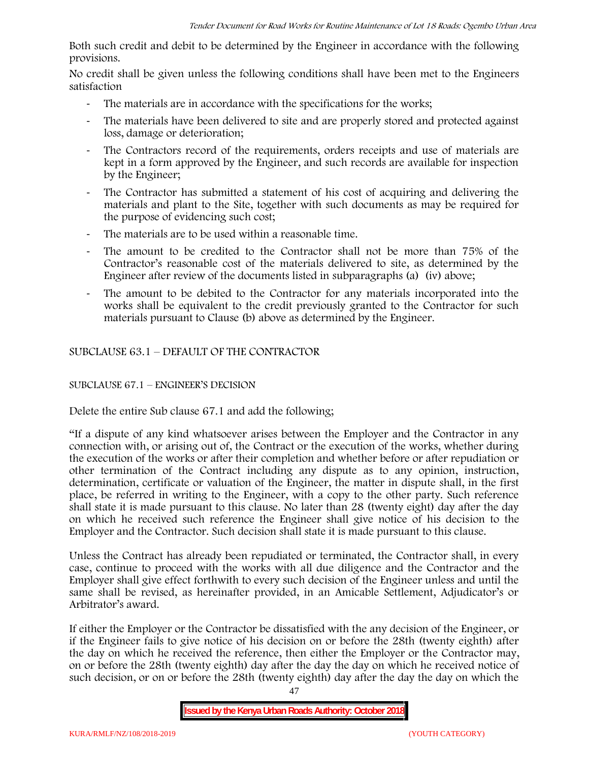Both such credit and debit to be determined by the Engineer in accordance with the following provisions.

No credit shall be given unless the following conditions shall have been met to the Engineers satisfaction

- The materials are in accordance with the specifications for the works;
- The materials have been delivered to site and are properly stored and protected against loss, damage or deterioration;
- The Contractors record of the requirements, orders receipts and use of materials are kept in a form approved by the Engineer, and such records are available for inspection by the Engineer;
- The Contractor has submitted a statement of his cost of acquiring and delivering the materials and plant to the Site, together with such documents as may be required for the purpose of evidencing such cost;
- The materials are to be used within a reasonable time.
- The amount to be credited to the Contractor shall not be more than 75% of the Contractor's reasonable cost of the materials delivered to site, as determined by the Engineer after review of the documents listed in subparagraphs (a) (iv) above;
- The amount to be debited to the Contractor for any materials incorporated into the works shall be equivalent to the credit previously granted to the Contractor for such materials pursuant to Clause (b) above as determined by the Engineer.

SUBCLAUSE 63.1 – DEFAULT OF THE CONTRACTOR

## SUBCLAUSE 67.1 – ENGINEER'S DECISION

Delete the entire Sub clause 67.1 and add the following;

"If a dispute of any kind whatsoever arises between the Employer and the Contractor in any connection with, or arising out of, the Contract or the execution of the works, whether during the execution of the works or after their completion and whether before or after repudiation or other termination of the Contract including any dispute as to any opinion, instruction, determination, certificate or valuation of the Engineer, the matter in dispute shall, in the first place, be referred in writing to the Engineer, with a copy to the other party. Such reference shall state it is made pursuant to this clause. No later than 28 (twenty eight) day after the day on which he received such reference the Engineer shall give notice of his decision to the Employer and the Contractor. Such decision shall state it is made pursuant to this clause.

Unless the Contract has already been repudiated or terminated, the Contractor shall, in every case, continue to proceed with the works with all due diligence and the Contractor and the Employer shall give effect forthwith to every such decision of the Engineer unless and until the same shall be revised, as hereinafter provided, in an Amicable Settlement, Adjudicator's or Arbitrator's award.

If either the Employer or the Contractor be dissatisfied with the any decision of the Engineer, or if the Engineer fails to give notice of his decision on or before the 28th (twenty eighth) after the day on which he received the reference, then either the Employer or the Contractor may, on or before the 28th (twenty eighth) day after the day the day on which he received notice of such decision, or on or before the 28th (twenty eighth) day after the day the day on which the

**Issued by the Kenya Urban Roads Authority: October 2018**

47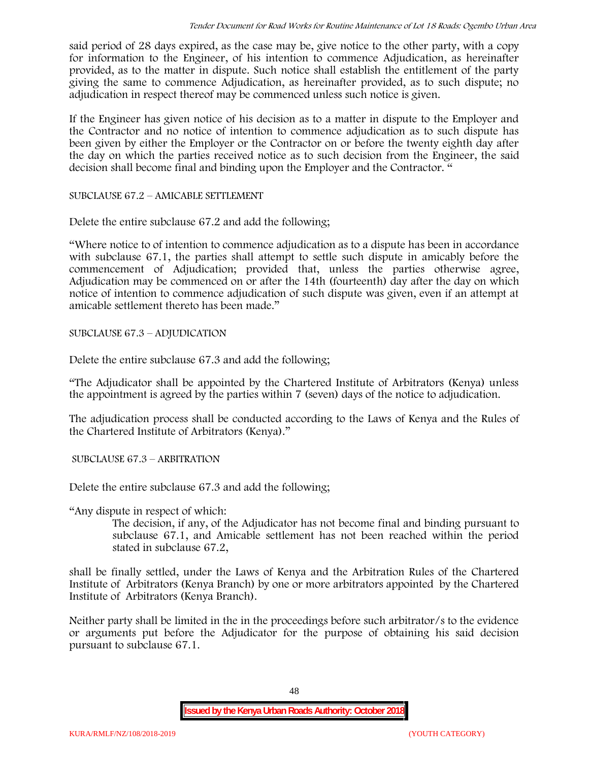said period of 28 days expired, as the case may be, give notice to the other party, with a copy for information to the Engineer, of his intention to commence Adjudication, as hereinafter provided, as to the matter in dispute. Such notice shall establish the entitlement of the party giving the same to commence Adjudication, as hereinafter provided, as to such dispute; no adjudication in respect thereof may be commenced unless such notice is given.

If the Engineer has given notice of his decision as to a matter in dispute to the Employer and the Contractor and no notice of intention to commence adjudication as to such dispute has been given by either the Employer or the Contractor on or before the twenty eighth day after the day on which the parties received notice as to such decision from the Engineer, the said decision shall become final and binding upon the Employer and the Contractor. "

SUBCLAUSE 67.2 – AMICABLE SETTLEMENT

Delete the entire subclause 67.2 and add the following;

"Where notice to of intention to commence adjudication as to a dispute has been in accordance with subclause 67.1, the parties shall attempt to settle such dispute in amicably before the commencement of Adjudication; provided that, unless the parties otherwise agree, Adjudication may be commenced on or after the 14th (fourteenth) day after the day on which notice of intention to commence adjudication of such dispute was given, even if an attempt at amicable settlement thereto has been made."

SUBCLAUSE 67.3 – ADJUDICATION

Delete the entire subclause 67.3 and add the following;

"The Adjudicator shall be appointed by the Chartered Institute of Arbitrators (Kenya) unless the appointment is agreed by the parties within 7 (seven) days of the notice to adjudication.

The adjudication process shall be conducted according to the Laws of Kenya and the Rules of the Chartered Institute of Arbitrators (Kenya)."

SUBCLAUSE 67.3 – ARBITRATION

Delete the entire subclause 67.3 and add the following;

"Any dispute in respect of which:

The decision, if any, of the Adjudicator has not become final and binding pursuant to subclause 67.1, and Amicable settlement has not been reached within the period stated in subclause 67.2,

shall be finally settled, under the Laws of Kenya and the Arbitration Rules of the Chartered Institute of Arbitrators (Kenya Branch) by one or more arbitrators appointed by the Chartered Institute of Arbitrators (Kenya Branch).

Neither party shall be limited in the in the proceedings before such arbitrator/s to the evidence or arguments put before the Adjudicator for the purpose of obtaining his said decision pursuant to subclause 67.1.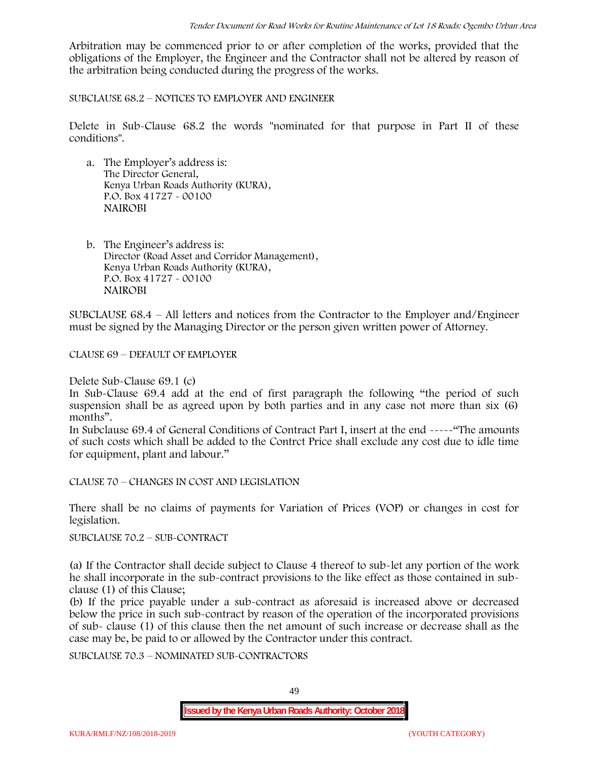Arbitration may be commenced prior to or after completion of the works, provided that the obligations of the Employer, the Engineer and the Contractor shall not be altered by reason of the arbitration being conducted during the progress of the works.

SUBCLAUSE 68.2 – NOTICES TO EMPLOYER AND ENGINEER

Delete in Sub-Clause 68.2 the words "nominated for that purpose in Part II of these conditions".

- a. The Employer's address is: The Director General, Kenya Urban Roads Authority (KURA), P.O. Box 41727 - 00100 **NAIROBI**
- b. The Engineer's address is: Director (Road Asset and Corridor Management), Kenya Urban Roads Authority (KURA), P.O. Box 41727 - 00100 **NAIROBI**

SUBCLAUSE 68.4 – All letters and notices from the Contractor to the Employer and/Engineer must be signed by the Managing Director or the person given written power of Attorney.

CLAUSE 69 – DEFAULT OF EMPLOYER

Delete Sub-Clause 69.1 (c)

In Sub-Clause 69.4 add at the end of first paragraph the following "the period of such suspension shall be as agreed upon by both parties and in any case not more than six (6) months".

In Subclause 69.4 of General Conditions of Contract Part I, insert at the end -----"The amounts of such costs which shall be added to the Contrct Price shall exclude any cost due to idle time for equipment, plant and labour."

CLAUSE 70 – CHANGES IN COST AND LEGISLATION

There shall be no claims of payments for Variation of Prices (VOP) or changes in cost for legislation.

SUBCLAUSE 70.2 – SUB-CONTRACT

(a) If the Contractor shall decide subject to Clause 4 thereof to sub-let any portion of the work he shall incorporate in the sub-contract provisions to the like effect as those contained in sub clause (1) of this Clause;

(b) If the price payable under a sub-contract as aforesaid is increased above or decreased below the price in such sub-contract by reason of the operation of the incorporated provisions of sub- clause (1) of this clause then the net amount of such increase or decrease shall as the case may be, be paid to or allowed by the Contractor under this contract.

SUBCLAUSE 70.3 – NOMINATED SUB-CONTRACTORS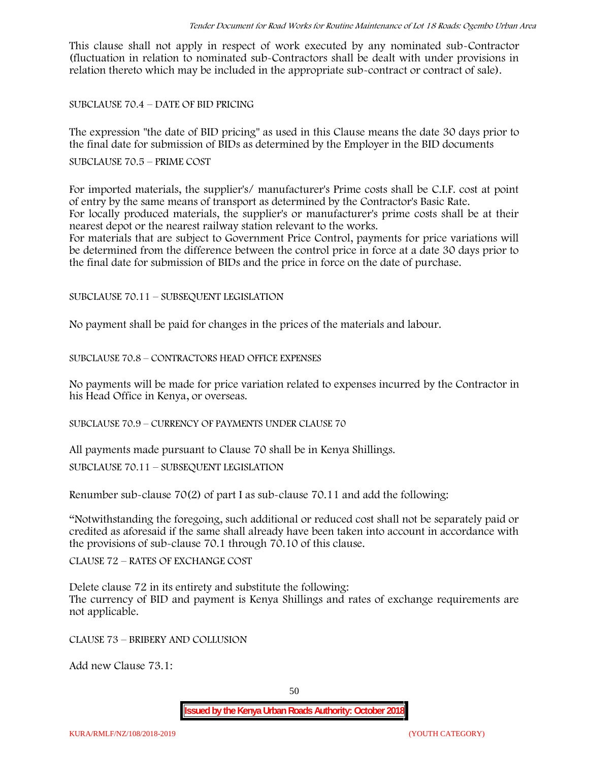This clause shall not apply in respect of work executed by any nominated sub-Contractor (fluctuation in relation to nominated sub-Contractors shall be dealt with under provisions in relation thereto which may be included in the appropriate sub-contract or contract of sale).

SUBCLAUSE 70.4 – DATE OF BID PRICING

The expression "the date of BID pricing" as used in this Clause means the date 30 days prior to the final date for submission of BIDs as determined by the Employer in the BID documents

SUBCLAUSE 70.5 – PRIME COST

For imported materials, the supplier's/ manufacturer's Prime costs shall be C.I.F. cost at point of entry by the same means of transport as determined by the Contractor's Basic Rate. For locally produced materials, the supplier's or manufacturer's prime costs shall be at their nearest depot or the nearest railway station relevant to the works.

For materials that are subject to Government Price Control, payments for price variations will be determined from the difference between the control price in force at a date 30 days prior to the final date for submission of BIDs and the price in force on the date of purchase.

SUBCLAUSE 70.11 – SUBSEQUENT LEGISLATION

No payment shall be paid for changes in the prices of the materials and labour.

SUBCLAUSE 70.8 – CONTRACTORS HEAD OFFICE EXPENSES

No payments will be made for price variation related to expenses incurred by the Contractor in his Head Office in Kenya, or overseas.

SUBCLAUSE 70.9 – CURRENCY OF PAYMENTS UNDER CLAUSE 70

All payments made pursuant to Clause 70 shall be in Kenya Shillings.

SUBCLAUSE 70.11 – SUBSEQUENT LEGISLATION

Renumber sub-clause 70(2) of part I as sub-clause 70.11 and add the following:

"Notwithstanding the foregoing, such additional or reduced cost shall not be separately paid or credited as aforesaid if the same shall already have been taken into account in accordance with the provisions of sub-clause 70.1 through 70.10 of this clause.

CLAUSE 72 – RATES OF EXCHANGE COST

Delete clause 72 in its entirety and substitute the following: The currency of BID and payment is Kenya Shillings and rates of exchange requirements are not applicable.

CLAUSE 73 – BRIBERY AND COLLUSION

Add new Clause 73.1: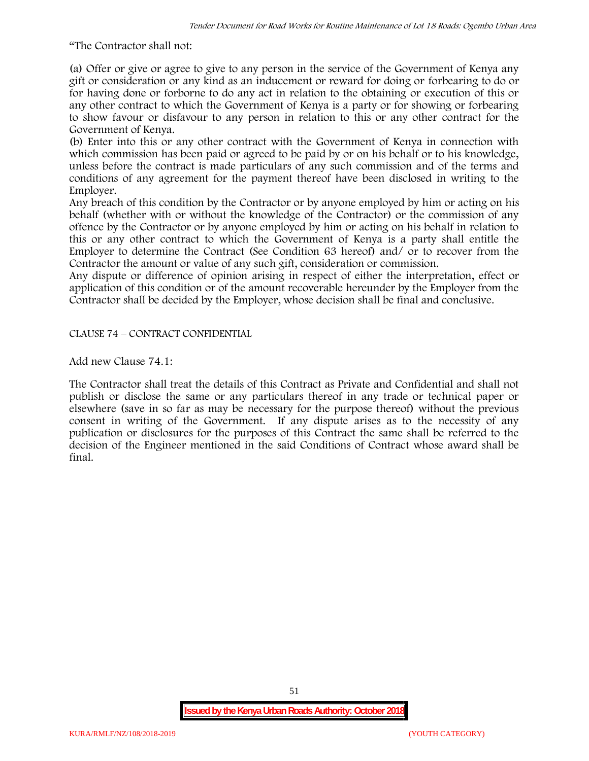"The Contractor shall not:

(a) Offer or give or agree to give to any person in the service of the Government of Kenya any gift or consideration or any kind as an inducement or reward for doing or forbearing to do or for having done or forborne to do any act in relation to the obtaining or execution of this or any other contract to which the Government of Kenya is a party or for showing or forbearing to show favour or disfavour to any person in relation to this or any other contract for the Government of Kenya.

(b) Enter into this or any other contract with the Government of Kenya in connection with which commission has been paid or agreed to be paid by or on his behalf or to his knowledge, unless before the contract is made particulars of any such commission and of the terms and conditions of any agreement for the payment thereof have been disclosed in writing to the Employer.

Any breach of this condition by the Contractor or by anyone employed by him or acting on his behalf (whether with or without the knowledge of the Contractor) or the commission of any offence by the Contractor or by anyone employed by him or acting on his behalf in relation to this or any other contract to which the Government of Kenya is a party shall entitle the Employer to determine the Contract (See Condition 63 hereof) and/ or to recover from the Contractor the amount or value of any such gift, consideration or commission.

Any dispute or difference of opinion arising in respect of either the interpretation, effect or application of this condition or of the amount recoverable hereunder by the Employer from the Contractor shall be decided by the Employer, whose decision shall be final and conclusive.

CLAUSE 74 – CONTRACT CONFIDENTIAL

Add new Clause 74.1:

The Contractor shall treat the details of this Contract as Private and Confidential and shall not publish or disclose the same or any particulars thereof in any trade or technical paper or elsewhere (save in so far as may be necessary for the purpose thereof) without the previous consent in writing of the Government. If any dispute arises as to the necessity of any publication or disclosures for the purposes of this Contract the same shall be referred to the decision of the Engineer mentioned in the said Conditions of Contract whose award shall be final.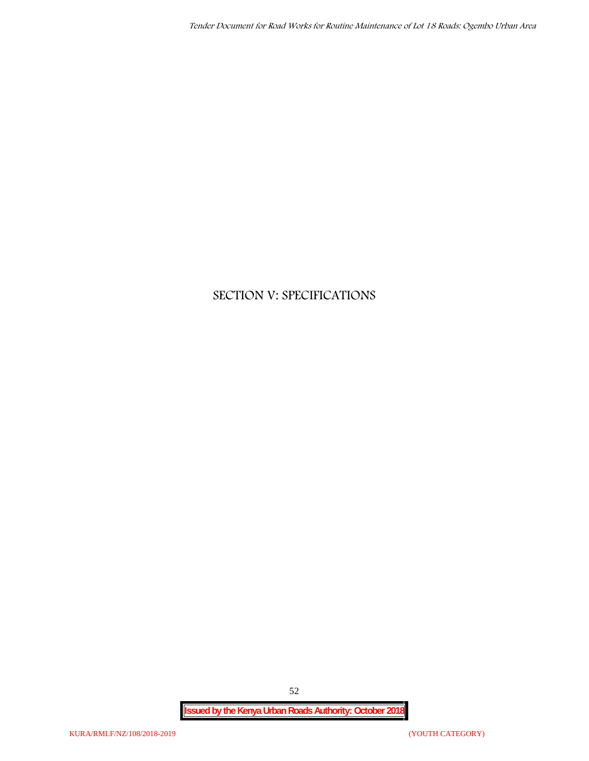# **SECTION V: SPECIFICATIONS**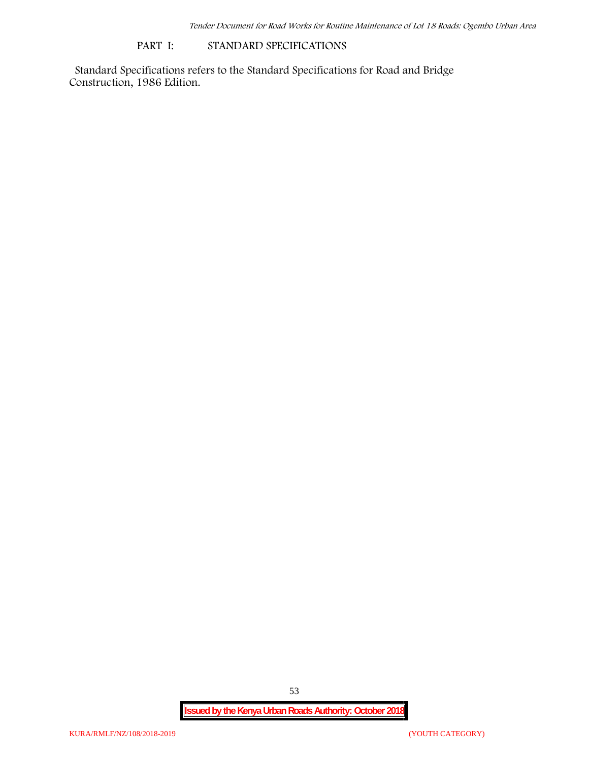#### **PART I: STANDARD SPECIFICATIONS**

Standard Specifications refers to the Standard Specifications for Road and Bridge Construction, 1986 Edition.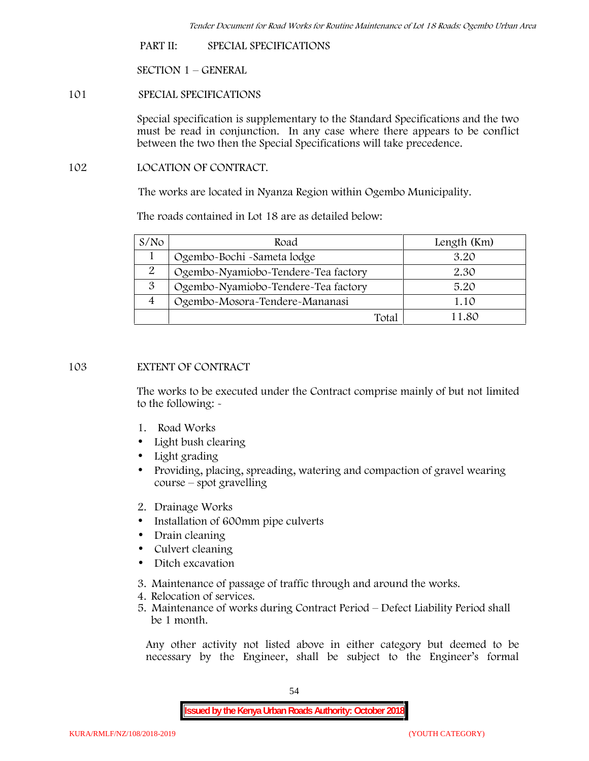**PART II: SPECIAL SPECIFICATIONS**

**SECTION 1 – GENERAL**

**101 SPECIAL SPECIFICATIONS**

Special specification is supplementary to the Standard Specifications and the two must be read in conjunction. In any case where there appears to be conflict between the two then the Special Specifications will take precedence.

**102 LOCATION OF CONTRACT.**

The works are located in Nyanza Region within Ogembo Municipality.

The roads contained in Lot 18 are as detailed below:

| S/N <sub>O</sub> | Road                                | Length (Km) |
|------------------|-------------------------------------|-------------|
|                  | Ogembo-Bochi -Sameta lodge          | 3.20        |
| 2                | Ogembo-Nyamiobo-Tendere-Tea factory | 2.30        |
| 3                | Ogembo-Nyamiobo-Tendere-Tea factory | 5.20        |
|                  | Ogembo-Mosora-Tendere-Mananasi      | 1.10        |
|                  | Total                               | 1 1 .80     |

## **103 EXTENT OF CONTRACT**

The works to be executed under the Contract comprise mainly of but not limited to the following: -

- **1. Road Works**
- Light bush clearing
- Light grading
- Providing, placing, spreading, watering and compaction of gravel wearing course – spot gravelling
- **2. Drainage Works**
- Installation of 600mm pipe culverts
- Drain cleaning
- Culvert cleaning
- Ditch excavation
- **3. Maintenance of passage of traffic through and around the works.**
- **4. Relocation of services.**
- **5. Maintenance of works during Contract Period – Defect Liability Period shall be 1 month.**

Any other activity not listed above in either category but deemed to be necessary by the Engineer, shall be subject to the Engineer's formal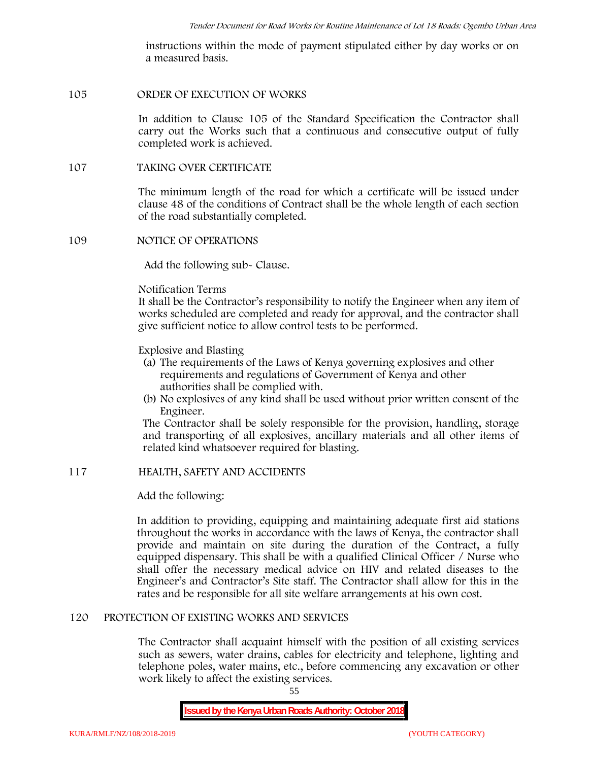instructions within the mode of payment stipulated either by day works or on a measured basis.

## **105 ORDER OF EXECUTION OF WORKS**

In addition to Clause 105 of the Standard Specification the Contractor shall carry out the Works such that a continuous and consecutive output of fully completed work is achieved.

#### **107 TAKING OVER CERTIFICATE**

The minimum length of the road for which a certificate will be issued under clause 48 of the conditions of Contract shall be the whole length of each section of the road substantially completed.

#### **109 NOTICE OF OPERATIONS**

Add the following sub- Clause.

#### Notification Terms

It shall be the Contractor's responsibility to notify the Engineer when any item of works scheduled are completed and ready for approval, and the contractor shall give sufficient notice to allow control tests to be performed.

## Explosive and Blasting

- (a) The requirements of the Laws of Kenya governing explosives and other requirements and regulations of Government of Kenya and other authorities shall be complied with.
- (b) No explosives of any kind shall be used without prior written consent of the Engineer.

The Contractor shall be solely responsible for the provision, handling, storage and transporting of all explosives, ancillary materials and all other items of related kind whatsoever required for blasting.

## **117 HEALTH, SAFETY AND ACCIDENTS**

## Add the following:

In addition to providing, equipping and maintaining adequate first aid stations throughout the works in accordance with the laws of Kenya, the contractor shall provide and maintain on site during the duration of the Contract, a fully equipped dispensary. This shall be with a qualified Clinical Officer / Nurse who shall offer the necessary medical advice on HIV and related diseases to the Engineer's and Contractor's Site staff. The Contractor shall allow for this in the rates and be responsible for all site welfare arrangements at his own cost.

## **120 PROTECTION OF EXISTING WORKS AND SERVICES**

The Contractor shall acquaint himself with the position of all existing services such as sewers, water drains, cables for electricity and telephone, lighting and telephone poles, water mains, etc., before commencing any excavation or other work likely to affect the existing services.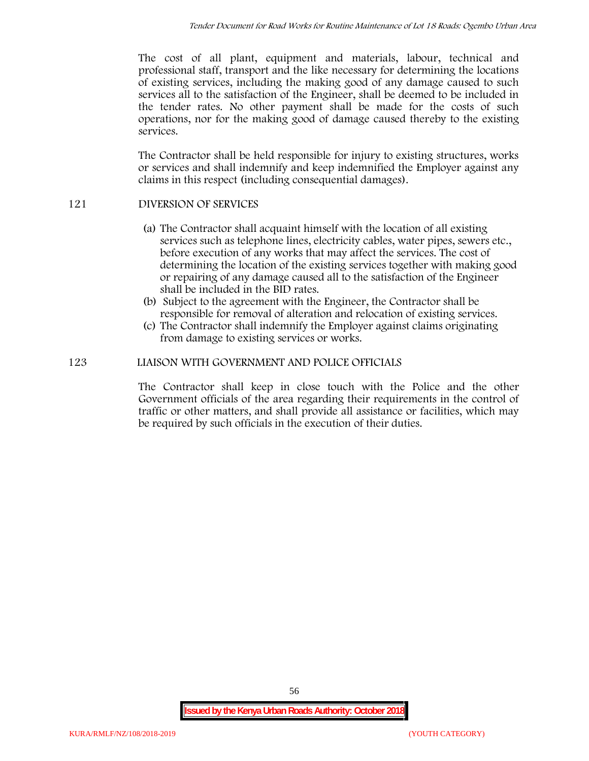The cost of all plant, equipment and materials, labour, technical and professional staff, transport and the like necessary for determining the locations of existing services, including the making good of any damage caused to such services all to the satisfaction of the Engineer, shall be deemed to be included in the tender rates. No other payment shall be made for the costs of such operations, nor for the making good of damage caused thereby to the existing services.

The Contractor shall be held responsible for injury to existing structures, works or services and shall indemnify and keep indemnified the Employer against any claims in this respect (including consequential damages).

## **121 DIVERSION OF SERVICES**

- (a) The Contractor shall acquaint himself with the location of all existing services such as telephone lines, electricity cables, water pipes, sewers etc., before execution of any works that may affect the services. The cost of determining the location of the existing services together with making good or repairing of any damage caused all to the satisfaction of the Engineer shall be included in the BID rates.
- (b) Subject to the agreement with the Engineer, the Contractor shall be responsible for removal of alteration and relocation of existing services.
- (c) The Contractor shall indemnify the Employer against claims originating from damage to existing services or works.

## **123 LIAISON WITH GOVERNMENT AND POLICE OFFICIALS**

The Contractor shall keep in close touch with the Police and the other Government officials of the area regarding their requirements in the control of traffic or other matters, and shall provide all assistance or facilities, which may be required by such officials in the execution of their duties.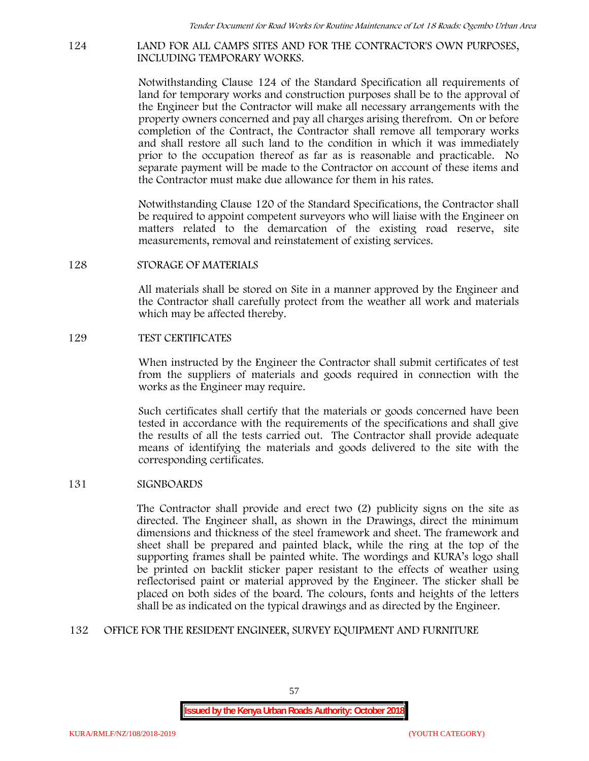## **124 LAND FOR ALL CAMPS SITES AND FOR THE CONTRACTOR'S OWN PURPOSES, INCLUDING TEMPORARY WORKS.**

Notwithstanding Clause 124 of the Standard Specification all requirements of land for temporary works and construction purposes shall be to the approval of the Engineer but the Contractor will make all necessary arrangements with the property owners concerned and pay all charges arising therefrom. On or before completion of the Contract, the Contractor shall remove all temporary works and shall restore all such land to the condition in which it was immediately prior to the occupation thereof as far as is reasonable and practicable. No separate payment will be made to the Contractor on account of these items and the Contractor must make due allowance for them in his rates.

Notwithstanding Clause 120 of the Standard Specifications, the Contractor shall be required to appoint competent surveyors who will liaise with the Engineer on matters related to the demarcation of the existing road reserve, site measurements, removal and reinstatement of existing services.

#### **128 STORAGE OF MATERIALS**

All materials shall be stored on Site in a manner approved by the Engineer and the Contractor shall carefully protect from the weather all work and materials which may be affected thereby.

#### **129 TEST CERTIFICATES**

When instructed by the Engineer the Contractor shall submit certificates of test from the suppliers of materials and goods required in connection with the works as the Engineer may require.

Such certificates shall certify that the materials or goods concerned have been tested in accordance with the requirements of the specifications and shall give the results of all the tests carried out. The Contractor shall provide adequate means of identifying the materials and goods delivered to the site with the corresponding certificates.

## **131 SIGNBOARDS**

The Contractor shall provide and erect two (2) publicity signs on the site as directed. The Engineer shall, as shown in the Drawings, direct the minimum dimensions and thickness of the steel framework and sheet. The framework and sheet shall be prepared and painted black, while the ring at the top of the supporting frames shall be painted white. The wordings and KURA's logo shall be printed on backlit sticker paper resistant to the effects of weather using reflectorised paint or material approved by the Engineer. The sticker shall be placed on both sides of the board. The colours, fonts and heights of the letters shall be as indicated on the typical drawings and as directed by the Engineer.

## **132 OFFICE FOR THE RESIDENT ENGINEER, SURVEY EQUIPMENT AND FURNITURE**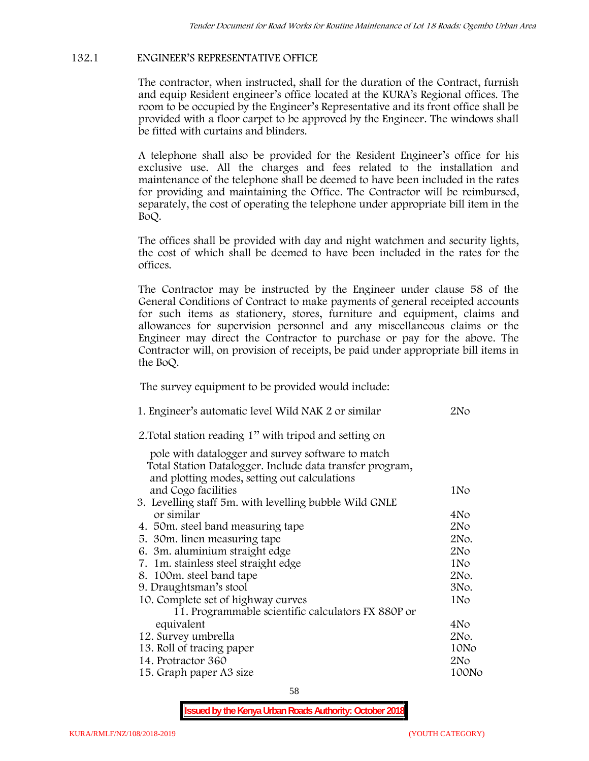# **132.1 ENGINEER'S REPRESENTATIVE OFFICE**

The contractor, when instructed, shall for the duration of the Contract, furnish and equip Resident engineer's office located at the KURA's Regional offices. The room to be occupied by the Engineer's Representative and its front office shall be provided with a floor carpet to be approved by the Engineer. The windows shall be fitted with curtains and blinders.

A telephone shall also be provided for the Resident Engineer's office for his exclusive use. All the charges and fees related to the installation and maintenance of the telephone shall be deemed to have been included in the rates for providing and maintaining the Office. The Contractor will be reimbursed, separately, the cost of operating the telephone under appropriate bill item in the BoQ.

The offices shall be provided with day and night watchmen and security lights, the cost of which shall be deemed to have been included in the rates for the offices.

The Contractor may be instructed by the Engineer under clause 58 of the General Conditions of Contract to make payments of general receipted accounts for such items as stationery, stores, furniture and equipment, claims and allowances for supervision personnel and any miscellaneous claims or the Engineer may direct the Contractor to purchase or pay for the above. The Contractor will, on provision of receipts, be paid under appropriate bill items in the BoQ.

**The survey equipment to be provided would include:**

| 1. Engineer's automatic level Wild NAK 2 or similar                                                      | 2N <sub>O</sub> |
|----------------------------------------------------------------------------------------------------------|-----------------|
| 2. Total station reading 1" with tripod and setting on                                                   |                 |
| pole with datalogger and survey software to match                                                        |                 |
| Total Station Datalogger. Include data transfer program,<br>and plotting modes, setting out calculations |                 |
| and Cogo facilities                                                                                      | 1No             |
| 3. Levelling staff 5m. with levelling bubble Wild GNLE                                                   |                 |
| or similar                                                                                               | 4No             |
| 4. 50m. steel band measuring tape                                                                        | 2N <sub>O</sub> |
| 5. 30 m. linen measuring tape                                                                            | 2No.            |
| 6. 3m. aluminium straight edge                                                                           | 2N <sub>O</sub> |
| 7. 1m. stainless steel straight edge                                                                     | 1No             |
| 8. 100m. steel band tape                                                                                 | 2No.            |
| 9. Draughtsman's stool                                                                                   | 3No.            |
| 10. Complete set of highway curves                                                                       | 1No             |
| 11. Programmable scientific calculators FX 880P or                                                       |                 |
| equivalent                                                                                               | 4No             |
| 12. Survey umbrella                                                                                      | 2No.            |
| 13. Roll of tracing paper                                                                                | 10No            |
| 14. Protractor 360                                                                                       | 2No             |
| 15. Graph paper A3 size                                                                                  | 100No           |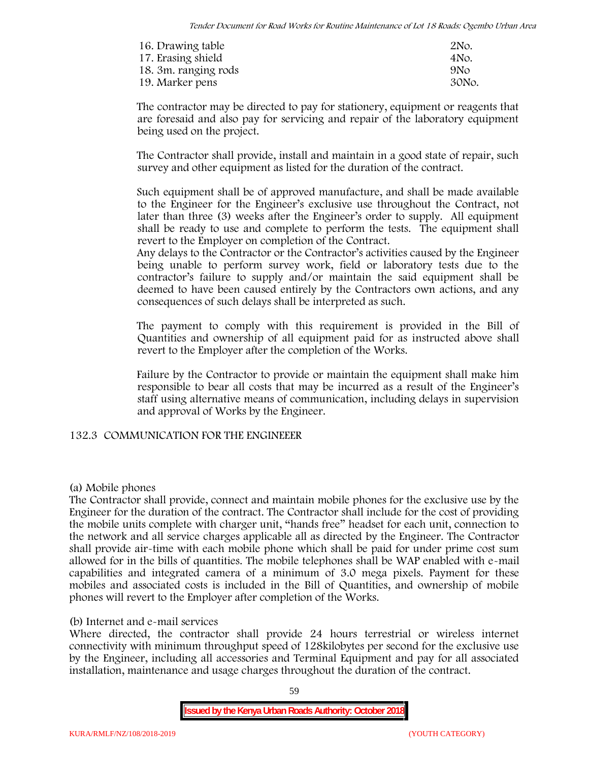| 16. Drawing table    | 2No.            |
|----------------------|-----------------|
| 17. Erasing shield   | 4No.            |
| 18. 3m. ranging rods | 9N <sub>O</sub> |
| 19. Marker pens      | 30No.           |

The contractor may be directed to pay for stationery, equipment or reagents that are foresaid and also pay for servicing and repair of the laboratory equipment being used on the project.

The Contractor shall provide, install and maintain in a good state of repair, such survey and other equipment as listed for the duration of the contract.

Such equipment shall be of approved manufacture, and shall be made available to the Engineer for the Engineer's exclusive use throughout the Contract, not later than three (3) weeks after the Engineer's order to supply. All equipment shall be ready to use and complete to perform the tests. The equipment shall revert to the Employer on completion of the Contract.

Any delays to the Contractor or the Contractor's activities caused by the Engineer being unable to perform survey work, field or laboratory tests due to the contractor's failure to supply and/or maintain the said equipment shall be deemed to have been caused entirely by the Contractors own actions, and any consequences of such delays shall be interpreted as such.

The payment to comply with this requirement is provided in the Bill of Quantities and ownership of all equipment paid for as instructed above shall revert to the Employer after the completion of the Works.

Failure by the Contractor to provide or maintain the equipment shall make him responsible to bear all costs that may be incurred as a result of the Engineer's staff using alternative means of communication, including delays in supervision and approval of Works by the Engineer.

# **132.3 COMMUNICATION FOR THE ENGINEEER**

## **(a) Mobile phones**

The Contractor shall provide, connect and maintain mobile phones for the exclusive use by the Engineer for the duration of the contract. The Contractor shall include for the cost of providing the mobile units complete with charger unit, "hands free" headset for each unit, connection to the network and all service charges applicable all as directed by the Engineer. The Contractor shall provide air-time with each mobile phone which shall be paid for under prime cost sum allowed for in the bills of quantities. The mobile telephones shall be WAP enabled with e-mail capabilities and integrated camera of a minimum of 3.0 mega pixels. Payment for these mobiles and associated costs is included in the Bill of Quantities, and ownership of mobile phones will revert to the Employer after completion of the Works.

## **(b) Internet and e-mail services**

Where directed, the contractor shall provide 24 hours terrestrial or wireless internet connectivity with minimum throughput speed of 128kilobytes per second for the exclusive use by the Engineer, including all accessories and Terminal Equipment and pay for all associated installation, maintenance and usage charges throughout the duration of the contract.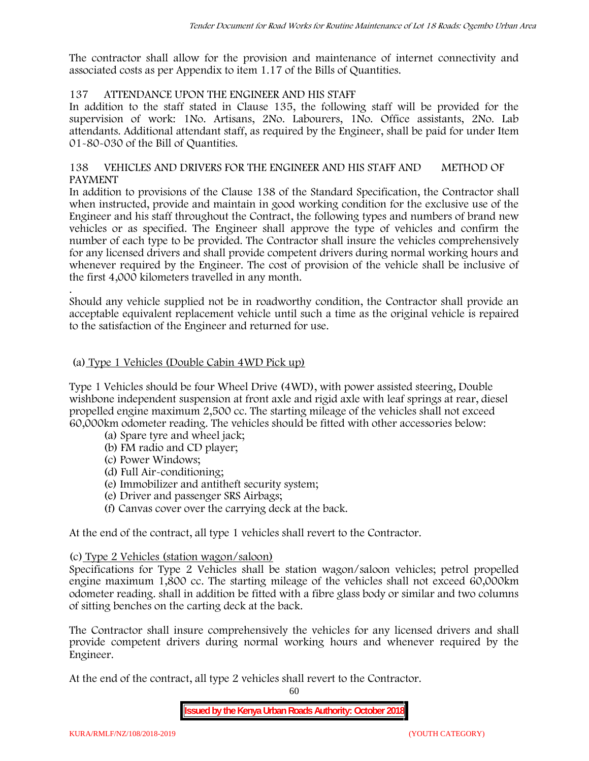The contractor shall allow for the provision and maintenance of internet connectivity and associated costs as per Appendix to item 1.17 of the Bills of Quantities.

## **137 ATTENDANCE UPON THE ENGINEER AND HIS STAFF**

In addition to the staff stated in Clause 135, the following staff will be provided for the supervision of work: 1No. Artisans, 2No. Labourers, 1No. Office assistants, 2No. Lab attendants. Additional attendant staff, as required by the Engineer, shall be paid for under Item 01-80-030 of the Bill of Quantities.

## **138 VEHICLES AND DRIVERS FOR THE ENGINEER AND HIS STAFF AND METHOD OF PAYMENT**

In addition to provisions of the Clause 138 of the Standard Specification, the Contractor shall when instructed, provide and maintain in good working condition for the exclusive use of the Engineer and his staff throughout the Contract, the following types and numbers of brand new vehicles or as specified. The Engineer shall approve the type of vehicles and confirm the number of each type to be provided. The Contractor shall insure the vehicles comprehensively for any licensed drivers and shall provide competent drivers during normal working hours and whenever required by the Engineer. The cost of provision of the vehicle shall be inclusive of the first 4,000 kilometers travelled in any month.

.Should any vehicle supplied not be in roadworthy condition, the Contractor shall provide an acceptable equivalent replacement vehicle until such a time as the original vehicle is repaired to the satisfaction of the Engineer and returned for use.

## **(a) Type 1 Vehicles (Double Cabin 4WD Pick up)**

Type 1 Vehicles should be four Wheel Drive (4WD), with power assisted steering, Double wishbone independent suspension at front axle and rigid axle with leaf springs at rear, diesel propelled engine maximum 2,500 cc. The starting mileage of the vehicles shall not exceed 60,000km odometer reading. The vehicles should be fitted with other accessories below:

- (a) Spare tyre and wheel jack;
- (b) FM radio and CD player;
- (c) Power Windows;
- (d) Full Air-conditioning;
- (e) Immobilizer and antitheft security system;
- (e) Driver and passenger SRS Airbags;
- (f) Canvas cover over the carrying deck at the back.

At the end of the contract, all type 1 vehicles shall revert to the Contractor.

## **(c) Type 2 Vehicles (station wagon/saloon)**

Specifications for Type 2 Vehicles shall be station wagon/saloon vehicles; petrol propelled engine maximum 1,800 cc. The starting mileage of the vehicles shall not exceed 60,000km odometer reading. shall in addition be fitted with a fibre glass body or similar and two columns of sitting benches on the carting deck at the back.

The Contractor shall insure comprehensively the vehicles for any licensed drivers and shall provide competent drivers during normal working hours and whenever required by the Engineer.

At the end of the contract, all type 2 vehicles shall revert to the Contractor.

60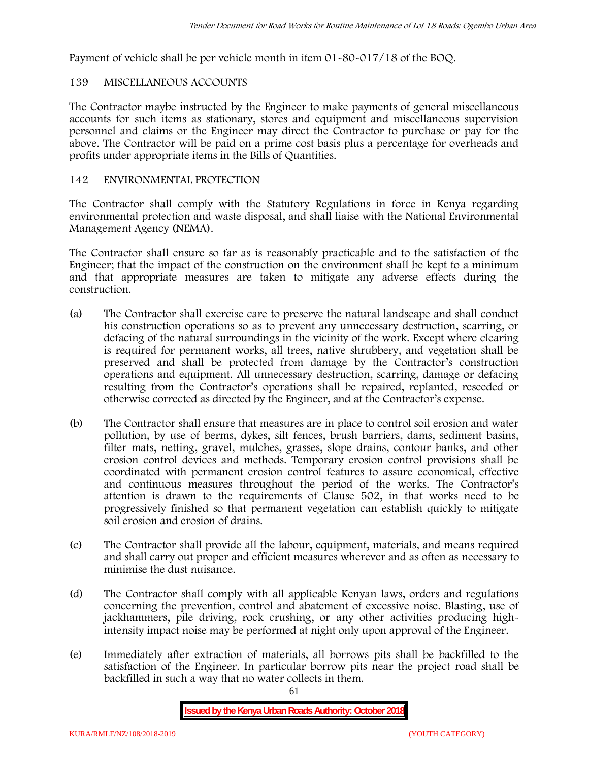Payment of vehicle shall be per vehicle month in item 01-80-017/18 of the BOQ.

# **139 MISCELLANEOUS ACCOUNTS**

The Contractor maybe instructed by the Engineer to make payments of general miscellaneous accounts for such items as stationary, stores and equipment and miscellaneous supervision personnel and claims or the Engineer may direct the Contractor to purchase or pay for the above. The Contractor will be paid on a prime cost basis plus a percentage for overheads and profits under appropriate items in the Bills of Quantities.

## **142 ENVIRONMENTAL PROTECTION**

The Contractor shall comply with the Statutory Regulations in force in Kenya regarding environmental protection and waste disposal, and shall liaise with the National Environmental Management Agency (NEMA).

The Contractor shall ensure so far as is reasonably practicable and to the satisfaction of the Engineer; that the impact of the construction on the environment shall be kept to a minimum and that appropriate measures are taken to mitigate any adverse effects during the construction.

- (a) The Contractor shall exercise care to preserve the natural landscape and shall conduct his construction operations so as to prevent any unnecessary destruction, scarring, or defacing of the natural surroundings in the vicinity of the work. Except where clearing is required for permanent works, all trees, native shrubbery, and vegetation shall be preserved and shall be protected from damage by the Contractor's construction operations and equipment. All unnecessary destruction, scarring, damage or defacing resulting from the Contractor's operations shall be repaired, replanted, reseeded or otherwise corrected as directed by the Engineer, and at the Contractor's expense.
- (b) The Contractor shall ensure that measures are in place to control soil erosion and water pollution, by use of berms, dykes, silt fences, brush barriers, dams, sediment basins, filter mats, netting, gravel, mulches, grasses, slope drains, contour banks, and other erosion control devices and methods. Temporary erosion control provisions shall be coordinated with permanent erosion control features to assure economical, effective and continuous measures throughout the period of the works. The Contractor's attention is drawn to the requirements of Clause 502, in that works need to be progressively finished so that permanent vegetation can establish quickly to mitigate soil erosion and erosion of drains.
- (c) The Contractor shall provide all the labour, equipment, materials, and means required and shall carry out proper and efficient measures wherever and as often as necessary to minimise the dust nuisance.
- (d) The Contractor shall comply with all applicable Kenyan laws, orders and regulations concerning the prevention, control and abatement of excessive noise. Blasting, use of jackhammers, pile driving, rock crushing, or any other activities producing highintensity impact noise may be performed at night only upon approval of the Engineer.
- (e) Immediately after extraction of materials, all borrows pits shall be backfilled to the satisfaction of the Engineer. In particular borrow pits near the project road shall be backfilled in such a way that no water collects in them.

61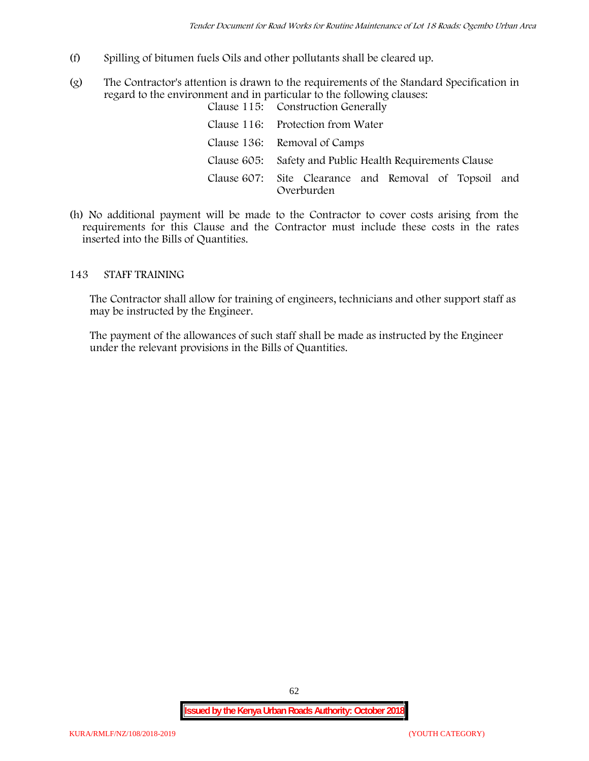- (f) Spilling of bitumen fuels Oils and other pollutants shall be cleared up.
- (g) The Contractor's attention is drawn to the requirements of the Standard Specification in regard to the environment and in particular to the following clauses: Clause 115: Construction Generally

| Clause 110. Construction dencrally                                  |  |  |
|---------------------------------------------------------------------|--|--|
| Clause 116: Protection from Water                                   |  |  |
| Clause 136: Removal of Camps                                        |  |  |
| Clause 605: Safety and Public Health Requirements Clause            |  |  |
| Clause 607: Site Clearance and Removal of Topsoil and<br>Overburden |  |  |

(h) No additional payment will be made to the Contractor to cover costs arising from the requirements for this Clause and the Contractor must include these costs in the rates inserted into the Bills of Quantities.

## **143 STAFF TRAINING**

The Contractor shall allow for training of engineers, technicians and other support staff as may be instructed by the Engineer.

The payment of the allowances of such staff shall be made as instructed by the Engineer under the relevant provisions in the Bills of Quantities.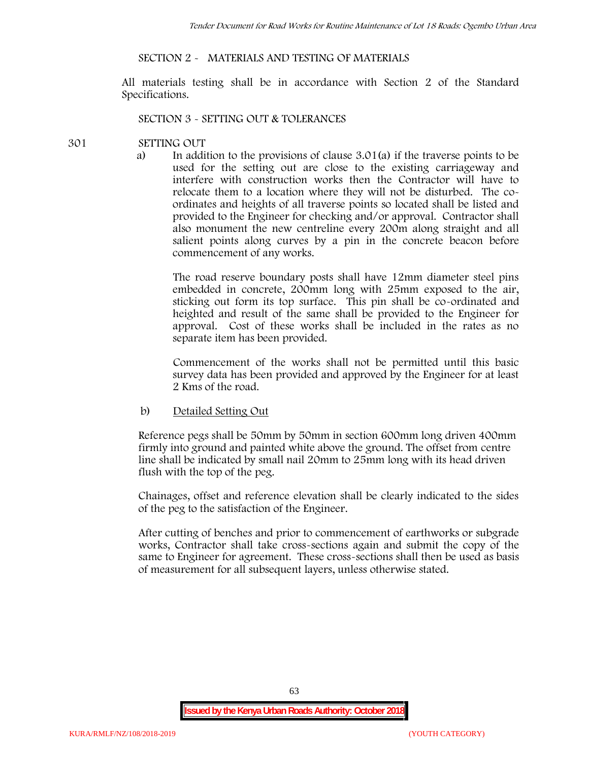## **SECTION 2 - MATERIALS AND TESTING OF MATERIALS**

All materials testing shall be in accordance with Section 2 of the Standard Specifications.

#### **SECTION 3 - SETTING OUT & TOLERANCES**

#### **301 SETTING OUT**

a) In addition to the provisions of clause 3.01(a) if the traverse points to be used for the setting out are close to the existing carriageway and interfere with construction works then the Contractor will have to relocate them to a location where they will not be disturbed. The co ordinates and heights of all traverse points so located shall be listed and provided to the Engineer for checking and/or approval. Contractor shall also monument the new centreline every 200m along straight and all salient points along curves by a pin in the concrete beacon before commencement of any works.

The road reserve boundary posts shall have 12mm diameter steel pins embedded in concrete, 200mm long with 25mm exposed to the air, sticking out form its top surface. This pin shall be co-ordinated and heighted and result of the same shall be provided to the Engineer for approval. Cost of these works shall be included in the rates as no separate item has been provided.

Commencement of the works shall not be permitted until this basic survey data has been provided and approved by the Engineer for at least 2 Kms of the road.

b) Detailed Setting Out

Reference pegs shall be 50mm by 50mm in section 600mm long driven 400mm firmly into ground and painted white above the ground. The offset from centre line shall be indicated by small nail 20mm to 25mm long with its head driven flush with the top of the peg.

Chainages, offset and reference elevation shall be clearly indicated to the sides of the peg to the satisfaction of the Engineer.

After cutting of benches and prior to commencement of earthworks or subgrade works, Contractor shall take cross-sections again and submit the copy of the same to Engineer for agreement. These cross-sections shall then be used as basis of measurement for all subsequent layers, unless otherwise stated.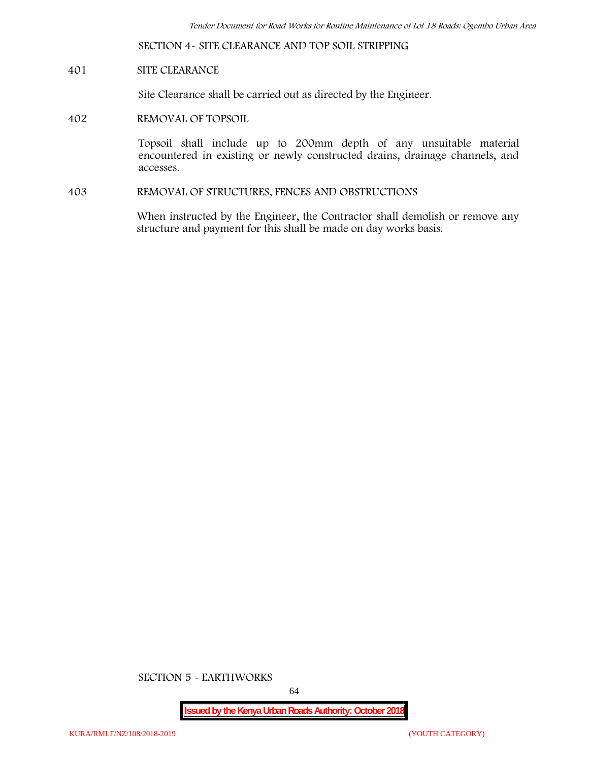**SECTION 4- SITE CLEARANCE AND TOP SOIL STRIPPING**

## **401 SITE CLEARANCE**

Site Clearance shall be carried out as directed by the Engineer.

**402 REMOVAL OF TOPSOIL**

Topsoil shall include up to 200mm depth of any unsuitable material encountered in existing or newly constructed drains, drainage channels, and accesses.

**403 REMOVAL OF STRUCTURES, FENCES AND OBSTRUCTIONS**

When instructed by the Engineer, the Contractor shall demolish or remove any structure and payment for this shall be made on day works basis.

**SECTION 5 - EARTHWORKS**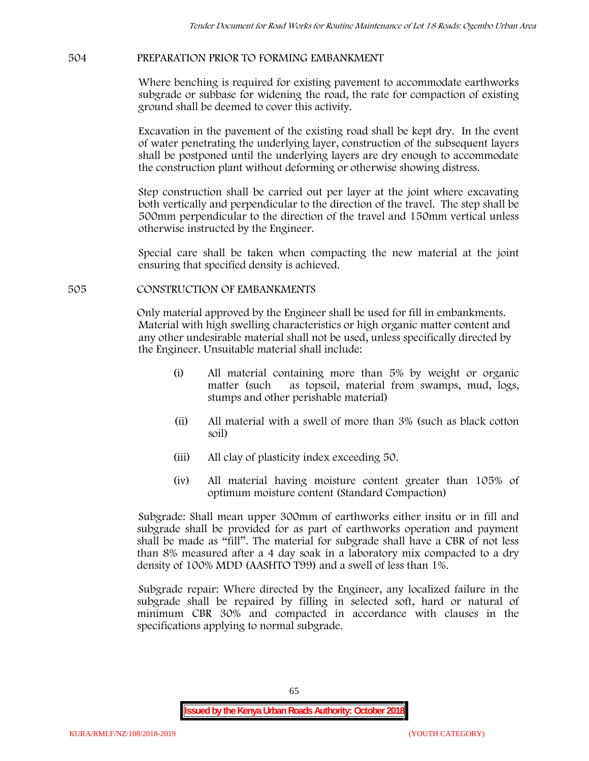# **504 PREPARATION PRIOR TO FORMING EMBANKMENT**

Where benching is required for existing pavement to accommodate earthworks subgrade or subbase for widening the road, the rate for compaction of existing ground shall be deemed to cover this activity.

Excavation in the pavement of the existing road shall be kept dry. In the event of water penetrating the underlying layer, construction of the subsequent layers shall be postponed until the underlying layers are dry enough to accommodate the construction plant without deforming or otherwise showing distress.

Step construction shall be carried out per layer at the joint where excavating both vertically and perpendicular to the direction of the travel. The step shall be 500mm perpendicular to the direction of the travel and 150mm vertical unless otherwise instructed by the Engineer.

Special care shall be taken when compacting the new material at the joint ensuring that specified density is achieved.

## **505 CONSTRUCTION OF EMBANKMENTS**

Only material approved by the Engineer shall be used for fill in embankments. Material with high swelling characteristics or high organic matter content and any other undesirable material shall not be used, unless specifically directed by the Engineer. Unsuitable material shall include:

- (i) All material containing more than 5% by weight or organic matter (such as topsoil, material from swamps, mud, logs, stumps and other perishable material)
- (ii) All material with a swell of more than 3% (such as black cotton soil)
- (iii) All clay of plasticity index exceeding 50.
- (iv) All material having moisture content greater than 105% of optimum moisture content (Standard Compaction)

Subgrade: Shall mean upper 300mm of earthworks either insitu or in fill and subgrade shall be provided for as part of earthworks operation and payment shall be made as "fill". The material for subgrade shall have a CBR of not less than 8% measured after a 4 day soak in a laboratory mix compacted to a dry density of 100% MDD (AASHTO T99) and a swell of less than 1%.

Subgrade repair: Where directed by the Engineer, any localized failure in the subgrade shall be repaired by filling in selected soft, hard or natural of minimum CBR 30% and compacted in accordance with clauses in the specifications applying to normal subgrade.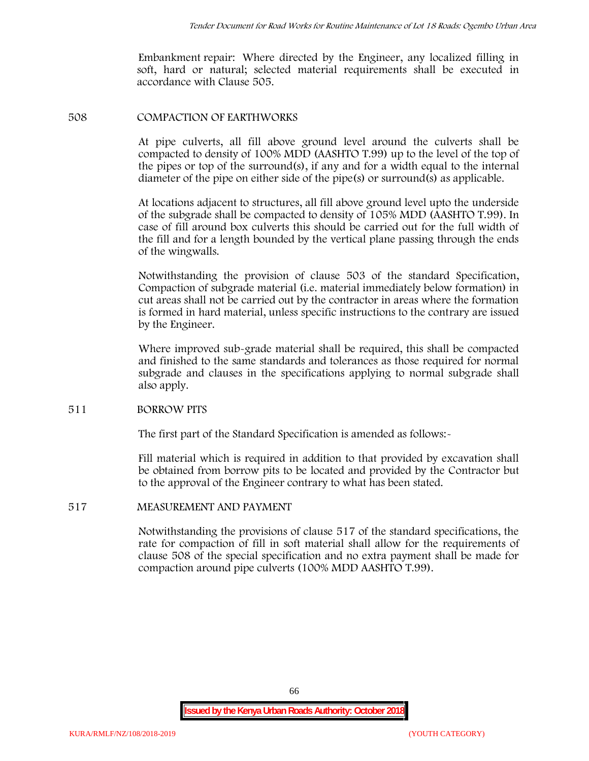Embankment repair: Where directed by the Engineer, any localized filling in soft, hard or natural; selected material requirements shall be executed in accordance with Clause 505.

#### **508 COMPACTION OF EARTHWORKS**

At pipe culverts, all fill above ground level around the culverts shall be compacted to density of 100% MDD (AASHTO T.99) up to the level of the top of the pipes or top of the surround(s), if any and for a width equal to the internal diameter of the pipe on either side of the pipe(s) or surround(s) as applicable.

At locations adjacent to structures, all fill above ground level upto the underside of the subgrade shall be compacted to density of 105% MDD (AASHTO T.99). In case of fill around box culverts this should be carried out for the full width of the fill and for a length bounded by the vertical plane passing through the ends of the wingwalls.

Notwithstanding the provision of clause 503 of the standard Specification, Compaction of subgrade material (i.e. material immediately below formation) in cut areas shall not be carried out by the contractor in areas where the formation is formed in hard material, unless specific instructions to the contrary are issued by the Engineer.

Where improved sub-grade material shall be required, this shall be compacted and finished to the same standards and tolerances as those required for normal subgrade and clauses in the specifications applying to normal subgrade shall also apply.

## **511 BORROW PITS**

The first part of the Standard Specification is amended as follows:

Fill material which is required in addition to that provided by excavation shall be obtained from borrow pits to be located and provided by the Contractor but to the approval of the Engineer contrary to what has been stated.

## **517 MEASUREMENT AND PAYMENT**

Notwithstanding the provisions of clause 517 of the standard specifications, the rate for compaction of fill in soft material shall allow for the requirements of clause 508 of the special specification and no extra payment shall be made for compaction around pipe culverts (100% MDD AASHTO T.99).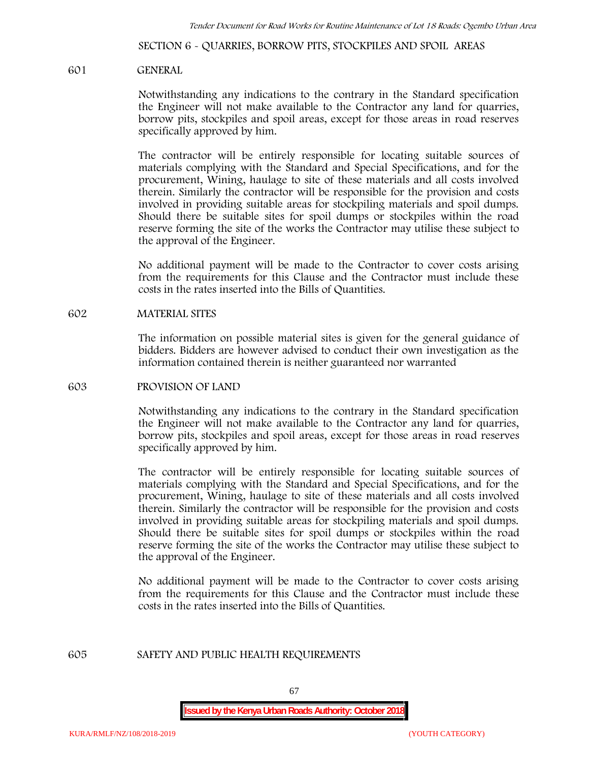**SECTION 6 - QUARRIES, BORROW PITS, STOCKPILES AND SPOIL AREAS**

#### **601 GENERAL**

Notwithstanding any indications to the contrary in the Standard specification the Engineer will not make available to the Contractor any land for quarries, borrow pits, stockpiles and spoil areas, except for those areas in road reserves specifically approved by him.

The contractor will be entirely responsible for locating suitable sources of materials complying with the Standard and Special Specifications, and for the procurement, Wining, haulage to site of these materials and all costs involved therein. Similarly the contractor will be responsible for the provision and costs involved in providing suitable areas for stockpiling materials and spoil dumps. Should there be suitable sites for spoil dumps or stockpiles within the road reserve forming the site of the works the Contractor may utilise these subject to the approval of the Engineer.

No additional payment will be made to the Contractor to cover costs arising from the requirements for this Clause and the Contractor must include these costs in the rates inserted into the Bills of Quantities.

#### **602 MATERIAL SITES**

The information on possible material sites is given for the general guidance of bidders. Bidders are however advised to conduct their own investigation as the information contained therein is neither guaranteed nor warranted

#### **603 PROVISION OF LAND**

Notwithstanding any indications to the contrary in the Standard specification the Engineer will not make available to the Contractor any land for quarries, borrow pits, stockpiles and spoil areas, except for those areas in road reserves specifically approved by him.

The contractor will be entirely responsible for locating suitable sources of materials complying with the Standard and Special Specifications, and for the procurement, Wining, haulage to site of these materials and all costs involved therein. Similarly the contractor will be responsible for the provision and costs involved in providing suitable areas for stockpiling materials and spoil dumps. Should there be suitable sites for spoil dumps or stockpiles within the road reserve forming the site of the works the Contractor may utilise these subject to the approval of the Engineer.

No additional payment will be made to the Contractor to cover costs arising from the requirements for this Clause and the Contractor must include these costs in the rates inserted into the Bills of Quantities.

#### **605 SAFETY AND PUBLIC HEALTH REQUIREMENTS**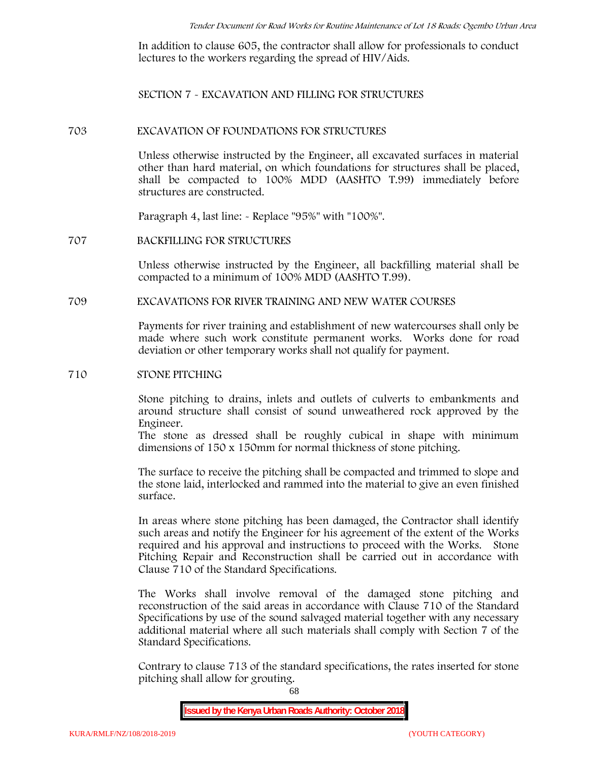In addition to clause 605, the contractor shall allow for professionals to conduct lectures to the workers regarding the spread of HIV/Aids.

**SECTION 7 - EXCAVATION AND FILLING FOR STRUCTURES**

#### **703 EXCAVATION OF FOUNDATIONS FOR STRUCTURES**

Unless otherwise instructed by the Engineer, all excavated surfaces in material other than hard material, on which foundations for structures shall be placed, shall be compacted to 100% MDD (AASHTO T.99) immediately before structures are constructed.

Paragraph 4, last line: - Replace "95%" with "100%".

#### **707 BACKFILLING FOR STRUCTURES**

Unless otherwise instructed by the Engineer, all backfilling material shall be compacted to a minimum of 100% MDD (AASHTO T.99).

## **709 EXCAVATIONS FOR RIVER TRAINING AND NEW WATER COURSES**

Payments for river training and establishment of new watercourses shall only be made where such work constitute permanent works. Works done for road deviation or other temporary works shall not qualify for payment.

#### **710 STONE PITCHING**

Stone pitching to drains, inlets and outlets of culverts to embankments and around structure shall consist of sound unweathered rock approved by the Engineer.

The stone as dressed shall be roughly cubical in shape with minimum dimensions of 150 x 150mm for normal thickness of stone pitching.

The surface to receive the pitching shall be compacted and trimmed to slope and the stone laid, interlocked and rammed into the material to give an even finished surface.

In areas where stone pitching has been damaged, the Contractor shall identify such areas and notify the Engineer for his agreement of the extent of the Works required and his approval and instructions to proceed with the Works. Stone Pitching Repair and Reconstruction shall be carried out in accordance with Clause 710 of the Standard Specifications.

The Works shall involve removal of the damaged stone pitching and reconstruction of the said areas in accordance with Clause 710 of the Standard Specifications by use of the sound salvaged material together with any necessary additional material where all such materials shall comply with Section 7 of the Standard Specifications.

Contrary to clause 713 of the standard specifications, the rates inserted for stone pitching shall allow for grouting.

68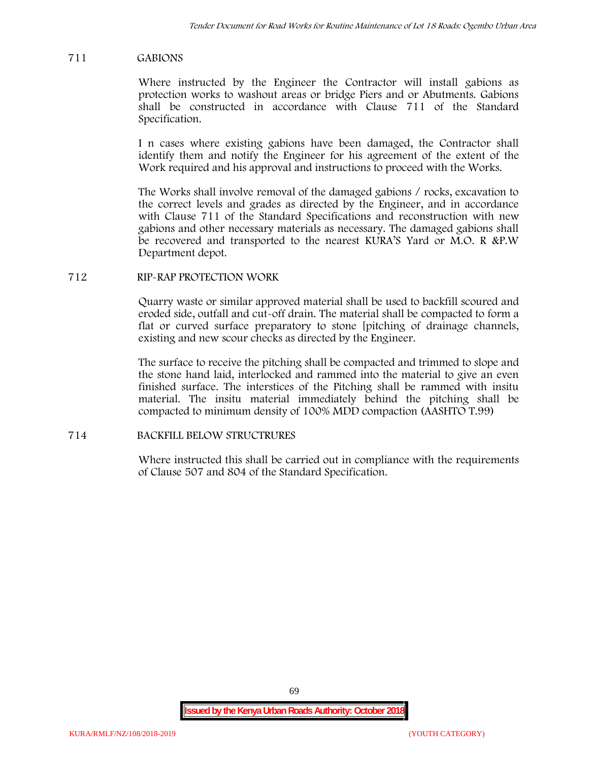## **711 GABIONS**

Where instructed by the Engineer the Contractor will install gabions as protection works to washout areas or bridge Piers and or Abutments. Gabions shall be constructed in accordance with Clause 711 of the Standard Specification.

I n cases where existing gabions have been damaged, the Contractor shall identify them and notify the Engineer for his agreement of the extent of the Work required and his approval and instructions to proceed with the Works.

The Works shall involve removal of the damaged gabions / rocks, excavation to the correct levels and grades as directed by the Engineer, and in accordance with Clause 711 of the Standard Specifications and reconstruction with new gabions and other necessary materials as necessary. The damaged gabions shall be recovered and transported to the nearest KURA'S Yard or M.O. R &P.W Department depot.

## **712 RIP-RAP PROTECTION WORK**

Quarry waste or similar approved material shall be used to backfill scoured and eroded side, outfall and cut-off drain. The material shall be compacted to form a flat or curved surface preparatory to stone [pitching of drainage channels, existing and new scour checks as directed by the Engineer.

The surface to receive the pitching shall be compacted and trimmed to slope and the stone hand laid, interlocked and rammed into the material to give an even finished surface. The interstices of the Pitching shall be rammed with insitu material. The insitu material immediately behind the pitching shall be compacted to minimum density of 100% MDD compaction (AASHTO T.99)

## **714 BACKFILL BELOW STRUCTRURES**

Where instructed this shall be carried out in compliance with the requirements of Clause 507 and 804 of the Standard Specification.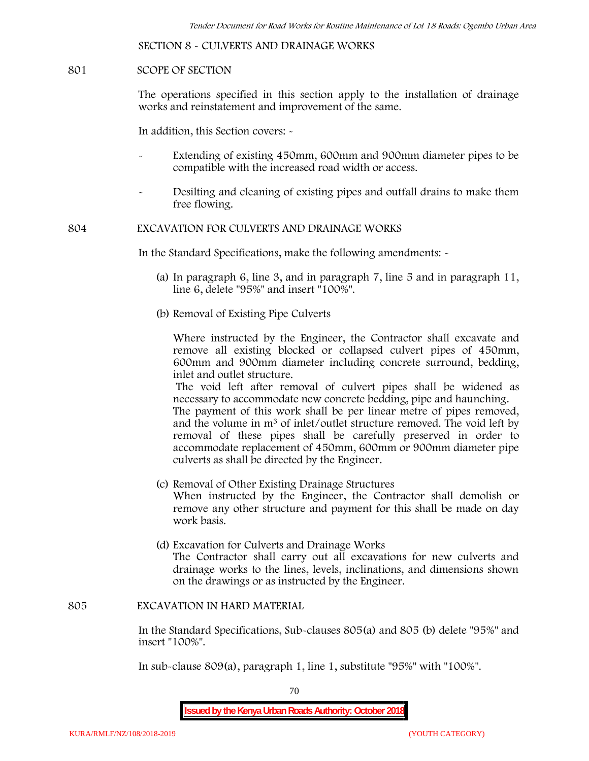**SECTION 8 - CULVERTS AND DRAINAGE WORKS**

#### **801 SCOPE OF SECTION**

The operations specified in this section apply to the installation of drainage works and reinstatement and improvement of the same.

In addition, this Section covers: -

- Extending of existing 450mm, 600mm and 900mm diameter pipes to be compatible with the increased road width or access.
- Desilting and cleaning of existing pipes and outfall drains to make them free flowing.

**804 EXCAVATION FOR CULVERTS AND DRAINAGE WORKS**

In the Standard Specifications, make the following amendments: -

- (a) In paragraph 6, line 3, and in paragraph 7, line 5 and in paragraph 11, line 6, delete "95%" and insert "100%".
- (b) Removal of Existing Pipe Culverts

Where instructed by the Engineer, the Contractor shall excavate and remove all existing blocked or collapsed culvert pipes of 450mm, 600mm and 900mm diameter including concrete surround, bedding, inlet and outlet structure.

The void left after removal of culvert pipes shall be widened as necessary to accommodate new concrete bedding, pipe and haunching. The payment of this work shall be per linear metre of pipes removed, and the volume in m<sup>3</sup> of inlet/outlet structure removed. The void left by

removal of these pipes shall be carefully preserved in order to accommodate replacement of 450mm, 600mm or 900mm diameter pipe culverts as shall be directed by the Engineer.

- (c) Removal of Other Existing Drainage Structures When instructed by the Engineer, the Contractor shall demolish or remove any other structure and payment for this shall be made on day work basis.
- (d) Excavation for Culverts and Drainage Works The Contractor shall carry out all excavations for new culverts and drainage works to the lines, levels, inclinations, and dimensions shown on the drawings or as instructed by the Engineer.

#### **805 EXCAVATION IN HARD MATERIAL**

In the Standard Specifications, Sub-clauses 805(a) and 805 (b) delete "95%" and insert "100%".

In sub-clause 809(a), paragraph 1, line 1, substitute "95%" with "100%".

70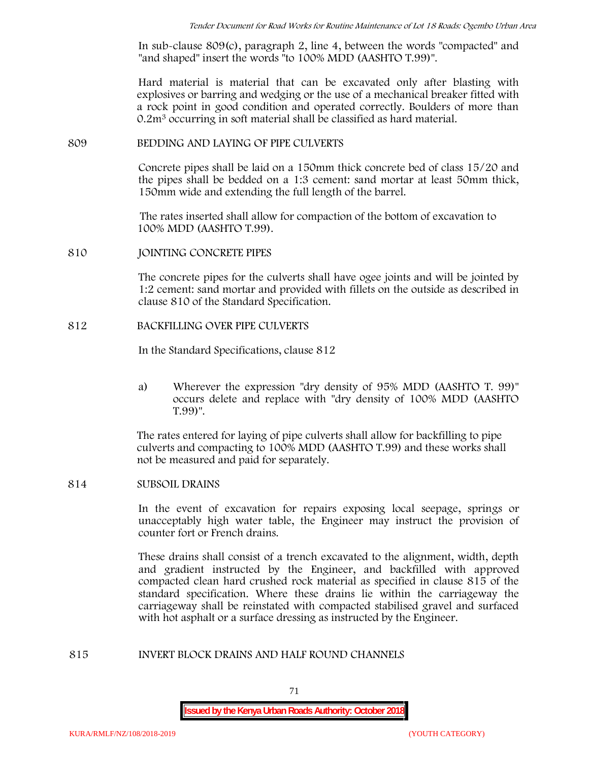In sub-clause 809(c), paragraph 2, line 4, between the words "compacted" and "and shaped" insert the words "to 100% MDD (AASHTO T.99)".

Hard material is material that can be excavated only after blasting with explosives or barring and wedging or the use of a mechanical breaker fitted with a rock point in good condition and operated correctly. Boulders of more than 0.2m<sup>3</sup> occurring in soft material shall be classified as hard material.

#### **809 BEDDING AND LAYING OF PIPE CULVERTS**

Concrete pipes shall be laid on a 150mm thick concrete bed of class 15/20 and the pipes shall be bedded on a 1:3 cement: sand mortar at least 50mm thick, 150mm wide and extending the full length of the barrel.

The rates inserted shall allow for compaction of the bottom of excavation to 100% MDD (AASHTO T.99).

#### **810 JOINTING CONCRETE PIPES**

The concrete pipes for the culverts shall have ogee joints and will be jointed by 1:2 cement: sand mortar and provided with fillets on the outside as described in clause 810 of the Standard Specification.

#### **812 BACKFILLING OVER PIPE CULVERTS**

In the Standard Specifications, clause 812

a) Wherever the expression "dry density of 95% MDD (AASHTO T. 99)" occurs delete and replace with "dry density of 100% MDD (AASHTO T.99)".

The rates entered for laying of pipe culverts shall allow for backfilling to pipe culverts and compacting to 100% MDD (AASHTO T.99) and these works shall not be measured and paid for separately.

## **814 SUBSOIL DRAINS**

In the event of excavation for repairs exposing local seepage, springs or unacceptably high water table, the Engineer may instruct the provision of counter fort or French drains.

These drains shall consist of a trench excavated to the alignment, width, depth and gradient instructed by the Engineer, and backfilled with approved compacted clean hard crushed rock material as specified in clause 815 of the standard specification. Where these drains lie within the carriageway the carriageway shall be reinstated with compacted stabilised gravel and surfaced with hot asphalt or a surface dressing as instructed by the Engineer.

#### **815 INVERT BLOCK DRAINS AND HALF ROUND CHANNELS**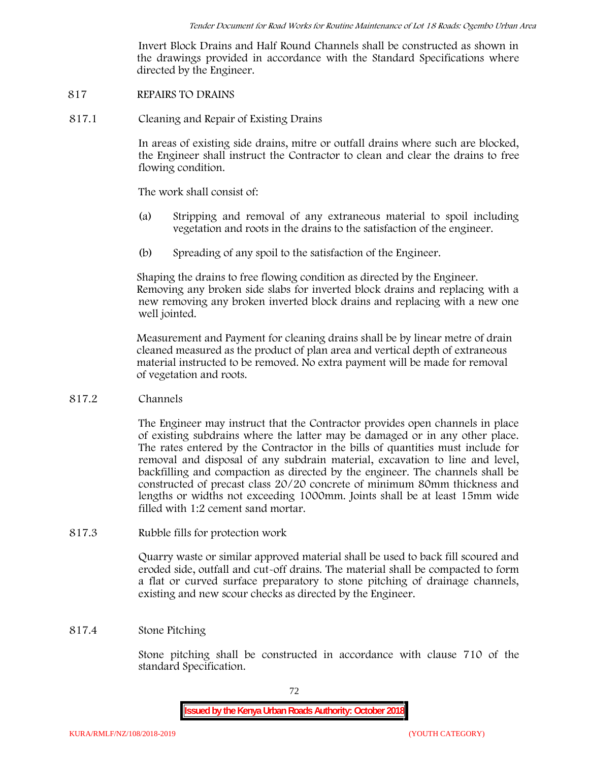Invert Block Drains and Half Round Channels shall be constructed as shown in the drawings provided in accordance with the Standard Specifications where directed by the Engineer.

#### **817 REPAIRS TO DRAINS**

**817.1 Cleaning and Repair of Existing Drains**

In areas of existing side drains, mitre or outfall drains where such are blocked, the Engineer shall instruct the Contractor to clean and clear the drains to free flowing condition.

The work shall consist of:

- (a) Stripping and removal of any extraneous material to spoil including vegetation and roots in the drains to the satisfaction of the engineer.
- (b) Spreading of any spoil to the satisfaction of the Engineer.

Shaping the drains to free flowing condition as directed by the Engineer. Removing any broken side slabs for inverted block drains and replacing with a new removing any broken inverted block drains and replacing with a new one well jointed.

Measurement and Payment for cleaning drains shall be by linear metre of drain cleaned measured as the product of plan area and vertical depth of extraneous material instructed to be removed. No extra payment will be made for removal of vegetation and roots.

**817.2 Channels**

The Engineer may instruct that the Contractor provides open channels in place of existing subdrains where the latter may be damaged or in any other place. The rates entered by the Contractor in the bills of quantities must include for removal and disposal of any subdrain material, excavation to line and level, backfilling and compaction as directed by the engineer. The channels shall be constructed of precast class 20/20 concrete of minimum 80mm thickness and lengths or widths not exceeding 1000mm. Joints shall be at least 15mm wide filled with 1:2 cement sand mortar.

**817.3 Rubble fills for protection work**

Quarry waste or similar approved material shall be used to back fill scoured and eroded side, outfall and cut-off drains. The material shall be compacted to form a flat or curved surface preparatory to stone pitching of drainage channels, existing and new scour checks as directed by the Engineer.

### **817.4 Stone Pitching**

Stone pitching shall be constructed in accordance with clause 710 of the standard Specification.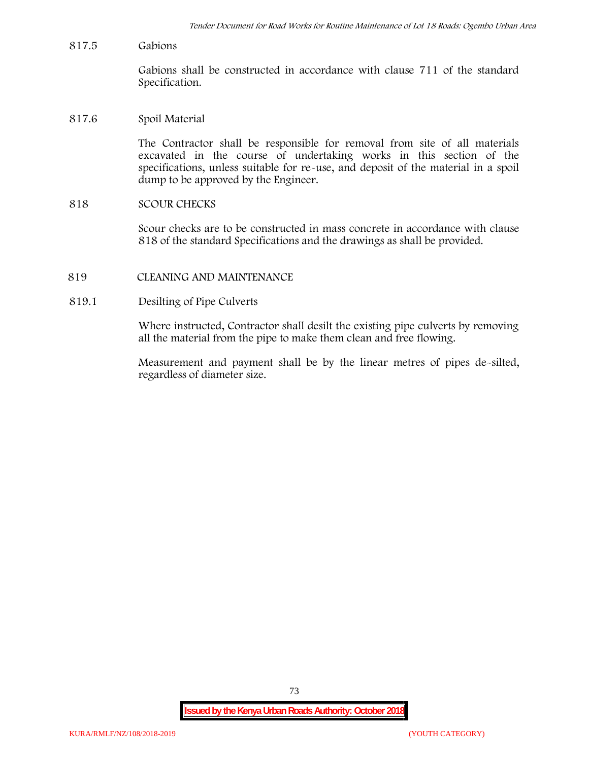**817.5 Gabions**

Gabions shall be constructed in accordance with clause 711 of the standard Specification.

**817.6 Spoil Material**

The Contractor shall be responsible for removal from site of all materials excavated in the course of undertaking works in this section of the specifications, unless suitable for re-use, and deposit of the material in a spoil dump to be approved by the Engineer.

**818 SCOUR CHECKS**

Scour checks are to be constructed in mass concrete in accordance with clause 818 of the standard Specifications and the drawings as shall be provided.

- **819 CLEANING AND MAINTENANCE**
- **819.1 Desilting of Pipe Culverts**

Where instructed, Contractor shall desilt the existing pipe culverts by removing all the material from the pipe to make them clean and free flowing.

Measurement and payment shall be by the linear metres of pipes de-silted, regardless of diameter size.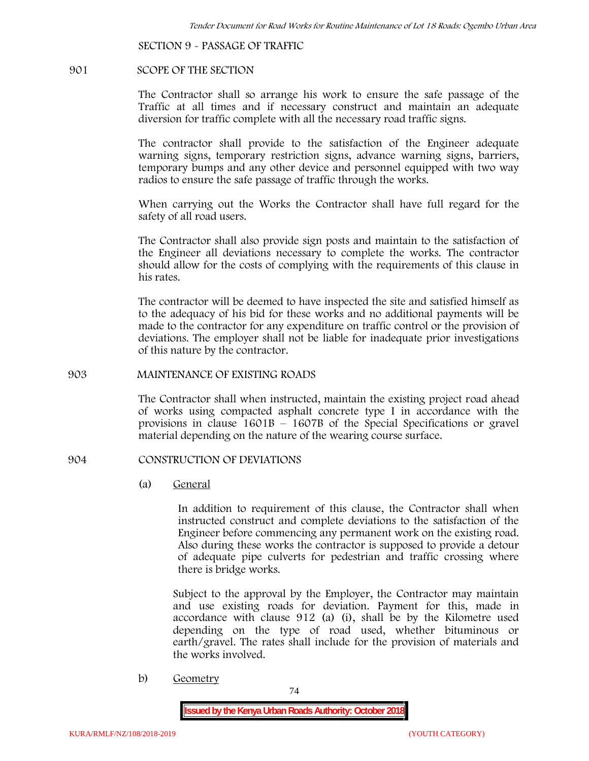**SECTION 9 - PASSAGE OF TRAFFIC**

#### **901 SCOPE OF THE SECTION**

The Contractor shall so arrange his work to ensure the safe passage of the Traffic at all times and if necessary construct and maintain an adequate diversion for traffic complete with all the necessary road traffic signs.

The contractor shall provide to the satisfaction of the Engineer adequate warning signs, temporary restriction signs, advance warning signs, barriers, temporary bumps and any other device and personnel equipped with two way radios to ensure the safe passage of traffic through the works.

When carrying out the Works the Contractor shall have full regard for the safety of all road users.

The Contractor shall also provide sign posts and maintain to the satisfaction of the Engineer all deviations necessary to complete the works. The contractor should allow for the costs of complying with the requirements of this clause in his rates.

The contractor will be deemed to have inspected the site and satisfied himself as to the adequacy of his bid for these works and no additional payments will be made to the contractor for any expenditure on traffic control or the provision of deviations. The employer shall not be liable for inadequate prior investigations of this nature by the contractor.

#### **903 MAINTENANCE OF EXISTING ROADS**

The Contractor shall when instructed, maintain the existing project road ahead of works using compacted asphalt concrete type I in accordance with the provisions in clause 1601B – 1607B of the Special Specifications or gravel material depending on the nature of the wearing course surface.

#### **904 CONSTRUCTION OF DEVIATIONS**

(a) **General**

In addition to requirement of this clause, the Contractor shall when instructed construct and complete deviations to the satisfaction of the Engineer before commencing any permanent work on the existing road. Also during these works the contractor is supposed to provide a detour of adequate pipe culverts for pedestrian and traffic crossing where there is bridge works.

Subject to the approval by the Employer, the Contractor may maintain and use existing roads for deviation. Payment for this, made in accordance with clause 912 (a) (i), shall be by the Kilometre used depending on the type of road used, whether bituminous or earth/gravel. The rates shall include for the provision of materials and the works involved.

b) **Geometry**

74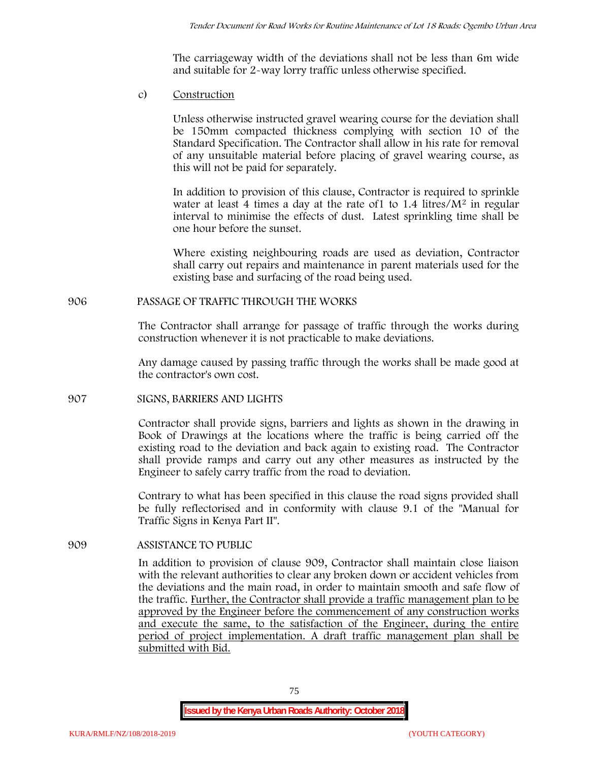The carriageway width of the deviations shall not be less than 6m wide and suitable for 2-way lorry traffic unless otherwise specified.

c) **Construction**

Unless otherwise instructed gravel wearing course for the deviation shall be 150mm compacted thickness complying with section 10 of the Standard Specification. The Contractor shall allow in his rate for removal of any unsuitable material before placing of gravel wearing course, as this will not be paid for separately.

In addition to provision of this clause, Contractor is required to sprinkle water at least 4 times a day at the rate of 1 to  $1.4$  litres/ $M<sup>2</sup>$  in regular interval to minimise the effects of dust. Latest sprinkling time shall be one hour before the sunset.

Where existing neighbouring roads are used as deviation, Contractor shall carry out repairs and maintenance in parent materials used for the existing base and surfacing of the road being used.

### **906 PASSAGE OF TRAFFIC THROUGH THE WORKS**

The Contractor shall arrange for passage of traffic through the works during construction whenever it is not practicable to make deviations.

Any damage caused by passing traffic through the works shall be made good at the contractor's own cost.

### **907 SIGNS, BARRIERS AND LIGHTS**

Contractor shall provide signs, barriers and lights as shown in the drawing in Book of Drawings at the locations where the traffic is being carried off the existing road to the deviation and back again to existing road. The Contractor shall provide ramps and carry out any other measures as instructed by the Engineer to safely carry traffic from the road to deviation.

Contrary to what has been specified in this clause the road signs provided shall be fully reflectorised and in conformity with clause 9.1 of the "Manual for Traffic Signs in Kenya Part II".

# **909 ASSISTANCE TO PUBLIC**

In addition to provision of clause 909, Contractor shall maintain close liaison with the relevant authorities to clear any broken down or accident vehicles from the deviations and the main road, in order to maintain smooth and safe flow of the traffic. Further, the Contractor shall provide a traffic management plan to be approved by the Engineer before the commencement of any construction works and execute the same, to the satisfaction of the Engineer, during the entire period of project implementation. A draft traffic management plan shall be submitted with Bid.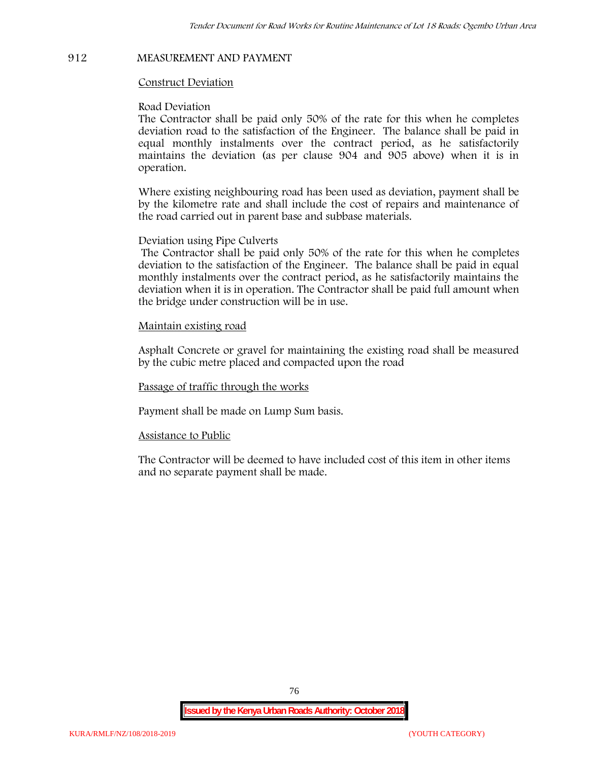### **912 MEASUREMENT AND PAYMENT**

### **Construct Deviation**

### **Road Deviation**

The Contractor shall be paid only 50% of the rate for this when he completes deviation road to the satisfaction of the Engineer. The balance shall be paid in equal monthly instalments over the contract period, as he satisfactorily maintains the deviation (as per clause 904 and 905 above) when it is in operation.

Where existing neighbouring road has been used as deviation, payment shall be by the kilometre rate and shall include the cost of repairs and maintenance of the road carried out in parent base and subbase materials.

### **Deviation using Pipe Culverts**

The Contractor shall be paid only 50% of the rate for this when he completes deviation to the satisfaction of the Engineer. The balance shall be paid in equal monthly instalments over the contract period, as he satisfactorily maintains the deviation when it is in operation. The Contractor shall be paid full amount when the bridge under construction will be in use.

### **Maintain existing road**

Asphalt Concrete or gravel for maintaining the existing road shall be measured by the cubic metre placed and compacted upon the road

**Passage of traffic through the works**

Payment shall be made on Lump Sum basis.

### **Assistance to Public**

The Contractor will be deemed to have included cost of this item in other items and no separate payment shall be made.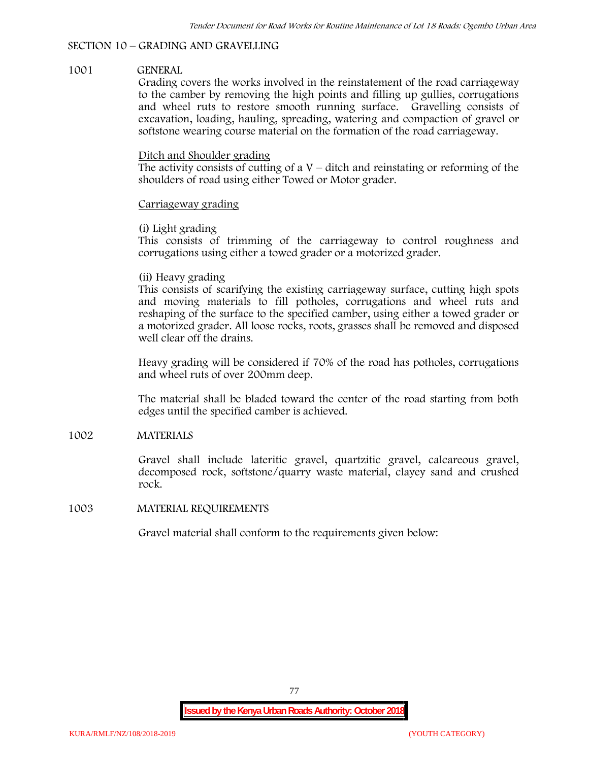# **SECTION 10 – GRADING AND GRAVELLING**

### **1001 GENERAL**

Grading covers the works involved in the reinstatement of the road carriageway to the camber by removing the high points and filling up gullies, corrugations and wheel ruts to restore smooth running surface. Gravelling consists of excavation, loading, hauling, spreading, watering and compaction of gravel or softstone wearing course material on the formation of the road carriageway.

## Ditch and Shoulder grading

The activity consists of cutting of a  $V$  – ditch and reinstating or reforming of the shoulders of road using either Towed or Motor grader.

## Carriageway grading

## **(i) Light grading**

This consists of trimming of the carriageway to control roughness and corrugations using either a towed grader or a motorized grader.

## **(ii) Heavy grading**

This consists of scarifying the existing carriageway surface, cutting high spots and moving materials to fill potholes, corrugations and wheel ruts and reshaping of the surface to the specified camber, using either a towed grader or a motorized grader. All loose rocks, roots, grasses shall be removed and disposed well clear off the drains.

Heavy grading will be considered if 70% of the road has potholes, corrugations and wheel ruts of over 200mm deep.

The material shall be bladed toward the center of the road starting from both edges until the specified camber is achieved.

# **1002 MATERIALS**

Gravel shall include lateritic gravel, quartzitic gravel, calcareous gravel, decomposed rock, softstone/quarry waste material, clayey sand and crushed rock.

### **1003 MATERIAL REQUIREMENTS**

Gravel material shall conform to the requirements given below: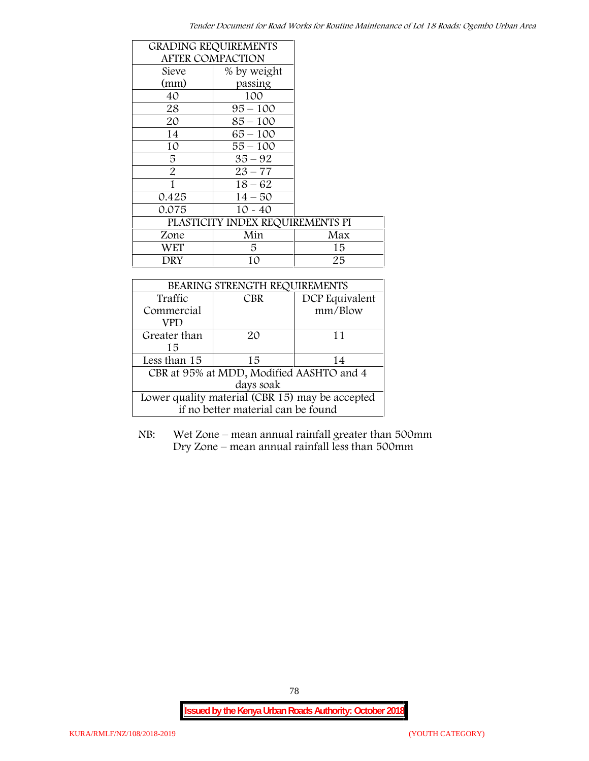| <b>GRADING REQUIREMENTS</b> |                                  |     |
|-----------------------------|----------------------------------|-----|
| <b>AFTER COMPACTION</b>     |                                  |     |
| Sieve                       | % by weight                      |     |
| (mm)                        | passing                          |     |
| 40                          | 100                              |     |
| 28                          | $95 - 100$                       |     |
| 20                          | $85 - 100$                       |     |
| 14                          | $65 - 100$                       |     |
| 10                          | $55 - 100$                       |     |
| 5                           | $35 - 92$                        |     |
| $\overline{2}$              | $23 - 77$                        |     |
| 1                           | $18 - 62$                        |     |
| 0.425                       | $14 - 50$                        |     |
| 0.075                       | $10 - 40$                        |     |
|                             | PLASTICITY INDEX REQUIREMENTS PI |     |
| Zone                        | Min                              | Max |
| <b>WET</b>                  | 5.                               | 15  |
| DRY                         | 10                               | 25  |

| BEARING STRENGTH REQUIREMENTS                   |            |                |  |  |
|-------------------------------------------------|------------|----------------|--|--|
| Traffic                                         | <b>CBR</b> | DCP Equivalent |  |  |
| Commercial                                      |            | mm/Blow        |  |  |
| VPD                                             |            |                |  |  |
| Greater than                                    | 20         | 11             |  |  |
| 15                                              |            |                |  |  |
| Less than 15                                    | 15         | 14             |  |  |
| CBR at 95% at MDD, Modified AASHTO and 4        |            |                |  |  |
| days soak                                       |            |                |  |  |
| Lower quality material (CBR 15) may be accepted |            |                |  |  |
| if no better material can be found              |            |                |  |  |

NB: Wet Zone – mean annual rainfall greater than 500mm Dry Zone – mean annual rainfall less than 500mm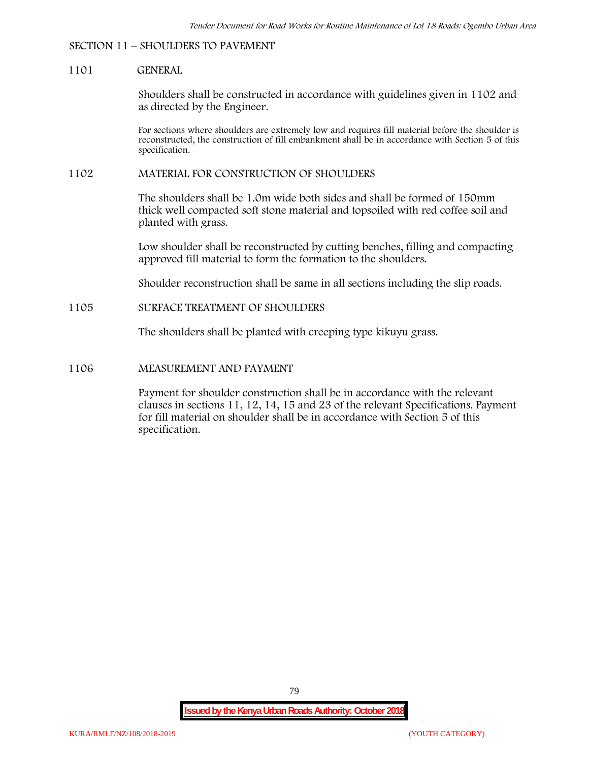#### **SECTION 11 – SHOULDERS TO PAVEMENT**

#### **1101 GENERAL**

Shoulders shall be constructed in accordance with guidelines given in 1102 and as directed by the Engineer.

For sections where shoulders are extremely low and requires fill material before the shoulder is reconstructed, the construction of fill embankment shall be in accordance with Section 5 of this specification.

#### **1102 MATERIAL FOR CONSTRUCTION OF SHOULDERS**

The shoulders shall be 1.0m wide both sides and shall be formed of 150mm thick well compacted soft stone material and topsoiled with red coffee soil and planted with grass.

Low shoulder shall be reconstructed by cutting benches, filling and compacting approved fill material to form the formation to the shoulders.

Shoulder reconstruction shall be same in all sections including the slip roads.

#### **1105 SURFACE TREATMENT OF SHOULDERS**

The shoulders shall be planted with creeping type kikuyu grass.

#### **1106 MEASUREMENT AND PAYMENT**

Payment for shoulder construction shall be in accordance with the relevant clauses in sections 11, 12, 14, 15 and 23 of the relevant Specifications. Payment for fill material on shoulder shall be in accordance with Section 5 of this specification.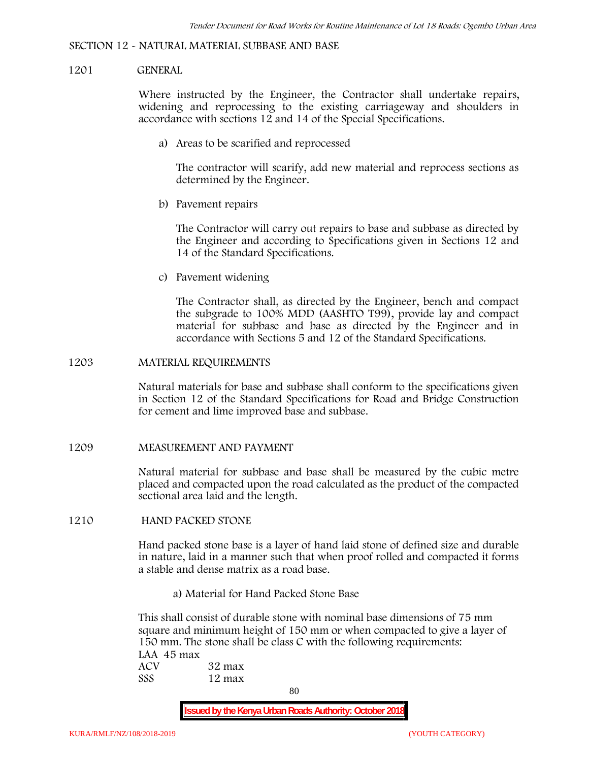#### **SECTION 12 - NATURAL MATERIAL SUBBASE AND BASE**

#### **1201 GENERAL**

Where instructed by the Engineer, the Contractor shall undertake repairs, widening and reprocessing to the existing carriageway and shoulders in accordance with sections 12 and 14 of the Special Specifications.

**a) Areas to be scarified and reprocessed**

The contractor will scarify, add new material and reprocess sections as determined by the Engineer.

**b) Pavement repairs**

The Contractor will carry out repairs to base and subbase as directed by the Engineer and according to Specifications given in Sections 12 and 14 of the Standard Specifications.

**c) Pavement widening**

The Contractor shall, as directed by the Engineer, bench and compact the subgrade to 100% MDD (AASHTO T99), provide lay and compact material for subbase and base as directed by the Engineer and in accordance with Sections 5 and 12 of the Standard Specifications.

#### **1203 MATERIAL REQUIREMENTS**

Natural materials for base and subbase shall conform to the specifications given in Section 12 of the Standard Specifications for Road and Bridge Construction for cement and lime improved base and subbase.

**1209 MEASUREMENT AND PAYMENT**

Natural material for subbase and base shall be measured by the cubic metre placed and compacted upon the road calculated as the product of the compacted sectional area laid and the length.

**1210 HAND PACKED STONE**

Hand packed stone base is a layer of hand laid stone of defined size and durable in nature, laid in a manner such that when proof rolled and compacted it forms a stable and dense matrix as a road base.

**a) Material for Hand Packed Stone Base**

This shall consist of durable stone with nominal base dimensions of 75 mm square and minimum height of 150 mm or when compacted to give a layer of 150 mm. The stone shall be class C with the following requirements: **LAA 45 max ACV 32 max SSS 12 max**

80

**Issued by the Kenya Urban Roads Authority: October 2018**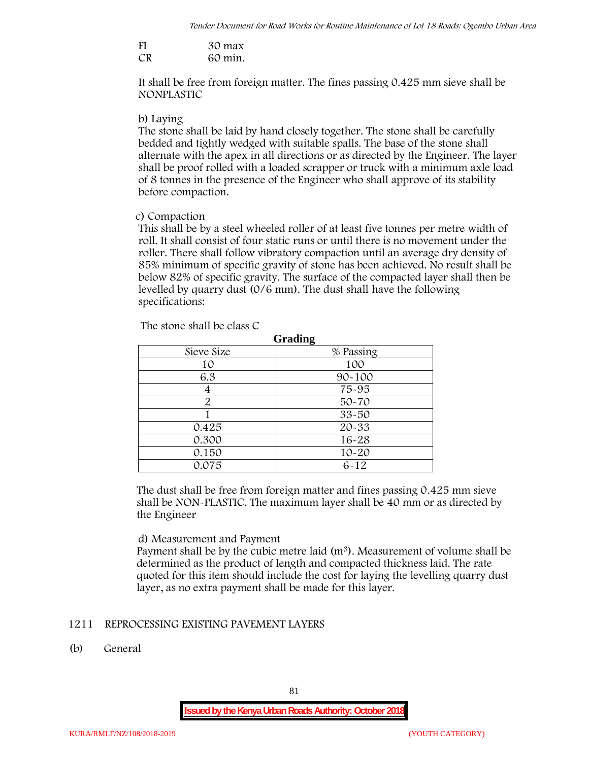| FI | 30 max  |
|----|---------|
| CR | 60 min. |

It shall be free from foreign matter. The fines passing 0.425 mm sieve shall be **NONPLASTIC**

#### **b) Laying**

The stone shall be laid by hand closely together. The stone shall be carefully bedded and tightly wedged with suitable spalls. The base of the stone shall alternate with the apex in all directions or as directed by the Engineer. The layer shall be proof rolled with a loaded scrapper or truck with a minimum axle load of 8 tonnes in the presence of the Engineer who shall approve of its stability before compaction.

### **c) Compaction**

This shall be by a steel wheeled roller of at least five tonnes per metre width of roll. It shall consist of four static runs or until there is no movement under the roller. There shall follow vibratory compaction until an average dry density of 85% minimum of specific gravity of stone has been achieved. No result shall be below 82% of specific gravity. The surface of the compacted layer shall then be levelled by quarry dust (0/6 mm). The dust shall have the following specifications:

| Grading    |            |  |  |  |
|------------|------------|--|--|--|
| Sieve Size | % Passing  |  |  |  |
| 10         | 100        |  |  |  |
| 6.3        | $90 - 100$ |  |  |  |
|            | 75-95      |  |  |  |
| 2          | $50 - 70$  |  |  |  |
|            | $33 - 50$  |  |  |  |
| 0.425      | 20-33      |  |  |  |
| 0.300      | 16-28      |  |  |  |
| 0.150      | $10 - 20$  |  |  |  |
| 0.075      | $6 - 12$   |  |  |  |

The stone shall be class C

The dust shall be free from foreign matter and fines passing 0.425 mm sieve shall be **NON-PLASTIC**. The maximum layer shall be 40 mm or as directed by the Engineer

### **d) Measurement and Payment**

Payment shall be by the cubic metre laid  $(m<sup>3</sup>)$ . Measurement of volume shall be determined as the product of length and compacted thickness laid. The rate quoted for this item should include the cost for laying the levelling quarry dust layer, as no extra payment shall be made for this layer.

### **1211 REPROCESSING EXISTING PAVEMENT LAYERS**

**(b) General**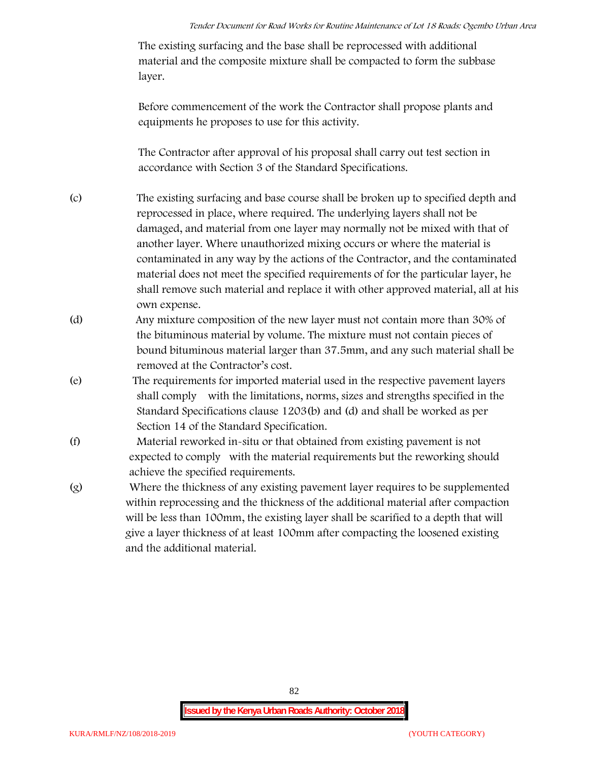The existing surfacing and the base shall be reprocessed with additional material and the composite mixture shall be compacted to form the subbase layer.

Before commencement of the work the Contractor shall propose plants and equipments he proposes to use for this activity.

The Contractor after approval of his proposal shall carry out test section in accordance with Section 3 of the Standard Specifications.

- (c) The existing surfacing and base course shall be broken up to specified depth and reprocessed in place, where required. The underlying layers shall not be damaged, and material from one layer may normally not be mixed with that of another layer. Where unauthorized mixing occurs or where the material is contaminated in any way by the actions of the Contractor, and the contaminated material does not meet the specified requirements of for the particular layer, he shall remove such material and replace it with other approved material, all at his own expense.
- (d) Any mixture composition of the new layer must not contain more than 30% of the bituminous material by volume. The mixture must not contain pieces of bound bituminous material larger than 37.5mm, and any such material shall be removed at the Contractor's cost.
- (e) The requirements for imported material used in the respective pavement layers shall comply with the limitations, norms, sizes and strengths specified in the Standard Specifications clause 1203(b) and (d) and shall be worked as per Section 14 of the Standard Specification.
- (f) Material reworked in-situ or that obtained from existing pavement is not expected to comply with the material requirements but the reworking should achieve the specified requirements.
- (g) Where the thickness of any existing pavement layer requires to be supplemented within reprocessing and the thickness of the additional material after compaction will be less than 100mm, the existing layer shall be scarified to a depth that will give a layer thickness of at least 100mm after compacting the loosened existing and the additional material.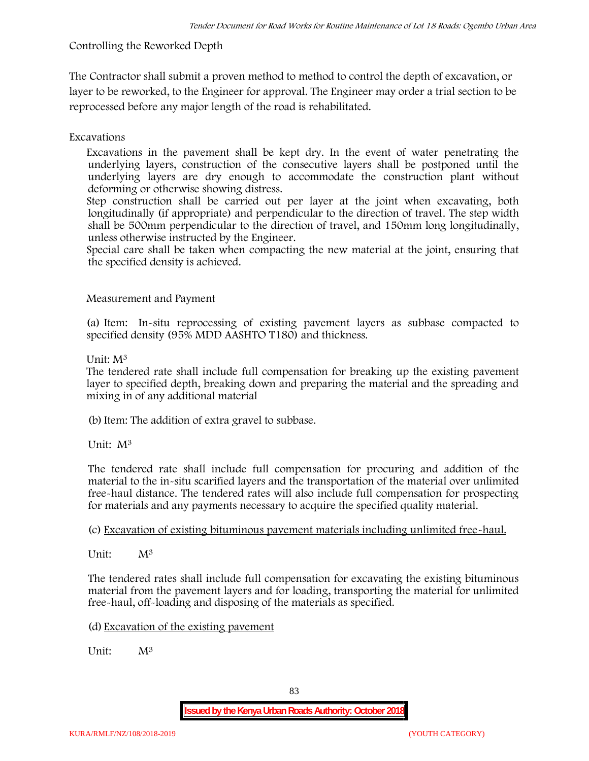# **Controlling the Reworked Depth**

The Contractor shall submit a proven method to method to control the depth of excavation, or layer to be reworked, to the Engineer for approval. The Engineer may order a trial section to be reprocessed before any major length of the road is rehabilitated.

# **Excavations**

Excavations in the pavement shall be kept dry. In the event of water penetrating the underlying layers, construction of the consecutive layers shall be postponed until the underlying layers are dry enough to accommodate the construction plant without deforming or otherwise showing distress.

Step construction shall be carried out per layer at the joint when excavating, both longitudinally (if appropriate) and perpendicular to the direction of travel. The step width shall be 500mm perpendicular to the direction of travel, and 150mm long longitudinally, unless otherwise instructed by the Engineer.

Special care shall be taken when compacting the new material at the joint, ensuring that the specified density is achieved.

## **Measurement and Payment**

(a) Item: In-situ reprocessing of existing pavement layers as subbase compacted to specified density (95% MDD AASHTO T180) and thickness.

## Unit: M<sup>3</sup>

The tendered rate shall include full compensation for breaking up the existing pavement layer to specified depth, breaking down and preparing the material and the spreading and mixing in of any additional material

(b)Item: The addition of extra gravel to subbase.

Unit: M<sup>3</sup>

The tendered rate shall include full compensation for procuring and addition of the material to the in-situ scarified layers and the transportation of the material over unlimited free-haul distance. The tendered rates will also include full compensation for prospecting for materials and any payments necessary to acquire the specified quality material.

(c) Excavation of existing bituminous pavement materials including unlimited free-haul.

Unit: M<sup>3</sup>

The tendered rates shall include full compensation for excavating the existing bituminous material from the pavement layers and for loading, transporting the material for unlimited free-haul, off-loading and disposing of the materials as specified.

(d) Excavation of the existing pavement

Unit:  $M^3$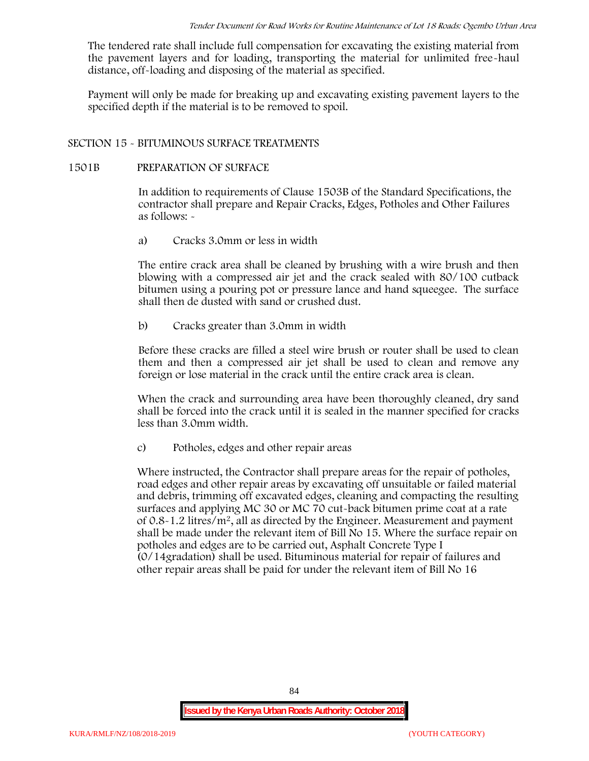The tendered rate shall include full compensation for excavating the existing material from the pavement layers and for loading, transporting the material for unlimited free-haul distance, off-loading and disposing of the material as specified.

Payment will only be made for breaking up and excavating existing pavement layers to the specified depth if the material is to be removed to spoil.

### **SECTION 15 - BITUMINOUS SURFACE TREATMENTS**

#### **1501B PREPARATION OF SURFACE**

In addition to requirements of Clause 1503B of the Standard Specifications, the contractor shall prepare and Repair Cracks, Edges, Potholes and Other Failures as follows: **-**

a) **Cracks 3.0mm or less in width**

The entire crack area shall be cleaned by brushing with a wire brush and then blowing with a compressed air jet and the crack sealed with 80/100 cutback bitumen using a pouring pot or pressure lance and hand squeegee. The surface shall then de dusted with sand or crushed dust.

b) **Cracks greater than 3.0mm in width**

Before these cracks are filled a steel wire brush or router shall be used to clean them and then a compressed air jet shall be used to clean and remove any foreign or lose material in the crack until the entire crack area is clean.

When the crack and surrounding area have been thoroughly cleaned, dry sand shall be forced into the crack until it is sealed in the manner specified for cracks less than 3.0mm width.

c) **Potholes, edges and other repair areas**

Where instructed, the Contractor shall prepare areas for the repair of potholes, road edges and other repair areas by excavating off unsuitable or failed material and debris, trimming off excavated edges, cleaning and compacting the resulting surfaces and applying MC 30 or MC 70 cut-back bitumen prime coat at a rate of  $0.8-1.2$  litres/m<sup>2</sup>, all as directed by the Engineer. Measurement and payment shall be made under the relevant item of Bill No 15. Where the surface repair on potholes and edges are to be carried out, Asphalt Concrete Type I (0/14gradation) shall be used. Bituminous material for repair of failures and other repair areas shall be paid for under the relevant item of Bill No 16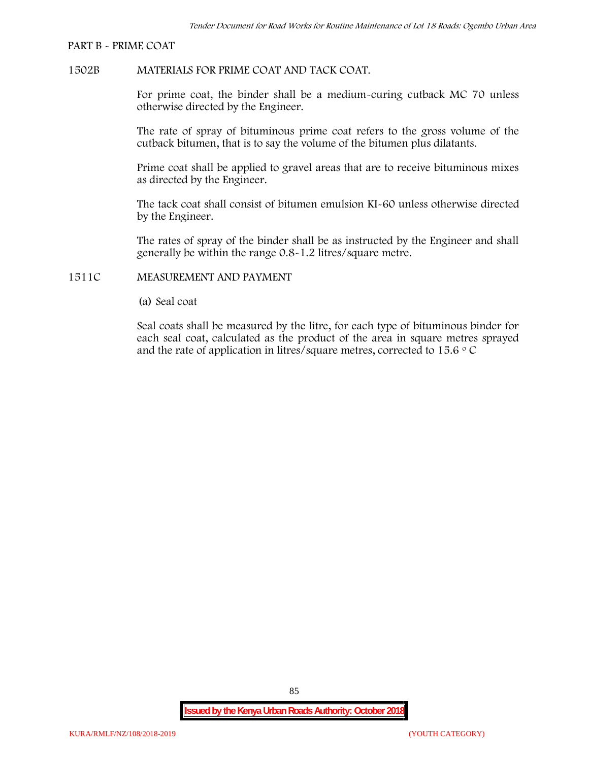#### **PART B - PRIME COAT**

#### **1502B MATERIALS FOR PRIME COAT AND TACK COAT.**

For prime coat, the binder shall be a medium-curing cutback MC 70 unless otherwise directed by the Engineer.

The rate of spray of bituminous prime coat refers to the gross volume of the cutback bitumen, that is to say the volume of the bitumen plus dilatants.

Prime coat shall be applied to gravel areas that are to receive bituminous mixes as directed by the Engineer.

The tack coat shall consist of bitumen emulsion KI-60 unless otherwise directed by the Engineer.

The rates of spray of the binder shall be as instructed by the Engineer and shall generally be within the range 0.8-1.2 litres/square metre.

#### **1511C MEASUREMENT AND PAYMENT**

(a) Seal coat

Seal coats shall be measured by the litre, for each type of bituminous binder for each seal coat, calculated as the product of the area in square metres sprayed and the rate of application in litres/square metres, corrected to 15.6  $\circ$  C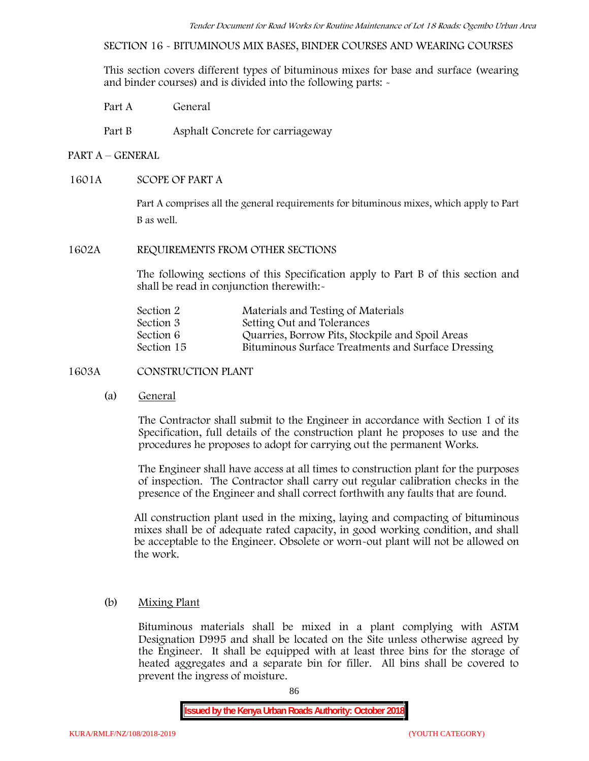**SECTION 16 - BITUMINOUS MIX BASES, BINDER COURSES AND WEARING COURSES**

This section covers different types of bituminous mixes for base and surface (wearing and binder courses) and is divided into the following parts: -

Part A General

Part B Asphalt Concrete for carriageway

### **PART A –GENERAL**

### **1601A SCOPE OF PART A**

Part A comprises all the general requirements for bituminous mixes, which apply to Part B as well.

#### **1602A REQUIREMENTS FROM OTHER SECTIONS**

The following sections of this Specification apply to Part B of this section and shall be read in conjunction therewith:-

| Section 2  | Materials and Testing of Materials                 |
|------------|----------------------------------------------------|
| Section 3  | Setting Out and Tolerances                         |
| Section 6  | Quarries, Borrow Pits, Stockpile and Spoil Areas   |
| Section 15 | Bituminous Surface Treatments and Surface Dressing |

### **1603A CONSTRUCTION PLANT**

(a) **General**

The Contractor shall submit to the Engineer in accordance with Section 1 of its Specification, full details of the construction plant he proposes to use and the procedures he proposes to adopt for carrying out the permanent Works.

The Engineer shall have access at all times to construction plant for the purposes of inspection. The Contractor shall carry out regular calibration checks in the presence of the Engineer and shall correct forthwith any faults that are found.

All construction plant used in the mixing, laying and compacting of bituminous mixes shall be of adequate rated capacity, in good working condition, and shall be acceptable to the Engineer. Obsolete or worn-out plant will not be allowed on the work.

### (b) **Mixing Plant**

Bituminous materials shall be mixed in a plant complying with ASTM Designation D995 and shall be located on the Site unless otherwise agreed by the Engineer. It shall be equipped with at least three bins for the storage of heated aggregates and a separate bin for filler. All bins shall be covered to prevent the ingress of moisture.

86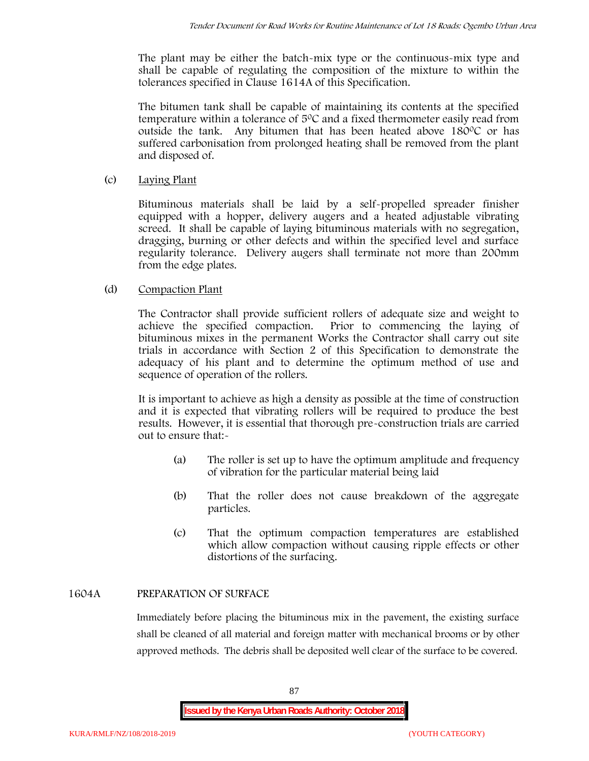The plant may be either the batch-mix type or the continuous-mix type and shall be capable of regulating the composition of the mixture to within the tolerances specified in Clause 1614A of this Specification.

The bitumen tank shall be capable of maintaining its contents at the specified temperature within a tolerance of  $5^{\circ}$ C and a fixed thermometer easily read from outside the tank. Any bitumen that has been heated above  $180^{\circ}$ C or has suffered carbonisation from prolonged heating shall be removed from the plant and disposed of.

## (c) **Laying Plant**

Bituminous materials shall be laid by a self-propelled spreader finisher equipped with a hopper, delivery augers and a heated adjustable vibrating screed. It shall be capable of laying bituminous materials with no segregation, dragging, burning or other defects and within the specified level and surface regularity tolerance. Delivery augers shall terminate not more than 200mm from the edge plates.

## (d) **Compaction Plant**

The Contractor shall provide sufficient rollers of adequate size and weight to achieve the specified compaction. Prior to commencing the laying of bituminous mixes in the permanent Works the Contractor shall carry out site trials in accordance with Section 2 of this Specification to demonstrate the adequacy of his plant and to determine the optimum method of use and sequence of operation of the rollers.

It is important to achieve as high a density as possible at the time of construction and it is expected that vibrating rollers will be required to produce the best results. However, it is essential that thorough pre-construction trials are carried out to ensure that:-

- (a) The roller is set up to have the optimum amplitude and frequency of vibration for the particular material being laid
- (b) That the roller does not cause breakdown of the aggregate particles.
- (c) That the optimum compaction temperatures are established which allow compaction without causing ripple effects or other distortions of the surfacing.

### **1604A PREPARATION OF SURFACE**

Immediately before placing the bituminous mix in the pavement, the existing surface shall be cleaned of all material and foreign matter with mechanical brooms or by other approved methods. The debris shall be deposited well clear of the surface to be covered.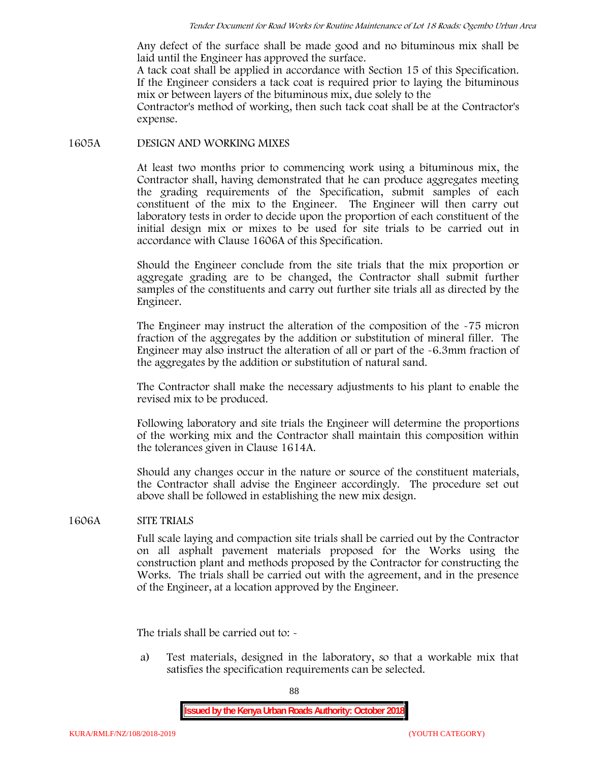Any defect of the surface shall be made good and no bituminous mix shall be laid until the Engineer has approved the surface.

A tack coat shall be applied in accordance with Section 15 of this Specification. If the Engineer considers a tack coat is required prior to laying the bituminous mix or between layers of the bituminous mix, due solely to the

Contractor's method of working, then such tack coat shall be at the Contractor's expense.

#### **1605A DESIGN AND WORKING MIXES**

At least two months prior to commencing work using a bituminous mix, the Contractor shall, having demonstrated that he can produce aggregates meeting the grading requirements of the Specification, submit samples of each constituent of the mix to the Engineer. The Engineer will then carry out laboratory tests in order to decide upon the proportion of each constituent of the initial design mix or mixes to be used for site trials to be carried out in accordance with Clause 1606A of this Specification.

Should the Engineer conclude from the site trials that the mix proportion or aggregate grading are to be changed, the Contractor shall submit further samples of the constituents and carry out further site trials all as directed by the Engineer.

The Engineer may instruct the alteration of the composition of the -75 micron fraction of the aggregates by the addition or substitution of mineral filler. The Engineer may also instruct the alteration of all or part of the -6.3mm fraction of the aggregates by the addition or substitution of natural sand.

The Contractor shall make the necessary adjustments to his plant to enable the revised mix to be produced.

Following laboratory and site trials the Engineer will determine the proportions of the working mix and the Contractor shall maintain this composition within the tolerances given in Clause 1614A.

Should any changes occur in the nature or source of the constituent materials, the Contractor shall advise the Engineer accordingly. The procedure set out above shall be followed in establishing the new mix design.

### **1606A SITE TRIALS**

Full scale laying and compaction site trials shall be carried out by the Contractor on all asphalt pavement materials proposed for the Works using the construction plant and methods proposed by the Contractor for constructing the Works. The trials shall be carried out with the agreement, and in the presence of the Engineer, at a location approved by the Engineer.

The trials shall be carried out to: -

a) Test materials, designed in the laboratory, so that a workable mix that satisfies the specification requirements can be selected.

88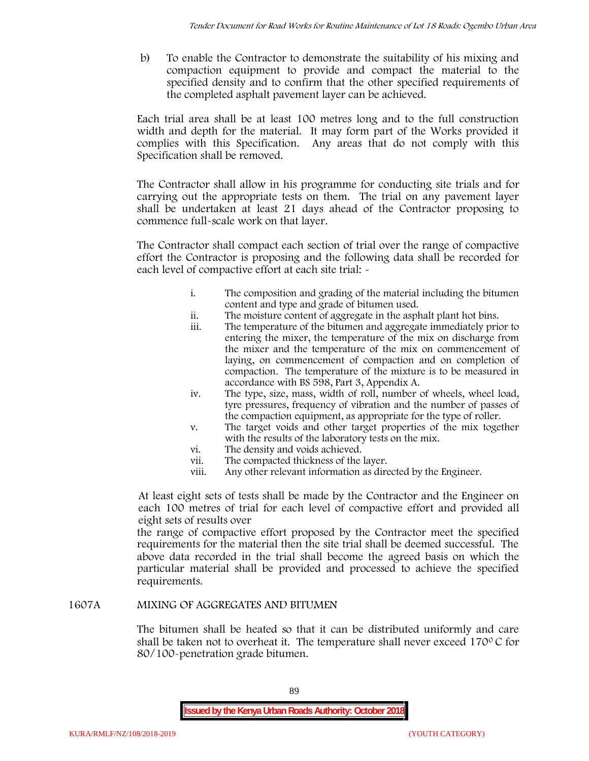b) To enable the Contractor to demonstrate the suitability of his mixing and compaction equipment to provide and compact the material to the specified density and to confirm that the other specified requirements of the completed asphalt pavement layer can be achieved.

Each trial area shall be at least 100 metres long and to the full construction width and depth for the material. It may form part of the Works provided it complies with this Specification. Any areas that do not comply with this Specification shall be removed.

The Contractor shall allow in his programme for conducting site trials and for carrying out the appropriate tests on them. The trial on any pavement layer shall be undertaken at least 21 days ahead of the Contractor proposing to commence full-scale work on that layer.

The Contractor shall compact each section of trial over the range of compactive effort the Contractor is proposing and the following data shall be recorded for each level of compactive effort at each site trial:  $\sim$ 

- i. The composition and grading of the material including the bitumen content and type and grade of bitumen used.
- ii. The moisture content of aggregate in the asphalt plant hot bins.
- iii. The temperature of the bitumen and aggregate immediately prior to entering the mixer, the temperature of the mix on discharge from the mixer and the temperature of the mix on commencement of laying, on commencement of compaction and on completion of compaction. The temperature of the mixture is to be measured in accordance with BS 598, Part 3, Appendix A.
- iv. The type, size, mass, width of roll, number of wheels, wheel load, tyre pressures, frequency of vibration and the number of passes of the compaction equipment, as appropriate for the type of roller.
- v. The target voids and other target properties of the mix together with the results of the laboratory tests on the mix.
- vi. The density and voids achieved.
- vii. The compacted thickness of the layer.
- viii. Any other relevant information as directed by the Engineer.

At least eight sets of tests shall be made by the Contractor and the Engineer on each 100 metres of trial for each level of compactive effort and provided all eight sets of results over

the range of compactive effort proposed by the Contractor meet the specified requirements for the material then the site trial shall be deemed successful. The above data recorded in the trial shall become the agreed basis on which the particular material shall be provided and processed to achieve the specified requirements.

### **1607A MIXING OF AGGREGATES AND BITUMEN**

The bitumen shall be heated so that it can be distributed uniformly and care shall be taken not to overheat it. The temperature shall never exceed 170 $\degree$ C for 80/100-penetration grade bitumen.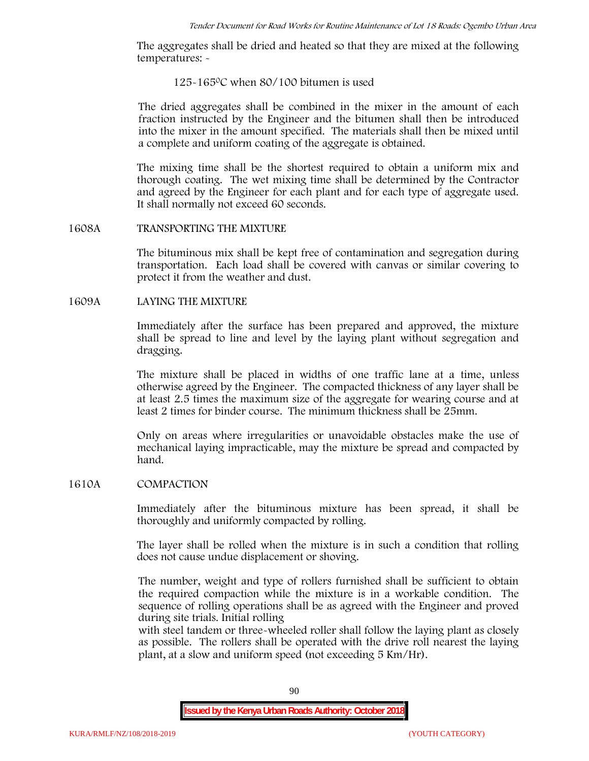The aggregates shall be dried and heated so that they are mixed at the following temperatures: -

#### 125-1650C when 80/100 bitumen is used

The dried aggregates shall be combined in the mixer in the amount of each fraction instructed by the Engineer and the bitumen shall then be introduced into the mixer in the amount specified. The materials shall then be mixed until a complete and uniform coating of the aggregate is obtained.

The mixing time shall be the shortest required to obtain a uniform mix and thorough coating. The wet mixing time shall be determined by the Contractor and agreed by the Engineer for each plant and for each type of aggregate used. It shall normally not exceed 60 seconds.

#### **1608A TRANSPORTING THE MIXTURE**

The bituminous mix shall be kept free of contamination and segregation during transportation. Each load shall be covered with canvas or similar covering to protect it from the weather and dust.

### **1609A LAYING THE MIXTURE**

Immediately after the surface has been prepared and approved, the mixture shall be spread to line and level by the laying plant without segregation and dragging.

The mixture shall be placed in widths of one traffic lane at a time, unless otherwise agreed by the Engineer. The compacted thickness of any layer shall be at least 2.5 times the maximum size of the aggregate for wearing course and at least 2 times for binder course. The minimum thickness shall be 25mm.

Only on areas where irregularities or unavoidable obstacles make the use of mechanical laying impracticable, may the mixture be spread and compacted by hand.

### **1610A COMPACTION**

Immediately after the bituminous mixture has been spread, it shall be thoroughly and uniformly compacted by rolling.

The layer shall be rolled when the mixture is in such a condition that rolling does not cause undue displacement or shoving.

The number, weight and type of rollers furnished shall be sufficient to obtain the required compaction while the mixture is in a workable condition. The sequence of rolling operations shall be as agreed with the Engineer and proved during site trials. Initial rolling

with steel tandem or three-wheeled roller shall follow the laying plant as closely as possible. The rollers shall be operated with the drive roll nearest the laying plant, at a slow and uniform speed (not exceeding 5 Km/Hr).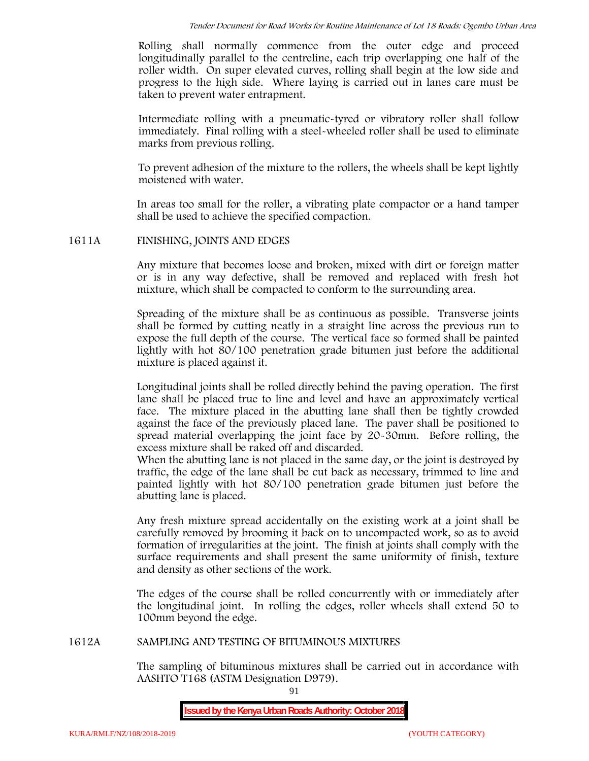Rolling shall normally commence from the outer edge and proceed longitudinally parallel to the centreline, each trip overlapping one half of the roller width. On super elevated curves, rolling shall begin at the low side and progress to the high side. Where laying is carried out in lanes care must be taken to prevent water entrapment.

Intermediate rolling with a pneumatic-tyred or vibratory roller shall follow immediately. Final rolling with a steel-wheeled roller shall be used to eliminate marks from previous rolling.

To prevent adhesion of the mixture to the rollers, the wheels shall be kept lightly moistened with water.

In areas too small for the roller, a vibrating plate compactor or a hand tamper shall be used to achieve the specified compaction.

### **1611A FINISHING, JOINTS AND EDGES**

Any mixture that becomes loose and broken, mixed with dirt or foreign matter or is in any way defective, shall be removed and replaced with fresh hot mixture, which shall be compacted to conform to the surrounding area.

Spreading of the mixture shall be as continuous as possible. Transverse joints shall be formed by cutting neatly in a straight line across the previous run to expose the full depth of the course. The vertical face so formed shall be painted lightly with hot 80/100 penetration grade bitumen just before the additional mixture is placed against it.

Longitudinal joints shall be rolled directly behind the paving operation. The first lane shall be placed true to line and level and have an approximately vertical face. The mixture placed in the abutting lane shall then be tightly crowded against the face of the previously placed lane. The paver shall be positioned to spread material overlapping the joint face by 20-30mm. Before rolling, the excess mixture shall be raked off and discarded.

When the abutting lane is not placed in the same day, or the joint is destroyed by traffic, the edge of the lane shall be cut back as necessary, trimmed to line and painted lightly with hot 80/100 penetration grade bitumen just before the abutting lane is placed.

Any fresh mixture spread accidentally on the existing work at a joint shall be carefully removed by brooming it back on to uncompacted work, so as to avoid formation of irregularities at the joint. The finish at joints shall comply with the surface requirements and shall present the same uniformity of finish, texture and density as other sections of the work.

The edges of the course shall be rolled concurrently with or immediately after the longitudinal joint. In rolling the edges, roller wheels shall extend 50 to 100mm beyond the edge.

### **1612A SAMPLING AND TESTING OF BITUMINOUS MIXTURES**

The sampling of bituminous mixtures shall be carried out in accordance with AASHTO T168 (ASTM Designation D979).

91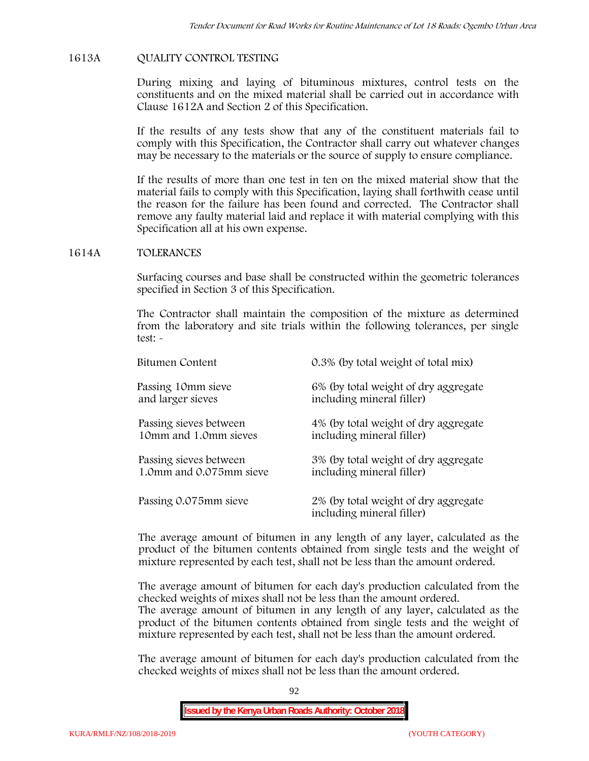### **1613A QUALITY CONTROL TESTING**

During mixing and laying of bituminous mixtures, control tests on the constituents and on the mixed material shall be carried out in accordance with Clause 1612A and Section 2 of this Specification.

If the results of any tests show that any of the constituent materials fail to comply with this Specification, the Contractor shall carry out whatever changes may be necessary to the materials or the source of supply to ensure compliance.

If the results of more than one test in ten on the mixed material show that the material fails to comply with this Specification, laying shall forthwith cease until the reason for the failure has been found and corrected. The Contractor shall remove any faulty material laid and replace it with material complying with this Specification all at his own expense.

### **1614A TOLERANCES**

Surfacing courses and base shall be constructed within the geometric tolerances specified in Section 3 of this Specification.

The Contractor shall maintain the composition of the mixture as determined from the laboratory and site trials within the following tolerances, per single test: -

| Bitumen Content         | 0.3% (by total weight of total mix)                               |
|-------------------------|-------------------------------------------------------------------|
| Passing 10mm sieve      | 6% (by total weight of dry aggregate                              |
| and larger sieves       | including mineral filler)                                         |
| Passing sieves between  | 4% (by total weight of dry aggregate                              |
| 10mm and 1.0mm sieves   | including mineral filler)                                         |
| Passing sieves between  | 3% (by total weight of dry aggregate                              |
| 1.0mm and 0.075mm sieve | including mineral filler)                                         |
| Passing 0.075mm sieve   | 2% (by total weight of dry aggregate<br>including mineral filler) |

The average amount of bitumen in any length of any layer, calculated as the product of the bitumen contents obtained from single tests and the weight of mixture represented by each test, shall not be less than the amount ordered.

The average amount of bitumen for each day's production calculated from the checked weights of mixes shall not be less than the amount ordered.

The average amount of bitumen in any length of any layer, calculated as the product of the bitumen contents obtained from single tests and the weight of mixture represented by each test, shall not be less than the amount ordered.

The average amount of bitumen for each day's production calculated from the checked weights of mixes shall not be less than the amount ordered.

92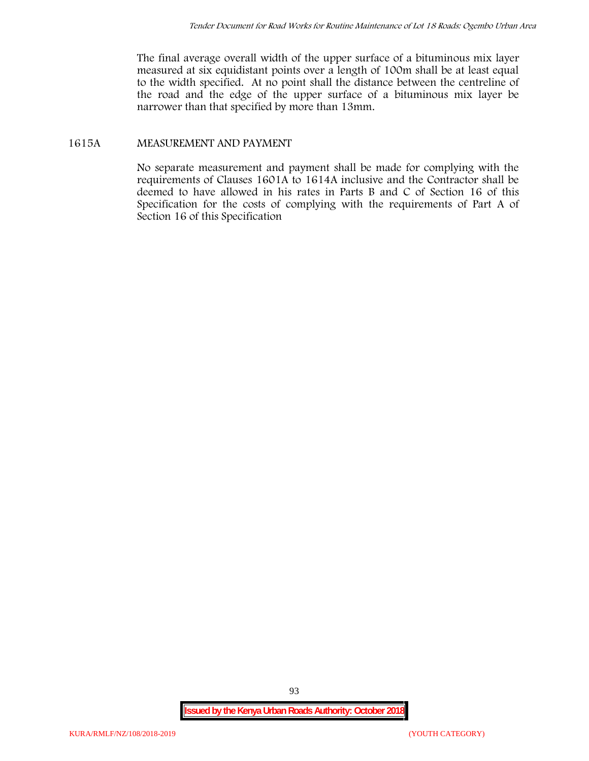The final average overall width of the upper surface of a bituminous mix layer measured at six equidistant points over a length of 100m shall be at least equal to the width specified. At no point shall the distance between the centreline of the road and the edge of the upper surface of a bituminous mix layer be narrower than that specified by more than 13mm.

## **1615A MEASUREMENT AND PAYMENT**

No separate measurement and payment shall be made for complying with the requirements of Clauses 1601A to 1614A inclusive and the Contractor shall be deemed to have allowed in his rates in Parts B and C of Section 16 of this Specification for the costs of complying with the requirements of Part A of Section 16 of this Specification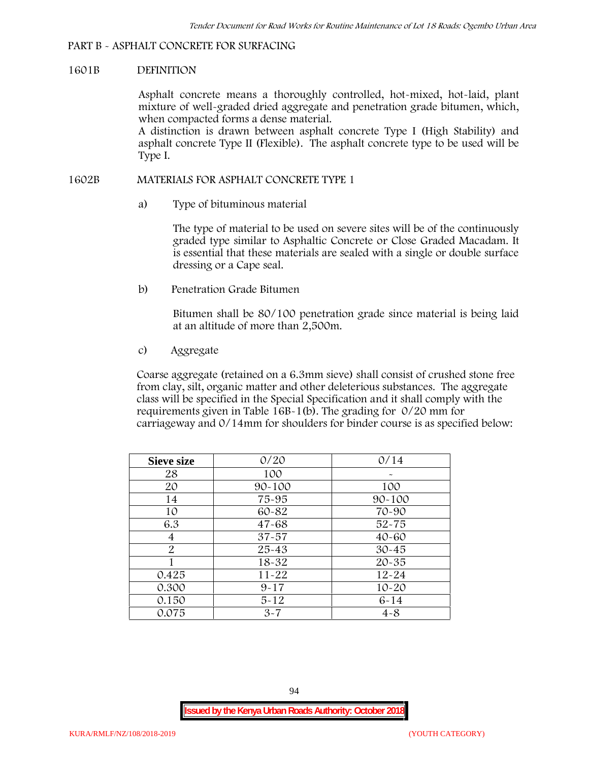### **PART B - ASPHALT CONCRETE FOR SURFACING**

#### **1601B DEFINITION**

Asphalt concrete means a thoroughly controlled, hot-mixed, hot-laid, plant mixture of well-graded dried aggregate and penetration grade bitumen, which, when compacted forms a dense material.

A distinction is drawn between asphalt concrete Type I (High Stability) and asphalt concrete Type II (Flexible). The asphalt concrete type to be used will be Type I.

### **1602B MATERIALS FOR ASPHALT CONCRETE TYPE 1**

a) **Type of bituminous material**

The type of material to be used on severe sites will be of the continuously graded type similar to Asphaltic Concrete or Close Graded Macadam. It is essential that these materials are sealed with a single or double surface dressing or a Cape seal.

b) **Penetration Grade Bitumen**

Bitumen shall be 80/100 penetration grade since material is being laid at an altitude of more than 2,500m.

c) **Aggregate**

Coarse aggregate (retained on a 6.3mm sieve) shall consist of crushed stone free from clay, silt, organic matter and other deleterious substances. The aggregate class will be specified in the Special Specification and it shall comply with the requirements given in Table 16B-1(b). The grading for 0/20 mm for carriageway and 0/14mm for shoulders for binder course is as specified below:

| <b>Sieve size</b> | 0/20       | 0/14       |
|-------------------|------------|------------|
| 28                | 100        |            |
| 20                | $90 - 100$ | 100        |
| 14                | 75-95      | $90 - 100$ |
| 10                | 60-82      | 70-90      |
| 6.3               | $47 - 68$  | $52 - 75$  |
| 4                 | $37 - 57$  | $40 - 60$  |
| $\overline{2}$    | 25-43      | $30 - 45$  |
|                   | 18-32      | $20 - 35$  |
| 0.425             | $11 - 22$  | $12 - 24$  |
| 0.300             | $9 - 17$   | $10 - 20$  |
| 0.150             | $5 - 12$   | $6 - 14$   |
| 0.075             | $3 - 7$    | $4 - 8$    |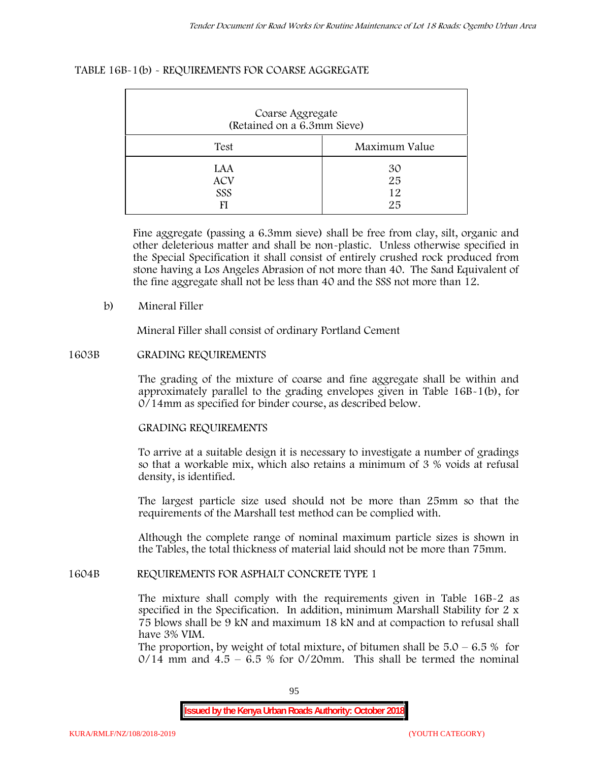#### **TABLE 16B-1(b) - REQUIREMENTS FOR COARSE AGGREGATE**

| Coarse Aggregate<br>(Retained on a 6.3mm Sieve) |                      |  |  |  |
|-------------------------------------------------|----------------------|--|--|--|
| Test                                            | Maximum Value        |  |  |  |
| LAA<br><b>ACV</b><br>SSS                        | 30<br>25<br>12<br>25 |  |  |  |

Fine aggregate (passing a 6.3mm sieve) shall be free from clay, silt, organic and other deleterious matter and shall be non-plastic. Unless otherwise specified in the Special Specification it shall consist of entirely crushed rock produced from stone having a Los Angeles Abrasion of not more than 40. The Sand Equivalent of the fine aggregate shall not be less than 40 and the SSS not more than 12.

#### **b) Mineral Filler**

Mineral Filler shall consist of ordinary Portland Cement

#### **1603B GRADING REQUIREMENTS**

The grading of the mixture of coarse and fine aggregate shall be within and approximately parallel to the grading envelopes given in Table 16B-1(b), for 0/14mm as specified for binder course, as described below.

### **GRADING REQUIREMENTS**

To arrive at a suitable design it is necessary to investigate a number of gradings so that a workable mix, which also retains a minimum of 3 % voids at refusal density, is identified.

The largest particle size used should not be more than 25mm so that the requirements of the Marshall test method can be complied with.

Although the complete range of nominal maximum particle sizes is shown in the Tables, the total thickness of material laid should not be more than 75mm.

#### **1604B REQUIREMENTS FOR ASPHALT CONCRETE TYPE 1**

The mixture shall comply with the requirements given in Table 16B-2 as specified in the Specification. In addition, minimum Marshall Stability for 2 x 75 blows shall be 9 kN and maximum 18 kN and at compaction to refusal shall have 3% VIM.

The proportion, by weight of total mixture, of bitumen shall be  $5.0 - 6.5 %$  for  $0/14$  mm and  $4.5 - 6.5$  % for  $0/20$ mm. This shall be termed the nominal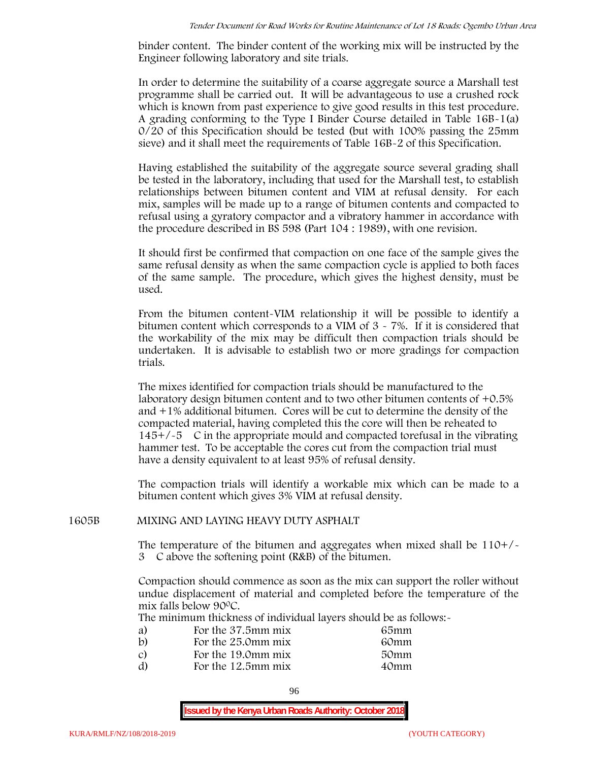binder content. The binder content of the working mix will be instructed by the Engineer following laboratory and site trials.

In order to determine the suitability of a coarse aggregate source a Marshall test programme shall be carried out. It will be advantageous to use a crushed rock which is known from past experience to give good results in this test procedure. A grading conforming to the Type I Binder Course detailed in Table 16B-1(a) 0/20 of this Specification should be tested (but with 100% passing the 25mm sieve) and it shall meet the requirements of Table 16B-2 of this Specification.

Having established the suitability of the aggregate source several grading shall be tested in the laboratory, including that used for the Marshall test, to establish relationships between bitumen content and VIM at refusal density. For each mix, samples will be made up to a range of bitumen contents and compacted to refusal using a gyratory compactor and a vibratory hammer in accordance with the procedure described in BS 598 (Part 104 : 1989), with one revision.

It should first be confirmed that compaction on one face of the sample gives the same refusal density as when the same compaction cycle is applied to both faces of the same sample. The procedure, which gives the highest density, must be used.

From the bitumen content-VIM relationship it will be possible to identify a bitumen content which corresponds to a VIM of 3 - 7%. If it is considered that the workability of the mix may be difficult then compaction trials should be undertaken. It is advisable to establish two or more gradings for compaction trials.

The mixes identified for compaction trials should be manufactured to the laboratory design bitumen content and to two other bitumen contents of +0.5% and +1% additional bitumen. Cores will be cut to determine the density of the compacted material, having completed this the core will then be reheated to  $145+/5$  C in the appropriate mould and compacted torefusal in the vibrating hammer test. To be acceptable the cores cut from the compaction trial must have a density equivalent to at least 95% of refusal density.

The compaction trials will identify a workable mix which can be made to a bitumen content which gives 3% VIM at refusal density.

### **1605B MIXING AND LAYING HEAVY DUTY ASPHALT**

The temperature of the bitumen and aggregates when mixed shall be  $110+/$ 3C above the softening point (R&B) of the bitumen.

Compaction should commence as soon as the mix can support the roller without undue displacement of material and completed before the temperature of the mix falls below 900C.

The minimum thickness of individual layers should be as follows:-

| a) | For the 37.5mm mix | 65mm |  |
|----|--------------------|------|--|
| b) | For the 25.0mm mix | 60mm |  |
| C) | For the 19.0mm mix | 50mm |  |
| d) | For the 12.5mm mix | 40mm |  |
|    |                    |      |  |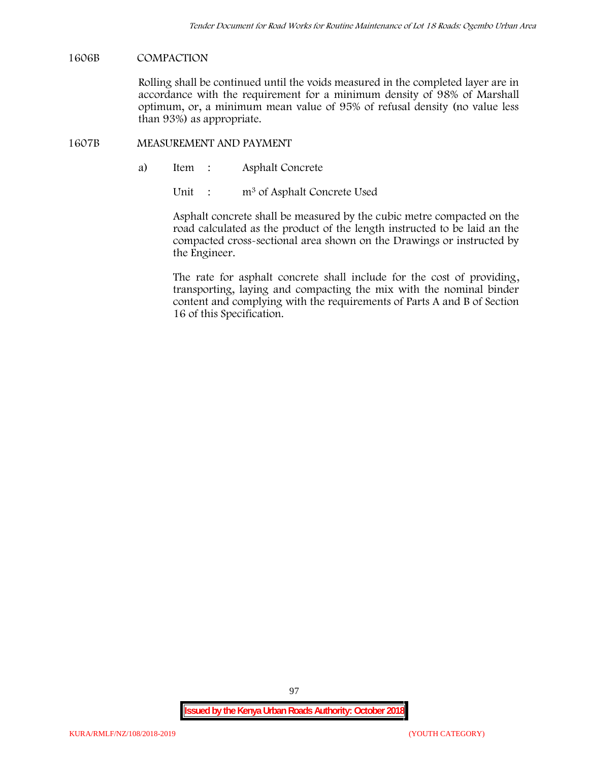#### **1606B COMPACTION**

Rolling shall be continued until the voids measured in the completed layer are in accordance with the requirement for a minimum density of 98% of Marshall optimum, or, a minimum mean value of 95% of refusal density (no value less than 93%) as appropriate.

#### **1607B MEASUREMENT AND PAYMENT**

a) Item : Asphalt Concrete

Unit : m<sup>3</sup> of Asphalt Concrete Used

Asphalt concrete shall be measured by the cubic metre compacted on the road calculated as the product of the length instructed to be laid an the compacted cross-sectional area shown on the Drawings or instructed by the Engineer.

The rate for asphalt concrete shall include for the cost of providing, transporting, laying and compacting the mix with the nominal binder content and complying with the requirements of Parts A and B of Section 16 of this Specification.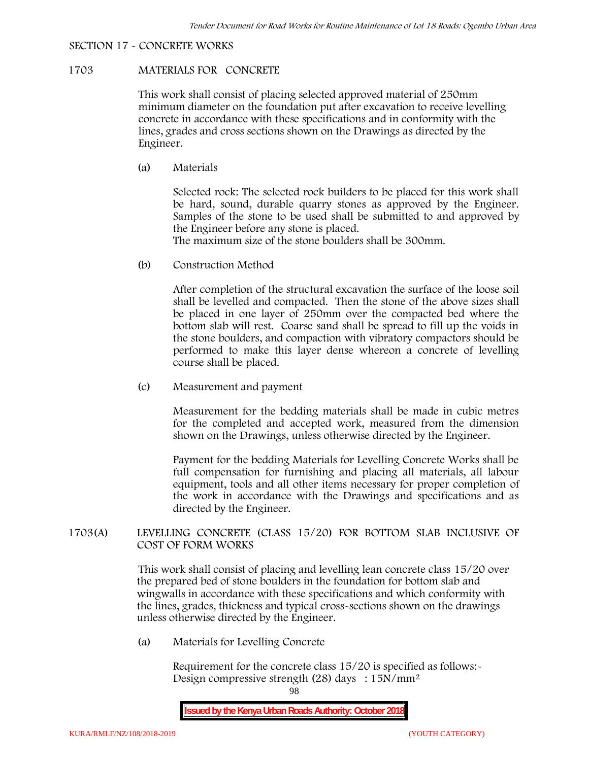# **SECTION 17 - CONCRETE WORKS**

# **1703 MATERIALS FOR CONCRETE**

This work shall consist of placing selected approved material of 250mm minimum diameter on the foundation put after excavation to receive levelling concrete in accordance with these specifications and in conformity with the lines, grades and cross sections shown on the Drawings as directed by the Engineer.

(a) **Materials**

Selected rock: The selected rock builders to be placed for this work shall be hard, sound, durable quarry stones as approved by the Engineer. Samples of the stone to be used shall be submitted to and approved by the Engineer before any stone is placed.

The maximum size of the stone boulders shall be 300mm.

(b) **Construction Method**

After completion of the structural excavation the surface of the loose soil shall be levelled and compacted. Then the stone of the above sizes shall be placed in one layer of 250mm over the compacted bed where the bottom slab will rest. Coarse sand shall be spread to fill up the voids in the stone boulders, and compaction with vibratory compactors should be performed to make this layer dense whereon a concrete of levelling course shall be placed.

(c) **Measurement and payment**

Measurement for the bedding materials shall be made in cubic metres for the completed and accepted work, measured from the dimension shown on the Drawings, unless otherwise directed by the Engineer.

Payment for the bedding Materials for Levelling Concrete Works shall be full compensation for furnishing and placing all materials, all labour equipment, tools and all other items necessary for proper completion of the work in accordance with the Drawings and specifications and as directed by the Engineer.

## **1703(A) LEVELLING CONCRETE (CLASS 15/20) FOR BOTTOM SLAB INCLUSIVE OF COST OF FORM WORKS**

This work shall consist of placing and levelling lean concrete class 15/20 over the prepared bed of stone boulders in the foundation for bottom slab and wingwalls in accordance with these specifications and which conformity with the lines, grades, thickness and typical cross-sections shown on the drawings unless otherwise directed by the Engineer.

(a) **Materials for Levelling Concrete**

Requirement for the concrete class  $15/20$  is specified as follows:-Design compressive strength (28) days : 15N/mm2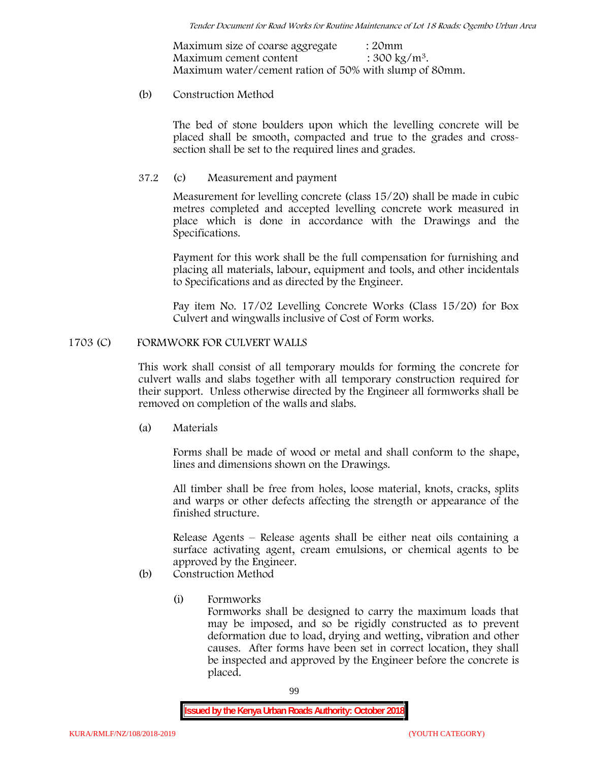Maximum size of coarse aggregate : 20mm Maximum cement content  $: 300 \text{ kg/m}^3$ . Maximum water/cement ration of 50% with slump of 80mm.

### (b) **Construction Method**

The bed of stone boulders upon which the levelling concrete will be placed shall be smooth, compacted and true to the grades and crosssection shall be set to the required lines and grades.

### **37.2** (c) **Measurement and payment**

Measurement for levelling concrete (class 15/20) shall be made in cubic metres completed and accepted levelling concrete work measured in place which is done in accordance with the Drawings and the Specifications.

Payment for this work shall be the full compensation for furnishing and placing all materials, labour, equipment and tools, and other incidentals to Specifications and as directed by the Engineer.

Pay item No. 17/02 Levelling Concrete Works (Class 15/20) for Box Culvert and wingwalls inclusive of Cost of Form works.

### **1703 (C) FORMWORK FOR CULVERT WALLS**

This work shall consist of all temporary moulds for forming the concrete for culvert walls and slabs together with all temporary construction required for their support. Unless otherwise directed by the Engineer all formworks shall be removed on completion of the walls and slabs.

(a) **Materials**

Forms shall be made of wood or metal and shall conform to the shape, lines and dimensions shown on the Drawings.

All timber shall be free from holes, loose material, knots, cracks, splits and warps or other defects affecting the strength or appearance of the finished structure.

Release Agents – Release agents shall be either neat oils containing a surface activating agent, cream emulsions, or chemical agents to be approved by the Engineer.

# (b) **Construction Method**

(i) **Formworks**

Formworks shall be designed to carry the maximum loads that may be imposed, and so be rigidly constructed as to prevent deformation due to load, drying and wetting, vibration and other causes. After forms have been set in correct location, they shall be inspected and approved by the Engineer before the concrete is placed.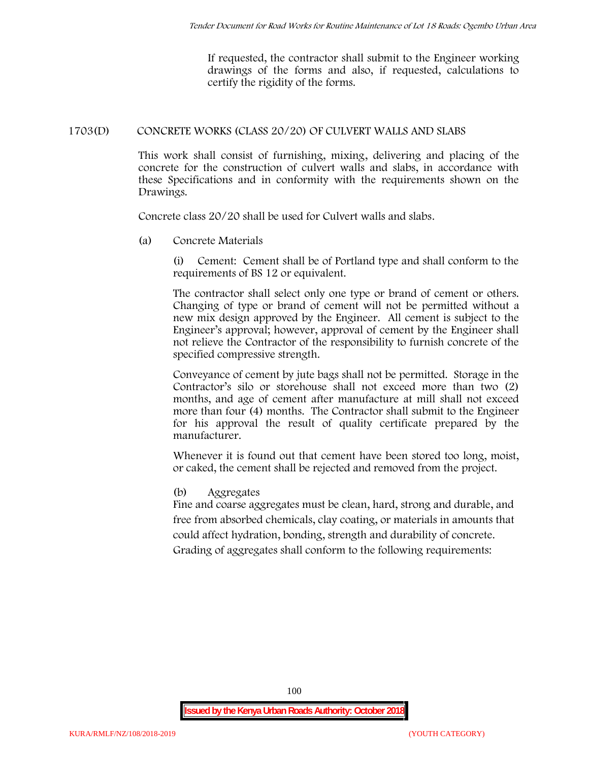If requested, the contractor shall submit to the Engineer working drawings of the forms and also, if requested, calculations to certify the rigidity of the forms.

### **1703(D) CONCRETE WORKS (CLASS 20/20) OF CULVERT WALLS AND SLABS**

This work shall consist of furnishing, mixing, delivering and placing of the concrete for the construction of culvert walls and slabs, in accordance with these Specifications and in conformity with the requirements shown on the Drawings.

Concrete class 20/20 shall be used for Culvert walls and slabs.

**(a) Concrete Materials**

(i) Cement: Cement shall be of Portland type and shall conform to the requirements of BS 12 or equivalent.

The contractor shall select only one type or brand of cement or others. Changing of type or brand of cement will not be permitted without a new mix design approved by the Engineer. All cement is subject to the Engineer's approval; however, approval of cement by the Engineer shall not relieve the Contractor of the responsibility to furnish concrete of the specified compressive strength.

Conveyance of cement by jute bags shall not be permitted. Storage in the Contractor's silo or storehouse shall not exceed more than two (2) months, and age of cement after manufacture at mill shall not exceed more than four (4) months. The Contractor shall submit to the Engineer for his approval the result of quality certificate prepared by the manufacturer.

Whenever it is found out that cement have been stored too long, moist, or caked, the cement shall be rejected and removed from the project.

### **(b) Aggregates**

Fine and coarse aggregates must be clean, hard, strong and durable, and free from absorbed chemicals, clay coating, or materials in amounts that could affect hydration, bonding, strength and durability of concrete. Grading of aggregates shall conform to the following requirements: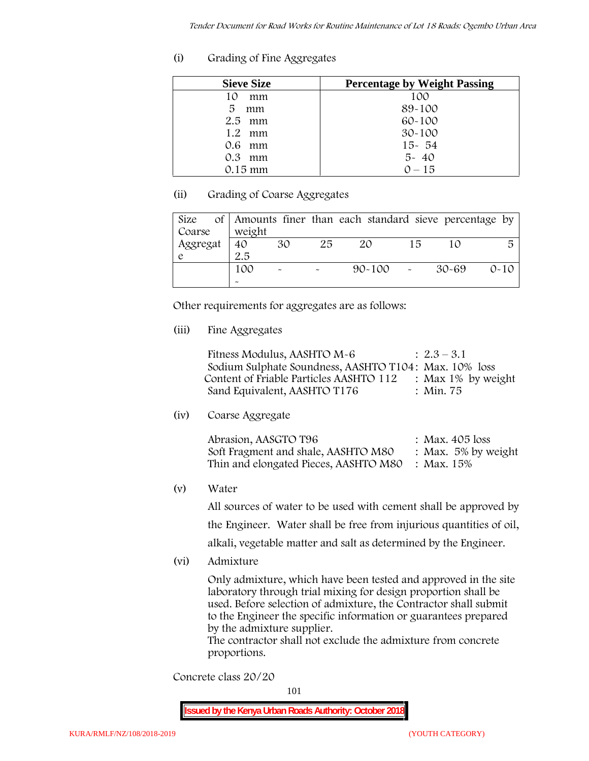# **(i) Grading of Fine Aggregates**

| <b>Sieve Size</b> | <b>Percentage by Weight Passing</b> |
|-------------------|-------------------------------------|
| 10<br>mm          | 100                                 |
| 5.<br>mm          | 89-100                              |
| $2.5$ mm          | $60 - 100$                          |
| $1.2$ mm          | $30 - 100$                          |
| $0.6$ mm          | $15 - 54$                           |
| $0.3$ mm          | $5 - 40$                            |
| $0.15 \text{ mm}$ | $0 - 15$                            |

# **(ii) Grading of Coarse Aggregates**

| Size     |                       |                           |    | of Amounts finer than each standard sieve percentage by |    |       |          |
|----------|-----------------------|---------------------------|----|---------------------------------------------------------|----|-------|----------|
| Coarse   | weight                |                           |    |                                                         |    |       |          |
| Aggregat | 40                    | 30                        | 25 | 20                                                      | 15 |       | 5        |
|          | 2.5                   |                           |    |                                                         |    |       |          |
|          | 100                   | $\widetilde{\phantom{m}}$ |    | $90 - 100$ -                                            |    | 30-69 | $0 - 10$ |
|          | $\tilde{\phantom{a}}$ |                           |    |                                                         |    |       |          |

Other requirements for aggregates are as follows:

# **(iii) Fine Aggregates**

| Fitness Modulus, AASHTO M-6                           | $: 2.3 - 3.1$         |
|-------------------------------------------------------|-----------------------|
| Sodium Sulphate Soundness, AASHTO T104: Max. 10% loss |                       |
| Content of Friable Particles AASHTO 112               | : Max $1\%$ by weight |
| Sand Equivalent, AASHTO T176                          | : Min. 75             |

**(iv) Coarse Aggregate**

| Abrasion, AASGTO T96                             | : Max. $405$ loss      |
|--------------------------------------------------|------------------------|
| Soft Fragment and shale, AASHTO M80              | : Max. $5\%$ by weight |
| Thin and elongated Pieces, AASHTO M80 : Max. 15% |                        |

**(v) Water**

All sources of water to be used with cement shall be approved by the Engineer. Water shall be free from injurious quantities of oil,

alkali, vegetable matter and salt as determined by the Engineer.

**(vi) Admixture**

Only admixture, which have been tested and approved in the site laboratory through trial mixing for design proportion shall be used. Before selection of admixture, the Contractor shall submit to the Engineer the specific information or guarantees prepared by the admixture supplier.

The contractor shall not exclude the admixture from concrete proportions.

**Concrete class 20/20**

101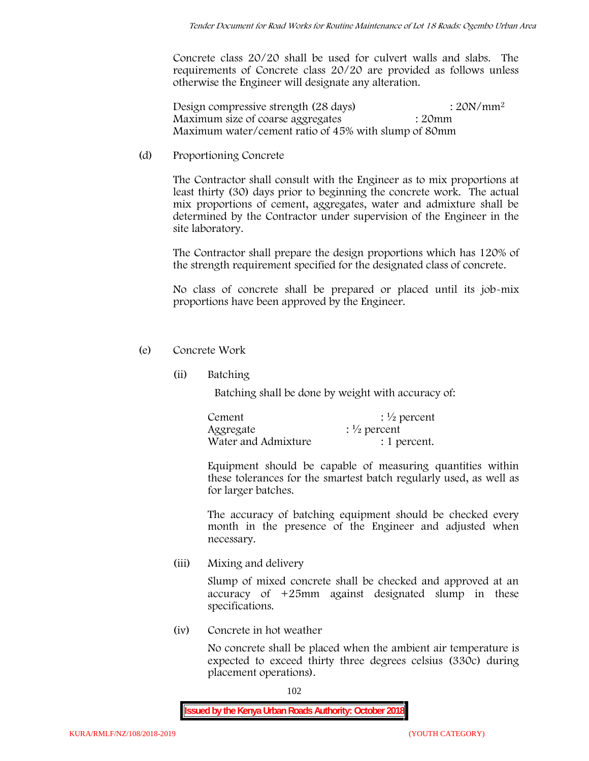Concrete class 20/20 shall be used for culvert walls and slabs. The requirements of Concrete class 20/20 are provided as follows unless otherwise the Engineer will designate any alteration.

Design compressive strength (28 days) : 20N/mm<sup>2</sup> Maximum size of coarse aggregates : 20mm Maximum water/cement ratio of 45% with slump of 80mm

(d) **Proportioning Concrete**

The Contractor shall consult with the Engineer as to mix proportions at least thirty (30) days prior to beginning the concrete work. The actual mix proportions of cement, aggregates, water and admixture shall be determined by the Contractor under supervision of the Engineer in the site laboratory.

The Contractor shall prepare the design proportions which has 120% of the strength requirement specified for the designated class of concrete.

No class of concrete shall be prepared or placed until its job-mix proportions have been approved by the Engineer.

- (e) **Concrete Work**
	- **(ii) Batching**

Batching shall be done by weight with accuracy of:

| Cement              | $\frac{1}{2}$ percent |
|---------------------|-----------------------|
| Aggregate           | $\frac{1}{2}$ percent |
| Water and Admixture | : 1 percent.          |

Equipment should be capable of measuring quantities within these tolerances for the smartest batch regularly used, as well as for larger batches.

The accuracy of batching equipment should be checked every month in the presence of the Engineer and adjusted when necessary.

**(iii) Mixing and delivery**

Slump of mixed concrete shall be checked and approved at an accuracy of +25mm against designated slump in these specifications.

**(iv) Concrete in hot weather**

No concrete shall be placed when the ambient air temperature is expected to exceed thirty three degrees celsius (330c) during placement operations).

102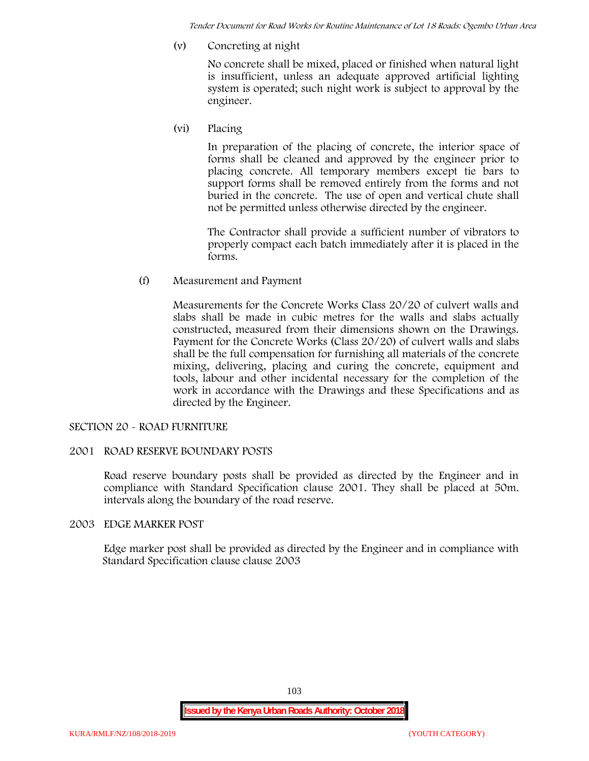*Tender Document for Road Works for Routine Maintenance of Lot 18 Roads: Ogembo Urban Area*

**(v) Concreting at night**

No concrete shall be mixed, placed or finished when natural light is insufficient, unless an adequate approved artificial lighting system is operated; such night work is subject to approval by the engineer.

**(vi) Placing**

In preparation of the placing of concrete, the interior space of forms shall be cleaned and approved by the engineer prior to placing concrete. All temporary members except tie bars to support forms shall be removed entirely from the forms and not buried in the concrete. The use of open and vertical chute shall not be permitted unless otherwise directed by the engineer.

The Contractor shall provide a sufficient number of vibrators to properly compact each batch immediately after it is placed in the forms.

(f) **Measurement and Payment**

Measurements for the Concrete Works Class 20/20 of culvert walls and slabs shall be made in cubic metres for the walls and slabs actually constructed, measured from their dimensions shown on the Drawings. Payment for the Concrete Works (Class 20/20) of culvert walls and slabs shall be the full compensation for furnishing all materials of the concrete mixing, delivering, placing and curing the concrete, equipment and tools, labour and other incidental necessary for the completion of the work in accordance with the Drawings and these Specifications and as directed by the Engineer.

### **SECTION 20 - ROAD FURNITURE**

### **2001 ROAD RESERVE BOUNDARY POSTS**

Road reserve boundary posts shall be provided as directed by the Engineer and in compliance with Standard Specification clause 2001. They shall be placed at 50m. intervals along the boundary of the road reserve.

#### **2003 EDGE MARKER POST**

Edge marker post shall be provided as directed by the Engineer and in compliance with Standard Specification clause clause 2003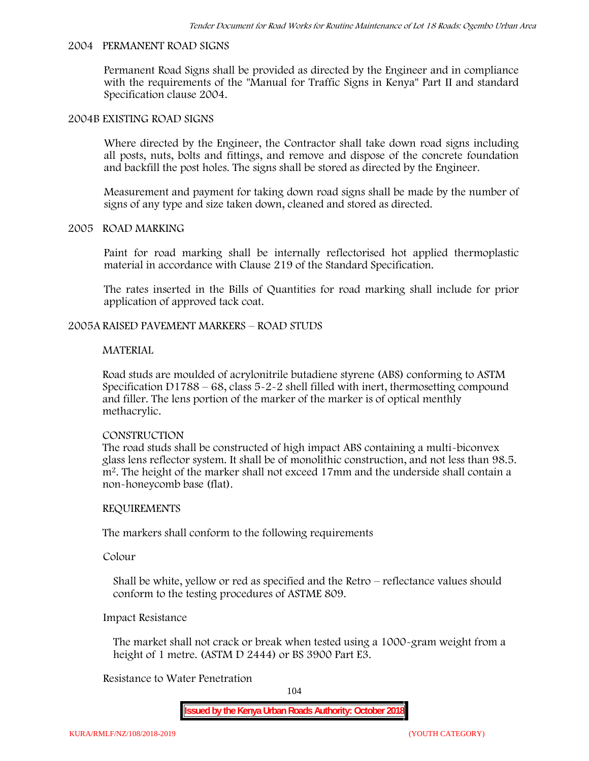#### **2004 PERMANENT ROAD SIGNS**

Permanent Road Signs shall be provided as directed by the Engineer and in compliance with the requirements of the "Manual for Traffic Signs in Kenya" Part II and standard Specification clause 2004.

#### **2004B EXISTING ROAD SIGNS**

Where directed by the Engineer, the Contractor shall take down road signs including all posts, nuts, bolts and fittings, and remove and dispose of the concrete foundation and backfill the post holes. The signs shall be stored as directed by the Engineer.

Measurement and payment for taking down road signs shall be made by the number of signs of any type and size taken down, cleaned and stored as directed.

#### **2005 ROAD MARKING**

Paint for road marking shall be internally reflectorised hot applied thermoplastic material in accordance with Clause 219 of the Standard Specification.

The rates inserted in the Bills of Quantities for road marking shall include for prior application of approved tack coat.

#### **2005A RAISED PAVEMENT MARKERS – ROAD STUDS**

#### **MATERIAL**

Road studs are moulded of acrylonitrile butadiene styrene (ABS) conforming to ASTM Specification D1788 – 68, class  $5 - 2 - 2$  shell filled with inert, thermosetting compound and filler. The lens portion of the marker of the marker is of optical menthly methacrylic.

#### **CONSTRUCTION**

The road studs shall be constructed of high impact ABS containing a multi-biconvex glass lens reflector system. It shall be of monolithic construction, and not less than 98.5. m2. The height of the marker shall not exceed 17mm and the underside shall contain a non-honeycomb base (flat).

#### **REQUIREMENTS**

The markers shall conform to the following requirements

**Colour**

Shall be white, yellow or red as specified and the Retro – reflectance values should conform to the testing procedures of ASTME 809.

#### **Impact Resistance**

The market shall not crack or break when tested using a 1000**-**gram weight from a height of 1 metre. (ASTM D 2444) or BS 3900 Part E3.

### **Resistance to Water Penetration**

104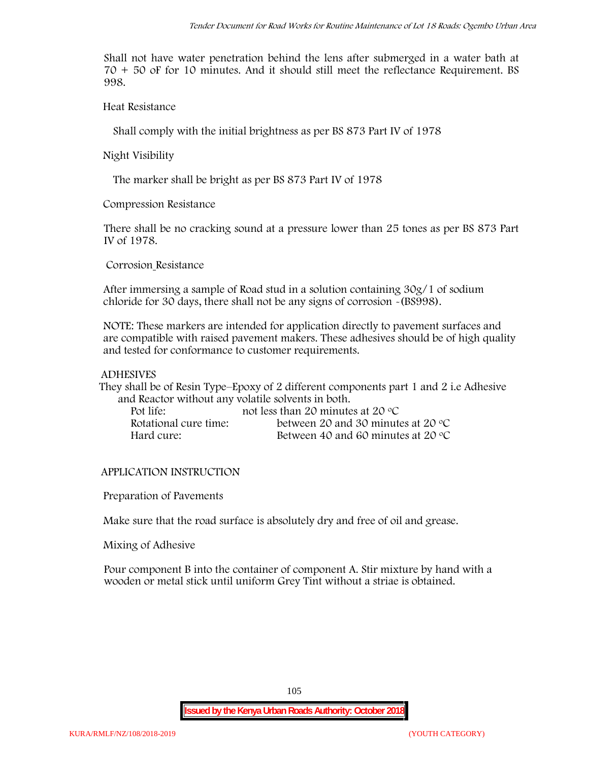Shall not have water penetration behind the lens after submerged in a water bath at 70 + 50 oF for 10 minutes. And it should still meet the reflectance Requirement. BS 998.

**Heat Resistance**

Shall comply with the initial brightness as per BS 873 Part IV of 1978

**Night Visibility**

The marker shall be bright as per BS 873 Part IV of 1978

**Compression Resistance**

There shall be no cracking sound at a pressure lower than 25 tones as per BS 873 Part IV of 1978.

**Corrosion Resistance**

After immersing a sample of Road stud in a solution containing 30g/1 of sodium chloride for 30 days, there shall not be any signs of corrosion **-**(BS998).

**NOTE**: These markers are intended for application directly to pavement surfaces and are compatible with raised pavement makers. These adhesives should be of high quality and tested for conformance to customer requirements.

#### **ADHESIVES**

They shall be of Resin Type–Epoxy of 2 different components part 1 and 2 i.e Adhesive and Reactor without any volatile solvents in both.

| Pot life:             | not less than 20 minutes at 20 $\degree$ C  |
|-----------------------|---------------------------------------------|
| Rotational cure time: | between 20 and 30 minutes at 20 $\degree$ C |
| Hard cure:            | Between 40 and 60 minutes at 20 $\degree$ C |

### **APPLICATION INSTRUCTION**

**Preparation of Pavements**

Make sure that the road surface is absolutely dry and free of oil and grease**.**

**Mixing of Adhesive**

Pour component B into the container of component A. Stir mixture by hand with a wooden or metal stick until uniform Grey Tint without a striae is obtained.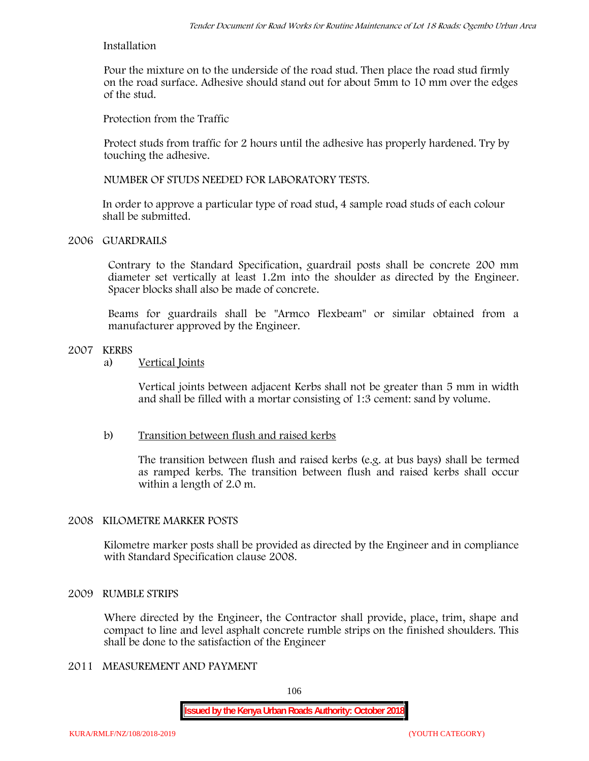#### **Installation**

Pour the mixture on to the underside of the road stud. Then place the road stud firmly on the road surface. Adhesive should stand out for about 5mm to 10 mm over the edges of the stud.

**Protection from the Traffic**

Protect studs from traffic for 2 hours until the adhesive has properly hardened. Try by touching the adhesive.

**NUMBER OF STUDS NEEDED FOR LABORATORY TESTS.**

In order to approve a particular type of road stud, 4 sample road studs of each colour shall be submitted.

### **2006 GUARDRAILS**

Contrary to the Standard Specification, guardrail posts shall be concrete 200 mm diameter set vertically at least 1.2m into the shoulder as directed by the Engineer. Spacer blocks shall also be made of concrete.

Beams for guardrails shall be "Armco Flexbeam" or similar obtained from a manufacturer approved by the Engineer.

### **2007 KERBS**

a) **Vertical Joints**

Vertical joints between adjacent Kerbs shall not be greater than 5 mm in width and shall be filled with a mortar consisting of 1:3 cement: sand by volume.

### b) **Transition between flush and raised kerbs**

The transition between flush and raised kerbs (e.g. at bus bays) shall be termed as ramped kerbs. The transition between flush and raised kerbs shall occur within a length of 2.0 m.

### **2008 KILOMETRE MARKER POSTS**

Kilometre marker posts shall be provided as directed by the Engineer and in compliance with Standard Specification clause 2008.

### **2009 RUMBLE STRIPS**

Where directed by the Engineer, the Contractor shall provide, place, trim, shape and compact to line and level asphalt concrete rumble strips on the finished shoulders. This shall be done to the satisfaction of the Engineer

# **2011 MEASUREMENT AND PAYMENT**

106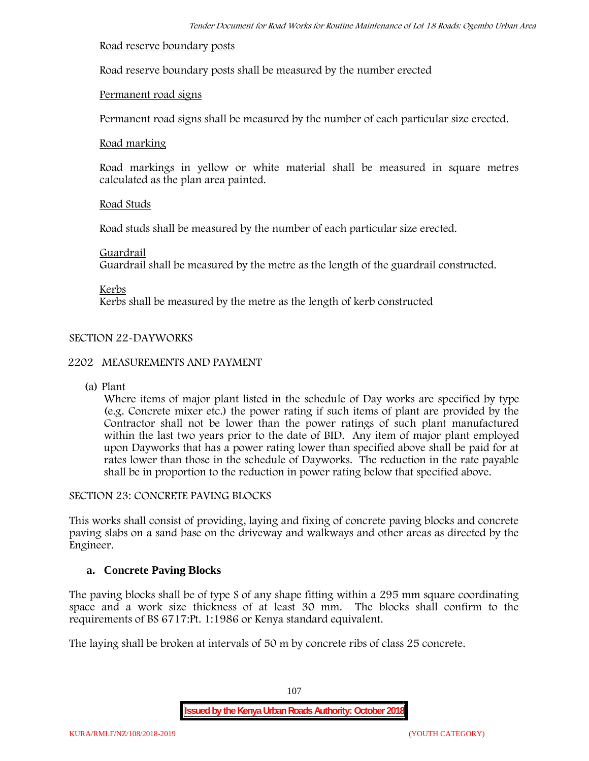#### **Road reserve boundary posts**

Road reserve boundary posts shall be measured by the number erected

### **Permanent road signs**

Permanent road signs shall be measured by the number of each particular size erected.

#### **Road marking**

Road markings in yellow or white material shall be measured in square metres calculated as the plan area painted.

### **Road Studs**

Road studs shall be measured by the number of each particular size erected.

#### **Guardrail**

Guardrail shall be measured by the metre as the length of the guardrail constructed.

**Kerbs**

Kerbs shall be measured by the metre as the length of kerb constructed

## **SECTION 22-DAYWORKS**

### **2202 MEASUREMENTS AND PAYMENT**

(a) Plant

Where items of major plant listed in the schedule of Day works are specified by type (e.g. Concrete mixer etc.) the power rating if such items of plant are provided by the Contractor shall not be lower than the power ratings of such plant manufactured within the last two years prior to the date of BID. Any item of major plant employed upon Dayworks that has a power rating lower than specified above shall be paid for at rates lower than those in the schedule of Dayworks. The reduction in the rate payable shall be in proportion to the reduction in power rating below that specified above.

#### **SECTION 23: CONCRETE PAVING BLOCKS**

This works shall consist of providing, laying and fixing of concrete paving blocks and concrete paving slabs on a sand base on the driveway and walkways and other areas as directed by the Engineer.

### **a. Concrete Paving Blocks**

The paving blocks shall be of type S of any shape fitting within a 295 mm square coordinating space and a work size thickness of at least 30 mm. The blocks shall confirm to the requirements of BS 6717:Pt. 1:1986 or Kenya standard equivalent.

The laying shall be broken at intervals of 50 m by concrete ribs of class 25 concrete.

107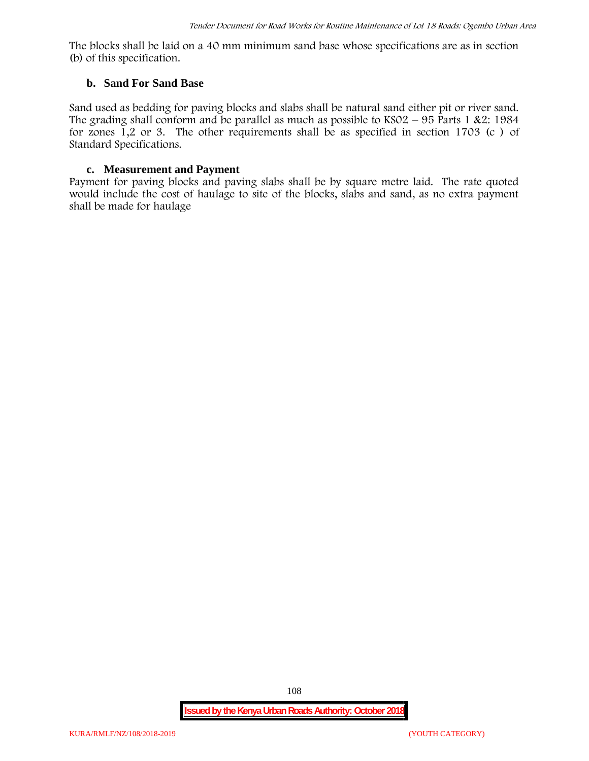The blocks shall be laid on a 40 mm minimum sand base whose specifications are as in section (b) of this specification.

#### **b. Sand For Sand Base**

Sand used as bedding for paving blocks and slabs shall be natural sand either pit or river sand. The grading shall conform and be parallel as much as possible to  $KSO2 - 95$  Parts 1 &2: 1984 for zones 1,2 or 3. The other requirements shall be as specified in section 1703 (c ) of Standard Specifications.

#### **c. Measurement and Payment**

Payment for paving blocks and paving slabs shall be by square metre laid. The rate quoted would include the cost of haulage to site of the blocks, slabs and sand, as no extra payment shall be made for haulage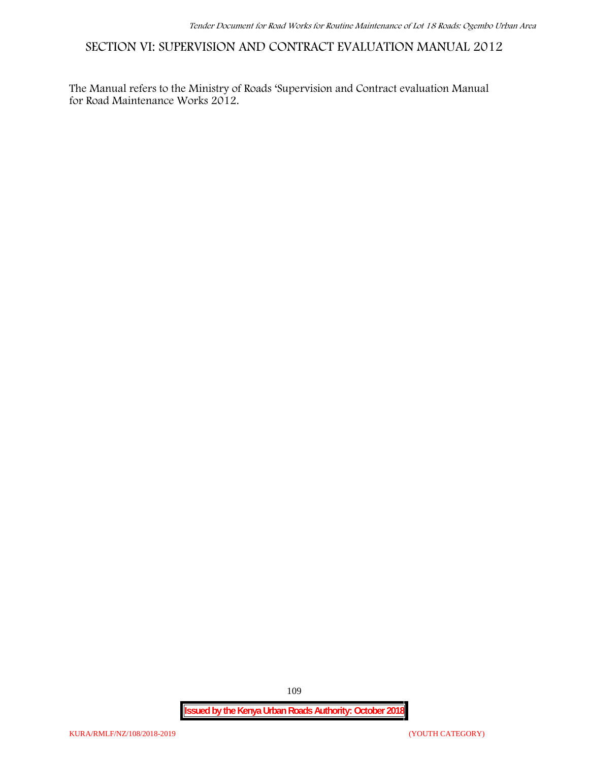**SECTION VI: SUPERVISION AND CONTRACT EVALUATION MANUAL 2012**

The Manual refers to the Ministry of Roads 'Supervision and Contract evaluation Manual for Road Maintenance Works 2012.

**Issued by the Kenya Urban Roads Authority: October 2018**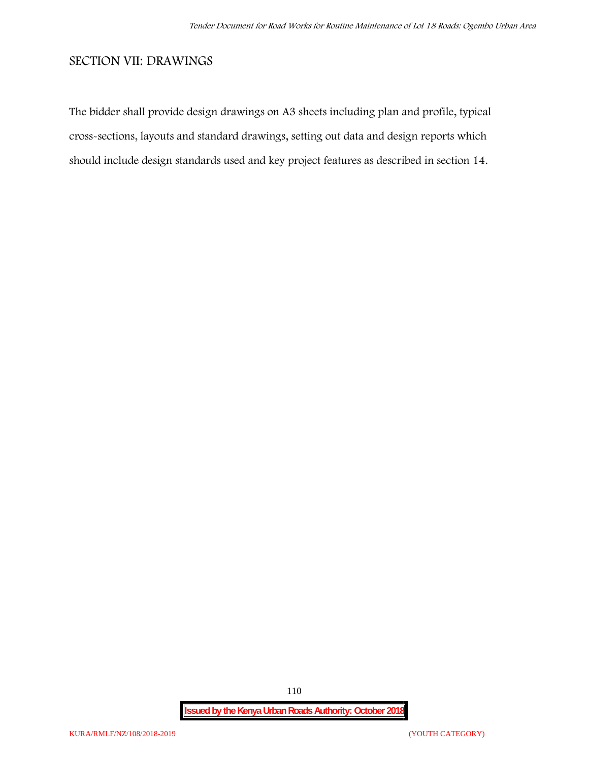#### **SECTION VII: DRAWINGS**

The bidder shall provide design drawings on A3 sheets including plan and profile, typical cross-sections, layouts and standard drawings, setting out data and design reports which should include design standards used and key project features as described in section 14.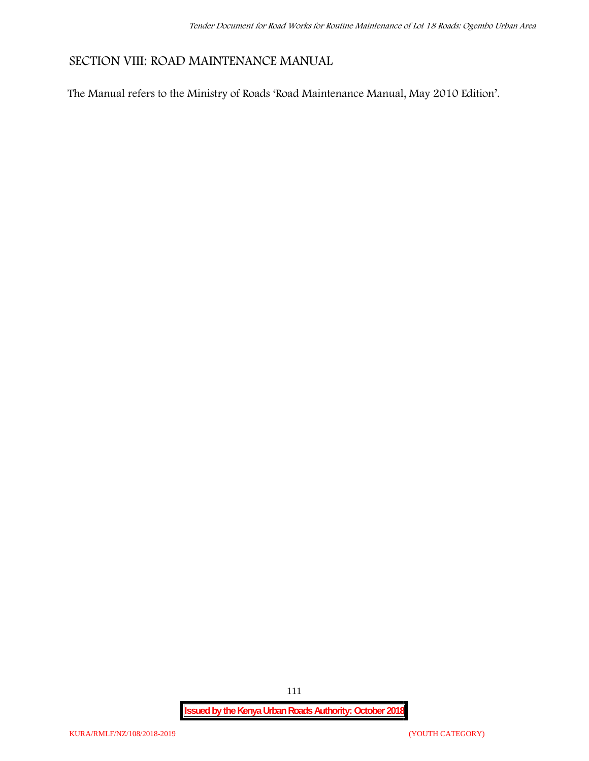## **SECTION VIII: ROAD MAINTENANCE MANUAL**

The Manual refers to the Ministry of Roads 'Road Maintenance Manual, May 2010 Edition'.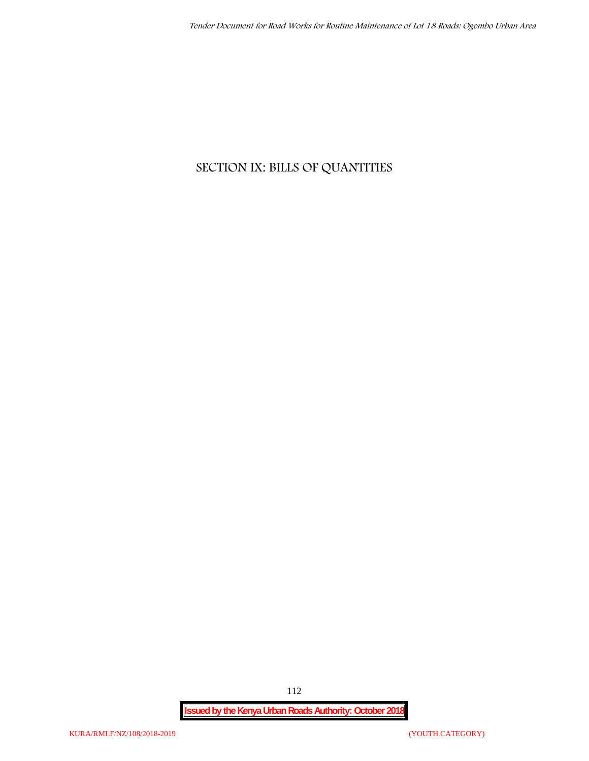## **SECTION IX: BILLS OF QUANTITIES**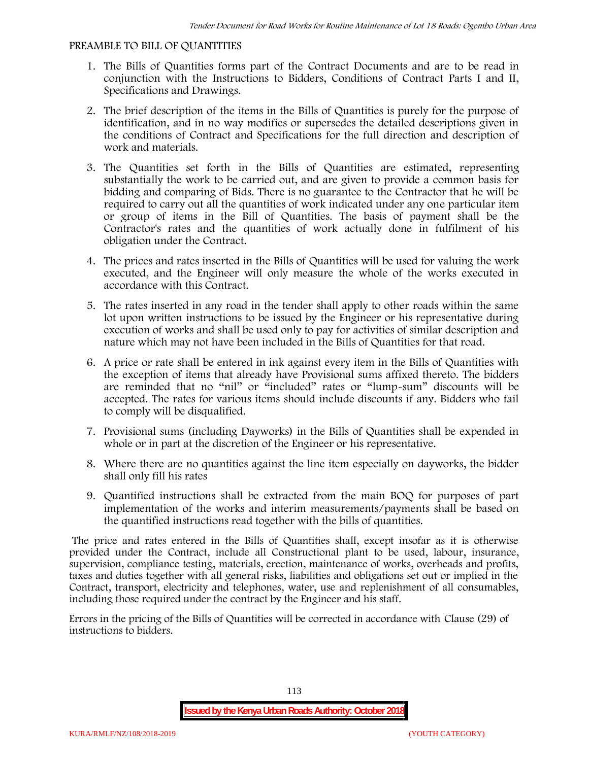#### **PREAMBLE TO BILL OF QUANTITIES**

- 1. The Bills of Quantities forms part of the Contract Documents and are to be read in conjunction with the Instructions to Bidders, Conditions of Contract Parts I and II, Specifications and Drawings.
- 2. The brief description of the items in the Bills of Quantities is purely for the purpose of identification, and in no way modifies or supersedes the detailed descriptions given in the conditions of Contract and Specifications for the full direction and description of work and materials.
- 3. The Quantities set forth in the Bills of Quantities are estimated, representing substantially the work to be carried out, and are given to provide a common basis for bidding and comparing of Bids. There is no guarantee to the Contractor that he will be required to carry out all the quantities of work indicated under any one particular item or group of items in the Bill of Quantities. The basis of payment shall be the Contractor's rates and the quantities of work actually done in fulfilment of his obligation under the Contract.
- 4. The prices and rates inserted in the Bills of Quantities will be used for valuing the work executed, and the Engineer will only measure the whole of the works executed in accordance with this Contract.
- 5. The rates inserted in any road in the tender shall apply to other roads within the same lot upon written instructions to be issued by the Engineer or his representative during execution of works and shall be used only to pay for activities of similar description and nature which may not have been included in the Bills of Quantities for that road.
- 6. A price or rate shall be entered in ink against every item in the Bills of Quantities with the exception of items that already have Provisional sums affixed thereto. The bidders are reminded that no "nil" or "included" rates or "lump-sum" discounts will be accepted. The rates for various items should include discounts if any. Bidders who fail to comply will be disqualified.
- 7. Provisional sums (including Dayworks) in the Bills of Quantities shall be expended in whole or in part at the discretion of the Engineer or his representative.
- 8. Where there are no quantities against the line item especially on dayworks, the bidder shall only fill his rates
- 9. Quantified instructions shall be extracted from the main BOQ for purposes of part implementation of the works and interim measurements/payments shall be based on the quantified instructions read together with the bills of quantities.

The price and rates entered in the Bills of Quantities shall, except insofar as it is otherwise provided under the Contract, include all Constructional plant to be used, labour, insurance, supervision, compliance testing, materials, erection, maintenance of works, overheads and profits, taxes and duties together with all general risks, liabilities and obligations set out or implied in the Contract, transport, electricity and telephones, water, use and replenishment of all consumables, including those required under the contract by the Engineer and his staff.

Errors in the pricing of the Bills of Quantities will be corrected in accordance with Clause (29) of instructions to bidders.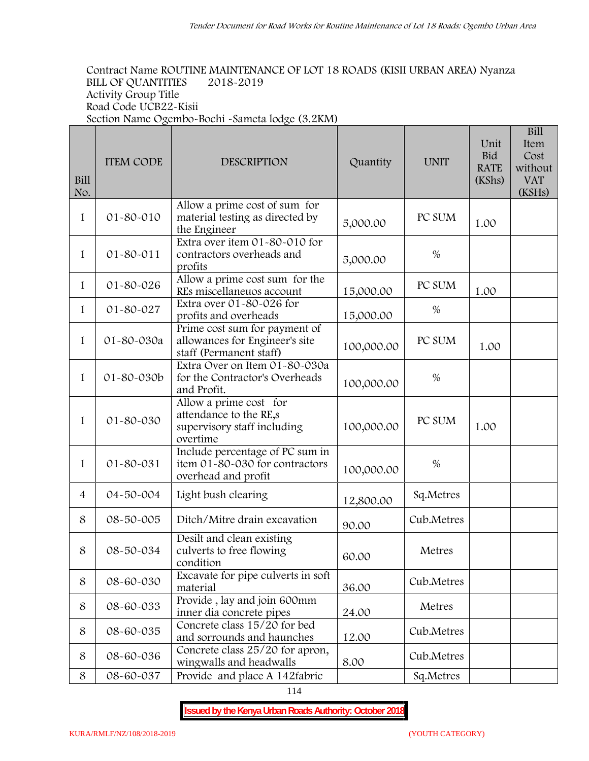**Bill**

#### **Contract Name ROUTINE MAINTENANCE OF LOT 18 ROADS (KISII URBAN AREA) Nyanza BILL OF QUANTITIES 2018-2019 Activity Group Title Road Code UCB22-Kisii Section Name Ogembo-Bochi -Sameta lodge (3.2KM)**

| Bill<br>No.    | <b>ITEM CODE</b> | <b>DESCRIPTION</b>                                                                          | Quantity   | <b>UNIT</b> | Unit<br><b>Bid</b><br><b>RATE</b><br>(KShs) | Item<br>Cost<br>without<br><b>VAT</b><br>(KSHs) |
|----------------|------------------|---------------------------------------------------------------------------------------------|------------|-------------|---------------------------------------------|-------------------------------------------------|
| $\mathbf{1}$   | 01-80-010        | Allow a prime cost of sum for<br>material testing as directed by<br>the Engineer            | 5,000.00   | PC SUM      | 1.00                                        |                                                 |
| 1              | $01 - 80 - 011$  | Extra over item 01-80-010 for<br>contractors overheads and<br>profits                       | 5,000.00   | $\%$        |                                             |                                                 |
| $\mathbf{1}$   | 01-80-026        | Allow a prime cost sum for the<br>REs miscellaneuos account                                 | 15,000.00  | PC SUM      | 1.00                                        |                                                 |
| $\mathbf{1}$   | 01-80-027        | Extra over 01-80-026 for<br>profits and overheads                                           | 15,000.00  | $\%$        |                                             |                                                 |
| 1              | 01-80-030a       | Prime cost sum for payment of<br>allowances for Engineer's site<br>staff (Permanent staff)  | 100,000.00 | PC SUM      | 1.00                                        |                                                 |
| 1              | 01-80-030b       | Extra Over on Item 01-80-030a<br>for the Contractor's Overheads<br>and Profit.              | 100,000.00 | $\%$        |                                             |                                                 |
| 1              | 01-80-030        | Allow a prime cost for<br>attendance to the RE,s<br>supervisory staff including<br>overtime | 100,000.00 | PC SUM      | 1.00                                        |                                                 |
| $\mathbf{1}$   | 01-80-031        | Include percentage of PC sum in<br>item 01-80-030 for contractors<br>overhead and profit    | 100,000.00 | $\%$        |                                             |                                                 |
| $\overline{4}$ | 04-50-004        | Light bush clearing                                                                         | 12,800.00  | Sq.Metres   |                                             |                                                 |
| 8              | 08-50-005        | Ditch/Mitre drain excavation                                                                | 90.00      | Cub.Metres  |                                             |                                                 |
| 8              | 08-50-034        | Desilt and clean existing<br>culverts to free flowing<br>condition                          | 60.00      | Metres      |                                             |                                                 |
| 8              | 08-60-030        | Excavate for pipe culverts in soft<br>material                                              | 36.00      | Cub.Metres  |                                             |                                                 |
| 8              | 08-60-033        | Provide, lay and join 600mm<br>inner dia concrete pipes                                     | 24.00      | Metres      |                                             |                                                 |
| 8              | 08-60-035        | Concrete class 15/20 for bed<br>and sorrounds and haunches                                  | 12.00      | Cub.Metres  |                                             |                                                 |
| 8              | 08-60-036        | Concrete class 25/20 for apron,<br>wingwalls and headwalls                                  | 8.00       | Cub.Metres  |                                             |                                                 |
| 8              | 08-60-037        | Provide and place A 142fabric                                                               |            | Sq.Metres   |                                             |                                                 |

114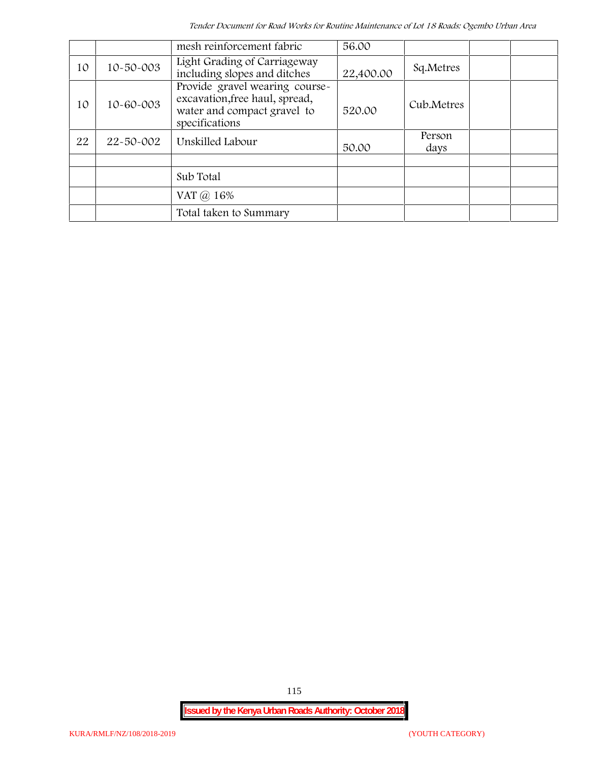*Tender Document for Road Works for Routine Maintenance of Lot 18 Roads: Ogembo Urban Area*

|    |           | mesh reinforcement fabric                                                                                         | 56.00     |                |
|----|-----------|-------------------------------------------------------------------------------------------------------------------|-----------|----------------|
| 10 | 10-50-003 | Light Grading of Carriageway<br>including slopes and ditches                                                      | 22,400.00 | Sq.Metres      |
| 10 | 10-60-003 | Provide gravel wearing course-<br>excavation, free haul, spread,<br>water and compact gravel to<br>specifications | 520.00    | Cub.Metres     |
| 22 | 22-50-002 | Unskilled Labour                                                                                                  | 50.00     | Person<br>days |
|    |           |                                                                                                                   |           |                |
|    |           | Sub Total                                                                                                         |           |                |
|    |           | VAT @ 16%                                                                                                         |           |                |
|    |           | Total taken to Summary                                                                                            |           |                |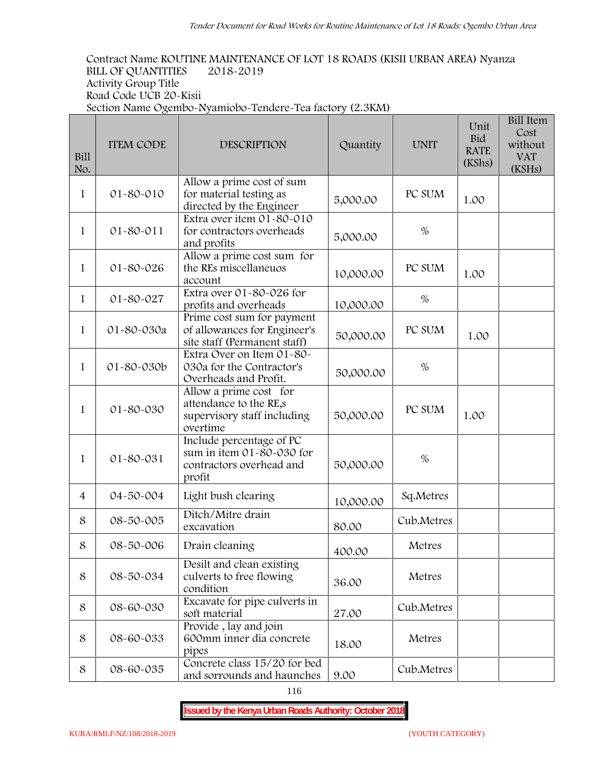**Contract Name ROUTINE MAINTENANCE OF LOT 18 ROADS (KISII URBAN AREA) Nyanza BILL OF QUANTITIES 2018-2019 Activity Group Title Road Code UCB 20-Kisii Section Name Ogembo-Nyamiobo-Tendere-Tea factory (2.3KM) Bill Item**

| Bill<br>No.    | <b>ITEM CODE</b> | <b>DESCRIPTION</b>                                                                          | Quantity  | <b>UNIT</b> | Unit<br><b>Bid</b><br><b>RATE</b><br>(KShs) | <b>DIII HEIII</b><br>Cost<br>without<br><b>VAT</b><br>(KSHs) |
|----------------|------------------|---------------------------------------------------------------------------------------------|-----------|-------------|---------------------------------------------|--------------------------------------------------------------|
| $\mathbf{1}$   | 01-80-010        | Allow a prime cost of sum<br>for material testing as<br>directed by the Engineer            | 5,000.00  | PC SUM      | 1.00                                        |                                                              |
| 1              | $01 - 80 - 011$  | Extra over item 01-80-010<br>for contractors overheads<br>and profits                       | 5,000.00  | $\%$        |                                             |                                                              |
| 1              | 01-80-026        | Allow a prime cost sum for<br>the REs miscellaneuos<br>account                              | 10,000.00 | PC SUM      | 1.00                                        |                                                              |
| $\mathbf{1}$   | 01-80-027        | Extra over 01-80-026 for<br>profits and overheads                                           | 10,000.00 | %           |                                             |                                                              |
| $\mathbf{1}$   | 01-80-030a       | Prime cost sum for payment<br>of allowances for Engineer's<br>site staff (Permanent staff)  | 50,000.00 | PC SUM      | 1.00                                        |                                                              |
| $\mathbf{1}$   | 01-80-030b       | Extra Over on Item 01-80-<br>030a for the Contractor's<br>Overheads and Profit.             | 50,000.00 | %           |                                             |                                                              |
| $\mathbf{1}$   | 01-80-030        | Allow a prime cost for<br>attendance to the RE,s<br>supervisory staff including<br>overtime | 50,000.00 | PC SUM      | 1.00                                        |                                                              |
| $\mathbf{1}$   | 01-80-031        | Include percentage of PC<br>sum in item 01-80-030 for<br>contractors overhead and<br>profit | 50,000.00 | $\%$        |                                             |                                                              |
| $\overline{4}$ | 04-50-004        | Light bush clearing                                                                         | 10,000.00 | Sq.Metres   |                                             |                                                              |
| 8              | 08-50-005        | Ditch/Mitre drain<br>excavation                                                             | 80.00     | Cub.Metres  |                                             |                                                              |
| 8              | 08-50-006        | Drain cleaning                                                                              | 400.00    | Metres      |                                             |                                                              |
| 8              | 08-50-034        | Desilt and clean existing<br>culverts to free flowing<br>condition                          | 36.00     | Metres      |                                             |                                                              |
| 8              | 08-60-030        | Excavate for pipe culverts in<br>soft material                                              | 27.00     | Cub.Metres  |                                             |                                                              |
| 8              | 08-60-033        | Provide, lay and join<br>600mm inner dia concrete<br>pipes                                  | 18.00     | Metres      |                                             |                                                              |
| 8              | 08-60-035        | Concrete class 15/20 for bed<br>and sorrounds and haunches                                  | 9.00      | Cub.Metres  |                                             |                                                              |

116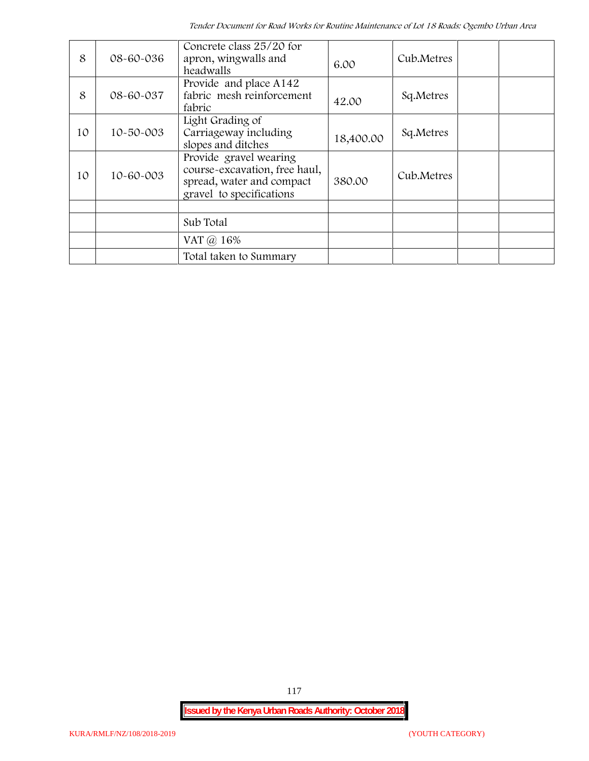| 8  | 08-60-036       | Concrete class 25/20 for<br>apron, wingwalls and<br>headwalls                                                    | 6.00      | Cub.Metres |  |
|----|-----------------|------------------------------------------------------------------------------------------------------------------|-----------|------------|--|
| 8  | 08-60-037       | Provide and place A142<br>fabric mesh reinforcement<br>fabric                                                    | 42.00     | Sq.Metres  |  |
| 10 | $10 - 50 - 003$ | Light Grading of<br>Carriageway including<br>slopes and ditches                                                  | 18,400.00 | Sq.Metres  |  |
| 10 | 10-60-003       | Provide gravel wearing<br>course-excavation, free haul,<br>spread, water and compact<br>gravel to specifications | 380.00    | Cub.Metres |  |
|    |                 |                                                                                                                  |           |            |  |
|    |                 | Sub Total                                                                                                        |           |            |  |
|    |                 | VAT @ 16%                                                                                                        |           |            |  |
|    |                 | Total taken to Summary                                                                                           |           |            |  |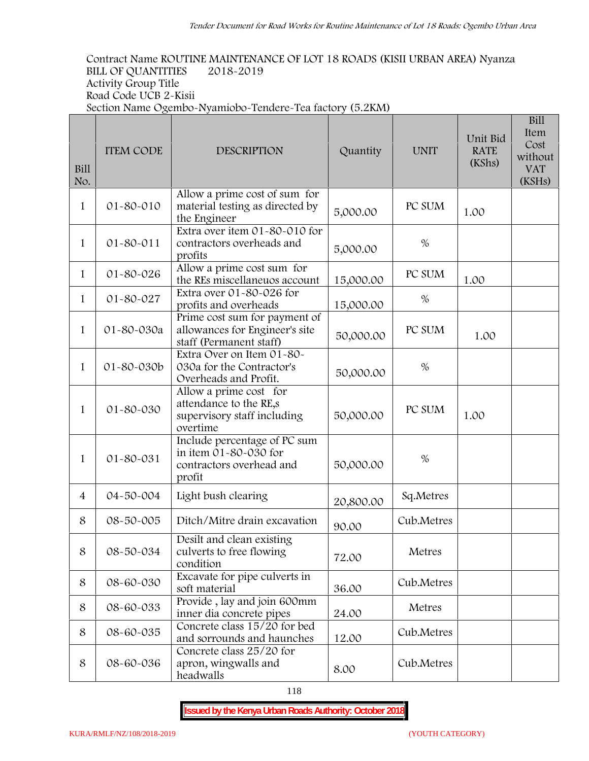**Contract Name ROUTINE MAINTENANCE OF LOT 18 ROADS (KISII URBAN AREA) Nyanza BILL OF QUANTITIES 2018-2019 Activity Group Title Road Code UCB 2-Kisii Section Name Ogembo-Nyamiobo-Tendere-Tea factory (5.2KM)**

| Bill<br>No.    | <b>ITEM CODE</b> | <b>DESCRIPTION</b>                                                                          | Quantity  | <b>UNIT</b> | Unit Bid<br><b>RATE</b><br>(KShs) | <b>Bill</b><br>Item<br>Cost<br>without<br><b>VAT</b><br>(KSHs) |
|----------------|------------------|---------------------------------------------------------------------------------------------|-----------|-------------|-----------------------------------|----------------------------------------------------------------|
| $\mathbf{1}$   | 01-80-010        | Allow a prime cost of sum for<br>material testing as directed by<br>the Engineer            | 5,000.00  | PC SUM      | 1.00                              |                                                                |
| 1              | 01-80-011        | Extra over item 01-80-010 for<br>contractors overheads and<br>profits                       | 5,000.00  | $\%$        |                                   |                                                                |
| 1              | 01-80-026        | Allow a prime cost sum for<br>the REs miscellaneuos account                                 | 15,000.00 | PC SUM      | 1.00                              |                                                                |
| $\mathbf{1}$   | 01-80-027        | Extra over 01-80-026 for<br>profits and overheads                                           | 15,000.00 | $\%$        |                                   |                                                                |
| 1              | 01-80-030a       | Prime cost sum for payment of<br>allowances for Engineer's site<br>staff (Permanent staff)  | 50,000.00 | PC SUM      | 1.00                              |                                                                |
| $\mathbf{1}$   | 01-80-030b       | Extra Over on Item 01-80-<br>030a for the Contractor's<br>Overheads and Profit.             | 50,000.00 | $\%$        |                                   |                                                                |
| 1              | 01-80-030        | Allow a prime cost for<br>attendance to the RE,s<br>supervisory staff including<br>overtime | 50,000.00 | PC SUM      | 1.00                              |                                                                |
| $\mathbf{1}$   | 01-80-031        | Include percentage of PC sum<br>in item 01-80-030 for<br>contractors overhead and<br>profit | 50,000.00 | $\%$        |                                   |                                                                |
| $\overline{4}$ | 04-50-004        | Light bush clearing                                                                         | 20,800.00 | Sq.Metres   |                                   |                                                                |
| 8              | 08-50-005        | Ditch/Mitre drain excavation                                                                | 90.00     | Cub.Metres  |                                   |                                                                |
| 8              | 08-50-034        | Desilt and clean existing<br>culverts to free flowing<br>condition                          | 72.00     | Metres      |                                   |                                                                |
| 8              | 08-60-030        | Excavate for pipe culverts in<br>soft material                                              | 36.00     | Cub.Metres  |                                   |                                                                |
| 8              | 08-60-033        | Provide, lay and join 600mm<br>inner dia concrete pipes                                     | 24.00     | Metres      |                                   |                                                                |
| 8              | 08-60-035        | Concrete class 15/20 for bed<br>and sorrounds and haunches                                  | 12.00     | Cub.Metres  |                                   |                                                                |
| 8              | 08-60-036        | Concrete class 25/20 for<br>apron, wingwalls and<br>headwalls                               | 8.00      | Cub.Metres  |                                   |                                                                |

118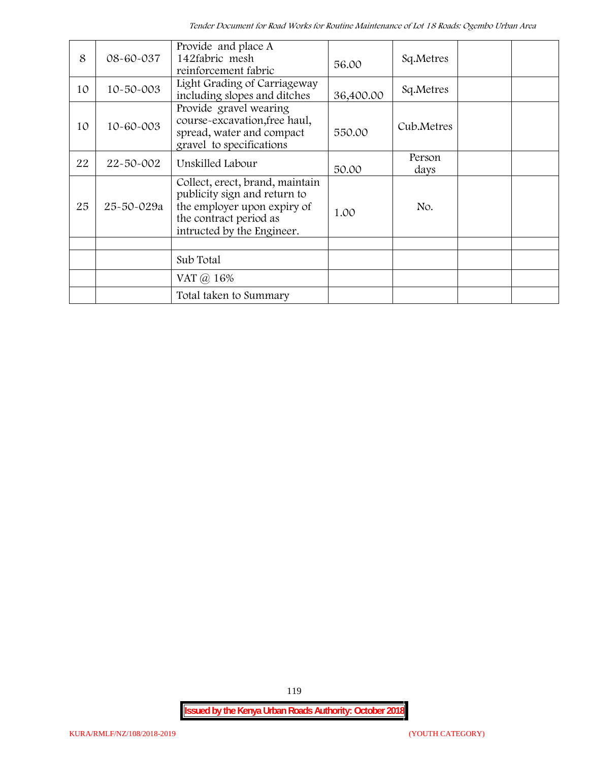| 8  | 08-60-037       | Provide and place A<br>142fabric mesh<br>reinforcement fabric                                                                                          | 56.00     | Sq.Metres      |  |
|----|-----------------|--------------------------------------------------------------------------------------------------------------------------------------------------------|-----------|----------------|--|
| 10 | $10 - 50 - 003$ | Light Grading of Carriageway<br>including slopes and ditches                                                                                           | 36,400.00 | Sq.Metres      |  |
| 10 | 10-60-003       | Provide gravel wearing<br>course-excavation, free haul,<br>spread, water and compact<br>gravel to specifications                                       | 550.00    | Cub.Metres     |  |
| 22 | 22-50-002       | Unskilled Labour                                                                                                                                       | 50.00     | Person<br>days |  |
| 25 | 25-50-029a      | Collect, erect, brand, maintain<br>publicity sign and return to<br>the employer upon expiry of<br>the contract period as<br>intructed by the Engineer. | 1.00      | No.            |  |
|    |                 | Sub Total                                                                                                                                              |           |                |  |
|    |                 |                                                                                                                                                        |           |                |  |
|    |                 | VAT $\omega$ 16%                                                                                                                                       |           |                |  |
|    |                 | Total taken to Summary                                                                                                                                 |           |                |  |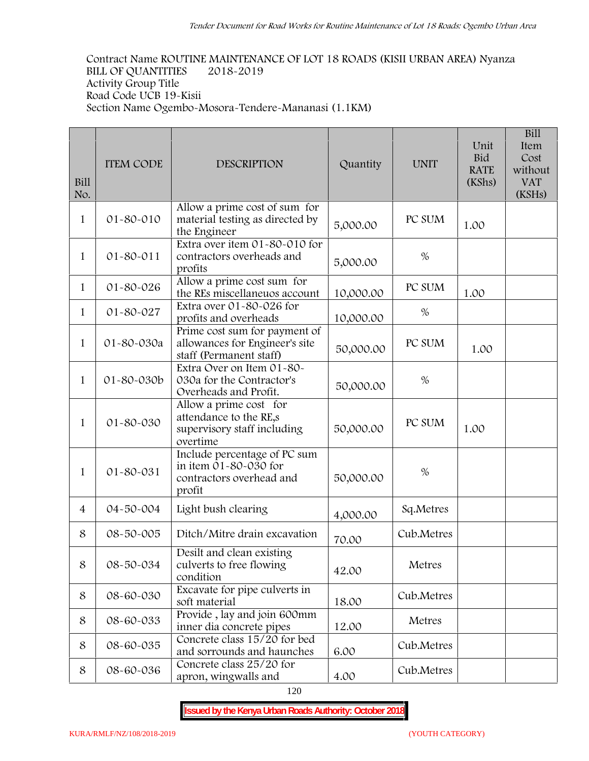**Contract Name ROUTINE MAINTENANCE OF LOT 18 ROADS (KISII URBAN AREA) Nyanza BILL OF QUANTITIES 2018-2019 Activity Group Title Road Code UCB 19-Kisii Section Name Ogembo-Mosora-Tendere-Mananasi (1.1KM)**

| Bill<br>No.    | <b>ITEM CODE</b> | <b>DESCRIPTION</b>                                                                          | Quantity  | <b>UNIT</b> | Unit<br><b>Bid</b><br><b>RATE</b><br>(KShs) | <b>Bill</b><br>Item<br>Cost<br>without<br><b>VAT</b><br>(KSHs) |
|----------------|------------------|---------------------------------------------------------------------------------------------|-----------|-------------|---------------------------------------------|----------------------------------------------------------------|
| $\mathbf{1}$   | 01-80-010        | Allow a prime cost of sum for<br>material testing as directed by<br>the Engineer            | 5,000.00  | PC SUM      | 1.00                                        |                                                                |
| $\mathbf{1}$   | $01 - 80 - 011$  | Extra over item 01-80-010 for<br>contractors overheads and<br>profits                       | 5,000.00  | $\%$        |                                             |                                                                |
| 1              | 01-80-026        | Allow a prime cost sum for<br>the REs miscellaneuos account                                 | 10,000.00 | PC SUM      | 1.00                                        |                                                                |
| $\mathbf{1}$   | 01-80-027        | Extra over 01-80-026 for<br>profits and overheads                                           | 10,000.00 | %           |                                             |                                                                |
| $\mathbf{1}$   | 01-80-030a       | Prime cost sum for payment of<br>allowances for Engineer's site<br>staff (Permanent staff)  | 50,000.00 | PC SUM      | 1.00                                        |                                                                |
| $\mathbf{1}$   | 01-80-030b       | Extra Over on Item 01-80-<br>030a for the Contractor's<br>Overheads and Profit.             | 50,000.00 | $\%$        |                                             |                                                                |
| $\mathbf{1}$   | 01-80-030        | Allow a prime cost for<br>attendance to the RE,s<br>supervisory staff including<br>overtime | 50,000.00 | PC SUM      | 1.00                                        |                                                                |
| $\mathbf{1}$   | 01-80-031        | Include percentage of PC sum<br>in item 01-80-030 for<br>contractors overhead and<br>profit | 50,000.00 | $\%$        |                                             |                                                                |
| $\overline{4}$ | 04-50-004        | Light bush clearing                                                                         | 4,000.00  | Sq.Metres   |                                             |                                                                |
| 8              | 08-50-005        | Ditch/Mitre drain excavation                                                                | 70.00     | Cub.Metres  |                                             |                                                                |
| 8              | 08-50-034        | Desilt and clean existing<br>culverts to free flowing<br>condition                          | 42.00     | Metres      |                                             |                                                                |
| 8              | 08-60-030        | Excavate for pipe culverts in<br>soft material                                              | 18.00     | Cub.Metres  |                                             |                                                                |
| 8              | 08-60-033        | Provide, lay and join 600mm<br>inner dia concrete pipes                                     | 12.00     | Metres      |                                             |                                                                |
| 8              | 08-60-035        | Concrete class 15/20 for bed<br>and sorrounds and haunches                                  | 6.00      | Cub.Metres  |                                             |                                                                |
| 8              | 08-60-036        | Concrete class 25/20 for<br>apron, wingwalls and                                            | 4.00      | Cub.Metres  |                                             |                                                                |

120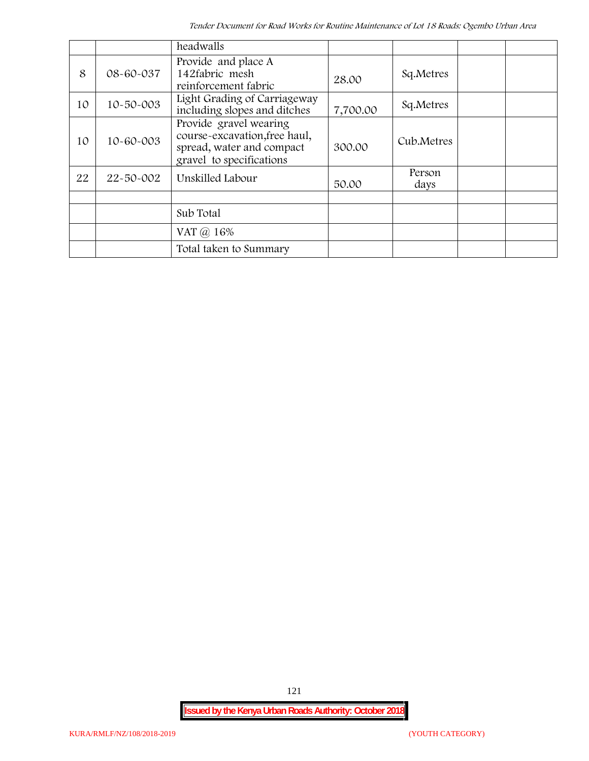|    |                 | headwalls                                                                                                        |          |                |  |
|----|-----------------|------------------------------------------------------------------------------------------------------------------|----------|----------------|--|
| 8  | 08-60-037       | Provide and place A<br>142fabric mesh<br>reinforcement fabric                                                    | 28.00    | Sq.Metres      |  |
| 10 | $10 - 50 - 003$ | Light Grading of Carriageway<br>including slopes and ditches                                                     | 7,700.00 | Sq.Metres      |  |
| 10 | 10-60-003       | Provide gravel wearing<br>course-excavation, free haul,<br>spread, water and compact<br>gravel to specifications | 300.00   | Cub.Metres     |  |
| 22 | 22-50-002       | Unskilled Labour                                                                                                 | 50.00    | Person<br>days |  |
|    |                 |                                                                                                                  |          |                |  |
|    |                 | Sub Total                                                                                                        |          |                |  |
|    |                 | VAT @ 16%                                                                                                        |          |                |  |
|    |                 | Total taken to Summary                                                                                           |          |                |  |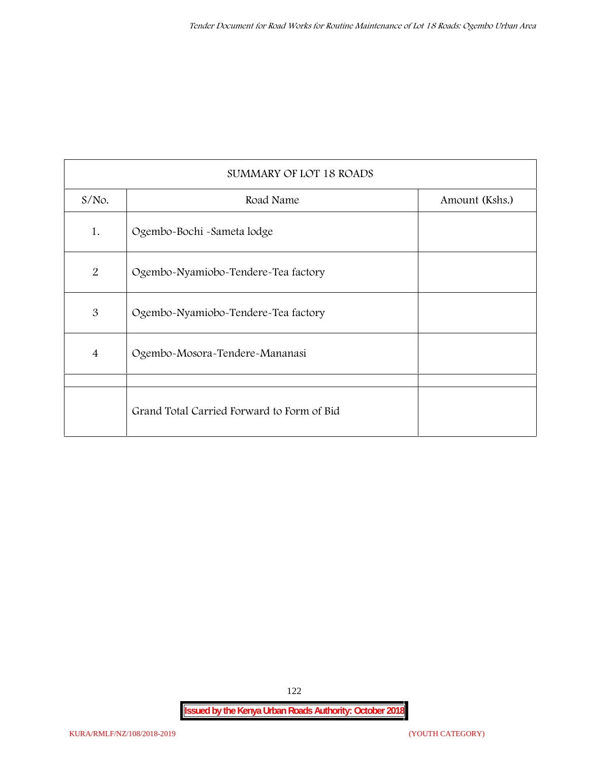| SUMMARY OF LOT 18 ROADS |                                            |                |  |  |  |
|-------------------------|--------------------------------------------|----------------|--|--|--|
| $S/NO$ .                | Road Name                                  | Amount (Kshs.) |  |  |  |
| 1.                      | Ogembo-Bochi -Sameta lodge                 |                |  |  |  |
| $\overline{2}$          | Ogembo-Nyamiobo-Tendere-Tea factory        |                |  |  |  |
| 3                       | Ogembo-Nyamiobo-Tendere-Tea factory        |                |  |  |  |
| $\overline{4}$          | Ogembo-Mosora-Tendere-Mananasi             |                |  |  |  |
|                         |                                            |                |  |  |  |
|                         | Grand Total Carried Forward to Form of Bid |                |  |  |  |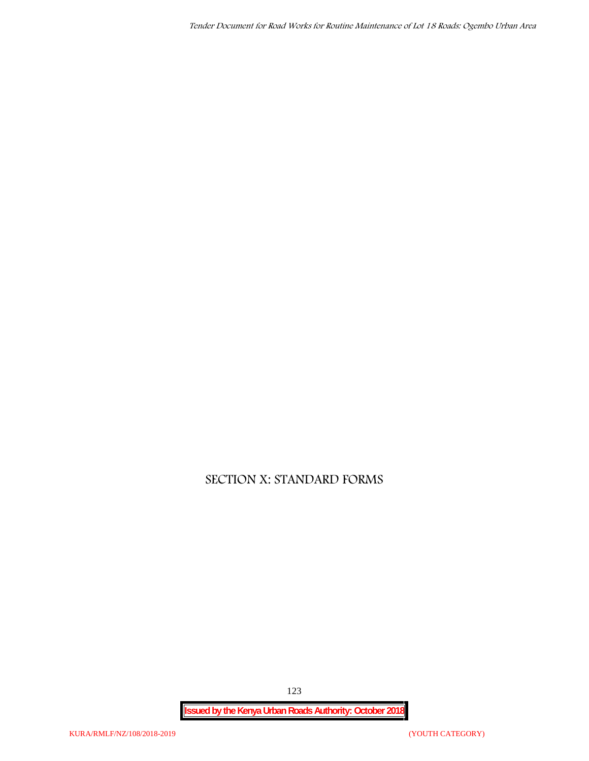*Tender Document for Road Works for Routine Maintenance of Lot 18 Roads: Ogembo Urban Area*

## **SECTION X: STANDARD FORMS**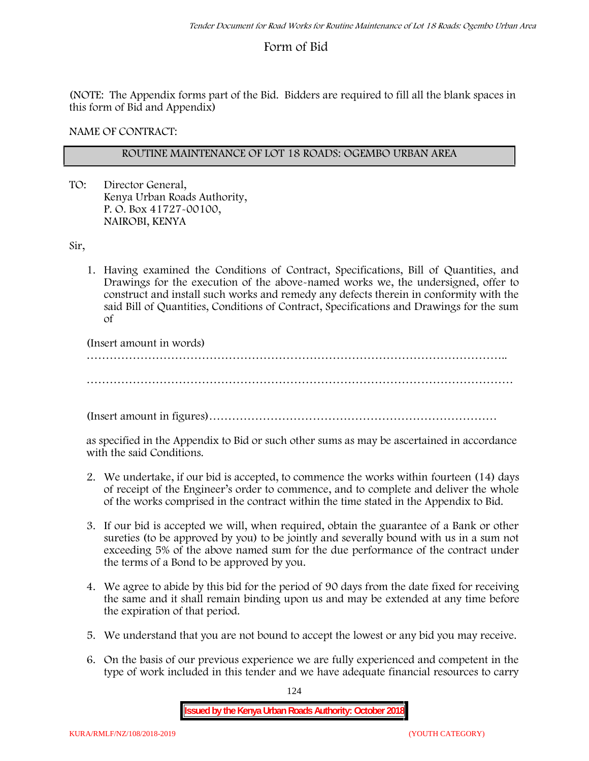## **Form of Bid**

(NOTE: The Appendix forms part of the Bid. Bidders are required to fill all the blank spaces in this form of Bid and Appendix)

**NAME OF CONTRACT:**

#### **ROUTINE MAINTENANCE OF LOT 18 ROADS: OGEMBO URBAN AREA**

TO: Director General, Kenya Urban Roads Authority, P. O. Box 41727-00100, **NAIROBI, KENYA**

Sir,

1. Having examined the Conditions of Contract, Specifications, Bill of Quantities, and Drawings for the execution of the above-named works we, the undersigned, offer to construct and install such works and remedy any defects therein in conformity with the said Bill of Quantities, Conditions of Contract, Specifications and Drawings for the sum of

(Insert amount in words)

………………………………………………………………………………………………..

…………………………………………………………………………………………………

(Insert amount in figures)…………………………………………………………………

as specified in the Appendix to Bid or such other sums as may be ascertained in accordance with the said Conditions.

- 2. We undertake, if our bid is accepted, to commence the works within fourteen (14) days of receipt of the Engineer's order to commence, and to complete and deliver the whole of the works comprised in the contract within the time stated in the Appendix to Bid.
- 3. If our bid is accepted we will, when required, obtain the guarantee of a Bank or other sureties (to be approved by you) to be jointly and severally bound with us in a sum not exceeding 5% of the above named sum for the due performance of the contract under the terms of a Bond to be approved by you.
- 4. We agree to abide by this bid for the period of 90 days from the date fixed for receiving the same and it shall remain binding upon us and may be extended at any time before the expiration of that period.
- 5. We understand that you are not bound to accept the lowest or any bid you may receive.
- 6. On the basis of our previous experience we are fully experienced and competent in the type of work included in this tender and we have adequate financial resources to carry

124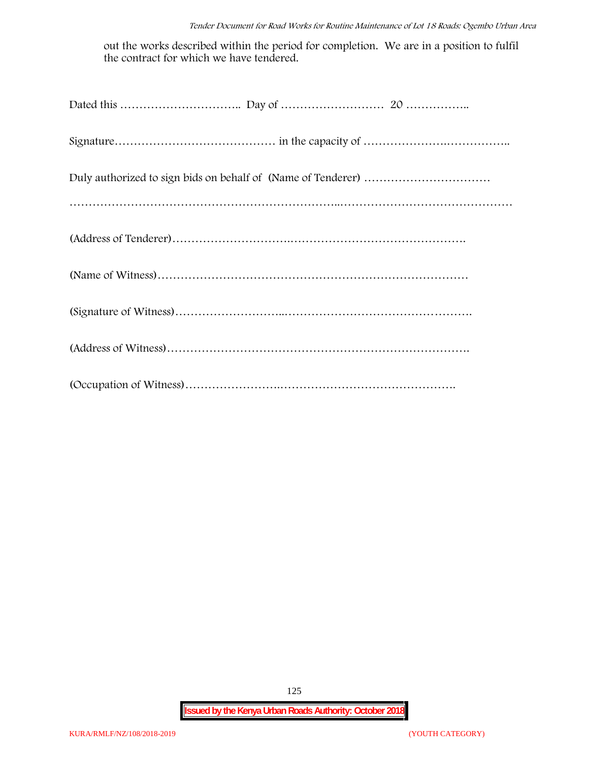out the works described within the period for completion. We are in a position to fulfil the contract for which we have tendered.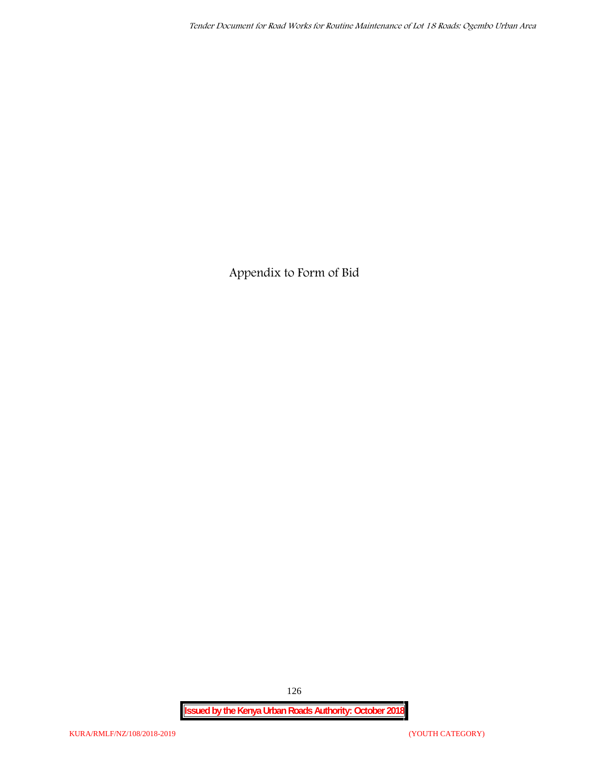**Appendix to Form of Bid**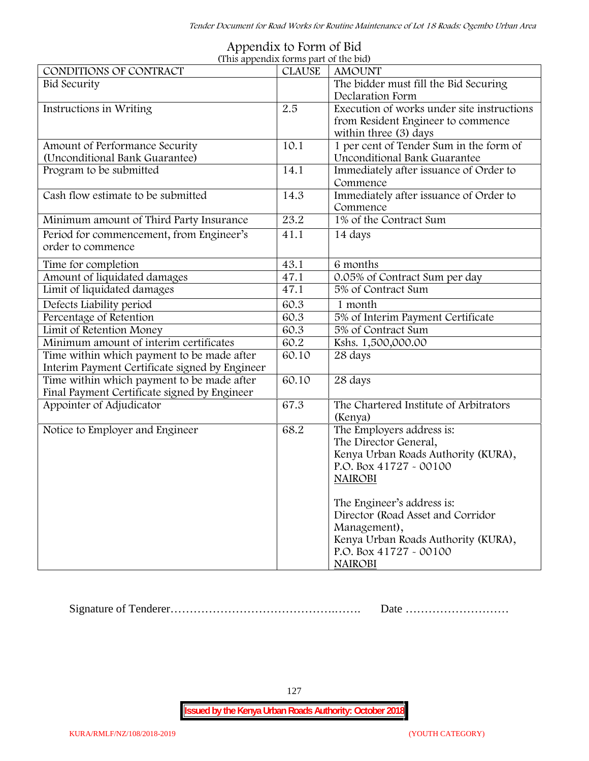| (This appendix forms part of the bid)          |               |                                            |
|------------------------------------------------|---------------|--------------------------------------------|
| CONDITIONS OF CONTRACT                         | <b>CLAUSE</b> | <b>AMOUNT</b>                              |
| <b>Bid Security</b>                            |               | The bidder must fill the Bid Securing      |
|                                                |               | Declaration Form                           |
| Instructions in Writing                        | 2.5           | Execution of works under site instructions |
|                                                |               | from Resident Engineer to commence         |
|                                                |               | within three (3) days                      |
| Amount of Performance Security                 | 10.1          | 1 per cent of Tender Sum in the form of    |
| (Unconditional Bank Guarantee)                 |               | Unconditional Bank Guarantee               |
| Program to be submitted                        | 14.1          | Immediately after issuance of Order to     |
|                                                |               | Commence                                   |
| Cash flow estimate to be submitted             | 14.3          | Immediately after issuance of Order to     |
|                                                |               | Commence                                   |
| Minimum amount of Third Party Insurance        | 23.2          | 1% of the Contract Sum                     |
| Period for commencement, from Engineer's       | 41.1          | 14 days                                    |
| order to commence                              |               |                                            |
| Time for completion                            | 43.1          | 6 months                                   |
| Amount of liquidated damages                   | 47.1          | 0.05% of Contract Sum per day              |
| Limit of liquidated damages                    | 47.1          | 5% of Contract Sum                         |
| Defects Liability period                       | 60.3          | 1 month                                    |
| Percentage of Retention                        | 60.3          | 5% of Interim Payment Certificate          |
| Limit of Retention Money                       | 60.3          | 5% of Contract Sum                         |
| Minimum amount of interim certificates         | 60.2          | Kshs. 1,500,000.00                         |
| Time within which payment to be made after     | 60.10         | 28 days                                    |
| Interim Payment Certificate signed by Engineer |               |                                            |
| Time within which payment to be made after     | 60.10         | 28 days                                    |
| Final Payment Certificate signed by Engineer   |               |                                            |
| Appointer of Adjudicator                       | 67.3          | The Chartered Institute of Arbitrators     |
|                                                |               | (Kenya)                                    |
| Notice to Employer and Engineer                | 68.2          | The Employers address is:                  |
|                                                |               | The Director General,                      |
|                                                |               | Kenya Urban Roads Authority (KURA),        |
|                                                |               | P.O. Box 41727 - 00100                     |
|                                                |               | <b>NAIROBI</b>                             |
|                                                |               |                                            |
|                                                |               | The Engineer's address is:                 |
|                                                |               | Director (Road Asset and Corridor          |
|                                                |               | Management),                               |
|                                                |               | Kenya Urban Roads Authority (KURA),        |
|                                                |               | P.O. Box 41727 - 00100                     |
|                                                |               | <b>NAIROBI</b>                             |

# **Appendix to Form of Bid**

Signature of Tenderer…………………………………….……. Date ………………………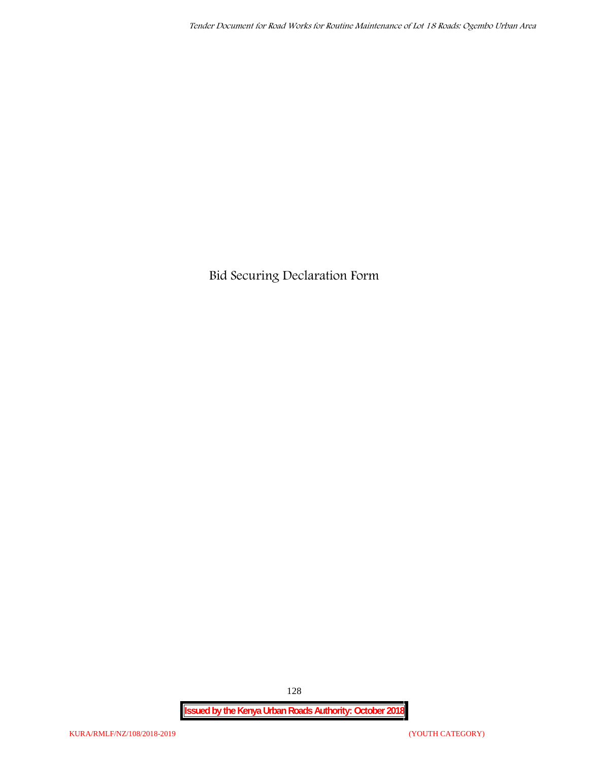**Bid Securing Declaration Form**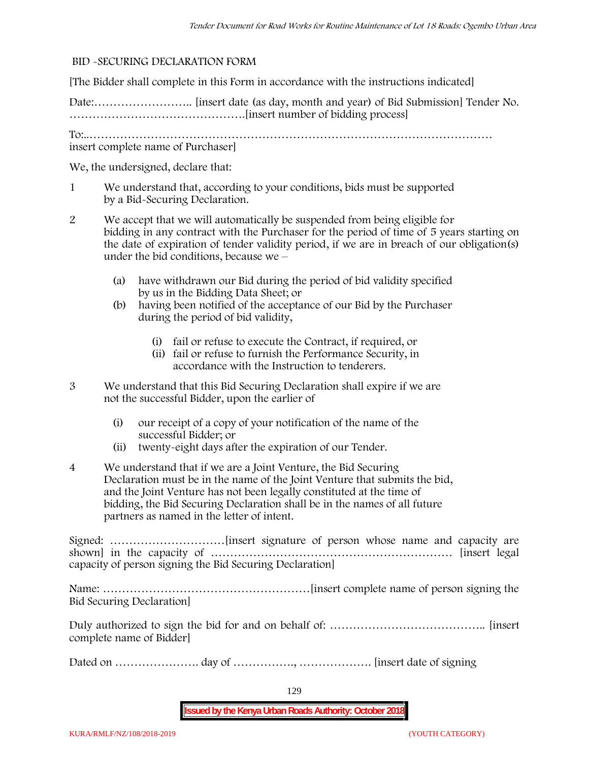#### **BID -SECURING DECLARATION FORM**

[The Bidder shall complete in this Form in accordance with the instructions indicated]

Date:…………………….. [insert date (as day, month and year) of Bid Submission] Tender No. ……………………………………….[insert number of bidding process]

To:..…………………………………………………………………………………………… insert complete name of Purchaser]

We, the undersigned, declare that:

- 1 We understand that, according to your conditions, bids must be supported by a Bid-Securing Declaration.
- 2 We accept that we will automatically be suspended from being eligible for bidding in any contract with the Purchaser for the period of time of **5 years** starting on the date of expiration of tender validity period, if we are in breach of our obligation(s) under the bid conditions, because we –
	- (a) have withdrawn our Bid during the period of bid validity specified by us in the Bidding Data Sheet; or
	- (b) having been notified of the acceptance of our Bid by the Purchaser during the period of bid validity,
		- (i) fail or refuse to execute the Contract, if required, or
		- (ii) fail or refuse to furnish the Performance Security, in accordance with the Instruction to tenderers.
- 3 We understand that this Bid Securing Declaration shall expire if we are not the successful Bidder, upon the earlier of
	- (i) our receipt of a copy of your notification of the name of the successful Bidder; or
	- (ii) twenty-eight days after the expiration of our Tender.
- 4 We understand that if we are a Joint Venture, the Bid Securing Declaration must be in the name of the Joint Venture that submits the bid, and the Joint Venture has not been legally constituted at the time of bidding, the Bid Securing Declaration shall be in the names of all future partners as named in the letter of intent.

Signed: …………………………[insert signature of person whose name and capacity are shown] in the capacity of ……………………………………………………… [insert legal capacity of person signing the Bid Securing Declaration]

Name: ………………………………………………[insert complete name of person signing the Bid Securing Declaration]

Duly authorized to sign the bid for and on behalf of: ………………………………….. [insert complete name of Bidder]

Dated on …………………. day of ……………., ………………. [insert date of signing

129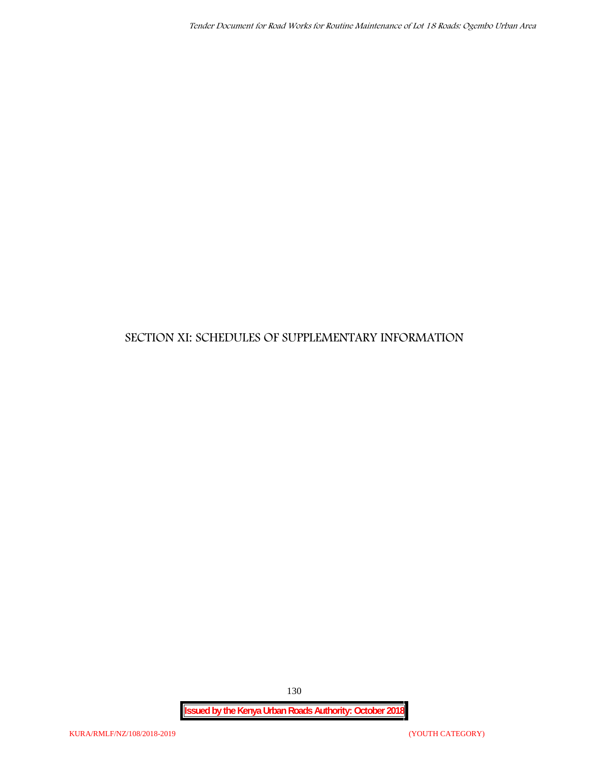### **SECTION XI: SCHEDULES OF SUPPLEMENTARY INFORMATION**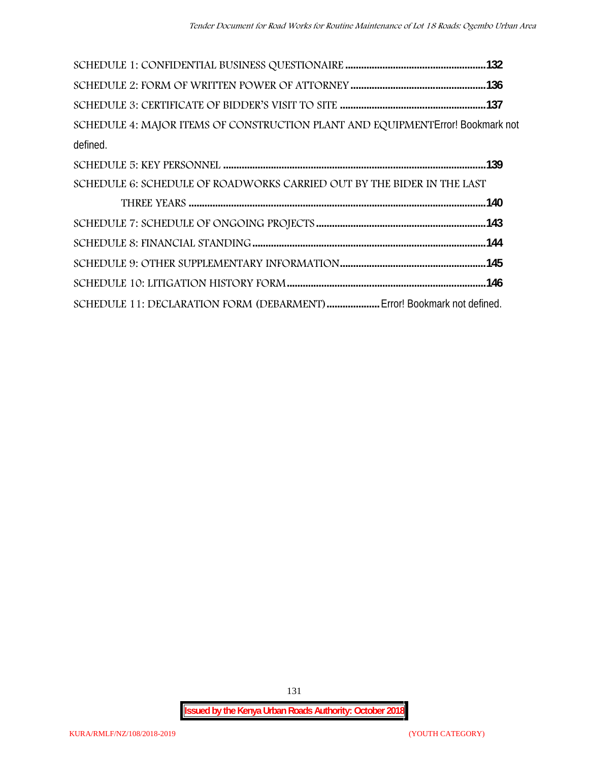| SCHEDULE 4: MAJOR ITEMS OF CONSTRUCTION PLANT AND EQUIPMENT Error! Bookmark not |  |
|---------------------------------------------------------------------------------|--|
| defined.                                                                        |  |
|                                                                                 |  |
| SCHEDULE 6: SCHEDULE OF ROADWORKS CARRIED OUT BY THE BIDER IN THE LAST          |  |
|                                                                                 |  |
|                                                                                 |  |
|                                                                                 |  |
|                                                                                 |  |
|                                                                                 |  |
| SCHEDULE 11: DECLARATION FORM (DEBARMENT)  Error! Bookmark not defined.         |  |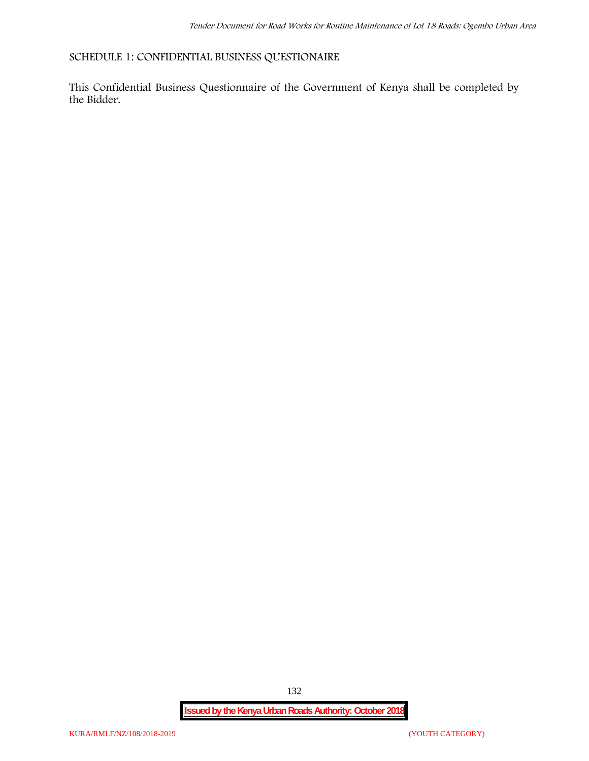**SCHEDULE 1: CONFIDENTIAL BUSINESS QUESTIONAIRE**

This Confidential Business Questionnaire of the Government of Kenya shall be completed by the Bidder.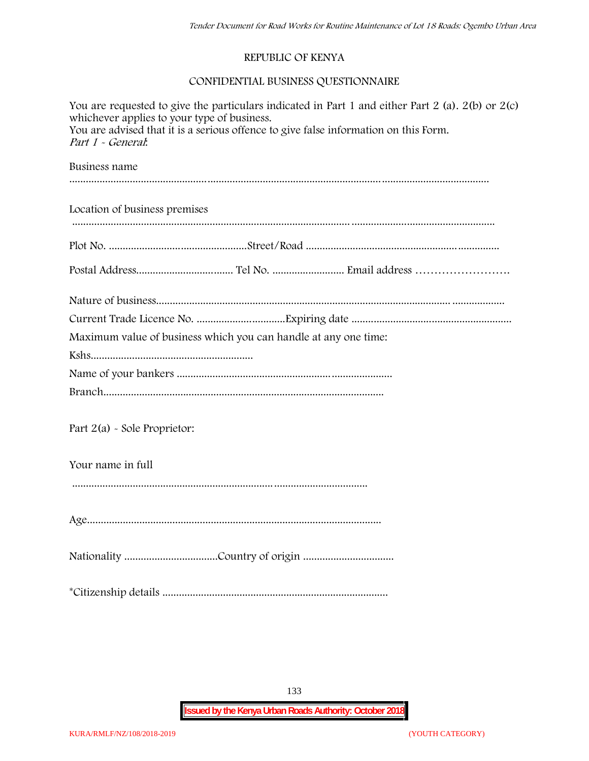#### **REPUBLIC OF KENYA**

#### **CONFIDENTIAL BUSINESS QUESTIONNAIRE**

| You are requested to give the particulars indicated in Part 1 and either Part 2 (a). $2(b)$ or $2(c)$<br>whichever applies to your type of business.<br>You are advised that it is a serious offence to give false information on this Form.<br>Part 1 - General. |  |  |  |  |  |  |  |
|-------------------------------------------------------------------------------------------------------------------------------------------------------------------------------------------------------------------------------------------------------------------|--|--|--|--|--|--|--|
| Business name                                                                                                                                                                                                                                                     |  |  |  |  |  |  |  |
| Location of business premises                                                                                                                                                                                                                                     |  |  |  |  |  |  |  |
|                                                                                                                                                                                                                                                                   |  |  |  |  |  |  |  |
|                                                                                                                                                                                                                                                                   |  |  |  |  |  |  |  |
|                                                                                                                                                                                                                                                                   |  |  |  |  |  |  |  |
|                                                                                                                                                                                                                                                                   |  |  |  |  |  |  |  |
| Maximum value of business which you can handle at any one time:                                                                                                                                                                                                   |  |  |  |  |  |  |  |
|                                                                                                                                                                                                                                                                   |  |  |  |  |  |  |  |
|                                                                                                                                                                                                                                                                   |  |  |  |  |  |  |  |
|                                                                                                                                                                                                                                                                   |  |  |  |  |  |  |  |
| Part 2(a) - Sole Proprietor:                                                                                                                                                                                                                                      |  |  |  |  |  |  |  |
| Your name in full                                                                                                                                                                                                                                                 |  |  |  |  |  |  |  |
|                                                                                                                                                                                                                                                                   |  |  |  |  |  |  |  |
|                                                                                                                                                                                                                                                                   |  |  |  |  |  |  |  |
|                                                                                                                                                                                                                                                                   |  |  |  |  |  |  |  |
|                                                                                                                                                                                                                                                                   |  |  |  |  |  |  |  |

133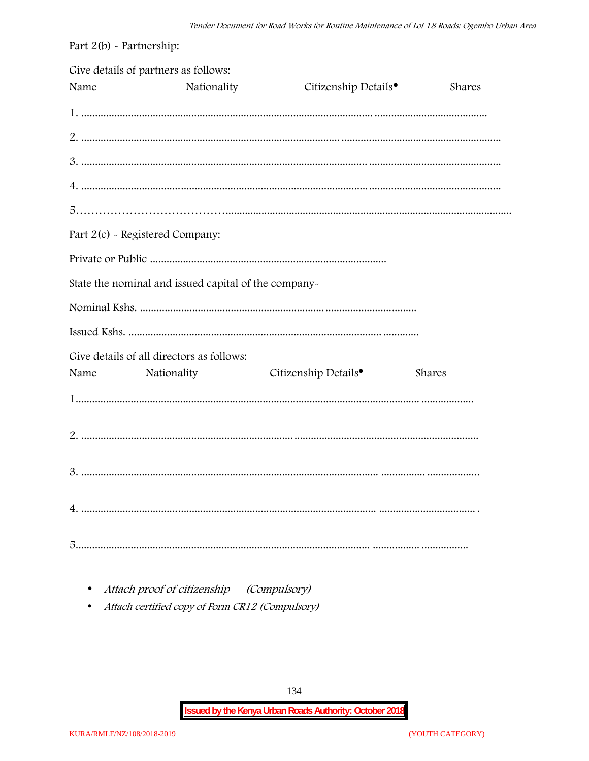| Part $2(b)$ - Partnership: |                                                      |                                  |        |
|----------------------------|------------------------------------------------------|----------------------------------|--------|
| Name                       | Give details of partners as follows:<br>Nationality  | Citizenship Details <sup>•</sup> | Shares |
|                            |                                                      |                                  |        |
|                            |                                                      |                                  |        |
|                            |                                                      |                                  |        |
|                            |                                                      |                                  |        |
|                            |                                                      |                                  |        |
|                            | Part 2(c) - Registered Company:                      |                                  |        |
|                            |                                                      |                                  |        |
|                            | State the nominal and issued capital of the company- |                                  |        |
|                            |                                                      |                                  |        |
|                            |                                                      |                                  |        |
|                            | Give details of all directors as follows:            |                                  |        |
| Name                       | Nationality                                          | Citizenship Details <sup>•</sup> | Shares |
|                            |                                                      |                                  |        |
|                            |                                                      |                                  |        |
|                            |                                                      |                                  |        |
|                            |                                                      |                                  |        |
|                            |                                                      |                                  |        |

Attach proof of citizenship (Compulsory)  $\bullet$ 

Attach certified copy of Form CR12 (Compulsory)  $\bullet$ 

134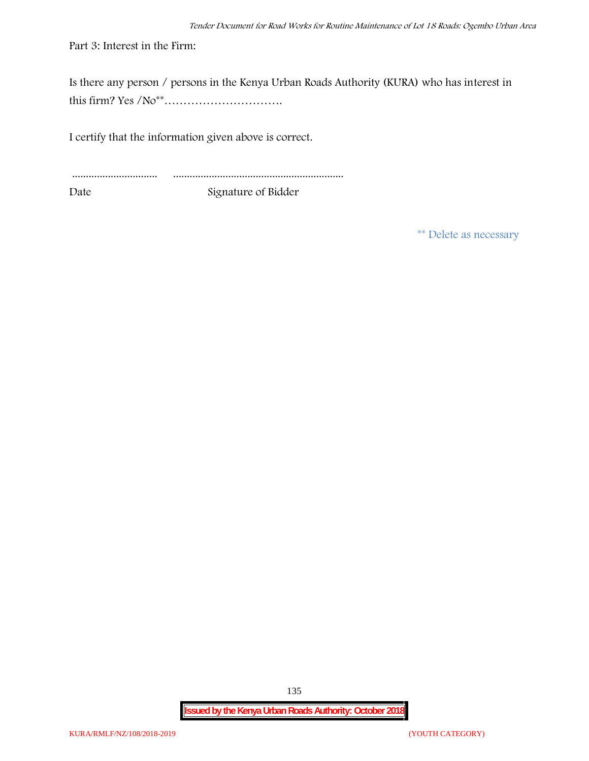Part 3: Interest in the Firm:

Is there any person / persons in the Kenya Urban Roads Authority (KURA) who has interest in this firm? Yes /No\*\*………………………….

I certify that the information given above is correct.

............................... .............................................................. Date Signature of Bidder

**\*\* Delete as necessary**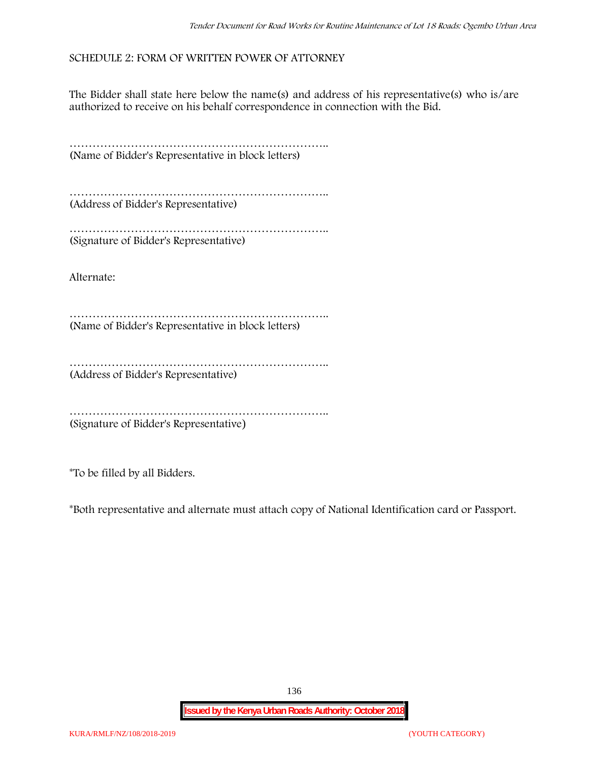#### **SCHEDULE 2: FORM OF WRITTEN POWER OF ATTORNEY**

The Bidder shall state here below the name(s) and address of his representative(s) who is/are authorized to receive on his behalf correspondence in connection with the Bid.

………………………………………………………….. (Name of Bidder's Representative in block letters)

………………………………………………………….. (Address of Bidder's Representative)

………………………………………………………….. (Signature of Bidder's Representative)

Alternate:

………………………………………………………….. (Name of Bidder's Representative in block letters)

……………………………………………………………………… (Address of Bidder's Representative)

………………………………………………………….. (Signature of Bidder's Representative)

\*To be filled by all Bidders.

\*Both representative and alternate **must** attach copy of National Identification card or Passport.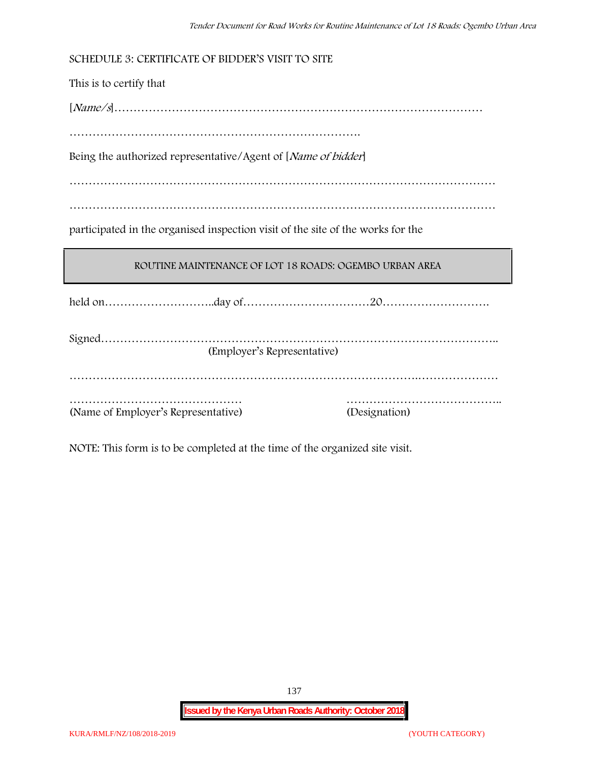**SCHEDULE 3: CERTIFICATE OF BIDDER'S VISIT TO SITE**

This is to certify that

[*Name/s*]……………………………………………………………………………………

………………………………………………………………….

Being the authorized representative/Agent of [*Name of bidder*]

…………………………………………………………………………………………………

…………………………………………………………………………………………………

participated in the organised inspection visit of the site of the works for the

#### **ROUTINE MAINTENANCE OF LOT 18 ROADS: OGEMBO URBAN AREA**

held on………………………..day of……………………………20……………………….

| (Employer's Representative)         |               |  |
|-------------------------------------|---------------|--|
|                                     |               |  |
|                                     |               |  |
|                                     |               |  |
| (Name of Employer's Representative) | (Designation) |  |

NOTE: This form is to be completed at the time of the organized site visit.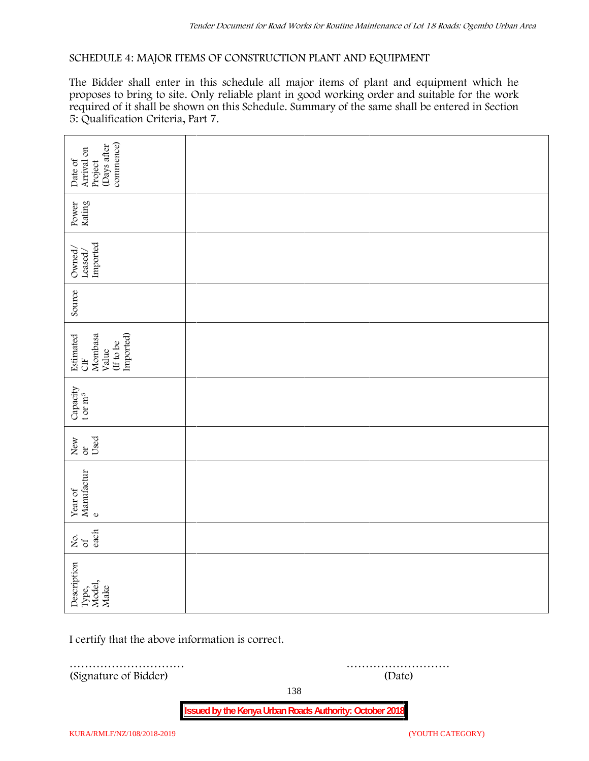#### **SCHEDULE 4: MAJOR ITEMS OF CONSTRUCTION PLANT AND EQUIPMENT**

The Bidder shall enter in this schedule all major items of plant and equipment which he proposes to bring to site. Only reliable plant in good working order and suitable for the work required of it shall be shown on this Schedule. Summary of the same shall be entered in Section 5: Qualification Criteria, Part 7.

| commence)<br>(Days after<br>Arrival on<br>Date of<br>Project                                       |             |
|----------------------------------------------------------------------------------------------------|-------------|
| Power<br>Rating                                                                                    |             |
| $\frac{Leased}{\text{imported}}$<br>Owned/                                                         |             |
| Source                                                                                             |             |
| Imported)<br>Estimated<br>Mombasa<br>(If to be<br>Value<br>$\begin{array}{c}\n\hline\n\end{array}$ |             |
| Capacity<br>t or $m^3$                                                                             |             |
| Used<br>New or                                                                                     |             |
| Year of Manufactur $_{\rm e}$                                                                      |             |
| each<br>Σό.                                                                                        |             |
| Description<br>Type,<br>Model,<br>Make                                                             |             |
| I certify that the above information is correct.                                                   |             |
| (Signature of Bidder)                                                                              | .<br>(Date) |

138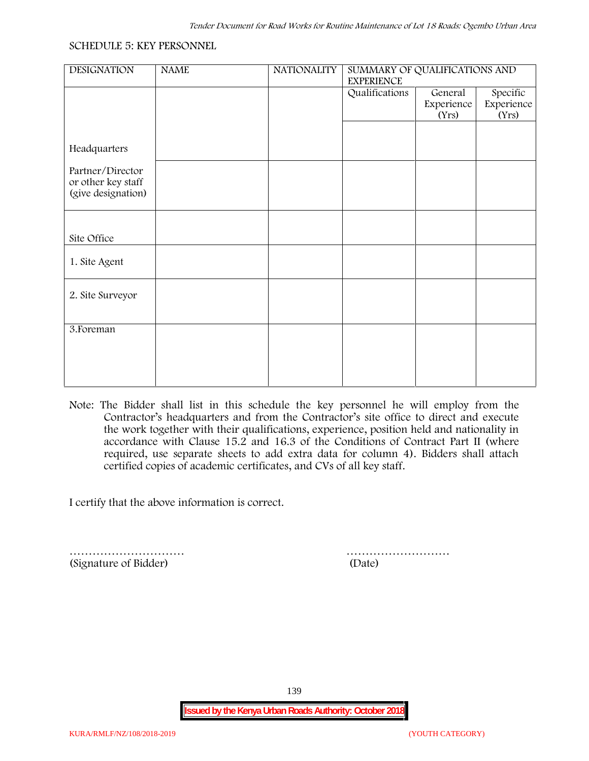#### **SCHEDULE 5: KEY PERSONNEL**

| <b>DESIGNATION</b> | <b>NAME</b> | <b>NATIONALITY</b> | SUMMARY OF QUALIFICATIONS AND                              |            |            |  |
|--------------------|-------------|--------------------|------------------------------------------------------------|------------|------------|--|
|                    |             |                    | <b>EXPERIENCE</b><br>Specific<br>Qualifications<br>General |            |            |  |
|                    |             |                    |                                                            | Experience | Experience |  |
|                    |             |                    |                                                            | (Yrs)      | (Yrs)      |  |
|                    |             |                    |                                                            |            |            |  |
|                    |             |                    |                                                            |            |            |  |
| Headquarters       |             |                    |                                                            |            |            |  |
| Partner/Director   |             |                    |                                                            |            |            |  |
| or other key staff |             |                    |                                                            |            |            |  |
| (give designation) |             |                    |                                                            |            |            |  |
|                    |             |                    |                                                            |            |            |  |
|                    |             |                    |                                                            |            |            |  |
| Site Office        |             |                    |                                                            |            |            |  |
|                    |             |                    |                                                            |            |            |  |
| 1. Site Agent      |             |                    |                                                            |            |            |  |
|                    |             |                    |                                                            |            |            |  |
|                    |             |                    |                                                            |            |            |  |
| 2. Site Surveyor   |             |                    |                                                            |            |            |  |
|                    |             |                    |                                                            |            |            |  |
|                    |             |                    |                                                            |            |            |  |
| 3. Foreman         |             |                    |                                                            |            |            |  |
|                    |             |                    |                                                            |            |            |  |
|                    |             |                    |                                                            |            |            |  |
|                    |             |                    |                                                            |            |            |  |
|                    |             |                    |                                                            |            |            |  |

**Note:** The Bidder shall list in this schedule the key personnel he will employ from the Contractor's headquarters and from the Contractor's site office to direct and execute the work together with their qualifications, experience, position held and nationality in accordance with Clause 15.2 and 16.3 of the Conditions of Contract Part II (where required, use separate sheets to add extra data for column 4). Bidders shall attach certified copies of academic certificates, and CVs of all key staff.

I certify that the above information is correct.

(Signature of Bidder) (Date)

………………………… ………………………

139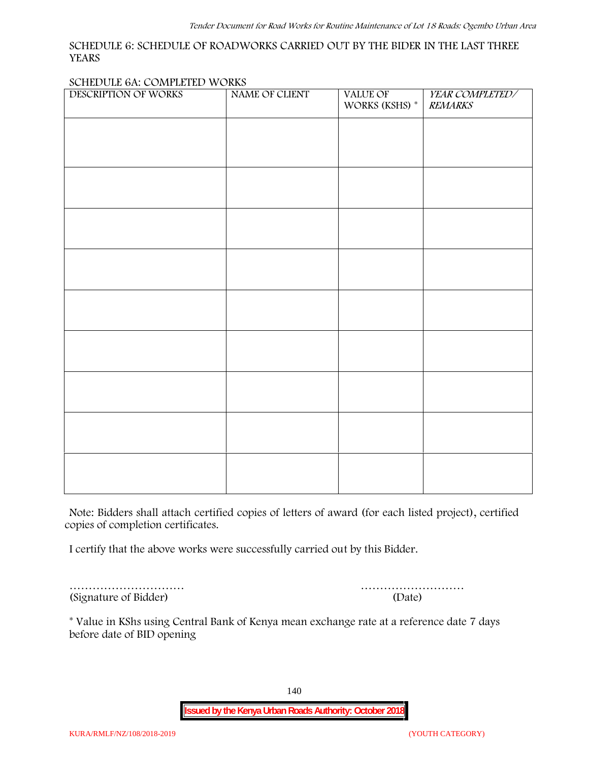#### **SCHEDULE 6: SCHEDULE OF ROADWORKS CARRIED OUT BY THE BIDER IN THE LAST THREE YEARS**

#### **SCHEDULE 6A: COMPLETED WORKS**

| DESCRIPTION OF WORKS | NAME OF CLIENT | VALUE OF<br>WORKS (KSHS) $^\ast$ | YEAR COMPLETED/<br><b>REMARKS</b> |
|----------------------|----------------|----------------------------------|-----------------------------------|
|                      |                |                                  |                                   |
|                      |                |                                  |                                   |
|                      |                |                                  |                                   |
|                      |                |                                  |                                   |
|                      |                |                                  |                                   |
|                      |                |                                  |                                   |
|                      |                |                                  |                                   |
|                      |                |                                  |                                   |
|                      |                |                                  |                                   |
|                      |                |                                  |                                   |
|                      |                |                                  |                                   |
|                      |                |                                  |                                   |
|                      |                |                                  |                                   |
|                      |                |                                  |                                   |
|                      |                |                                  |                                   |

**Note:** Bidders shall attach certified copies of letters of award (for each listed project), certified copies of completion certificates.

I certify that the above works were successfully carried out by this Bidder.

(Signature of Bidder) (Date)

………………………… ………………………

\* **Value in KShs using Central Bank of Kenya mean exchange rate at a reference date 7 days before date of BID opening**

140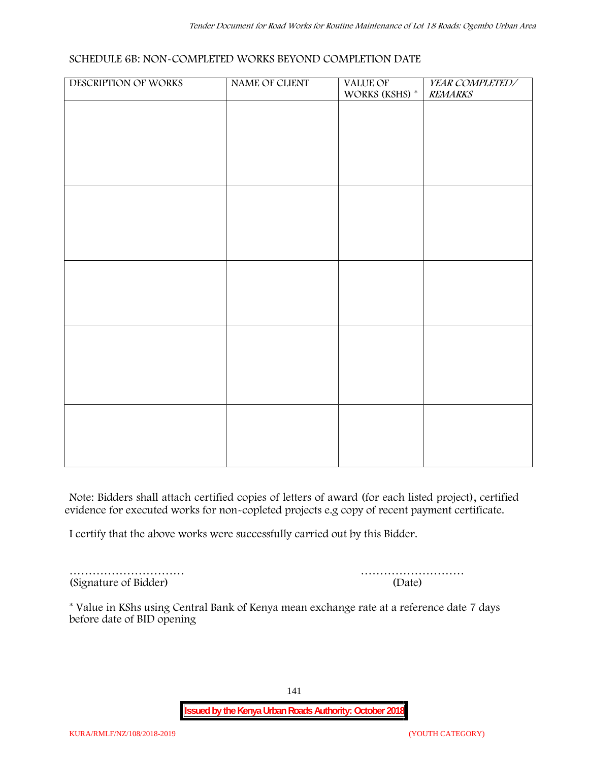#### **SCHEDULE 6B: NON-COMPLETED WORKS BEYOND COMPLETION DATE**

| DESCRIPTION OF WORKS | NAME OF CLIENT | VALUE OF<br>WORKS (KSHS) * | YEAR COMPLETED/<br><b>REMARKS</b> |
|----------------------|----------------|----------------------------|-----------------------------------|
|                      |                |                            |                                   |
|                      |                |                            |                                   |
|                      |                |                            |                                   |
|                      |                |                            |                                   |
|                      |                |                            |                                   |
|                      |                |                            |                                   |
|                      |                |                            |                                   |
|                      |                |                            |                                   |
|                      |                |                            |                                   |
|                      |                |                            |                                   |
|                      |                |                            |                                   |
|                      |                |                            |                                   |
|                      |                |                            |                                   |
|                      |                |                            |                                   |
|                      |                |                            |                                   |
|                      |                |                            |                                   |
|                      |                |                            |                                   |
|                      |                |                            |                                   |

**Note:** Bidders shall attach certified copies of letters of award (for each listed project), certified evidence for executed works for non-copleted projects e.g copy of recent payment certificate.

I certify that the above works were successfully carried out by this Bidder.

(Signature of Bidder) (Date)

………………………… ………………………

\* **Value in KShs using Central Bank of Kenya mean exchange rate at a reference date 7 days before date of BID opening**

141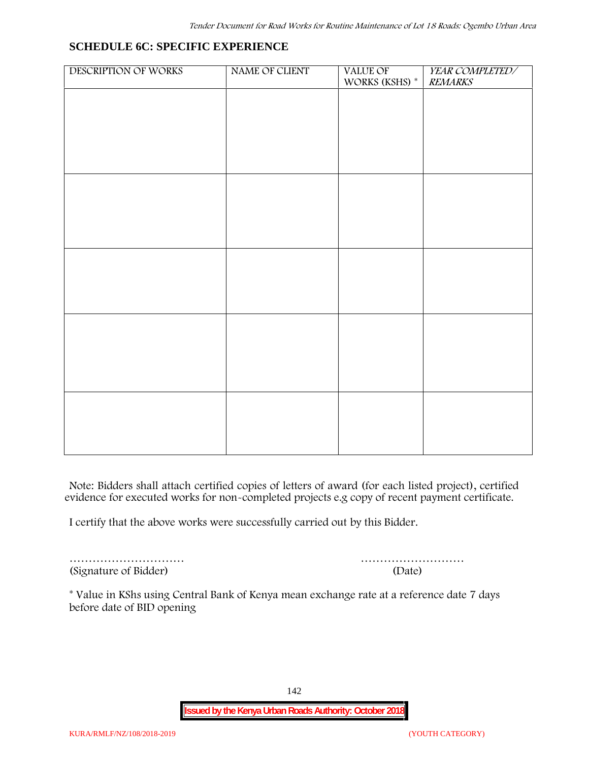#### **SCHEDULE 6C: SPECIFIC EXPERIENCE**

| WORKS (KSHS) $^\ast$ | <b>REMARKS</b> |
|----------------------|----------------|
|                      |                |
|                      |                |
|                      |                |
|                      |                |
|                      |                |
|                      |                |
|                      |                |
|                      |                |
|                      |                |
|                      |                |
|                      |                |
|                      |                |
|                      |                |
|                      |                |
|                      |                |
|                      |                |
|                      |                |

**Note:** Bidders shall attach certified copies of letters of award (for each listed project), certified evidence for executed works for non-completed projects e.g copy of recent payment certificate.

I certify that the above works were successfully carried out by this Bidder.

(Signature of Bidder) (Date)

………………………… ………………………

\* **Value in KShs using Central Bank of Kenya mean exchange rate at a reference date 7 days before date of BID opening**

142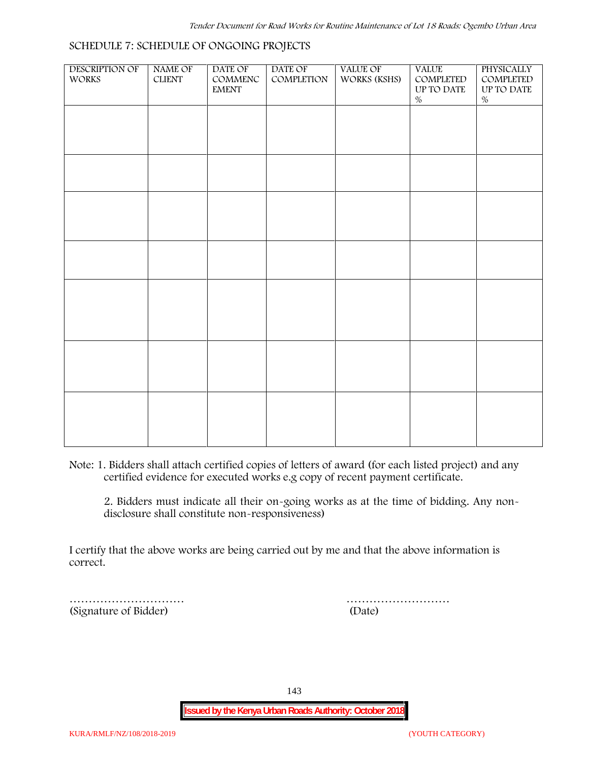#### **SCHEDULE 7: SCHEDULE OF ONGOING PROJECTS**

| DESCRIPTION OF<br>WORKS | NAME OF<br>${\it CLIENT}$ | DATE OF<br>$\mathsf{COMMENC}$<br><b>EMENT</b> | DATE OF<br>COMPLETION | VALUE OF<br>WORKS (KSHS) | <b>VALUE</b><br>COMPLETED<br>UP TO DATE<br>$\%$ | PHYSICALLY<br>COMPLETED<br>$\,$ UP TO DATE<br>$\%$ |  |
|-------------------------|---------------------------|-----------------------------------------------|-----------------------|--------------------------|-------------------------------------------------|----------------------------------------------------|--|
|                         |                           |                                               |                       |                          |                                                 |                                                    |  |
|                         |                           |                                               |                       |                          |                                                 |                                                    |  |
|                         |                           |                                               |                       |                          |                                                 |                                                    |  |
|                         |                           |                                               |                       |                          |                                                 |                                                    |  |
|                         |                           |                                               |                       |                          |                                                 |                                                    |  |
|                         |                           |                                               |                       |                          |                                                 |                                                    |  |
|                         |                           |                                               |                       |                          |                                                 |                                                    |  |
|                         |                           |                                               |                       |                          |                                                 |                                                    |  |
|                         |                           |                                               |                       |                          |                                                 |                                                    |  |

**Note:** 1. Bidders shall attach certified copies of letters of award (for each listed project) and any certified evidence for executed works e.g copy of recent payment certificate.

2. Bidders must indicate all their on-going works as at the time of bidding. Any non disclosure shall constitute non-responsiveness)

I certify that the above works are being carried out by me and that the above information is correct.

(Signature of Bidder) (Date)

………………………… ………………………

143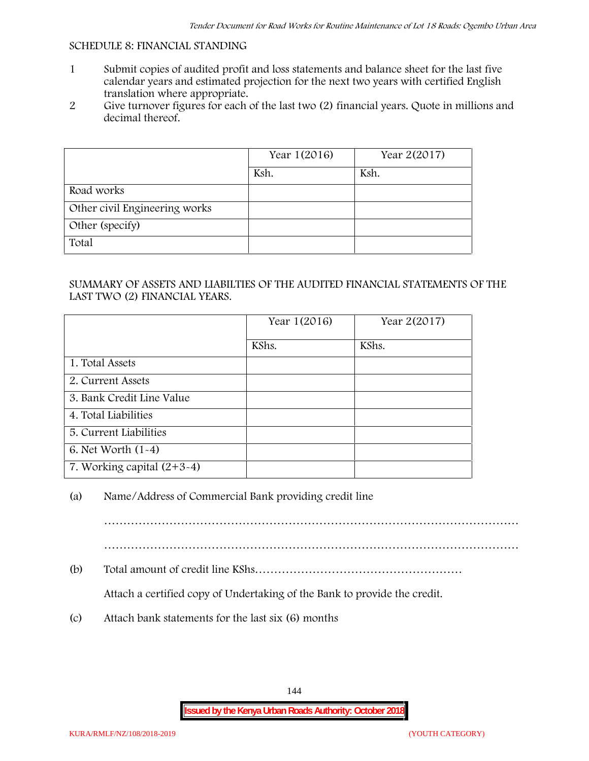### **SCHEDULE 8: FINANCIAL STANDING**

- 1 Submit copies of audited profit and loss statements and balance sheet for the last five calendar years and estimated projection for the next two years with certified English translation where appropriate.
- 2 Give turnover figures for each of the last two (2) financial years. Quote in millions and decimal thereof.

|                               | Year 1(2016) | Year 2(2017) |
|-------------------------------|--------------|--------------|
|                               | Ksh.         | Ksh.         |
| Road works                    |              |              |
| Other civil Engineering works |              |              |
| Other (specify)               |              |              |
| Total                         |              |              |

## SUMMARY OF ASSETS AND LIABILTIES OF THE AUDITED FINANCIAL STATEMENTS OF THE LAST TWO (2) FINANCIAL YEARS.

|                              | Year 1(2016) | Year 2(2017) |
|------------------------------|--------------|--------------|
|                              | KShs.        | KShs.        |
| 1. Total Assets              |              |              |
| 2. Current Assets            |              |              |
| 3. Bank Credit Line Value    |              |              |
| 4. Total Liabilities         |              |              |
| 5. Current Liabilities       |              |              |
| 6. Net Worth $(1-4)$         |              |              |
| 7. Working capital $(2+3-4)$ |              |              |

## (a) Name/Address of Commercial Bank providing credit line

………………………………………………………………………………………………

………………………………………………………………………………………………

(b) Total amount of credit line KShs………………………………………………

Attach a certified copy of Undertaking of the Bank to provide the credit.

(c) Attach bank statements for the last six (6) months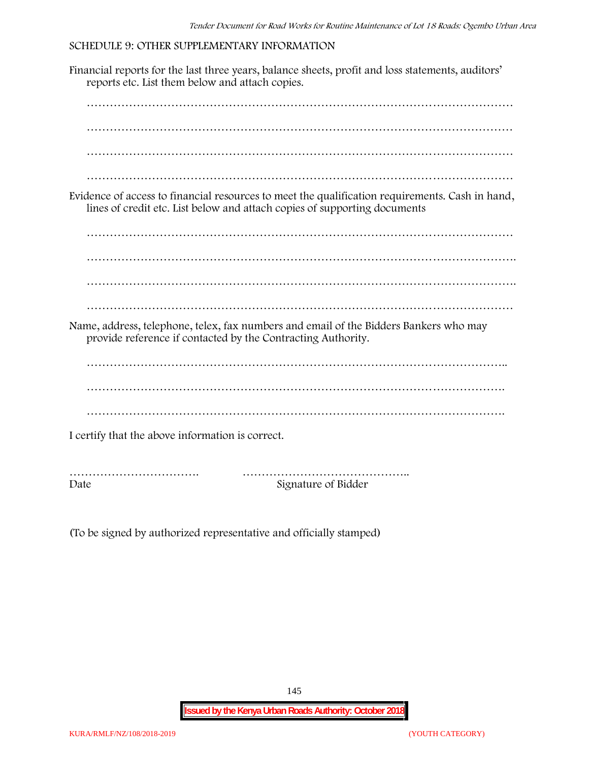## **SCHEDULE 9: OTHER SUPPLEMENTARY INFORMATION**

Financial reports for the last three years, balance sheets, profit and loss statements, auditors' reports etc. List them below and attach copies. ………………………………………………………………………………………………… ………………………………………………………………………………………………… ………………………………………………………………………………………………… ………………………………………………………………………………………………… Evidence of access to financial resources to meet the qualification requirements. Cash in hand, lines of credit etc. List below and attach copies of supporting documents ………………………………………………………………………………………………… …………………………………………………………………………………………………. …………………………………………………………………………………………………. ………………………………………………………………………………………………… Name, address, telephone, telex, fax numbers and email of the Bidders Bankers who may provide reference if contacted by the Contracting Authority. ……………………………………………………………………………………………….. ………………………………………………………………………………………………. ………………………………………………………………………………………………. I certify that the above information is correct. ……………………………. …………………………………….. Date Signature of Bidder

(To be signed by authorized representative and officially stamped)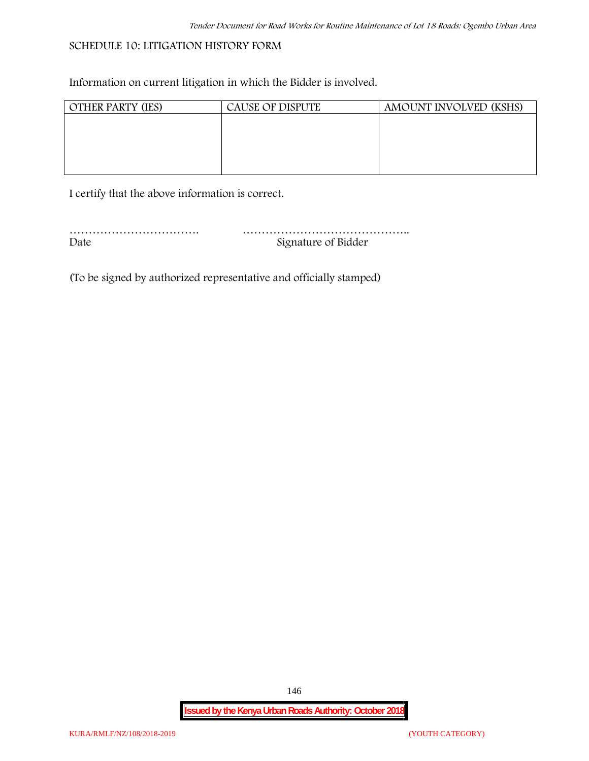# **SCHEDULE 10: LITIGATION HISTORY FORM**

Information on current litigation in which the Bidder is involved.

| <b>OTHER PARTY (IES)</b> | <b>CAUSE OF DISPUTE</b> | AMOUNT INVOLVED (KSHS) |
|--------------------------|-------------------------|------------------------|
|                          |                         |                        |
|                          |                         |                        |
|                          |                         |                        |
|                          |                         |                        |
|                          |                         |                        |

I certify that the above information is correct.

| Date | Signature of Bidder |
|------|---------------------|

(To be signed by authorized representative and officially stamped)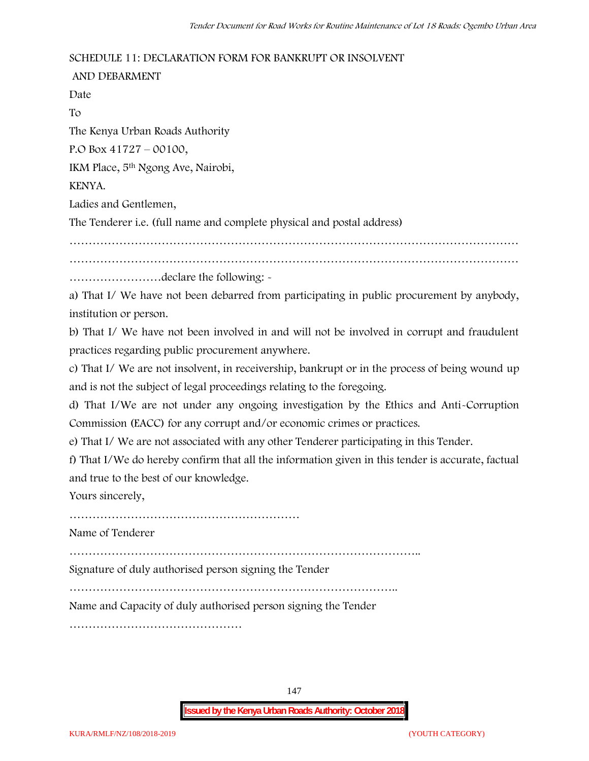## **SCHEDULE 11: DECLARATION FORM FOR BANKRUPT OR INSOLVENT**

**AND DEBARMENT** Date To The Kenya Urban Roads Authority P.O Box 41727 – 00100, IKM Place, 5th Ngong Ave, Nairobi, KENYA. Ladies and Gentlemen, The Tenderer i.e. (full name and complete physical and postal address) ……………………………………………………………………………………………………… ……………………declare the following: a) That I/ We have not been debarred from participating in public procurement by anybody, institution or person.

b) That I/ We have not been involved in and will not be involved in corrupt and fraudulent practices regarding public procurement anywhere.

c) That I/ We are not insolvent, in receivership, bankrupt or in the process of being wound up and is not the subject of legal proceedings relating to the foregoing.

d) That I/We are not under any ongoing investigation by the Ethics and Anti-Corruption Commission (EACC) for any corrupt and/or economic crimes or practices.

e) That I/ We are not associated with any other Tenderer participating in this Tender.

f) That I/We do hereby confirm that all the information given in this tender is accurate, factual and true to the best of our knowledge.

Yours sincerely,

……………………………………………………

Name of Tenderer

………………………………………………………………………………..

Signature of duly authorised person signing the Tender

…………………………………………………………………………..

Name and Capacity of duly authorised person signing the Tender

………………………………………

147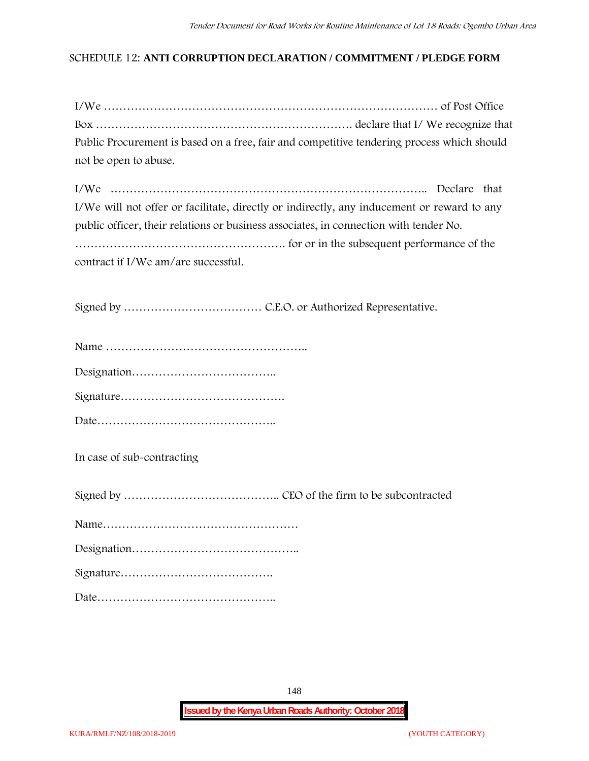## **SCHEDULE 12: ANTI CORRUPTION DECLARATION / COMMITMENT / PLEDGE FORM**

| Public Procurement is based on a free, fair and competitive tendering process which should |  |
|--------------------------------------------------------------------------------------------|--|
| not be open to abuse.                                                                      |  |

| I/We will not offer or facilitate, directly or indirectly, any inducement or reward to any |
|--------------------------------------------------------------------------------------------|
| public officer, their relations or business associates, in connection with tender No.      |
|                                                                                            |
| contract if I/We am/are successful.                                                        |

Signed by ……………………………… C.E.O. or Authorized Representative.

Date………………………………………..

**In case of sub-contracting**

Signed by ………………………………….. CEO of the firm to be subcontracted

Name……………………………………………

Designation……………………………………..

Signature………………………………….

Date………………………………………..

148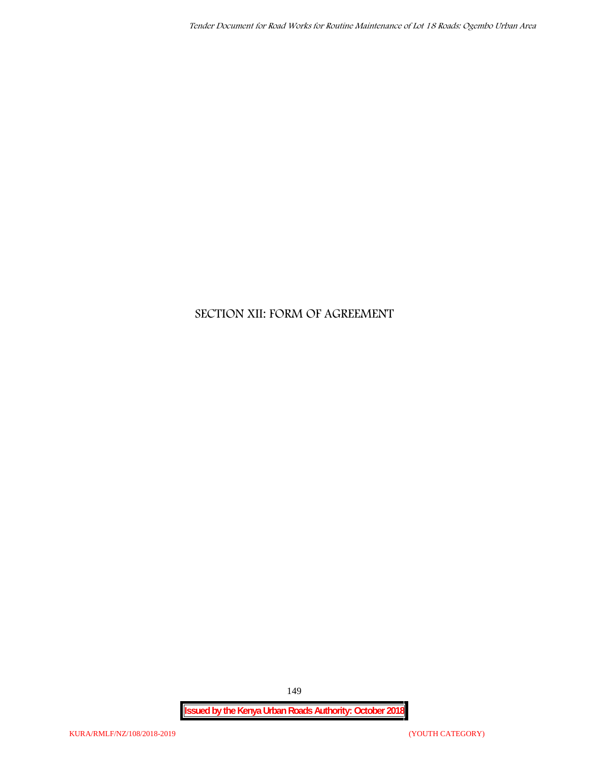# **SECTION XII: FORM OF AGREEMENT**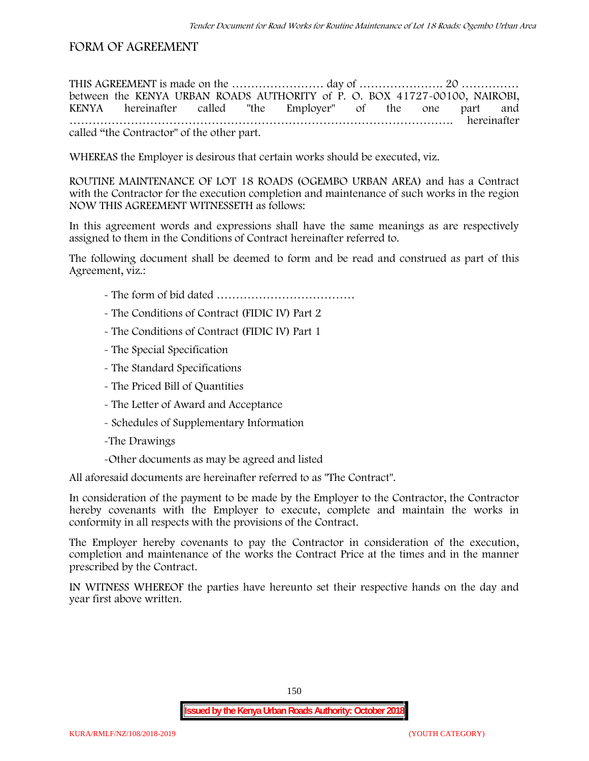# **FORM OF AGREEMENT**

THIS AGREEMENT is made on the ………………………… day of ……………………………………………………………………………………… between the **KENYA URBAN ROADS AUTHORITY** of **P. O. BOX 41727-00100, NAIROBI, KENYA** hereinafter called "the Employer" of the one part and **……………………………………………………………………………………….** hereinafter called "the Contractor" of the other part.

WHEREAS the Employer is desirous that certain works should be executed, viz.

**ROUTINE MAINTENANCE OF LOT 18 ROADS (OGEMBO URBAN AREA)** and has a Contract with the Contractor for the execution completion and maintenance of such works in the region NOW THIS AGREEMENT WITNESSETH as follows:

In this agreement words and expressions shall have the same meanings as are respectively assigned to them in the Conditions of Contract hereinafter referred to.

The following document shall be deemed to form and be read and construed as part of this Agreement, viz.:

- The form of bid dated **………………………………**
- The Conditions of Contract (FIDIC IV) Part 2
- The Conditions of Contract (FIDIC IV) Part 1
- The Special Specification
- The Standard Specifications
- The Priced Bill of Quantities
- The Letter of Award and Acceptance
- Schedules of Supplementary Information
- -The Drawings
- -Other documents as may be agreed and listed

All aforesaid documents are hereinafter referred to as "The Contract".

In consideration of the payment to be made by the Employer to the Contractor, the Contractor hereby covenants with the Employer to execute, complete and maintain the works in conformity in all respects with the provisions of the Contract.

The Employer hereby covenants to pay the Contractor in consideration of the execution, completion and maintenance of the works the Contract Price at the times and in the manner prescribed by the Contract.

IN WITNESS WHEREOF the parties have hereunto set their respective hands on the day and year first above written.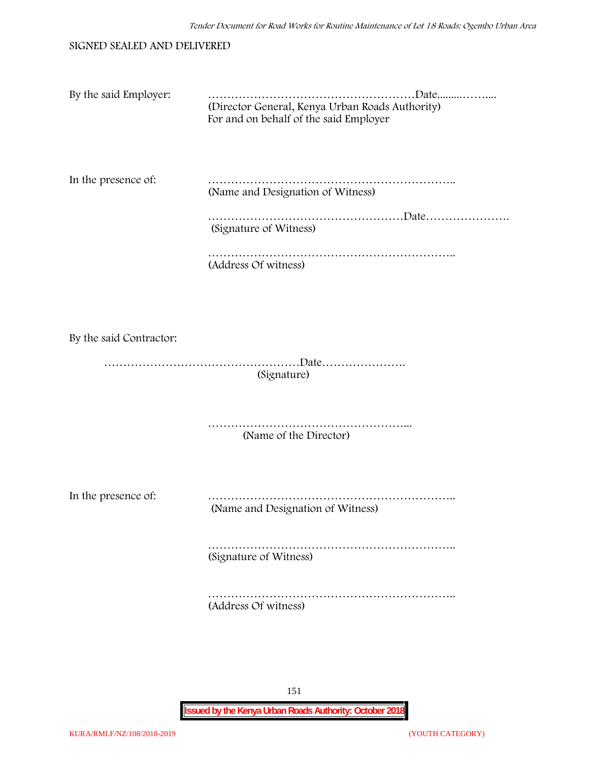#### SIGNED SEALED AND DELIVERED

| By the said Employer: |                                                                                           |
|-----------------------|-------------------------------------------------------------------------------------------|
|                       | (Director General, Kenya Urban Roads Authority)<br>For and on behalf of the said Employer |
|                       |                                                                                           |

In the presence of: ……………………………………………………….. (Name and Designation of Witness)

> ……………………………………………Date…………………. (Signature of Witness)

……………………………………………………………………… (Address Of witness)

By the said Contractor:

……………………………………………Date…………………. (Signature)

> ……………………………………………... (Name of the Director)

In the presence of: ……………………………………………………….. (Name and Designation of Witness)

> ……………………………………………………….. (Signature of Witness)

> ……………………………………………………….. (Address Of witness)

> > 151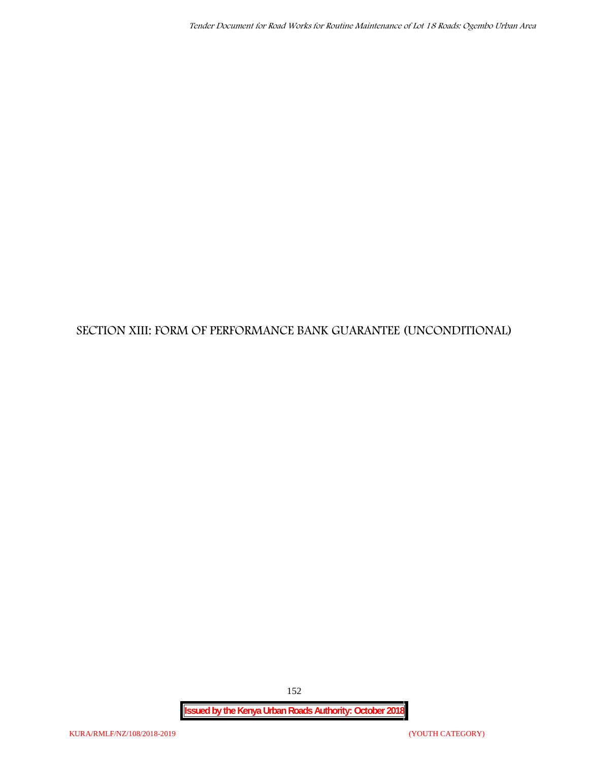# **SECTION XIII: FORM OF PERFORMANCE BANK GUARANTEE (UNCONDITIONAL)**